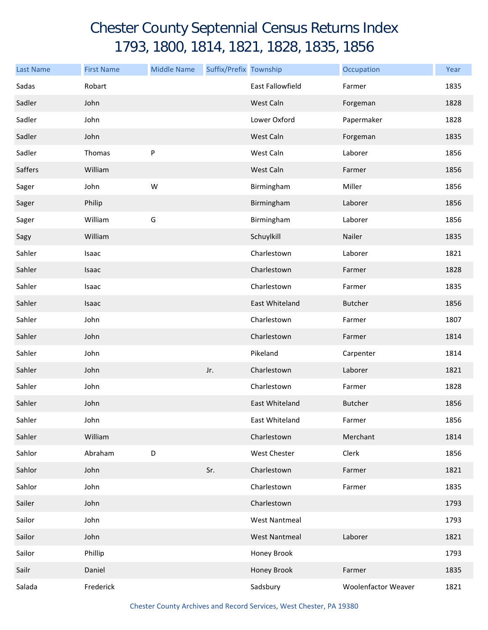## Chester County Septennial Census Returns Index 1793, 1800, 1814, 1821, 1828, 1835, 1856

| <b>Last Name</b> | <b>First Name</b> | <b>Middle Name</b> | Suffix/Prefix Township |                         | Occupation          | Year |
|------------------|-------------------|--------------------|------------------------|-------------------------|---------------------|------|
| Sadas            | Robart            |                    |                        | <b>East Fallowfield</b> | Farmer              | 1835 |
| Sadler           | John              |                    |                        | West Caln               | Forgeman            | 1828 |
| Sadler           | John              |                    |                        | Lower Oxford            | Papermaker          | 1828 |
| Sadler           | John              |                    |                        | West Caln               | Forgeman            | 1835 |
| Sadler           | Thomas            | ${\sf P}$          |                        | West Caln               | Laborer             | 1856 |
| Saffers          | William           |                    |                        | West Caln               | Farmer              | 1856 |
| Sager            | John              | W                  |                        | Birmingham              | Miller              | 1856 |
| Sager            | Philip            |                    |                        | Birmingham              | Laborer             | 1856 |
| Sager            | William           | G                  |                        | Birmingham              | Laborer             | 1856 |
| Sagy             | William           |                    |                        | Schuylkill              | Nailer              | 1835 |
| Sahler           | Isaac             |                    |                        | Charlestown             | Laborer             | 1821 |
| Sahler           | Isaac             |                    |                        | Charlestown             | Farmer              | 1828 |
| Sahler           | Isaac             |                    |                        | Charlestown             | Farmer              | 1835 |
| Sahler           | Isaac             |                    |                        | East Whiteland          | <b>Butcher</b>      | 1856 |
| Sahler           | John              |                    |                        | Charlestown             | Farmer              | 1807 |
| Sahler           | John              |                    |                        | Charlestown             | Farmer              | 1814 |
| Sahler           | John              |                    |                        | Pikeland                | Carpenter           | 1814 |
| Sahler           | John              |                    | Jr.                    | Charlestown             | Laborer             | 1821 |
| Sahler           | John              |                    |                        | Charlestown             | Farmer              | 1828 |
| Sahler           | John              |                    |                        | East Whiteland          | <b>Butcher</b>      | 1856 |
| Sahler           | John              |                    |                        | East Whiteland          | Farmer              | 1856 |
| Sahler           | William           |                    |                        | Charlestown             | Merchant            | 1814 |
| Sahlor           | Abraham           | D                  |                        | West Chester            | Clerk               | 1856 |
| Sahlor           | John              |                    | Sr.                    | Charlestown             | Farmer              | 1821 |
| Sahlor           | John              |                    |                        | Charlestown             | Farmer              | 1835 |
| Sailer           | John              |                    |                        | Charlestown             |                     | 1793 |
| Sailor           | John              |                    |                        | <b>West Nantmeal</b>    |                     | 1793 |
| Sailor           | John              |                    |                        | <b>West Nantmeal</b>    | Laborer             | 1821 |
| Sailor           | Phillip           |                    |                        | Honey Brook             |                     | 1793 |
| Sailr            | Daniel            |                    |                        | Honey Brook             | Farmer              | 1835 |
| Salada           | Frederick         |                    |                        | Sadsbury                | Woolenfactor Weaver | 1821 |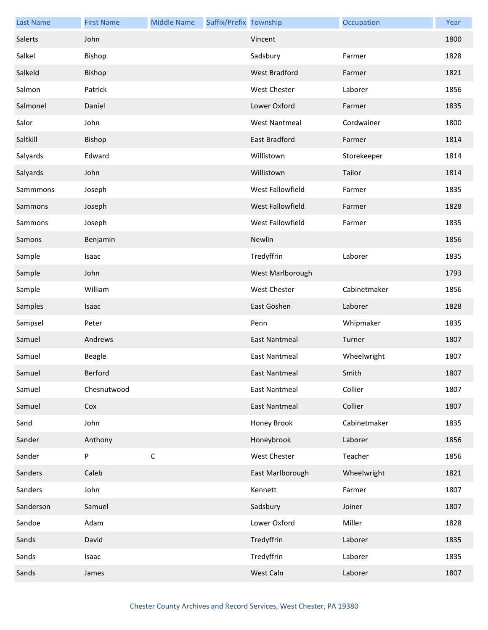| <b>Last Name</b> | <b>First Name</b> | <b>Middle Name</b> | Suffix/Prefix Township |                      | Occupation   | Year |
|------------------|-------------------|--------------------|------------------------|----------------------|--------------|------|
| Salerts          | John              |                    |                        | Vincent              |              | 1800 |
| Salkel           | Bishop            |                    |                        | Sadsbury             | Farmer       | 1828 |
| Salkeld          | Bishop            |                    |                        | West Bradford        | Farmer       | 1821 |
| Salmon           | Patrick           |                    |                        | <b>West Chester</b>  | Laborer      | 1856 |
| Salmonel         | Daniel            |                    |                        | Lower Oxford         | Farmer       | 1835 |
| Salor            | John              |                    |                        | <b>West Nantmeal</b> | Cordwainer   | 1800 |
| Saltkill         | Bishop            |                    |                        | East Bradford        | Farmer       | 1814 |
| Salyards         | Edward            |                    |                        | Willistown           | Storekeeper  | 1814 |
| Salyards         | John              |                    |                        | Willistown           | Tailor       | 1814 |
| Sammmons         | Joseph            |                    |                        | West Fallowfield     | Farmer       | 1835 |
| Sammons          | Joseph            |                    |                        | West Fallowfield     | Farmer       | 1828 |
| Sammons          | Joseph            |                    |                        | West Fallowfield     | Farmer       | 1835 |
| Samons           | Benjamin          |                    |                        | Newlin               |              | 1856 |
| Sample           | Isaac             |                    |                        | Tredyffrin           | Laborer      | 1835 |
| Sample           | John              |                    |                        | West Marlborough     |              | 1793 |
| Sample           | William           |                    |                        | West Chester         | Cabinetmaker | 1856 |
| Samples          | Isaac             |                    |                        | East Goshen          | Laborer      | 1828 |
| Sampsel          | Peter             |                    |                        | Penn                 | Whipmaker    | 1835 |
| Samuel           | Andrews           |                    |                        | <b>East Nantmeal</b> | Turner       | 1807 |
| Samuel           | <b>Beagle</b>     |                    |                        | <b>East Nantmeal</b> | Wheelwright  | 1807 |
| Samuel           | Berford           |                    |                        | East Nantmeal        | Smith        | 1807 |
| Samuel           | Chesnutwood       |                    |                        | <b>East Nantmeal</b> | Collier      | 1807 |
| Samuel           | Cox               |                    |                        | <b>East Nantmeal</b> | Collier      | 1807 |
| Sand             | John              |                    |                        | Honey Brook          | Cabinetmaker | 1835 |
| Sander           | Anthony           |                    |                        | Honeybrook           | Laborer      | 1856 |
| Sander           | P                 | $\mathsf C$        |                        | West Chester         | Teacher      | 1856 |
| Sanders          | Caleb             |                    |                        | East Marlborough     | Wheelwright  | 1821 |
| Sanders          | John              |                    |                        | Kennett              | Farmer       | 1807 |
| Sanderson        | Samuel            |                    |                        | Sadsbury             | Joiner       | 1807 |
| Sandoe           | Adam              |                    |                        | Lower Oxford         | Miller       | 1828 |
| Sands            | David             |                    |                        | Tredyffrin           | Laborer      | 1835 |
| Sands            | Isaac             |                    |                        | Tredyffrin           | Laborer      | 1835 |
| Sands            | James             |                    |                        | West Caln            | Laborer      | 1807 |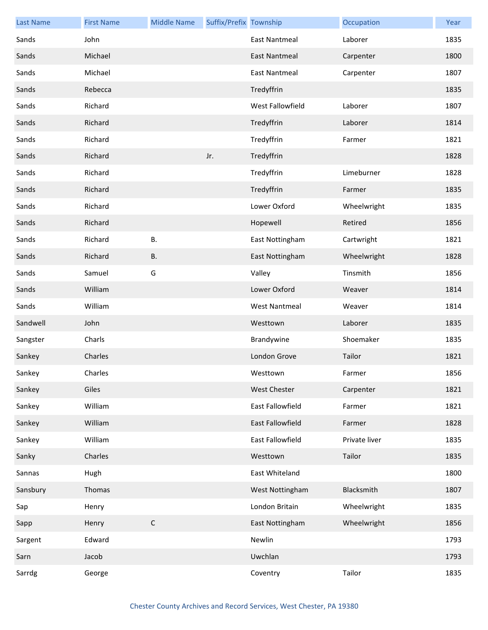| <b>Last Name</b> | <b>First Name</b> | <b>Middle Name</b> | Suffix/Prefix Township |                      | Occupation    | Year |
|------------------|-------------------|--------------------|------------------------|----------------------|---------------|------|
| Sands            | John              |                    |                        | <b>East Nantmeal</b> | Laborer       | 1835 |
| Sands            | Michael           |                    |                        | <b>East Nantmeal</b> | Carpenter     | 1800 |
| Sands            | Michael           |                    |                        | <b>East Nantmeal</b> | Carpenter     | 1807 |
| Sands            | Rebecca           |                    |                        | Tredyffrin           |               | 1835 |
| Sands            | Richard           |                    |                        | West Fallowfield     | Laborer       | 1807 |
| Sands            | Richard           |                    |                        | Tredyffrin           | Laborer       | 1814 |
| Sands            | Richard           |                    |                        | Tredyffrin           | Farmer        | 1821 |
| Sands            | Richard           |                    | Jr.                    | Tredyffrin           |               | 1828 |
| Sands            | Richard           |                    |                        | Tredyffrin           | Limeburner    | 1828 |
| Sands            | Richard           |                    |                        | Tredyffrin           | Farmer        | 1835 |
| Sands            | Richard           |                    |                        | Lower Oxford         | Wheelwright   | 1835 |
| Sands            | Richard           |                    |                        | Hopewell             | Retired       | 1856 |
| Sands            | Richard           | Β.                 |                        | East Nottingham      | Cartwright    | 1821 |
| Sands            | Richard           | <b>B.</b>          |                        | East Nottingham      | Wheelwright   | 1828 |
| Sands            | Samuel            | G                  |                        | Valley               | Tinsmith      | 1856 |
| Sands            | William           |                    |                        | Lower Oxford         | Weaver        | 1814 |
| Sands            | William           |                    |                        | <b>West Nantmeal</b> | Weaver        | 1814 |
| Sandwell         | John              |                    |                        | Westtown             | Laborer       | 1835 |
| Sangster         | Charls            |                    |                        | Brandywine           | Shoemaker     | 1835 |
| Sankey           | Charles           |                    |                        | London Grove         | Tailor        | 1821 |
| Sankey           | Charles           |                    |                        | Westtown             | Farmer        | 1856 |
| Sankey           | Giles             |                    |                        | <b>West Chester</b>  | Carpenter     | 1821 |
| Sankey           | William           |                    |                        | East Fallowfield     | Farmer        | 1821 |
| Sankey           | William           |                    |                        | East Fallowfield     | Farmer        | 1828 |
| Sankey           | William           |                    |                        | East Fallowfield     | Private liver | 1835 |
| Sanky            | Charles           |                    |                        | Westtown             | Tailor        | 1835 |
| Sannas           | Hugh              |                    |                        | East Whiteland       |               | 1800 |
| Sansbury         | Thomas            |                    |                        | West Nottingham      | Blacksmith    | 1807 |
| Sap              | Henry             |                    |                        | London Britain       | Wheelwright   | 1835 |
| Sapp             | Henry             | $\mathsf C$        |                        | East Nottingham      | Wheelwright   | 1856 |
| Sargent          | Edward            |                    |                        | Newlin               |               | 1793 |
| Sarn             | Jacob             |                    |                        | Uwchlan              |               | 1793 |
| Sarrdg           | George            |                    |                        | Coventry             | Tailor        | 1835 |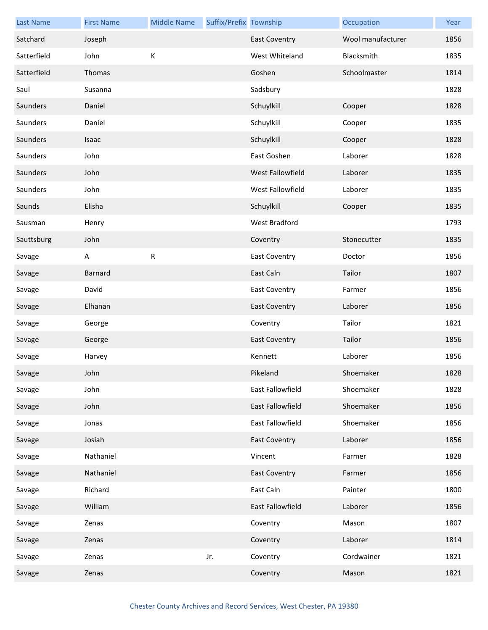| <b>Last Name</b> | <b>First Name</b> | <b>Middle Name</b> | Suffix/Prefix Township |                         | Occupation        | Year |
|------------------|-------------------|--------------------|------------------------|-------------------------|-------------------|------|
| Satchard         | Joseph            |                    |                        | <b>East Coventry</b>    | Wool manufacturer | 1856 |
| Satterfield      | John              | К                  |                        | West Whiteland          | Blacksmith        | 1835 |
| Satterfield      | Thomas            |                    |                        | Goshen                  | Schoolmaster      | 1814 |
| Saul             | Susanna           |                    |                        | Sadsbury                |                   | 1828 |
| Saunders         | Daniel            |                    |                        | Schuylkill              | Cooper            | 1828 |
| Saunders         | Daniel            |                    |                        | Schuylkill              | Cooper            | 1835 |
| Saunders         | Isaac             |                    |                        | Schuylkill              | Cooper            | 1828 |
| Saunders         | John              |                    |                        | East Goshen             | Laborer           | 1828 |
| Saunders         | John              |                    |                        | West Fallowfield        | Laborer           | 1835 |
| Saunders         | John              |                    |                        | West Fallowfield        | Laborer           | 1835 |
| Saunds           | Elisha            |                    |                        | Schuylkill              | Cooper            | 1835 |
| Sausman          | Henry             |                    |                        | <b>West Bradford</b>    |                   | 1793 |
| Sauttsburg       | John              |                    |                        | Coventry                | Stonecutter       | 1835 |
| Savage           | A                 | ${\sf R}$          |                        | <b>East Coventry</b>    | Doctor            | 1856 |
| Savage           | Barnard           |                    |                        | East Caln               | Tailor            | 1807 |
| Savage           | David             |                    |                        | <b>East Coventry</b>    | Farmer            | 1856 |
| Savage           | Elhanan           |                    |                        | <b>East Coventry</b>    | Laborer           | 1856 |
| Savage           | George            |                    |                        | Coventry                | Tailor            | 1821 |
| Savage           | George            |                    |                        | <b>East Coventry</b>    | Tailor            | 1856 |
| Savage           | Harvey            |                    |                        | Kennett                 | Laborer           | 1856 |
| Savage           | John              |                    |                        | Pikeland                | Shoemaker         | 1828 |
| Savage           | John              |                    |                        | East Fallowfield        | Shoemaker         | 1828 |
| Savage           | John              |                    |                        | <b>East Fallowfield</b> | Shoemaker         | 1856 |
| Savage           | Jonas             |                    |                        | East Fallowfield        | Shoemaker         | 1856 |
| Savage           | Josiah            |                    |                        | <b>East Coventry</b>    | Laborer           | 1856 |
| Savage           | Nathaniel         |                    |                        | Vincent                 | Farmer            | 1828 |
| Savage           | Nathaniel         |                    |                        | <b>East Coventry</b>    | Farmer            | 1856 |
| Savage           | Richard           |                    |                        | East Caln               | Painter           | 1800 |
| Savage           | William           |                    |                        | East Fallowfield        | Laborer           | 1856 |
| Savage           | Zenas             |                    |                        | Coventry                | Mason             | 1807 |
| Savage           | Zenas             |                    |                        | Coventry                | Laborer           | 1814 |
| Savage           | Zenas             |                    | Jr.                    | Coventry                | Cordwainer        | 1821 |
| Savage           | Zenas             |                    |                        | Coventry                | Mason             | 1821 |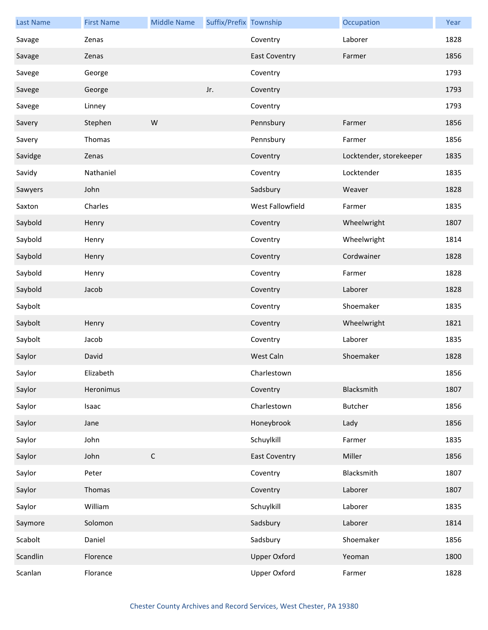| <b>Last Name</b> | <b>First Name</b> | <b>Middle Name</b> | Suffix/Prefix Township |                      | Occupation              | Year |
|------------------|-------------------|--------------------|------------------------|----------------------|-------------------------|------|
| Savage           | Zenas             |                    |                        | Coventry             | Laborer                 | 1828 |
| Savage           | Zenas             |                    |                        | <b>East Coventry</b> | Farmer                  | 1856 |
| Savege           | George            |                    |                        | Coventry             |                         | 1793 |
| Savege           | George            |                    | Jr.                    | Coventry             |                         | 1793 |
| Savege           | Linney            |                    |                        | Coventry             |                         | 1793 |
| Savery           | Stephen           | W                  |                        | Pennsbury            | Farmer                  | 1856 |
| Savery           | Thomas            |                    |                        | Pennsbury            | Farmer                  | 1856 |
| Savidge          | Zenas             |                    |                        | Coventry             | Locktender, storekeeper | 1835 |
| Savidy           | Nathaniel         |                    |                        | Coventry             | Locktender              | 1835 |
| Sawyers          | John              |                    |                        | Sadsbury             | Weaver                  | 1828 |
| Saxton           | Charles           |                    |                        | West Fallowfield     | Farmer                  | 1835 |
| Saybold          | Henry             |                    |                        | Coventry             | Wheelwright             | 1807 |
| Saybold          | Henry             |                    |                        | Coventry             | Wheelwright             | 1814 |
| Saybold          | Henry             |                    |                        | Coventry             | Cordwainer              | 1828 |
| Saybold          | Henry             |                    |                        | Coventry             | Farmer                  | 1828 |
| Saybold          | Jacob             |                    |                        | Coventry             | Laborer                 | 1828 |
| Saybolt          |                   |                    |                        | Coventry             | Shoemaker               | 1835 |
| Saybolt          | Henry             |                    |                        | Coventry             | Wheelwright             | 1821 |
| Saybolt          | Jacob             |                    |                        | Coventry             | Laborer                 | 1835 |
| Saylor           | David             |                    |                        | West Caln            | Shoemaker               | 1828 |
| Saylor           | Elizabeth         |                    |                        | Charlestown          |                         | 1856 |
| Saylor           | Heronimus         |                    |                        | Coventry             | Blacksmith              | 1807 |
| Saylor           | Isaac             |                    |                        | Charlestown          | <b>Butcher</b>          | 1856 |
| Saylor           | Jane              |                    |                        | Honeybrook           | Lady                    | 1856 |
| Saylor           | John              |                    |                        | Schuylkill           | Farmer                  | 1835 |
| Saylor           | John              | $\mathsf C$        |                        | <b>East Coventry</b> | Miller                  | 1856 |
| Saylor           | Peter             |                    |                        | Coventry             | Blacksmith              | 1807 |
| Saylor           | Thomas            |                    |                        | Coventry             | Laborer                 | 1807 |
| Saylor           | William           |                    |                        | Schuylkill           | Laborer                 | 1835 |
| Saymore          | Solomon           |                    |                        | Sadsbury             | Laborer                 | 1814 |
| Scabolt          | Daniel            |                    |                        | Sadsbury             | Shoemaker               | 1856 |
| Scandlin         | Florence          |                    |                        | <b>Upper Oxford</b>  | Yeoman                  | 1800 |
| Scanlan          | Florance          |                    |                        | <b>Upper Oxford</b>  | Farmer                  | 1828 |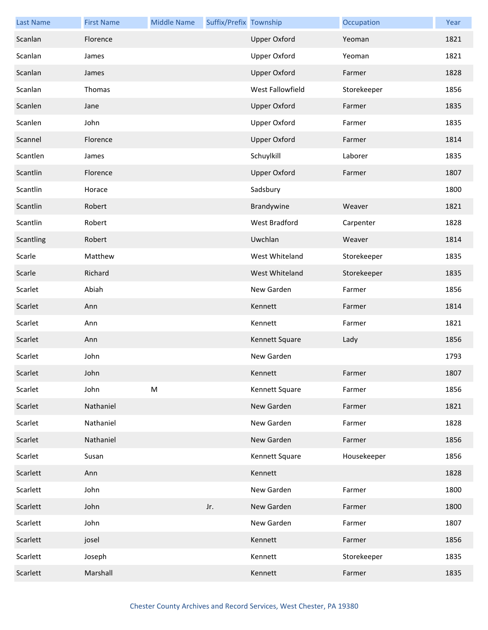| <b>Last Name</b> | <b>First Name</b> | <b>Middle Name</b> | Suffix/Prefix Township |                     | Occupation  | Year |
|------------------|-------------------|--------------------|------------------------|---------------------|-------------|------|
| Scanlan          | Florence          |                    |                        | <b>Upper Oxford</b> | Yeoman      | 1821 |
| Scanlan          | James             |                    |                        | <b>Upper Oxford</b> | Yeoman      | 1821 |
| Scanlan          | James             |                    |                        | <b>Upper Oxford</b> | Farmer      | 1828 |
| Scanlan          | Thomas            |                    |                        | West Fallowfield    | Storekeeper | 1856 |
| Scanlen          | Jane              |                    |                        | <b>Upper Oxford</b> | Farmer      | 1835 |
| Scanlen          | John              |                    |                        | <b>Upper Oxford</b> | Farmer      | 1835 |
| Scannel          | Florence          |                    |                        | <b>Upper Oxford</b> | Farmer      | 1814 |
| Scantlen         | James             |                    |                        | Schuylkill          | Laborer     | 1835 |
| Scantlin         | Florence          |                    |                        | <b>Upper Oxford</b> | Farmer      | 1807 |
| Scantlin         | Horace            |                    |                        | Sadsbury            |             | 1800 |
| Scantlin         | Robert            |                    |                        | Brandywine          | Weaver      | 1821 |
| Scantlin         | Robert            |                    |                        | West Bradford       | Carpenter   | 1828 |
| Scantling        | Robert            |                    |                        | Uwchlan             | Weaver      | 1814 |
| Scarle           | Matthew           |                    |                        | West Whiteland      | Storekeeper | 1835 |
| Scarle           | Richard           |                    |                        | West Whiteland      | Storekeeper | 1835 |
| Scarlet          | Abiah             |                    |                        | New Garden          | Farmer      | 1856 |
| Scarlet          | Ann               |                    |                        | Kennett             | Farmer      | 1814 |
| Scarlet          | Ann               |                    |                        | Kennett             | Farmer      | 1821 |
| Scarlet          | Ann               |                    |                        | Kennett Square      | Lady        | 1856 |
| Scarlet          | John              |                    |                        | New Garden          |             | 1793 |
| Scarlet          | John              |                    |                        | Kennett             | Farmer      | 1807 |
| Scarlet          | John              | M                  |                        | Kennett Square      | Farmer      | 1856 |
| Scarlet          | Nathaniel         |                    |                        | New Garden          | Farmer      | 1821 |
| Scarlet          | Nathaniel         |                    |                        | New Garden          | Farmer      | 1828 |
| Scarlet          | Nathaniel         |                    |                        | New Garden          | Farmer      | 1856 |
| Scarlet          | Susan             |                    |                        | Kennett Square      | Housekeeper | 1856 |
| Scarlett         | Ann               |                    |                        | Kennett             |             | 1828 |
| Scarlett         | John              |                    |                        | New Garden          | Farmer      | 1800 |
| Scarlett         | John              |                    | Jr.                    | New Garden          | Farmer      | 1800 |
| Scarlett         | John              |                    |                        | New Garden          | Farmer      | 1807 |
| Scarlett         | josel             |                    |                        | Kennett             | Farmer      | 1856 |
| Scarlett         | Joseph            |                    |                        | Kennett             | Storekeeper | 1835 |
| Scarlett         | Marshall          |                    |                        | Kennett             | Farmer      | 1835 |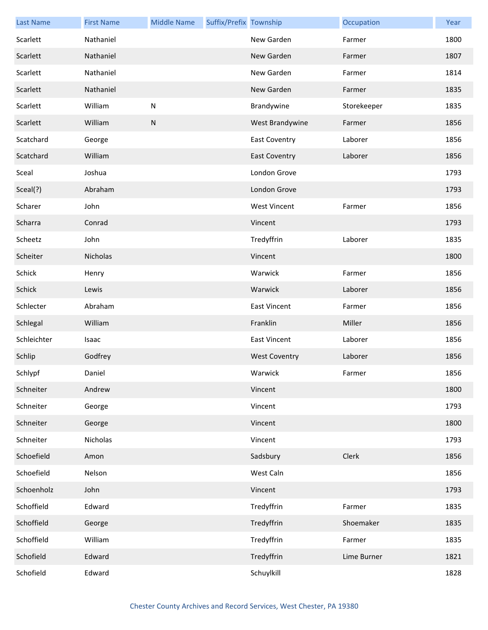| <b>Last Name</b> | <b>First Name</b> | <b>Middle Name</b> | Suffix/Prefix Township |                      | Occupation  | Year |
|------------------|-------------------|--------------------|------------------------|----------------------|-------------|------|
| Scarlett         | Nathaniel         |                    |                        | New Garden           | Farmer      | 1800 |
| Scarlett         | Nathaniel         |                    |                        | New Garden           | Farmer      | 1807 |
| Scarlett         | Nathaniel         |                    |                        | New Garden           | Farmer      | 1814 |
| Scarlett         | Nathaniel         |                    |                        | New Garden           | Farmer      | 1835 |
| Scarlett         | William           | ${\sf N}$          |                        | Brandywine           | Storekeeper | 1835 |
| Scarlett         | William           | ${\sf N}$          |                        | West Brandywine      | Farmer      | 1856 |
| Scatchard        | George            |                    |                        | <b>East Coventry</b> | Laborer     | 1856 |
| Scatchard        | William           |                    |                        | <b>East Coventry</b> | Laborer     | 1856 |
| Sceal            | Joshua            |                    |                        | London Grove         |             | 1793 |
| Sceal(?)         | Abraham           |                    |                        | London Grove         |             | 1793 |
| Scharer          | John              |                    |                        | <b>West Vincent</b>  | Farmer      | 1856 |
| Scharra          | Conrad            |                    |                        | Vincent              |             | 1793 |
| Scheetz          | John              |                    |                        | Tredyffrin           | Laborer     | 1835 |
| Scheiter         | Nicholas          |                    |                        | Vincent              |             | 1800 |
| Schick           | Henry             |                    |                        | Warwick              | Farmer      | 1856 |
| Schick           | Lewis             |                    |                        | Warwick              | Laborer     | 1856 |
| Schlecter        | Abraham           |                    |                        | <b>East Vincent</b>  | Farmer      | 1856 |
| Schlegal         | William           |                    |                        | Franklin             | Miller      | 1856 |
| Schleichter      | Isaac             |                    |                        | <b>East Vincent</b>  | Laborer     | 1856 |
| Schlip           | Godfrey           |                    |                        | <b>West Coventry</b> | Laborer     | 1856 |
| Schlypf          | Daniel            |                    |                        | Warwick              | Farmer      | 1856 |
| Schneiter        | Andrew            |                    |                        | Vincent              |             | 1800 |
| Schneiter        | George            |                    |                        | Vincent              |             | 1793 |
| Schneiter        | George            |                    |                        | Vincent              |             | 1800 |
| Schneiter        | Nicholas          |                    |                        | Vincent              |             | 1793 |
| Schoefield       | Amon              |                    |                        | Sadsbury             | Clerk       | 1856 |
| Schoefield       | Nelson            |                    |                        | West Caln            |             | 1856 |
| Schoenholz       | John              |                    |                        | Vincent              |             | 1793 |
| Schoffield       | Edward            |                    |                        | Tredyffrin           | Farmer      | 1835 |
| Schoffield       | George            |                    |                        | Tredyffrin           | Shoemaker   | 1835 |
| Schoffield       | William           |                    |                        | Tredyffrin           | Farmer      | 1835 |
| Schofield        | Edward            |                    |                        | Tredyffrin           | Lime Burner | 1821 |
| Schofield        | Edward            |                    |                        | Schuylkill           |             | 1828 |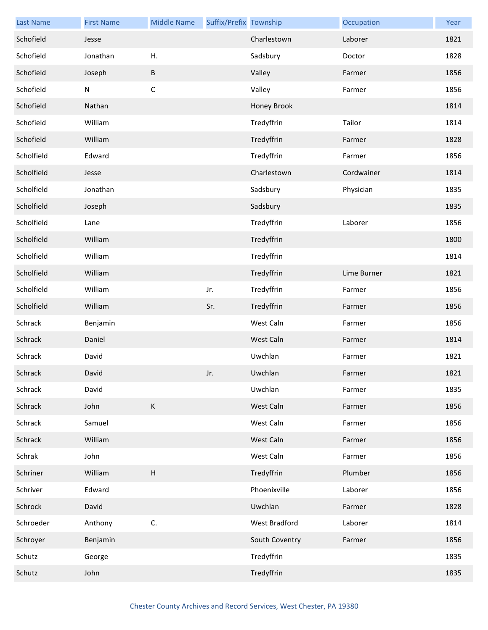| <b>Last Name</b> | <b>First Name</b> | <b>Middle Name</b>        | Suffix/Prefix Township |                | Occupation  | Year |
|------------------|-------------------|---------------------------|------------------------|----------------|-------------|------|
| Schofield        | Jesse             |                           |                        | Charlestown    | Laborer     | 1821 |
| Schofield        | Jonathan          | Η.                        |                        | Sadsbury       | Doctor      | 1828 |
| Schofield        | Joseph            | В                         |                        | Valley         | Farmer      | 1856 |
| Schofield        | ${\sf N}$         | $\mathsf C$               |                        | Valley         | Farmer      | 1856 |
| Schofield        | Nathan            |                           |                        | Honey Brook    |             | 1814 |
| Schofield        | William           |                           |                        | Tredyffrin     | Tailor      | 1814 |
| Schofield        | William           |                           |                        | Tredyffrin     | Farmer      | 1828 |
| Scholfield       | Edward            |                           |                        | Tredyffrin     | Farmer      | 1856 |
| Scholfield       | Jesse             |                           |                        | Charlestown    | Cordwainer  | 1814 |
| Scholfield       | Jonathan          |                           |                        | Sadsbury       | Physician   | 1835 |
| Scholfield       | Joseph            |                           |                        | Sadsbury       |             | 1835 |
| Scholfield       | Lane              |                           |                        | Tredyffrin     | Laborer     | 1856 |
| Scholfield       | William           |                           |                        | Tredyffrin     |             | 1800 |
| Scholfield       | William           |                           |                        | Tredyffrin     |             | 1814 |
| Scholfield       | William           |                           |                        | Tredyffrin     | Lime Burner | 1821 |
| Scholfield       | William           |                           | Jr.                    | Tredyffrin     | Farmer      | 1856 |
| Scholfield       | William           |                           | Sr.                    | Tredyffrin     | Farmer      | 1856 |
| Schrack          | Benjamin          |                           |                        | West Caln      | Farmer      | 1856 |
| Schrack          | Daniel            |                           |                        | West Caln      | Farmer      | 1814 |
| Schrack          | David             |                           |                        | Uwchlan        | Farmer      | 1821 |
| Schrack          | David             |                           | Jr.                    | Uwchlan        | Farmer      | 1821 |
| Schrack          | David             |                           |                        | Uwchlan        | Farmer      | 1835 |
| Schrack          | John              | $\mathsf K$               |                        | West Caln      | Farmer      | 1856 |
| Schrack          | Samuel            |                           |                        | West Caln      | Farmer      | 1856 |
| Schrack          | William           |                           |                        | West Caln      | Farmer      | 1856 |
| Schrak           | John              |                           |                        | West Caln      | Farmer      | 1856 |
| Schriner         | William           | $\boldsymbol{\mathsf{H}}$ |                        | Tredyffrin     | Plumber     | 1856 |
| Schriver         | Edward            |                           |                        | Phoenixville   | Laborer     | 1856 |
| Schrock          | David             |                           |                        | Uwchlan        | Farmer      | 1828 |
| Schroeder        | Anthony           | C.                        |                        | West Bradford  | Laborer     | 1814 |
| Schroyer         | Benjamin          |                           |                        | South Coventry | Farmer      | 1856 |
| Schutz           | George            |                           |                        | Tredyffrin     |             | 1835 |
| Schutz           | John              |                           |                        | Tredyffrin     |             | 1835 |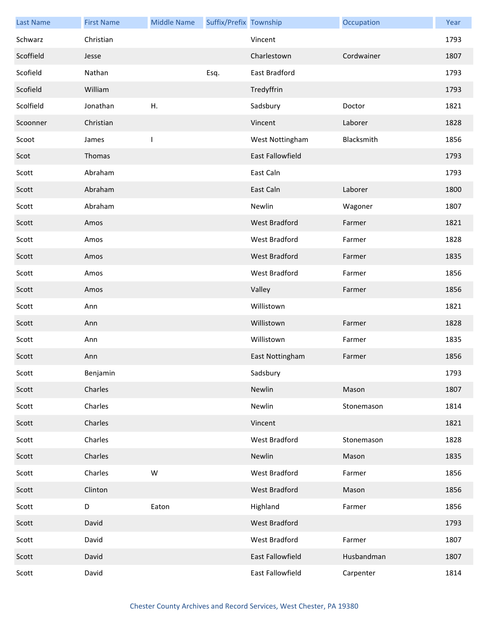| <b>Last Name</b> | <b>First Name</b> | <b>Middle Name</b> | Suffix/Prefix Township |                  | Occupation | Year |
|------------------|-------------------|--------------------|------------------------|------------------|------------|------|
| Schwarz          | Christian         |                    |                        | Vincent          |            | 1793 |
| Scoffield        | Jesse             |                    |                        | Charlestown      | Cordwainer | 1807 |
| Scofield         | Nathan            |                    | Esq.                   | East Bradford    |            | 1793 |
| Scofield         | William           |                    |                        | Tredyffrin       |            | 1793 |
| Scolfield        | Jonathan          | Η.                 |                        | Sadsbury         | Doctor     | 1821 |
| Scoonner         | Christian         |                    |                        | Vincent          | Laborer    | 1828 |
| Scoot            | James             | ı                  |                        | West Nottingham  | Blacksmith | 1856 |
| Scot             | Thomas            |                    |                        | East Fallowfield |            | 1793 |
| Scott            | Abraham           |                    |                        | East Caln        |            | 1793 |
| Scott            | Abraham           |                    |                        | East Caln        | Laborer    | 1800 |
| Scott            | Abraham           |                    |                        | Newlin           | Wagoner    | 1807 |
| Scott            | Amos              |                    |                        | West Bradford    | Farmer     | 1821 |
| Scott            | Amos              |                    |                        | West Bradford    | Farmer     | 1828 |
| Scott            | Amos              |                    |                        | West Bradford    | Farmer     | 1835 |
| Scott            | Amos              |                    |                        | West Bradford    | Farmer     | 1856 |
| Scott            | Amos              |                    |                        | Valley           | Farmer     | 1856 |
| Scott            | Ann               |                    |                        | Willistown       |            | 1821 |
| Scott            | Ann               |                    |                        | Willistown       | Farmer     | 1828 |
| Scott            | Ann               |                    |                        | Willistown       | Farmer     | 1835 |
| Scott            | Ann               |                    |                        | East Nottingham  | Farmer     | 1856 |
| Scott            | Benjamin          |                    |                        | Sadsbury         |            | 1793 |
| Scott            | Charles           |                    |                        | Newlin           | Mason      | 1807 |
| Scott            | Charles           |                    |                        | Newlin           | Stonemason | 1814 |
| Scott            | Charles           |                    |                        | Vincent          |            | 1821 |
| Scott            | Charles           |                    |                        | West Bradford    | Stonemason | 1828 |
| Scott            | Charles           |                    |                        | Newlin           | Mason      | 1835 |
| Scott            | Charles           | W                  |                        | West Bradford    | Farmer     | 1856 |
| Scott            | Clinton           |                    |                        | West Bradford    | Mason      | 1856 |
| Scott            | D                 | Eaton              |                        | Highland         | Farmer     | 1856 |
| Scott            | David             |                    |                        | West Bradford    |            | 1793 |
| Scott            | David             |                    |                        | West Bradford    | Farmer     | 1807 |
| Scott            | David             |                    |                        | East Fallowfield | Husbandman | 1807 |
| Scott            | David             |                    |                        | East Fallowfield | Carpenter  | 1814 |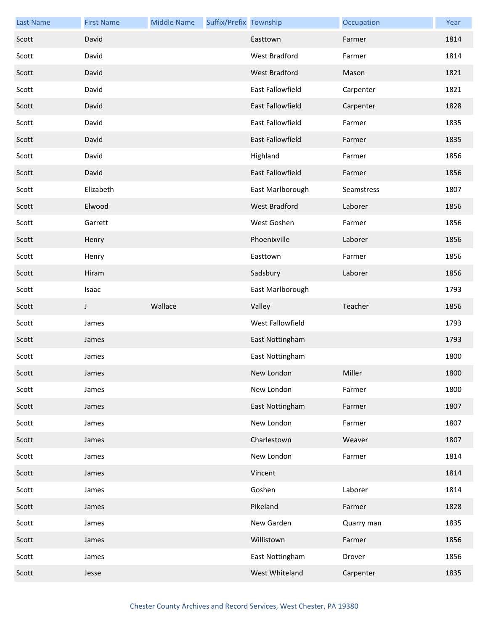| <b>Last Name</b> | <b>First Name</b> | <b>Middle Name</b> | Suffix/Prefix Township |                         | Occupation | Year |
|------------------|-------------------|--------------------|------------------------|-------------------------|------------|------|
| Scott            | David             |                    |                        | Easttown                | Farmer     | 1814 |
| Scott            | David             |                    |                        | West Bradford           | Farmer     | 1814 |
| Scott            | David             |                    |                        | West Bradford           | Mason      | 1821 |
| Scott            | David             |                    |                        | East Fallowfield        | Carpenter  | 1821 |
| Scott            | David             |                    |                        | East Fallowfield        | Carpenter  | 1828 |
| Scott            | David             |                    |                        | <b>East Fallowfield</b> | Farmer     | 1835 |
| Scott            | David             |                    |                        | East Fallowfield        | Farmer     | 1835 |
| Scott            | David             |                    |                        | Highland                | Farmer     | 1856 |
| Scott            | David             |                    |                        | East Fallowfield        | Farmer     | 1856 |
| Scott            | Elizabeth         |                    |                        | East Marlborough        | Seamstress | 1807 |
| Scott            | Elwood            |                    |                        | West Bradford           | Laborer    | 1856 |
| Scott            | Garrett           |                    |                        | West Goshen             | Farmer     | 1856 |
| Scott            | Henry             |                    |                        | Phoenixville            | Laborer    | 1856 |
| Scott            | Henry             |                    |                        | Easttown                | Farmer     | 1856 |
| Scott            | Hiram             |                    |                        | Sadsbury                | Laborer    | 1856 |
| Scott            | Isaac             |                    |                        | East Marlborough        |            | 1793 |
|                  |                   |                    |                        |                         |            |      |
| Scott            | J                 | Wallace            |                        | Valley                  | Teacher    | 1856 |
| Scott            | James             |                    |                        | West Fallowfield        |            | 1793 |
| Scott            | James             |                    |                        | East Nottingham         |            | 1793 |
| Scott            | James             |                    |                        | East Nottingham         |            | 1800 |
| Scott            | James             |                    |                        | New London              | Miller     | 1800 |
| Scott            | James             |                    |                        | New London              | Farmer     | 1800 |
| Scott            | James             |                    |                        | East Nottingham         | Farmer     | 1807 |
| Scott            | James             |                    |                        | New London              | Farmer     | 1807 |
| Scott            | James             |                    |                        | Charlestown             | Weaver     | 1807 |
| Scott            | James             |                    |                        | New London              | Farmer     | 1814 |
| Scott            | James             |                    |                        | Vincent                 |            | 1814 |
| Scott            | James             |                    |                        | Goshen                  | Laborer    | 1814 |
| Scott            | James             |                    |                        | Pikeland                | Farmer     | 1828 |
| Scott            | James             |                    |                        | New Garden              | Quarry man | 1835 |
| Scott            | James             |                    |                        | Willistown              | Farmer     | 1856 |
| Scott            | James             |                    |                        | East Nottingham         | Drover     | 1856 |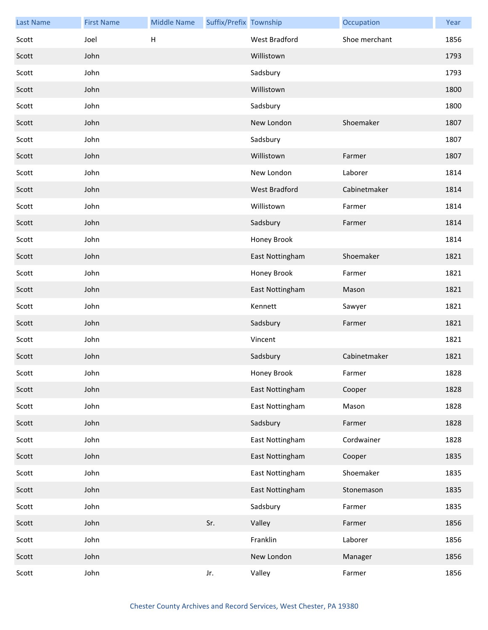| <b>Last Name</b> | <b>First Name</b> | <b>Middle Name</b>        | Suffix/Prefix Township |                      | Occupation    | Year |
|------------------|-------------------|---------------------------|------------------------|----------------------|---------------|------|
| Scott            | Joel              | $\boldsymbol{\mathsf{H}}$ |                        | <b>West Bradford</b> | Shoe merchant | 1856 |
| Scott            | John              |                           |                        | Willistown           |               | 1793 |
| Scott            | John              |                           |                        | Sadsbury             |               | 1793 |
| Scott            | John              |                           |                        | Willistown           |               | 1800 |
| Scott            | John              |                           |                        | Sadsbury             |               | 1800 |
| Scott            | John              |                           |                        | New London           | Shoemaker     | 1807 |
| Scott            | John              |                           |                        | Sadsbury             |               | 1807 |
| Scott            | John              |                           |                        | Willistown           | Farmer        | 1807 |
| Scott            | John              |                           |                        | New London           | Laborer       | 1814 |
| Scott            | John              |                           |                        | West Bradford        | Cabinetmaker  | 1814 |
| Scott            | John              |                           |                        | Willistown           | Farmer        | 1814 |
| Scott            | John              |                           |                        | Sadsbury             | Farmer        | 1814 |
| Scott            | John              |                           |                        | Honey Brook          |               | 1814 |
| Scott            | John              |                           |                        | East Nottingham      | Shoemaker     | 1821 |
| Scott            | John              |                           |                        | Honey Brook          | Farmer        | 1821 |
| Scott            | John              |                           |                        | East Nottingham      | Mason         | 1821 |
| Scott            | John              |                           |                        | Kennett              | Sawyer        | 1821 |
| Scott            | John              |                           |                        | Sadsbury             | Farmer        | 1821 |
| Scott            | John              |                           |                        | Vincent              |               | 1821 |
| Scott            | John              |                           |                        | Sadsbury             | Cabinetmaker  | 1821 |
| Scott            | John              |                           |                        | Honey Brook          | Farmer        | 1828 |
| Scott            | John              |                           |                        | East Nottingham      | Cooper        | 1828 |
| Scott            | John              |                           |                        | East Nottingham      | Mason         | 1828 |
| Scott            | John              |                           |                        | Sadsbury             | Farmer        | 1828 |
| Scott            | John              |                           |                        | East Nottingham      | Cordwainer    | 1828 |
| Scott            | John              |                           |                        | East Nottingham      | Cooper        | 1835 |
| Scott            | John              |                           |                        | East Nottingham      | Shoemaker     | 1835 |
| Scott            | John              |                           |                        | East Nottingham      | Stonemason    | 1835 |
| Scott            | John              |                           |                        | Sadsbury             | Farmer        | 1835 |
| Scott            | John              |                           | Sr.                    | Valley               | Farmer        | 1856 |
| Scott            | John              |                           |                        | Franklin             | Laborer       | 1856 |
| Scott            | John              |                           |                        | New London           | Manager       | 1856 |
| Scott            | John              |                           | Jr.                    | Valley               | Farmer        | 1856 |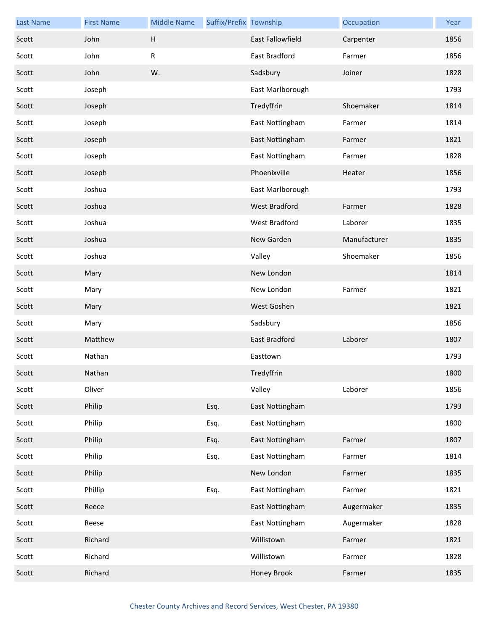| <b>Last Name</b> | <b>First Name</b> | <b>Middle Name</b> | Suffix/Prefix Township |                      | Occupation   | Year |
|------------------|-------------------|--------------------|------------------------|----------------------|--------------|------|
| Scott            | John              | H                  |                        | East Fallowfield     | Carpenter    | 1856 |
| Scott            | John              | ${\sf R}$          |                        | East Bradford        | Farmer       | 1856 |
| Scott            | John              | W.                 |                        | Sadsbury             | Joiner       | 1828 |
| Scott            | Joseph            |                    |                        | East Marlborough     |              | 1793 |
| Scott            | Joseph            |                    |                        | Tredyffrin           | Shoemaker    | 1814 |
| Scott            | Joseph            |                    |                        | East Nottingham      | Farmer       | 1814 |
| Scott            | Joseph            |                    |                        | East Nottingham      | Farmer       | 1821 |
| Scott            | Joseph            |                    |                        | East Nottingham      | Farmer       | 1828 |
| Scott            | Joseph            |                    |                        | Phoenixville         | Heater       | 1856 |
| Scott            | Joshua            |                    |                        | East Marlborough     |              | 1793 |
| Scott            | Joshua            |                    |                        | <b>West Bradford</b> | Farmer       | 1828 |
| Scott            | Joshua            |                    |                        | West Bradford        | Laborer      | 1835 |
| Scott            | Joshua            |                    |                        | New Garden           | Manufacturer | 1835 |
| Scott            | Joshua            |                    |                        | Valley               | Shoemaker    | 1856 |
| Scott            | Mary              |                    |                        | New London           |              | 1814 |
| Scott            | Mary              |                    |                        | New London           | Farmer       | 1821 |
| Scott            | Mary              |                    |                        | West Goshen          |              | 1821 |
| Scott            | Mary              |                    |                        | Sadsbury             |              | 1856 |
| Scott            | Matthew           |                    |                        | East Bradford        | Laborer      | 1807 |
| Scott            | Nathan            |                    |                        | Easttown             |              | 1793 |
| Scott            | Nathan            |                    |                        | Tredyffrin           |              | 1800 |
| Scott            | Oliver            |                    |                        | Valley               | Laborer      | 1856 |
| Scott            | Philip            |                    | Esq.                   | East Nottingham      |              | 1793 |
| Scott            | Philip            |                    | Esq.                   | East Nottingham      |              | 1800 |
| Scott            | Philip            |                    | Esq.                   | East Nottingham      | Farmer       | 1807 |
| Scott            | Philip            |                    | Esq.                   | East Nottingham      | Farmer       | 1814 |
| Scott            | Philip            |                    |                        | New London           | Farmer       | 1835 |
| Scott            | Phillip           |                    | Esq.                   | East Nottingham      | Farmer       | 1821 |
| Scott            | Reece             |                    |                        | East Nottingham      | Augermaker   | 1835 |
| Scott            | Reese             |                    |                        | East Nottingham      | Augermaker   | 1828 |
| Scott            | Richard           |                    |                        | Willistown           | Farmer       | 1821 |
| Scott            | Richard           |                    |                        | Willistown           | Farmer       | 1828 |
| Scott            | Richard           |                    |                        | Honey Brook          | Farmer       | 1835 |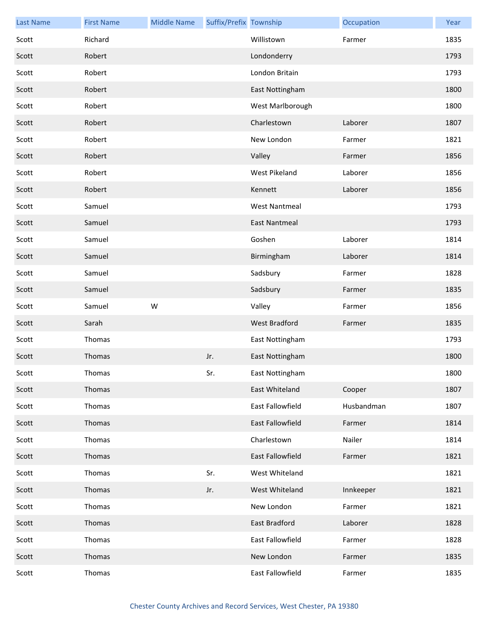| <b>Last Name</b> | <b>First Name</b> | <b>Middle Name</b> | Suffix/Prefix Township |                      | Occupation | Year |
|------------------|-------------------|--------------------|------------------------|----------------------|------------|------|
| Scott            | Richard           |                    |                        | Willistown           | Farmer     | 1835 |
| Scott            | Robert            |                    |                        | Londonderry          |            | 1793 |
| Scott            | Robert            |                    |                        | London Britain       |            | 1793 |
| Scott            | Robert            |                    |                        | East Nottingham      |            | 1800 |
| Scott            | Robert            |                    |                        | West Marlborough     |            | 1800 |
| Scott            | Robert            |                    |                        | Charlestown          | Laborer    | 1807 |
| Scott            | Robert            |                    |                        | New London           | Farmer     | 1821 |
| Scott            | Robert            |                    |                        | Valley               | Farmer     | 1856 |
| Scott            | Robert            |                    |                        | West Pikeland        | Laborer    | 1856 |
| Scott            | Robert            |                    |                        | Kennett              | Laborer    | 1856 |
| Scott            | Samuel            |                    |                        | <b>West Nantmeal</b> |            | 1793 |
| Scott            | Samuel            |                    |                        | <b>East Nantmeal</b> |            | 1793 |
| Scott            | Samuel            |                    |                        | Goshen               | Laborer    | 1814 |
| Scott            | Samuel            |                    |                        | Birmingham           | Laborer    | 1814 |
| Scott            | Samuel            |                    |                        | Sadsbury             | Farmer     | 1828 |
| Scott            | Samuel            |                    |                        | Sadsbury             | Farmer     | 1835 |
| Scott            | Samuel            | W                  |                        | Valley               | Farmer     | 1856 |
| Scott            | Sarah             |                    |                        | West Bradford        | Farmer     | 1835 |
| Scott            | Thomas            |                    |                        | East Nottingham      |            | 1793 |
| Scott            | Thomas            |                    | Jr.                    | East Nottingham      |            | 1800 |
| Scott            | Thomas            |                    | Sr.                    | East Nottingham      |            | 1800 |
| Scott            | Thomas            |                    |                        | East Whiteland       | Cooper     | 1807 |
| Scott            | Thomas            |                    |                        | East Fallowfield     | Husbandman | 1807 |
| Scott            | Thomas            |                    |                        | East Fallowfield     | Farmer     | 1814 |
| Scott            | Thomas            |                    |                        | Charlestown          | Nailer     | 1814 |
| Scott            | Thomas            |                    |                        | East Fallowfield     | Farmer     | 1821 |
| Scott            | Thomas            |                    | Sr.                    | West Whiteland       |            | 1821 |
| Scott            | Thomas            |                    | Jr.                    | West Whiteland       | Innkeeper  | 1821 |
| Scott            | Thomas            |                    |                        | New London           | Farmer     | 1821 |
| Scott            | Thomas            |                    |                        | <b>East Bradford</b> | Laborer    | 1828 |
| Scott            | Thomas            |                    |                        | East Fallowfield     | Farmer     | 1828 |
| Scott            | Thomas            |                    |                        | New London           | Farmer     | 1835 |
| Scott            | Thomas            |                    |                        | East Fallowfield     | Farmer     | 1835 |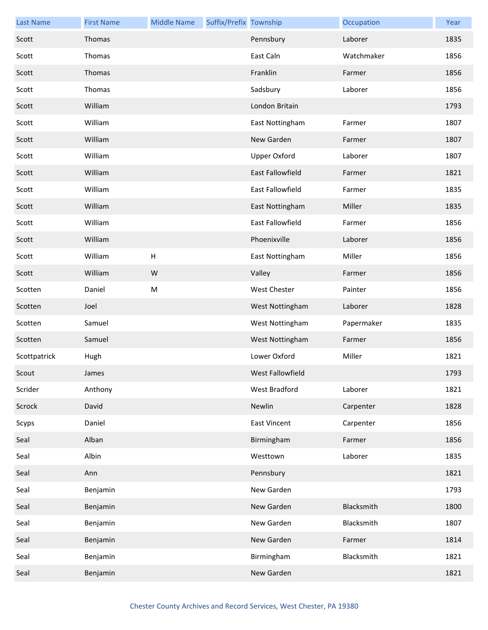| <b>Last Name</b> | <b>First Name</b> | <b>Middle Name</b> | Suffix/Prefix Township |                     | Occupation | Year |
|------------------|-------------------|--------------------|------------------------|---------------------|------------|------|
| Scott            | Thomas            |                    |                        | Pennsbury           | Laborer    | 1835 |
| Scott            | Thomas            |                    |                        | East Caln           | Watchmaker | 1856 |
| Scott            | Thomas            |                    |                        | Franklin            | Farmer     | 1856 |
| Scott            | Thomas            |                    |                        | Sadsbury            | Laborer    | 1856 |
| Scott            | William           |                    |                        | London Britain      |            | 1793 |
| Scott            | William           |                    |                        | East Nottingham     | Farmer     | 1807 |
| Scott            | William           |                    |                        | New Garden          | Farmer     | 1807 |
| Scott            | William           |                    |                        | Upper Oxford        | Laborer    | 1807 |
| Scott            | William           |                    |                        | East Fallowfield    | Farmer     | 1821 |
| Scott            | William           |                    |                        | East Fallowfield    | Farmer     | 1835 |
| Scott            | William           |                    |                        | East Nottingham     | Miller     | 1835 |
| Scott            | William           |                    |                        | East Fallowfield    | Farmer     | 1856 |
| Scott            | William           |                    |                        | Phoenixville        | Laborer    | 1856 |
| Scott            | William           | $\mathsf H$        |                        | East Nottingham     | Miller     | 1856 |
| Scott            | William           | W                  |                        | Valley              | Farmer     | 1856 |
| Scotten          | Daniel            | M                  |                        | West Chester        | Painter    | 1856 |
| Scotten          | Joel              |                    |                        | West Nottingham     | Laborer    | 1828 |
| Scotten          | Samuel            |                    |                        | West Nottingham     | Papermaker | 1835 |
| Scotten          | Samuel            |                    |                        | West Nottingham     | Farmer     | 1856 |
| Scottpatrick     | Hugh              |                    |                        | Lower Oxford        | Miller     | 1821 |
| Scout            | James             |                    |                        | West Fallowfield    |            | 1793 |
| Scrider          | Anthony           |                    |                        | West Bradford       | Laborer    | 1821 |
| Scrock           | David             |                    |                        | Newlin              | Carpenter  | 1828 |
| Scyps            | Daniel            |                    |                        | <b>East Vincent</b> | Carpenter  | 1856 |
| Seal             | Alban             |                    |                        | Birmingham          | Farmer     | 1856 |
| Seal             | Albin             |                    |                        | Westtown            | Laborer    | 1835 |
| Seal             | Ann               |                    |                        | Pennsbury           |            | 1821 |
| Seal             | Benjamin          |                    |                        | New Garden          |            | 1793 |
| Seal             | Benjamin          |                    |                        | New Garden          | Blacksmith | 1800 |
| Seal             | Benjamin          |                    |                        | New Garden          | Blacksmith | 1807 |
| Seal             | Benjamin          |                    |                        | New Garden          | Farmer     | 1814 |
| Seal             | Benjamin          |                    |                        | Birmingham          | Blacksmith | 1821 |
| Seal             | Benjamin          |                    |                        | New Garden          |            | 1821 |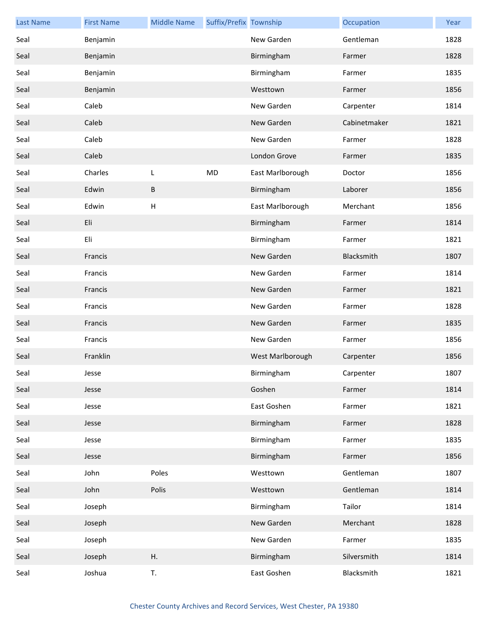| <b>Last Name</b> | <b>First Name</b> | <b>Middle Name</b> | Suffix/Prefix Township |                  | Occupation   | Year |
|------------------|-------------------|--------------------|------------------------|------------------|--------------|------|
| Seal             | Benjamin          |                    |                        | New Garden       | Gentleman    | 1828 |
| Seal             | Benjamin          |                    |                        | Birmingham       | Farmer       | 1828 |
| Seal             | Benjamin          |                    |                        | Birmingham       | Farmer       | 1835 |
| Seal             | Benjamin          |                    |                        | Westtown         | Farmer       | 1856 |
| Seal             | Caleb             |                    |                        | New Garden       | Carpenter    | 1814 |
| Seal             | Caleb             |                    |                        | New Garden       | Cabinetmaker | 1821 |
| Seal             | Caleb             |                    |                        | New Garden       | Farmer       | 1828 |
| Seal             | Caleb             |                    |                        | London Grove     | Farmer       | 1835 |
| Seal             | Charles           | L                  | MD                     | East Marlborough | Doctor       | 1856 |
| Seal             | Edwin             | B                  |                        | Birmingham       | Laborer      | 1856 |
| Seal             | Edwin             | $\sf H$            |                        | East Marlborough | Merchant     | 1856 |
| Seal             | Eli               |                    |                        | Birmingham       | Farmer       | 1814 |
| Seal             | Eli               |                    |                        | Birmingham       | Farmer       | 1821 |
| Seal             | Francis           |                    |                        | New Garden       | Blacksmith   | 1807 |
| Seal             | Francis           |                    |                        | New Garden       | Farmer       | 1814 |
| Seal             | Francis           |                    |                        | New Garden       | Farmer       | 1821 |
| Seal             | Francis           |                    |                        | New Garden       | Farmer       | 1828 |
| Seal             | Francis           |                    |                        | New Garden       | Farmer       | 1835 |
| Seal             | Francis           |                    |                        | New Garden       | Farmer       | 1856 |
| Seal             | Franklin          |                    |                        | West Marlborough | Carpenter    | 1856 |
| Seal             | Jesse             |                    |                        | Birmingham       | Carpenter    | 1807 |
| Seal             | Jesse             |                    |                        | Goshen           | Farmer       | 1814 |
| Seal             | Jesse             |                    |                        | East Goshen      | Farmer       | 1821 |
| Seal             | Jesse             |                    |                        | Birmingham       | Farmer       | 1828 |
| Seal             | Jesse             |                    |                        | Birmingham       | Farmer       | 1835 |
| Seal             | Jesse             |                    |                        | Birmingham       | Farmer       | 1856 |
| Seal             | John              | Poles              |                        | Westtown         | Gentleman    | 1807 |
| Seal             | John              | Polis              |                        | Westtown         | Gentleman    | 1814 |
| Seal             | Joseph            |                    |                        | Birmingham       | Tailor       | 1814 |
| Seal             | Joseph            |                    |                        | New Garden       | Merchant     | 1828 |
| Seal             | Joseph            |                    |                        | New Garden       | Farmer       | 1835 |
| Seal             | Joseph            | Η.                 |                        | Birmingham       | Silversmith  | 1814 |
| Seal             | Joshua            | T.                 |                        | East Goshen      | Blacksmith   | 1821 |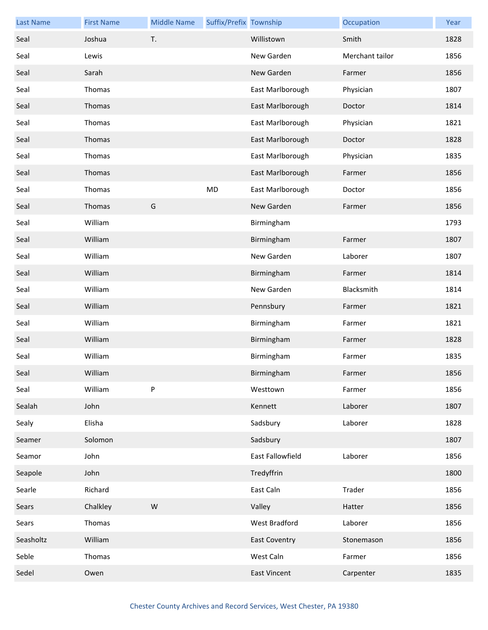| <b>Last Name</b> | <b>First Name</b> | <b>Middle Name</b> | Suffix/Prefix Township |                      | Occupation      | Year |
|------------------|-------------------|--------------------|------------------------|----------------------|-----------------|------|
| Seal             | Joshua            | T.                 |                        | Willistown           | Smith           | 1828 |
| Seal             | Lewis             |                    |                        | New Garden           | Merchant tailor | 1856 |
| Seal             | Sarah             |                    |                        | New Garden           | Farmer          | 1856 |
| Seal             | Thomas            |                    |                        | East Marlborough     | Physician       | 1807 |
| Seal             | Thomas            |                    |                        | East Marlborough     | Doctor          | 1814 |
| Seal             | Thomas            |                    |                        | East Marlborough     | Physician       | 1821 |
| Seal             | Thomas            |                    |                        | East Marlborough     | Doctor          | 1828 |
| Seal             | Thomas            |                    |                        | East Marlborough     | Physician       | 1835 |
| Seal             | Thomas            |                    |                        | East Marlborough     | Farmer          | 1856 |
| Seal             | Thomas            |                    | MD                     | East Marlborough     | Doctor          | 1856 |
| Seal             | Thomas            | G                  |                        | New Garden           | Farmer          | 1856 |
| Seal             | William           |                    |                        | Birmingham           |                 | 1793 |
| Seal             | William           |                    |                        | Birmingham           | Farmer          | 1807 |
| Seal             | William           |                    |                        | New Garden           | Laborer         | 1807 |
| Seal             | William           |                    |                        | Birmingham           | Farmer          | 1814 |
| Seal             | William           |                    |                        | New Garden           | Blacksmith      | 1814 |
| Seal             | William           |                    |                        | Pennsbury            | Farmer          | 1821 |
| Seal             | William           |                    |                        | Birmingham           | Farmer          | 1821 |
| Seal             | William           |                    |                        | Birmingham           | Farmer          | 1828 |
| Seal             | William           |                    |                        | Birmingham           | Farmer          | 1835 |
| Seal             | William           |                    |                        | Birmingham           | Farmer          | 1856 |
| Seal             | William           | $\sf P$            |                        | Westtown             | Farmer          | 1856 |
| Sealah           | John              |                    |                        | Kennett              | Laborer         | 1807 |
| Sealy            | Elisha            |                    |                        | Sadsbury             | Laborer         | 1828 |
| Seamer           | Solomon           |                    |                        | Sadsbury             |                 | 1807 |
| Seamor           | John              |                    |                        | East Fallowfield     | Laborer         | 1856 |
| Seapole          | John              |                    |                        | Tredyffrin           |                 | 1800 |
| Searle           | Richard           |                    |                        | East Caln            | Trader          | 1856 |
| Sears            | Chalkley          | W                  |                        | Valley               | Hatter          | 1856 |
| Sears            | Thomas            |                    |                        | West Bradford        | Laborer         | 1856 |
| Seasholtz        | William           |                    |                        | <b>East Coventry</b> | Stonemason      | 1856 |
| Seble            | Thomas            |                    |                        | West Caln            | Farmer          | 1856 |
| Sedel            | Owen              |                    |                        | <b>East Vincent</b>  | Carpenter       | 1835 |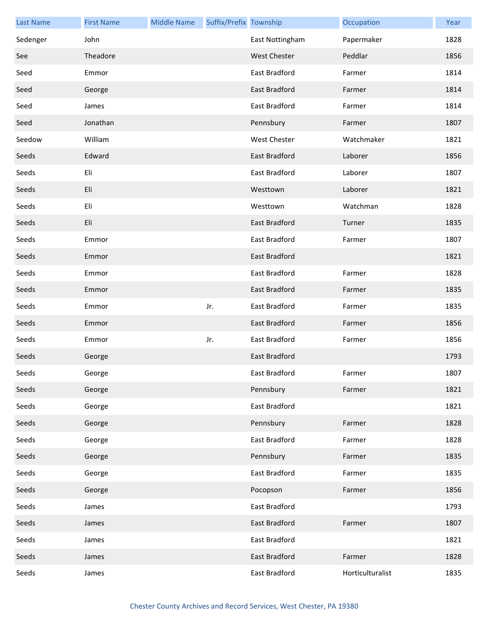| <b>Last Name</b> | <b>First Name</b> | <b>Middle Name</b> | Suffix/Prefix Township |                     | Occupation       | Year |
|------------------|-------------------|--------------------|------------------------|---------------------|------------------|------|
| Sedenger         | John              |                    |                        | East Nottingham     | Papermaker       | 1828 |
| See              | Theadore          |                    |                        | <b>West Chester</b> | Peddlar          | 1856 |
| Seed             | Emmor             |                    |                        | East Bradford       | Farmer           | 1814 |
| Seed             | George            |                    |                        | East Bradford       | Farmer           | 1814 |
| Seed             | James             |                    |                        | East Bradford       | Farmer           | 1814 |
| Seed             | Jonathan          |                    |                        | Pennsbury           | Farmer           | 1807 |
| Seedow           | William           |                    |                        | <b>West Chester</b> | Watchmaker       | 1821 |
| Seeds            | Edward            |                    |                        | East Bradford       | Laborer          | 1856 |
| Seeds            | Eli               |                    |                        | East Bradford       | Laborer          | 1807 |
| Seeds            | Eli               |                    |                        | Westtown            | Laborer          | 1821 |
| Seeds            | Eli               |                    |                        | Westtown            | Watchman         | 1828 |
| Seeds            | Eli               |                    |                        | East Bradford       | Turner           | 1835 |
| Seeds            | Emmor             |                    |                        | East Bradford       | Farmer           | 1807 |
| Seeds            | Emmor             |                    |                        | East Bradford       |                  | 1821 |
| Seeds            | Emmor             |                    |                        | East Bradford       | Farmer           | 1828 |
| Seeds            | Emmor             |                    |                        | East Bradford       | Farmer           | 1835 |
| Seeds            | Emmor             |                    | Jr.                    | East Bradford       | Farmer           | 1835 |
| Seeds            | Emmor             |                    |                        | East Bradford       | Farmer           | 1856 |
| Seeds            | Emmor             |                    | Jr.                    | East Bradford       | Farmer           | 1856 |
| Seeds            | George            |                    |                        | East Bradford       |                  | 1793 |
| Seeds            | George            |                    |                        | East Bradford       | Farmer           | 1807 |
| Seeds            | George            |                    |                        | Pennsbury           | Farmer           | 1821 |
| Seeds            | George            |                    |                        | East Bradford       |                  | 1821 |
| Seeds            | George            |                    |                        | Pennsbury           | Farmer           | 1828 |
| Seeds            | George            |                    |                        | East Bradford       | Farmer           | 1828 |
| Seeds            | George            |                    |                        | Pennsbury           | Farmer           | 1835 |
| Seeds            | George            |                    |                        | East Bradford       | Farmer           | 1835 |
| Seeds            | George            |                    |                        | Pocopson            | Farmer           | 1856 |
| Seeds            | James             |                    |                        | East Bradford       |                  | 1793 |
| Seeds            | James             |                    |                        | East Bradford       | Farmer           | 1807 |
| Seeds            | James             |                    |                        | East Bradford       |                  | 1821 |
| Seeds            | James             |                    |                        | East Bradford       | Farmer           | 1828 |
| Seeds            | James             |                    |                        | East Bradford       | Horticulturalist | 1835 |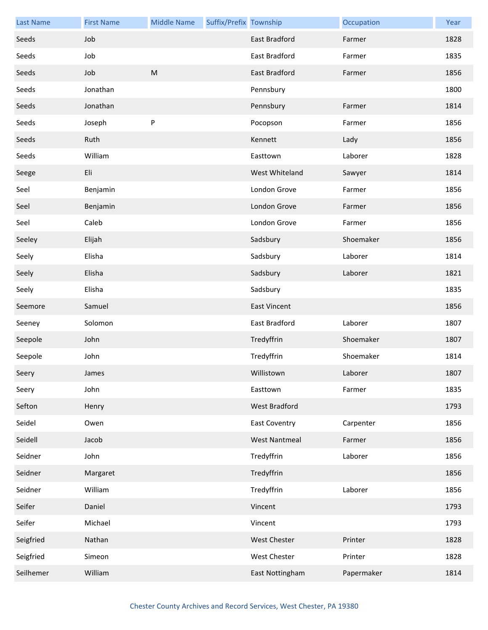| <b>Last Name</b> | <b>First Name</b> | <b>Middle Name</b> | Suffix/Prefix Township |                      | Occupation | Year |
|------------------|-------------------|--------------------|------------------------|----------------------|------------|------|
| Seeds            | Job               |                    |                        | East Bradford        | Farmer     | 1828 |
| Seeds            | Job               |                    |                        | East Bradford        | Farmer     | 1835 |
| Seeds            | Job               | M                  |                        | <b>East Bradford</b> | Farmer     | 1856 |
| Seeds            | Jonathan          |                    |                        | Pennsbury            |            | 1800 |
| Seeds            | Jonathan          |                    |                        | Pennsbury            | Farmer     | 1814 |
| Seeds            | Joseph            | P                  |                        | Pocopson             | Farmer     | 1856 |
| Seeds            | Ruth              |                    |                        | Kennett              | Lady       | 1856 |
| Seeds            | William           |                    |                        | Easttown             | Laborer    | 1828 |
| Seege            | Eli               |                    |                        | West Whiteland       | Sawyer     | 1814 |
| Seel             | Benjamin          |                    |                        | London Grove         | Farmer     | 1856 |
| Seel             | Benjamin          |                    |                        | London Grove         | Farmer     | 1856 |
| Seel             | Caleb             |                    |                        | London Grove         | Farmer     | 1856 |
| Seeley           | Elijah            |                    |                        | Sadsbury             | Shoemaker  | 1856 |
| Seely            | Elisha            |                    |                        | Sadsbury             | Laborer    | 1814 |
| Seely            | Elisha            |                    |                        | Sadsbury             | Laborer    | 1821 |
| Seely            | Elisha            |                    |                        | Sadsbury             |            | 1835 |
| Seemore          | Samuel            |                    |                        | <b>East Vincent</b>  |            | 1856 |
| Seeney           | Solomon           |                    |                        | East Bradford        | Laborer    | 1807 |
| Seepole          | John              |                    |                        | Tredyffrin           | Shoemaker  | 1807 |
| Seepole          | John              |                    |                        | Tredyffrin           | Shoemaker  | 1814 |
| Seery            | James             |                    |                        | Willistown           | Laborer    | 1807 |
| Seery            | John              |                    |                        | Easttown             | Farmer     | 1835 |
| Sefton           | Henry             |                    |                        | West Bradford        |            | 1793 |
| Seidel           | Owen              |                    |                        | <b>East Coventry</b> | Carpenter  | 1856 |
| Seidell          | Jacob             |                    |                        | <b>West Nantmeal</b> | Farmer     | 1856 |
| Seidner          | John              |                    |                        | Tredyffrin           | Laborer    | 1856 |
| Seidner          | Margaret          |                    |                        | Tredyffrin           |            | 1856 |
| Seidner          | William           |                    |                        | Tredyffrin           | Laborer    | 1856 |
| Seifer           | Daniel            |                    |                        | Vincent              |            | 1793 |
| Seifer           | Michael           |                    |                        | Vincent              |            | 1793 |
| Seigfried        | Nathan            |                    |                        | West Chester         | Printer    | 1828 |
| Seigfried        | Simeon            |                    |                        | West Chester         | Printer    | 1828 |
| Seilhemer        | William           |                    |                        | East Nottingham      | Papermaker | 1814 |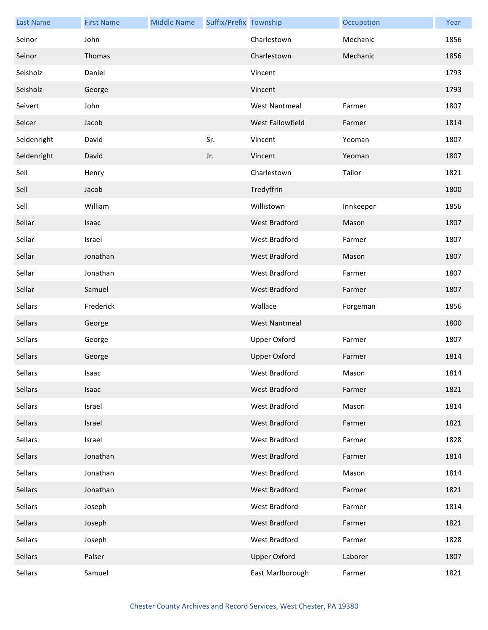| <b>Last Name</b> | <b>First Name</b> | <b>Middle Name</b> | Suffix/Prefix Township |                      | Occupation | Year |
|------------------|-------------------|--------------------|------------------------|----------------------|------------|------|
| Seinor           | John              |                    |                        | Charlestown          | Mechanic   | 1856 |
| Seinor           | Thomas            |                    |                        | Charlestown          | Mechanic   | 1856 |
| Seisholz         | Daniel            |                    |                        | Vincent              |            | 1793 |
| Seisholz         | George            |                    |                        | Vincent              |            | 1793 |
| Seivert          | John              |                    |                        | <b>West Nantmeal</b> | Farmer     | 1807 |
| Selcer           | Jacob             |                    |                        | West Fallowfield     | Farmer     | 1814 |
| Seldenright      | David             |                    | Sr.                    | Vincent              | Yeoman     | 1807 |
| Seldenright      | David             |                    | Jr.                    | Vincent              | Yeoman     | 1807 |
| Sell             | Henry             |                    |                        | Charlestown          | Tailor     | 1821 |
| Sell             | Jacob             |                    |                        | Tredyffrin           |            | 1800 |
| Sell             | William           |                    |                        | Willistown           | Innkeeper  | 1856 |
| Sellar           | Isaac             |                    |                        | <b>West Bradford</b> | Mason      | 1807 |
| Sellar           | Israel            |                    |                        | West Bradford        | Farmer     | 1807 |
| Sellar           | Jonathan          |                    |                        | West Bradford        | Mason      | 1807 |
| Sellar           | Jonathan          |                    |                        | West Bradford        | Farmer     | 1807 |
| Sellar           | Samuel            |                    |                        | West Bradford        | Farmer     | 1807 |
| Sellars          | Frederick         |                    |                        | Wallace              | Forgeman   | 1856 |
| Sellars          | George            |                    |                        | <b>West Nantmeal</b> |            | 1800 |
| Sellars          | George            |                    |                        | <b>Upper Oxford</b>  | Farmer     | 1807 |
| Sellars          | George            |                    |                        | <b>Upper Oxford</b>  | Farmer     | 1814 |
| Sellars          | Isaac             |                    |                        | West Bradford        | Mason      | 1814 |
| Sellars          | Isaac             |                    |                        | West Bradford        | Farmer     | 1821 |
| Sellars          | Israel            |                    |                        | West Bradford        | Mason      | 1814 |
| Sellars          | Israel            |                    |                        | West Bradford        | Farmer     | 1821 |
| Sellars          | Israel            |                    |                        | West Bradford        | Farmer     | 1828 |
| Sellars          | Jonathan          |                    |                        | West Bradford        | Farmer     | 1814 |
| Sellars          | Jonathan          |                    |                        | West Bradford        | Mason      | 1814 |
| Sellars          | Jonathan          |                    |                        | West Bradford        | Farmer     | 1821 |
| Sellars          | Joseph            |                    |                        | West Bradford        | Farmer     | 1814 |
| Sellars          | Joseph            |                    |                        | West Bradford        | Farmer     | 1821 |
| Sellars          | Joseph            |                    |                        | West Bradford        | Farmer     | 1828 |
| Sellars          | Palser            |                    |                        | <b>Upper Oxford</b>  | Laborer    | 1807 |
| Sellars          | Samuel            |                    |                        | East Marlborough     | Farmer     | 1821 |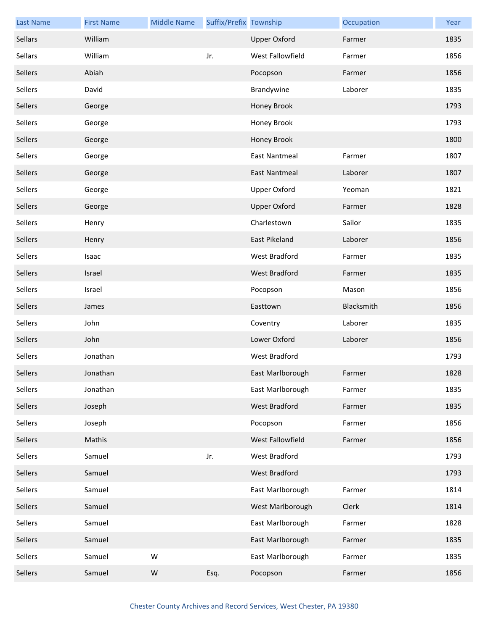| <b>Last Name</b> | <b>First Name</b> | <b>Middle Name</b> | Suffix/Prefix Township |                      | Occupation | Year |
|------------------|-------------------|--------------------|------------------------|----------------------|------------|------|
| Sellars          | William           |                    |                        | <b>Upper Oxford</b>  | Farmer     | 1835 |
| Sellars          | William           |                    | Jr.                    | West Fallowfield     | Farmer     | 1856 |
| Sellers          | Abiah             |                    |                        | Pocopson             | Farmer     | 1856 |
| Sellers          | David             |                    |                        | Brandywine           | Laborer    | 1835 |
| Sellers          | George            |                    |                        | Honey Brook          |            | 1793 |
| Sellers          | George            |                    |                        | Honey Brook          |            | 1793 |
| Sellers          | George            |                    |                        | Honey Brook          |            | 1800 |
| Sellers          | George            |                    |                        | <b>East Nantmeal</b> | Farmer     | 1807 |
| Sellers          | George            |                    |                        | <b>East Nantmeal</b> | Laborer    | 1807 |
| Sellers          | George            |                    |                        | Upper Oxford         | Yeoman     | 1821 |
| Sellers          | George            |                    |                        | <b>Upper Oxford</b>  | Farmer     | 1828 |
| Sellers          | Henry             |                    |                        | Charlestown          | Sailor     | 1835 |
| Sellers          | Henry             |                    |                        | <b>East Pikeland</b> | Laborer    | 1856 |
| Sellers          | Isaac             |                    |                        | West Bradford        | Farmer     | 1835 |
| Sellers          | Israel            |                    |                        | <b>West Bradford</b> | Farmer     | 1835 |
| Sellers          | Israel            |                    |                        | Pocopson             | Mason      | 1856 |
| Sellers          | James             |                    |                        | Easttown             | Blacksmith | 1856 |
| Sellers          | John              |                    |                        | Coventry             | Laborer    | 1835 |
| Sellers          | John              |                    |                        | Lower Oxford         | Laborer    | 1856 |
| Sellers          | Jonathan          |                    |                        | West Bradford        |            | 1793 |
| Sellers          | Jonathan          |                    |                        | East Marlborough     | Farmer     | 1828 |
| Sellers          | Jonathan          |                    |                        | East Marlborough     | Farmer     | 1835 |
| Sellers          | Joseph            |                    |                        | West Bradford        | Farmer     | 1835 |
| Sellers          | Joseph            |                    |                        | Pocopson             | Farmer     | 1856 |
| Sellers          | Mathis            |                    |                        | West Fallowfield     | Farmer     | 1856 |
| Sellers          | Samuel            |                    | Jr.                    | West Bradford        |            | 1793 |
| Sellers          | Samuel            |                    |                        | West Bradford        |            | 1793 |
| Sellers          | Samuel            |                    |                        | East Marlborough     | Farmer     | 1814 |
| Sellers          | Samuel            |                    |                        | West Marlborough     | Clerk      | 1814 |
| Sellers          | Samuel            |                    |                        | East Marlborough     | Farmer     | 1828 |
| Sellers          | Samuel            |                    |                        | East Marlborough     | Farmer     | 1835 |
| Sellers          | Samuel            | W                  |                        | East Marlborough     | Farmer     | 1835 |
| Sellers          | Samuel            | ${\sf W}$          | Esq.                   | Pocopson             | Farmer     | 1856 |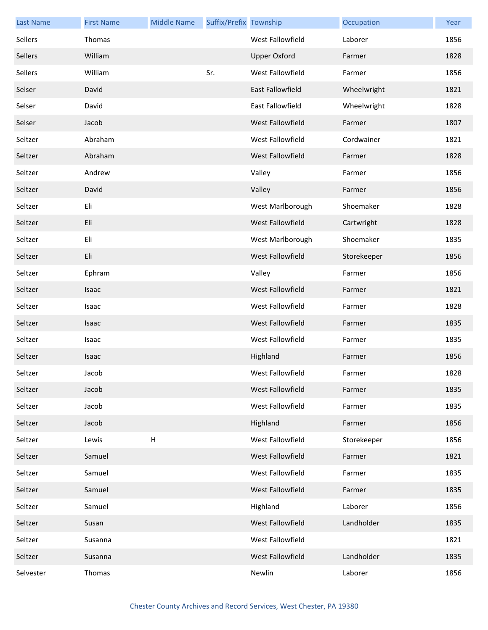| <b>Last Name</b> | <b>First Name</b> | <b>Middle Name</b> | Suffix/Prefix Township |                         | Occupation  | Year |
|------------------|-------------------|--------------------|------------------------|-------------------------|-------------|------|
| Sellers          | Thomas            |                    |                        | West Fallowfield        | Laborer     | 1856 |
| Sellers          | William           |                    |                        | <b>Upper Oxford</b>     | Farmer      | 1828 |
| Sellers          | William           |                    | Sr.                    | West Fallowfield        | Farmer      | 1856 |
| Selser           | David             |                    |                        | East Fallowfield        | Wheelwright | 1821 |
| Selser           | David             |                    |                        | East Fallowfield        | Wheelwright | 1828 |
| Selser           | Jacob             |                    |                        | West Fallowfield        | Farmer      | 1807 |
| Seltzer          | Abraham           |                    |                        | West Fallowfield        | Cordwainer  | 1821 |
| Seltzer          | Abraham           |                    |                        | West Fallowfield        | Farmer      | 1828 |
| Seltzer          | Andrew            |                    |                        | Valley                  | Farmer      | 1856 |
| Seltzer          | David             |                    |                        | Valley                  | Farmer      | 1856 |
| Seltzer          | Eli               |                    |                        | West Marlborough        | Shoemaker   | 1828 |
| Seltzer          | Eli               |                    |                        | West Fallowfield        | Cartwright  | 1828 |
| Seltzer          | Eli               |                    |                        | West Marlborough        | Shoemaker   | 1835 |
| Seltzer          | Eli               |                    |                        | West Fallowfield        | Storekeeper | 1856 |
| Seltzer          | Ephram            |                    |                        | Valley                  | Farmer      | 1856 |
| Seltzer          | Isaac             |                    |                        | West Fallowfield        | Farmer      | 1821 |
| Seltzer          | Isaac             |                    |                        | West Fallowfield        | Farmer      | 1828 |
| Seltzer          | Isaac             |                    |                        | <b>West Fallowfield</b> | Farmer      | 1835 |
| Seltzer          | Isaac             |                    |                        | West Fallowfield        | Farmer      | 1835 |
| Seltzer          | Isaac             |                    |                        | Highland                | Farmer      | 1856 |
| Seltzer          | Jacob             |                    |                        | West Fallowfield        | Farmer      | 1828 |
| Seltzer          | Jacob             |                    |                        | West Fallowfield        | Farmer      | 1835 |
| Seltzer          | Jacob             |                    |                        | West Fallowfield        | Farmer      | 1835 |
| Seltzer          | Jacob             |                    |                        | Highland                | Farmer      | 1856 |
| Seltzer          | Lewis             | $\sf H$            |                        | West Fallowfield        | Storekeeper | 1856 |
| Seltzer          | Samuel            |                    |                        | West Fallowfield        | Farmer      | 1821 |
| Seltzer          | Samuel            |                    |                        | West Fallowfield        | Farmer      | 1835 |
| Seltzer          | Samuel            |                    |                        | West Fallowfield        | Farmer      | 1835 |
| Seltzer          | Samuel            |                    |                        | Highland                | Laborer     | 1856 |
| Seltzer          | Susan             |                    |                        | West Fallowfield        | Landholder  | 1835 |
| Seltzer          | Susanna           |                    |                        | West Fallowfield        |             | 1821 |
| Seltzer          | Susanna           |                    |                        | West Fallowfield        | Landholder  | 1835 |
| Selvester        | Thomas            |                    |                        | Newlin                  | Laborer     | 1856 |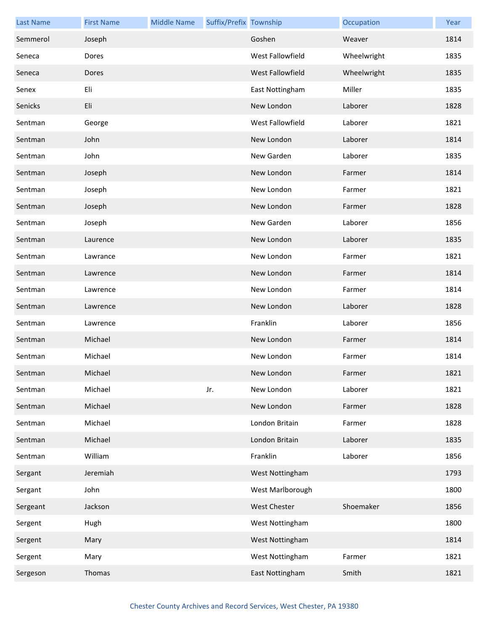| <b>Last Name</b> | <b>First Name</b> | <b>Middle Name</b> | Suffix/Prefix Township |                     | Occupation  | Year |
|------------------|-------------------|--------------------|------------------------|---------------------|-------------|------|
| Semmerol         | Joseph            |                    |                        | Goshen              | Weaver      | 1814 |
| Seneca           | Dores             |                    |                        | West Fallowfield    | Wheelwright | 1835 |
| Seneca           | Dores             |                    |                        | West Fallowfield    | Wheelwright | 1835 |
| Senex            | Eli               |                    |                        | East Nottingham     | Miller      | 1835 |
| Senicks          | Eli               |                    |                        | New London          | Laborer     | 1828 |
| Sentman          | George            |                    |                        | West Fallowfield    | Laborer     | 1821 |
| Sentman          | John              |                    |                        | New London          | Laborer     | 1814 |
| Sentman          | John              |                    |                        | New Garden          | Laborer     | 1835 |
| Sentman          | Joseph            |                    |                        | New London          | Farmer      | 1814 |
| Sentman          | Joseph            |                    |                        | New London          | Farmer      | 1821 |
| Sentman          | Joseph            |                    |                        | New London          | Farmer      | 1828 |
| Sentman          | Joseph            |                    |                        | New Garden          | Laborer     | 1856 |
| Sentman          | Laurence          |                    |                        | New London          | Laborer     | 1835 |
| Sentman          | Lawrance          |                    |                        | New London          | Farmer      | 1821 |
| Sentman          | Lawrence          |                    |                        | New London          | Farmer      | 1814 |
| Sentman          | Lawrence          |                    |                        | New London          | Farmer      | 1814 |
| Sentman          | Lawrence          |                    |                        | New London          | Laborer     | 1828 |
| Sentman          | Lawrence          |                    |                        | Franklin            | Laborer     | 1856 |
| Sentman          | Michael           |                    |                        | New London          | Farmer      | 1814 |
| Sentman          | Michael           |                    |                        | New London          | Farmer      | 1814 |
| Sentman          | Michael           |                    |                        | New London          | Farmer      | 1821 |
| Sentman          | Michael           |                    | Jr.                    | New London          | Laborer     | 1821 |
| Sentman          | Michael           |                    |                        | New London          | Farmer      | 1828 |
| Sentman          | Michael           |                    |                        | London Britain      | Farmer      | 1828 |
| Sentman          | Michael           |                    |                        | London Britain      | Laborer     | 1835 |
| Sentman          | William           |                    |                        | Franklin            | Laborer     | 1856 |
| Sergant          | Jeremiah          |                    |                        | West Nottingham     |             | 1793 |
| Sergant          | John              |                    |                        | West Marlborough    |             | 1800 |
| Sergeant         | Jackson           |                    |                        | <b>West Chester</b> | Shoemaker   | 1856 |
| Sergent          | Hugh              |                    |                        | West Nottingham     |             | 1800 |
| Sergent          | Mary              |                    |                        | West Nottingham     |             | 1814 |
| Sergent          | Mary              |                    |                        | West Nottingham     | Farmer      | 1821 |
| Sergeson         | Thomas            |                    |                        | East Nottingham     | Smith       | 1821 |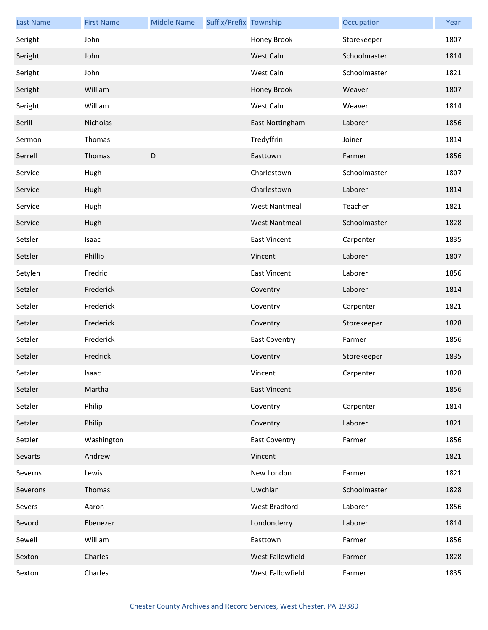| <b>Last Name</b> | <b>First Name</b> | <b>Middle Name</b> | Suffix/Prefix Township |                      | Occupation   | Year |
|------------------|-------------------|--------------------|------------------------|----------------------|--------------|------|
| Seright          | John              |                    |                        | Honey Brook          | Storekeeper  | 1807 |
| Seright          | John              |                    |                        | West Caln            | Schoolmaster | 1814 |
| Seright          | John              |                    |                        | West Caln            | Schoolmaster | 1821 |
| Seright          | William           |                    |                        | Honey Brook          | Weaver       | 1807 |
| Seright          | William           |                    |                        | West Caln            | Weaver       | 1814 |
| Serill           | Nicholas          |                    |                        | East Nottingham      | Laborer      | 1856 |
| Sermon           | Thomas            |                    |                        | Tredyffrin           | Joiner       | 1814 |
| Serrell          | Thomas            | D                  |                        | Easttown             | Farmer       | 1856 |
| Service          | Hugh              |                    |                        | Charlestown          | Schoolmaster | 1807 |
| Service          | Hugh              |                    |                        | Charlestown          | Laborer      | 1814 |
| Service          | Hugh              |                    |                        | <b>West Nantmeal</b> | Teacher      | 1821 |
| Service          | Hugh              |                    |                        | <b>West Nantmeal</b> | Schoolmaster | 1828 |
| Setsler          | Isaac             |                    |                        | <b>East Vincent</b>  | Carpenter    | 1835 |
| Setsler          | Phillip           |                    |                        | Vincent              | Laborer      | 1807 |
| Setylen          | Fredric           |                    |                        | <b>East Vincent</b>  | Laborer      | 1856 |
| Setzler          | Frederick         |                    |                        | Coventry             | Laborer      | 1814 |
| Setzler          | Frederick         |                    |                        | Coventry             | Carpenter    | 1821 |
| Setzler          | Frederick         |                    |                        | Coventry             | Storekeeper  | 1828 |
| Setzler          | Frederick         |                    |                        | <b>East Coventry</b> | Farmer       | 1856 |
| Setzler          | Fredrick          |                    |                        | Coventry             | Storekeeper  | 1835 |
| Setzler          | Isaac             |                    |                        | Vincent              | Carpenter    | 1828 |
| Setzler          | Martha            |                    |                        | <b>East Vincent</b>  |              | 1856 |
| Setzler          | Philip            |                    |                        | Coventry             | Carpenter    | 1814 |
| Setzler          | Philip            |                    |                        | Coventry             | Laborer      | 1821 |
| Setzler          | Washington        |                    |                        | <b>East Coventry</b> | Farmer       | 1856 |
| Sevarts          | Andrew            |                    |                        | Vincent              |              | 1821 |
| Severns          | Lewis             |                    |                        | New London           | Farmer       | 1821 |
| Severons         | Thomas            |                    |                        | Uwchlan              | Schoolmaster | 1828 |
| Severs           | Aaron             |                    |                        | West Bradford        | Laborer      | 1856 |
| Sevord           | Ebenezer          |                    |                        | Londonderry          | Laborer      | 1814 |
| Sewell           | William           |                    |                        | Easttown             | Farmer       | 1856 |
| Sexton           | Charles           |                    |                        | West Fallowfield     | Farmer       | 1828 |
| Sexton           | Charles           |                    |                        | West Fallowfield     | Farmer       | 1835 |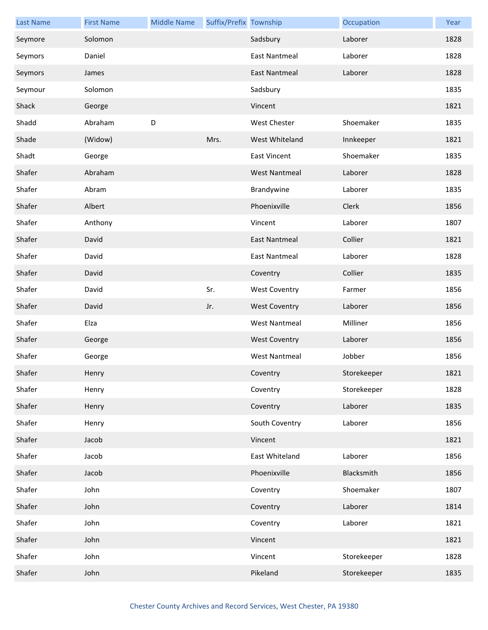| <b>Last Name</b> | <b>First Name</b> | <b>Middle Name</b> | Suffix/Prefix Township |                      | Occupation  | Year |
|------------------|-------------------|--------------------|------------------------|----------------------|-------------|------|
| Seymore          | Solomon           |                    |                        | Sadsbury             | Laborer     | 1828 |
| Seymors          | Daniel            |                    |                        | East Nantmeal        | Laborer     | 1828 |
| Seymors          | James             |                    |                        | <b>East Nantmeal</b> | Laborer     | 1828 |
| Seymour          | Solomon           |                    |                        | Sadsbury             |             | 1835 |
| Shack            | George            |                    |                        | Vincent              |             | 1821 |
| Shadd            | Abraham           | D                  |                        | <b>West Chester</b>  | Shoemaker   | 1835 |
| Shade            | (Widow)           |                    | Mrs.                   | West Whiteland       | Innkeeper   | 1821 |
| Shadt            | George            |                    |                        | <b>East Vincent</b>  | Shoemaker   | 1835 |
| Shafer           | Abraham           |                    |                        | <b>West Nantmeal</b> | Laborer     | 1828 |
| Shafer           | Abram             |                    |                        | Brandywine           | Laborer     | 1835 |
| Shafer           | Albert            |                    |                        | Phoenixville         | Clerk       | 1856 |
| Shafer           | Anthony           |                    |                        | Vincent              | Laborer     | 1807 |
| Shafer           | David             |                    |                        | <b>East Nantmeal</b> | Collier     | 1821 |
| Shafer           | David             |                    |                        | <b>East Nantmeal</b> | Laborer     | 1828 |
| Shafer           | David             |                    |                        | Coventry             | Collier     | 1835 |
| Shafer           | David             |                    | Sr.                    | <b>West Coventry</b> | Farmer      | 1856 |
| Shafer           | David             |                    | Jr.                    | <b>West Coventry</b> | Laborer     | 1856 |
| Shafer           | Elza              |                    |                        | <b>West Nantmeal</b> | Milliner    | 1856 |
| Shafer           | George            |                    |                        | <b>West Coventry</b> | Laborer     | 1856 |
| Shafer           | George            |                    |                        | <b>West Nantmeal</b> | Jobber      | 1856 |
| Shafer           | Henry             |                    |                        | Coventry             | Storekeeper | 1821 |
| Shafer           | Henry             |                    |                        | Coventry             | Storekeeper | 1828 |
| Shafer           | Henry             |                    |                        | Coventry             | Laborer     | 1835 |
| Shafer           | Henry             |                    |                        | South Coventry       | Laborer     | 1856 |
| Shafer           | Jacob             |                    |                        | Vincent              |             | 1821 |
| Shafer           | Jacob             |                    |                        | East Whiteland       | Laborer     | 1856 |
| Shafer           | Jacob             |                    |                        | Phoenixville         | Blacksmith  | 1856 |
| Shafer           | John              |                    |                        | Coventry             | Shoemaker   | 1807 |
| Shafer           | John              |                    |                        | Coventry             | Laborer     | 1814 |
| Shafer           | John              |                    |                        | Coventry             | Laborer     | 1821 |
| Shafer           | John              |                    |                        | Vincent              |             | 1821 |
| Shafer           | John              |                    |                        | Vincent              | Storekeeper | 1828 |
| Shafer           | John              |                    |                        | Pikeland             | Storekeeper | 1835 |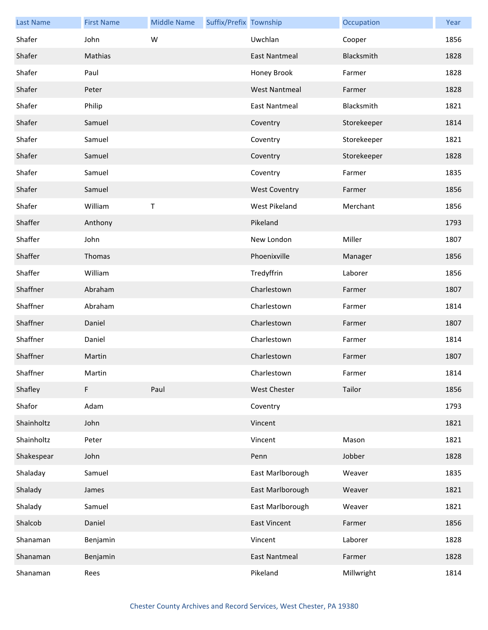| <b>Last Name</b> | <b>First Name</b> | <b>Middle Name</b> | Suffix/Prefix Township |                      | Occupation  | Year |
|------------------|-------------------|--------------------|------------------------|----------------------|-------------|------|
| Shafer           | John              | W                  |                        | Uwchlan              | Cooper      | 1856 |
| Shafer           | Mathias           |                    |                        | <b>East Nantmeal</b> | Blacksmith  | 1828 |
| Shafer           | Paul              |                    |                        | Honey Brook          | Farmer      | 1828 |
| Shafer           | Peter             |                    |                        | <b>West Nantmeal</b> | Farmer      | 1828 |
| Shafer           | Philip            |                    |                        | <b>East Nantmeal</b> | Blacksmith  | 1821 |
| Shafer           | Samuel            |                    |                        | Coventry             | Storekeeper | 1814 |
| Shafer           | Samuel            |                    |                        | Coventry             | Storekeeper | 1821 |
| Shafer           | Samuel            |                    |                        | Coventry             | Storekeeper | 1828 |
| Shafer           | Samuel            |                    |                        | Coventry             | Farmer      | 1835 |
| Shafer           | Samuel            |                    |                        | <b>West Coventry</b> | Farmer      | 1856 |
| Shafer           | William           | Τ                  |                        | West Pikeland        | Merchant    | 1856 |
| Shaffer          | Anthony           |                    |                        | Pikeland             |             | 1793 |
| Shaffer          | John              |                    |                        | New London           | Miller      | 1807 |
| Shaffer          | Thomas            |                    |                        | Phoenixville         | Manager     | 1856 |
| Shaffer          | William           |                    |                        | Tredyffrin           | Laborer     | 1856 |
| Shaffner         | Abraham           |                    |                        | Charlestown          | Farmer      | 1807 |
| Shaffner         | Abraham           |                    |                        | Charlestown          | Farmer      | 1814 |
| Shaffner         | Daniel            |                    |                        | Charlestown          | Farmer      | 1807 |
| Shaffner         | Daniel            |                    |                        | Charlestown          | Farmer      | 1814 |
| Shaffner         | Martin            |                    |                        | Charlestown          | Farmer      | 1807 |
| Shaffner         | Martin            |                    |                        | Charlestown          | Farmer      | 1814 |
| Shafley          | F.                | Paul               |                        | <b>West Chester</b>  | Tailor      | 1856 |
| Shafor           | Adam              |                    |                        | Coventry             |             | 1793 |
| Shainholtz       | John              |                    |                        | Vincent              |             | 1821 |
| Shainholtz       | Peter             |                    |                        | Vincent              | Mason       | 1821 |
| Shakespear       | John              |                    |                        | Penn                 | Jobber      | 1828 |
| Shaladay         | Samuel            |                    |                        | East Marlborough     | Weaver      | 1835 |
| Shalady          | James             |                    |                        | East Marlborough     | Weaver      | 1821 |
| Shalady          | Samuel            |                    |                        | East Marlborough     | Weaver      | 1821 |
| Shalcob          | Daniel            |                    |                        | <b>East Vincent</b>  | Farmer      | 1856 |
| Shanaman         | Benjamin          |                    |                        | Vincent              | Laborer     | 1828 |
| Shanaman         | Benjamin          |                    |                        | <b>East Nantmeal</b> | Farmer      | 1828 |
| Shanaman         | Rees              |                    |                        | Pikeland             | Millwright  | 1814 |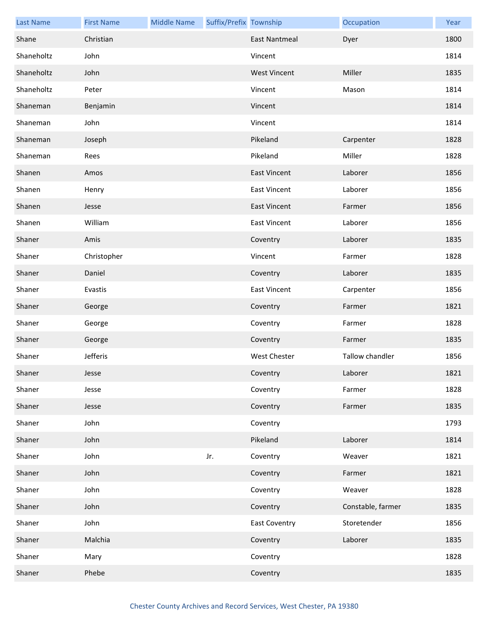| <b>Last Name</b> | <b>First Name</b> | <b>Middle Name</b> | Suffix/Prefix Township |                      | Occupation        | Year |
|------------------|-------------------|--------------------|------------------------|----------------------|-------------------|------|
| Shane            | Christian         |                    |                        | <b>East Nantmeal</b> | Dyer              | 1800 |
| Shaneholtz       | John              |                    |                        | Vincent              |                   | 1814 |
| Shaneholtz       | John              |                    |                        | <b>West Vincent</b>  | Miller            | 1835 |
| Shaneholtz       | Peter             |                    |                        | Vincent              | Mason             | 1814 |
| Shaneman         | Benjamin          |                    |                        | Vincent              |                   | 1814 |
| Shaneman         | John              |                    |                        | Vincent              |                   | 1814 |
| Shaneman         | Joseph            |                    |                        | Pikeland             | Carpenter         | 1828 |
| Shaneman         | Rees              |                    |                        | Pikeland             | Miller            | 1828 |
| Shanen           | Amos              |                    |                        | <b>East Vincent</b>  | Laborer           | 1856 |
| Shanen           | Henry             |                    |                        | <b>East Vincent</b>  | Laborer           | 1856 |
| Shanen           | Jesse             |                    |                        | <b>East Vincent</b>  | Farmer            | 1856 |
| Shanen           | William           |                    |                        | <b>East Vincent</b>  | Laborer           | 1856 |
| Shaner           | Amis              |                    |                        | Coventry             | Laborer           | 1835 |
| Shaner           | Christopher       |                    |                        | Vincent              | Farmer            | 1828 |
| Shaner           | Daniel            |                    |                        | Coventry             | Laborer           | 1835 |
| Shaner           | Evastis           |                    |                        | <b>East Vincent</b>  | Carpenter         | 1856 |
| Shaner           | George            |                    |                        | Coventry             | Farmer            | 1821 |
| Shaner           | George            |                    |                        | Coventry             | Farmer            | 1828 |
| Shaner           | George            |                    |                        | Coventry             | Farmer            | 1835 |
| Shaner           | Jefferis          |                    |                        | <b>West Chester</b>  | Tallow chandler   | 1856 |
| Shaner           | Jesse             |                    |                        | Coventry             | Laborer           | 1821 |
| Shaner           | Jesse             |                    |                        | Coventry             | Farmer            | 1828 |
| Shaner           | Jesse             |                    |                        | Coventry             | Farmer            | 1835 |
| Shaner           | John              |                    |                        | Coventry             |                   | 1793 |
| Shaner           | John              |                    |                        | Pikeland             | Laborer           | 1814 |
| Shaner           | John              |                    | Jr.                    | Coventry             | Weaver            | 1821 |
| Shaner           | John              |                    |                        | Coventry             | Farmer            | 1821 |
| Shaner           | John              |                    |                        | Coventry             | Weaver            | 1828 |
| Shaner           | John              |                    |                        | Coventry             | Constable, farmer | 1835 |
| Shaner           | John              |                    |                        | <b>East Coventry</b> | Storetender       | 1856 |
| Shaner           | Malchia           |                    |                        | Coventry             | Laborer           | 1835 |
| Shaner           | Mary              |                    |                        | Coventry             |                   | 1828 |
| Shaner           | Phebe             |                    |                        | Coventry             |                   | 1835 |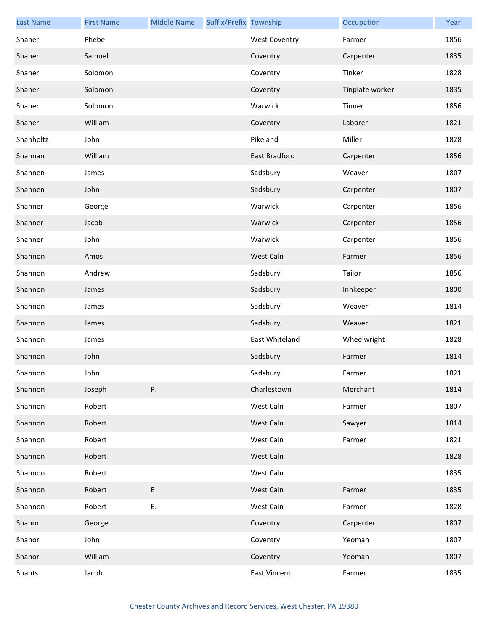| <b>Last Name</b> | <b>First Name</b> | <b>Middle Name</b> | Suffix/Prefix Township |                      | Occupation      | Year |
|------------------|-------------------|--------------------|------------------------|----------------------|-----------------|------|
| Shaner           | Phebe             |                    |                        | <b>West Coventry</b> | Farmer          | 1856 |
| Shaner           | Samuel            |                    |                        | Coventry             | Carpenter       | 1835 |
| Shaner           | Solomon           |                    |                        | Coventry             | Tinker          | 1828 |
| Shaner           | Solomon           |                    |                        | Coventry             | Tinplate worker | 1835 |
| Shaner           | Solomon           |                    |                        | Warwick              | Tinner          | 1856 |
| Shaner           | William           |                    |                        | Coventry             | Laborer         | 1821 |
| Shanholtz        | John              |                    |                        | Pikeland             | Miller          | 1828 |
| Shannan          | William           |                    |                        | East Bradford        | Carpenter       | 1856 |
| Shannen          | James             |                    |                        | Sadsbury             | Weaver          | 1807 |
| Shannen          | John              |                    |                        | Sadsbury             | Carpenter       | 1807 |
| Shanner          | George            |                    |                        | Warwick              | Carpenter       | 1856 |
| Shanner          | Jacob             |                    |                        | Warwick              | Carpenter       | 1856 |
| Shanner          | John              |                    |                        | Warwick              | Carpenter       | 1856 |
| Shannon          | Amos              |                    |                        | West Caln            | Farmer          | 1856 |
| Shannon          | Andrew            |                    |                        | Sadsbury             | Tailor          | 1856 |
| Shannon          | James             |                    |                        | Sadsbury             | Innkeeper       | 1800 |
| Shannon          | James             |                    |                        | Sadsbury             | Weaver          | 1814 |
| Shannon          | James             |                    |                        | Sadsbury             | Weaver          | 1821 |
| Shannon          | James             |                    |                        | East Whiteland       | Wheelwright     | 1828 |
| Shannon          | John              |                    |                        | Sadsbury             | Farmer          | 1814 |
| Shannon          | John              |                    |                        | Sadsbury             | Farmer          | 1821 |
| Shannon          | Joseph            | Ρ.                 |                        | Charlestown          | Merchant        | 1814 |
| Shannon          | Robert            |                    |                        | West Caln            | Farmer          | 1807 |
| Shannon          | Robert            |                    |                        | West Caln            | Sawyer          | 1814 |
| Shannon          | Robert            |                    |                        | West Caln            | Farmer          | 1821 |
| Shannon          | Robert            |                    |                        | West Caln            |                 | 1828 |
| Shannon          | Robert            |                    |                        | West Caln            |                 | 1835 |
| Shannon          | Robert            | E                  |                        | West Caln            | Farmer          | 1835 |
| Shannon          | Robert            | Ε.                 |                        | West Caln            | Farmer          | 1828 |
| Shanor           | George            |                    |                        | Coventry             | Carpenter       | 1807 |
| Shanor           | John              |                    |                        | Coventry             | Yeoman          | 1807 |
| Shanor           | William           |                    |                        | Coventry             | Yeoman          | 1807 |
| Shants           | Jacob             |                    |                        | East Vincent         | Farmer          | 1835 |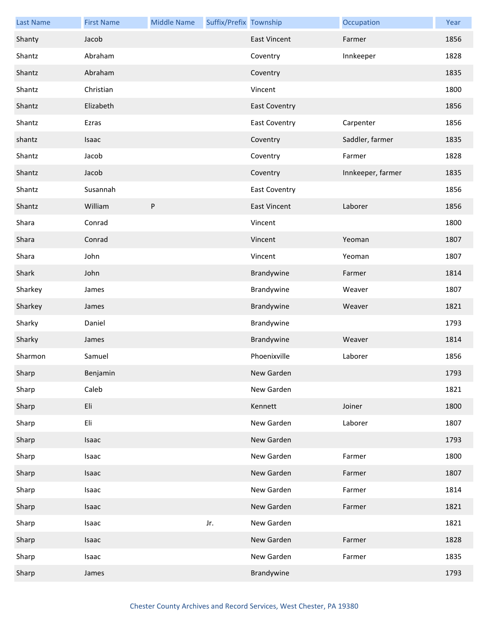| <b>Last Name</b> | <b>First Name</b> | <b>Middle Name</b> | Suffix/Prefix Township |                      | Occupation        | Year |
|------------------|-------------------|--------------------|------------------------|----------------------|-------------------|------|
| Shanty           | Jacob             |                    |                        | <b>East Vincent</b>  | Farmer            | 1856 |
| Shantz           | Abraham           |                    |                        | Coventry             | Innkeeper         | 1828 |
| Shantz           | Abraham           |                    |                        | Coventry             |                   | 1835 |
| Shantz           | Christian         |                    |                        | Vincent              |                   | 1800 |
| Shantz           | Elizabeth         |                    |                        | <b>East Coventry</b> |                   | 1856 |
| Shantz           | Ezras             |                    |                        | <b>East Coventry</b> | Carpenter         | 1856 |
| shantz           | Isaac             |                    |                        | Coventry             | Saddler, farmer   | 1835 |
| Shantz           | Jacob             |                    |                        | Coventry             | Farmer            | 1828 |
| Shantz           | Jacob             |                    |                        | Coventry             | Innkeeper, farmer | 1835 |
| Shantz           | Susannah          |                    |                        | <b>East Coventry</b> |                   | 1856 |
| Shantz           | William           | ${\sf P}$          |                        | <b>East Vincent</b>  | Laborer           | 1856 |
| Shara            | Conrad            |                    |                        | Vincent              |                   | 1800 |
| Shara            | Conrad            |                    |                        | Vincent              | Yeoman            | 1807 |
| Shara            | John              |                    |                        | Vincent              | Yeoman            | 1807 |
| Shark            | John              |                    |                        | Brandywine           | Farmer            | 1814 |
| Sharkey          | James             |                    |                        | Brandywine           | Weaver            | 1807 |
| Sharkey          | James             |                    |                        | Brandywine           | Weaver            | 1821 |
| Sharky           | Daniel            |                    |                        | Brandywine           |                   | 1793 |
| Sharky           | James             |                    |                        | Brandywine           | Weaver            | 1814 |
| Sharmon          | Samuel            |                    |                        | Phoenixville         | Laborer           | 1856 |
| Sharp            | Benjamin          |                    |                        | New Garden           |                   | 1793 |
| Sharp            | Caleb             |                    |                        | New Garden           |                   | 1821 |
| Sharp            | Eli               |                    |                        | Kennett              | Joiner            | 1800 |
| Sharp            | Eli               |                    |                        | New Garden           | Laborer           | 1807 |
| Sharp            | Isaac             |                    |                        | New Garden           |                   | 1793 |
| Sharp            | Isaac             |                    |                        | New Garden           | Farmer            | 1800 |
| Sharp            | Isaac             |                    |                        | New Garden           | Farmer            | 1807 |
| Sharp            | Isaac             |                    |                        | New Garden           | Farmer            | 1814 |
| Sharp            | Isaac             |                    |                        | New Garden           | Farmer            | 1821 |
| Sharp            | Isaac             |                    | Jr.                    | New Garden           |                   | 1821 |
| Sharp            | Isaac             |                    |                        | New Garden           | Farmer            | 1828 |
| Sharp            | Isaac             |                    |                        | New Garden           | Farmer            | 1835 |
| Sharp            | James             |                    |                        | Brandywine           |                   | 1793 |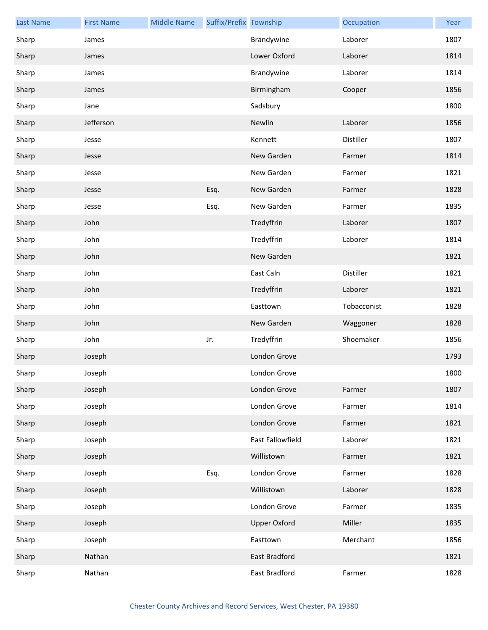| <b>Last Name</b> | <b>First Name</b> | <b>Middle Name</b> | Suffix/Prefix Township |                     | Occupation  | Year |
|------------------|-------------------|--------------------|------------------------|---------------------|-------------|------|
| Sharp            | James             |                    |                        | Brandywine          | Laborer     | 1807 |
| Sharp            | James             |                    |                        | Lower Oxford        | Laborer     | 1814 |
| Sharp            | James             |                    |                        | Brandywine          | Laborer     | 1814 |
| Sharp            | James             |                    |                        | Birmingham          | Cooper      | 1856 |
| Sharp            | Jane              |                    |                        | Sadsbury            |             | 1800 |
| Sharp            | Jefferson         |                    |                        | Newlin              | Laborer     | 1856 |
| Sharp            | Jesse             |                    |                        | Kennett             | Distiller   | 1807 |
| Sharp            | Jesse             |                    |                        | New Garden          | Farmer      | 1814 |
| Sharp            | Jesse             |                    |                        | New Garden          | Farmer      | 1821 |
| Sharp            | Jesse             |                    | Esq.                   | New Garden          | Farmer      | 1828 |
| Sharp            | Jesse             |                    | Esq.                   | New Garden          | Farmer      | 1835 |
| Sharp            | John              |                    |                        | Tredyffrin          | Laborer     | 1807 |
| Sharp            | John              |                    |                        | Tredyffrin          | Laborer     | 1814 |
| Sharp            | John              |                    |                        | New Garden          |             | 1821 |
| Sharp            | John              |                    |                        | East Caln           | Distiller   | 1821 |
| Sharp            | John              |                    |                        | Tredyffrin          | Laborer     | 1821 |
| Sharp            | John              |                    |                        | Easttown            | Tobacconist | 1828 |
| Sharp            | John              |                    |                        | New Garden          | Waggoner    | 1828 |
| Sharp            | John              |                    | Jr.                    | Tredyffrin          | Shoemaker   | 1856 |
| Sharp            | Joseph            |                    |                        | London Grove        |             | 1793 |
| Sharp            | Joseph            |                    |                        | London Grove        |             | 1800 |
| Sharp            | Joseph            |                    |                        | London Grove        | Farmer      | 1807 |
| Sharp            | Joseph            |                    |                        | London Grove        | Farmer      | 1814 |
| Sharp            | Joseph            |                    |                        | London Grove        | Farmer      | 1821 |
| Sharp            | Joseph            |                    |                        | East Fallowfield    | Laborer     | 1821 |
| Sharp            | Joseph            |                    |                        | Willistown          | Farmer      | 1821 |
| Sharp            | Joseph            |                    | Esq.                   | London Grove        | Farmer      | 1828 |
| Sharp            | Joseph            |                    |                        | Willistown          | Laborer     | 1828 |
| Sharp            | Joseph            |                    |                        | London Grove        | Farmer      | 1835 |
| Sharp            | Joseph            |                    |                        | <b>Upper Oxford</b> | Miller      | 1835 |
| Sharp            | Joseph            |                    |                        | Easttown            | Merchant    | 1856 |
| Sharp            | Nathan            |                    |                        | East Bradford       |             | 1821 |
| Sharp            | Nathan            |                    |                        | East Bradford       | Farmer      | 1828 |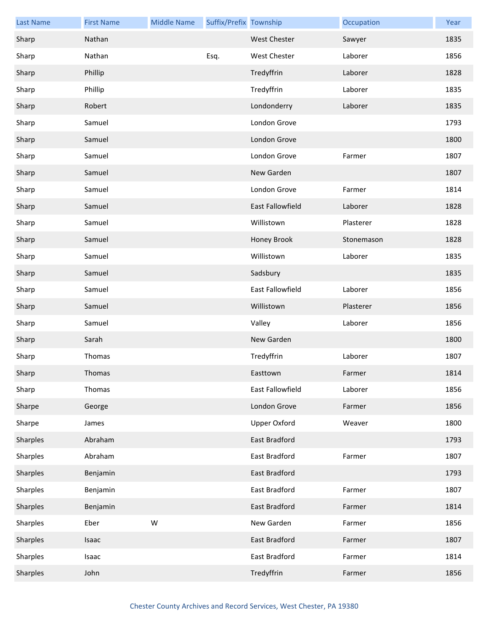| <b>Last Name</b> | <b>First Name</b> | <b>Middle Name</b> | Suffix/Prefix Township |                     | Occupation | Year |
|------------------|-------------------|--------------------|------------------------|---------------------|------------|------|
| Sharp            | Nathan            |                    |                        | <b>West Chester</b> | Sawyer     | 1835 |
| Sharp            | Nathan            |                    | Esq.                   | <b>West Chester</b> | Laborer    | 1856 |
| Sharp            | Phillip           |                    |                        | Tredyffrin          | Laborer    | 1828 |
| Sharp            | Phillip           |                    |                        | Tredyffrin          | Laborer    | 1835 |
| Sharp            | Robert            |                    |                        | Londonderry         | Laborer    | 1835 |
| Sharp            | Samuel            |                    |                        | London Grove        |            | 1793 |
| Sharp            | Samuel            |                    |                        | London Grove        |            | 1800 |
| Sharp            | Samuel            |                    |                        | London Grove        | Farmer     | 1807 |
| Sharp            | Samuel            |                    |                        | New Garden          |            | 1807 |
| Sharp            | Samuel            |                    |                        | London Grove        | Farmer     | 1814 |
| Sharp            | Samuel            |                    |                        | East Fallowfield    | Laborer    | 1828 |
| Sharp            | Samuel            |                    |                        | Willistown          | Plasterer  | 1828 |
| Sharp            | Samuel            |                    |                        | Honey Brook         | Stonemason | 1828 |
| Sharp            | Samuel            |                    |                        | Willistown          | Laborer    | 1835 |
| Sharp            | Samuel            |                    |                        | Sadsbury            |            | 1835 |
| Sharp            | Samuel            |                    |                        | East Fallowfield    | Laborer    | 1856 |
| Sharp            | Samuel            |                    |                        | Willistown          | Plasterer  | 1856 |
| Sharp            | Samuel            |                    |                        | Valley              | Laborer    | 1856 |
| Sharp            | Sarah             |                    |                        | New Garden          |            | 1800 |
| Sharp            | Thomas            |                    |                        | Tredyffrin          | Laborer    | 1807 |
| Sharp            | Thomas            |                    |                        | Easttown            | Farmer     | 1814 |
| Sharp            | Thomas            |                    |                        | East Fallowfield    | Laborer    | 1856 |
| Sharpe           | George            |                    |                        | London Grove        | Farmer     | 1856 |
| Sharpe           | James             |                    |                        | <b>Upper Oxford</b> | Weaver     | 1800 |
| Sharples         | Abraham           |                    |                        | East Bradford       |            | 1793 |
| Sharples         | Abraham           |                    |                        | East Bradford       | Farmer     | 1807 |
| Sharples         | Benjamin          |                    |                        | East Bradford       |            | 1793 |
| Sharples         | Benjamin          |                    |                        | East Bradford       | Farmer     | 1807 |
| Sharples         | Benjamin          |                    |                        | East Bradford       | Farmer     | 1814 |
| Sharples         | Eber              | W                  |                        | New Garden          | Farmer     | 1856 |
| Sharples         | Isaac             |                    |                        | East Bradford       | Farmer     | 1807 |
| Sharples         | Isaac             |                    |                        | East Bradford       | Farmer     | 1814 |
| Sharples         | John              |                    |                        | Tredyffrin          | Farmer     | 1856 |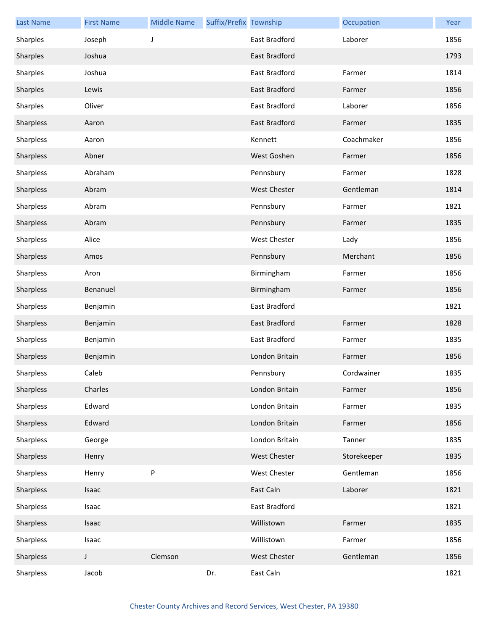| <b>Last Name</b> | <b>First Name</b> | <b>Middle Name</b> | Suffix/Prefix Township |                      | Occupation  | Year |
|------------------|-------------------|--------------------|------------------------|----------------------|-------------|------|
| Sharples         | Joseph            | J                  |                        | East Bradford        | Laborer     | 1856 |
| Sharples         | Joshua            |                    |                        | <b>East Bradford</b> |             | 1793 |
| Sharples         | Joshua            |                    |                        | East Bradford        | Farmer      | 1814 |
| Sharples         | Lewis             |                    |                        | East Bradford        | Farmer      | 1856 |
| Sharples         | Oliver            |                    |                        | East Bradford        | Laborer     | 1856 |
| Sharpless        | Aaron             |                    |                        | East Bradford        | Farmer      | 1835 |
| Sharpless        | Aaron             |                    |                        | Kennett              | Coachmaker  | 1856 |
| Sharpless        | Abner             |                    |                        | West Goshen          | Farmer      | 1856 |
| Sharpless        | Abraham           |                    |                        | Pennsbury            | Farmer      | 1828 |
| Sharpless        | Abram             |                    |                        | <b>West Chester</b>  | Gentleman   | 1814 |
| Sharpless        | Abram             |                    |                        | Pennsbury            | Farmer      | 1821 |
| Sharpless        | Abram             |                    |                        | Pennsbury            | Farmer      | 1835 |
| Sharpless        | Alice             |                    |                        | <b>West Chester</b>  | Lady        | 1856 |
| Sharpless        | Amos              |                    |                        | Pennsbury            | Merchant    | 1856 |
| Sharpless        | Aron              |                    |                        | Birmingham           | Farmer      | 1856 |
| Sharpless        | Benanuel          |                    |                        | Birmingham           | Farmer      | 1856 |
| Sharpless        | Benjamin          |                    |                        | East Bradford        |             | 1821 |
| Sharpless        | Benjamin          |                    |                        | East Bradford        | Farmer      | 1828 |
| Sharpless        | Benjamin          |                    |                        | East Bradford        | Farmer      | 1835 |
| Sharpless        | Benjamin          |                    |                        | London Britain       | Farmer      | 1856 |
| Sharpless        | Caleb             |                    |                        | Pennsbury            | Cordwainer  | 1835 |
| Sharpless        | Charles           |                    |                        | London Britain       | Farmer      | 1856 |
| Sharpless        | Edward            |                    |                        | London Britain       | Farmer      | 1835 |
| Sharpless        | Edward            |                    |                        | London Britain       | Farmer      | 1856 |
| Sharpless        | George            |                    |                        | London Britain       | Tanner      | 1835 |
| Sharpless        | Henry             |                    |                        | <b>West Chester</b>  | Storekeeper | 1835 |
| Sharpless        | Henry             | P                  |                        | West Chester         | Gentleman   | 1856 |
| Sharpless        | Isaac             |                    |                        | East Caln            | Laborer     | 1821 |
| Sharpless        | Isaac             |                    |                        | East Bradford        |             | 1821 |
| Sharpless        | Isaac             |                    |                        | Willistown           | Farmer      | 1835 |
| Sharpless        | Isaac             |                    |                        | Willistown           | Farmer      | 1856 |
| Sharpless        | J                 | Clemson            |                        | <b>West Chester</b>  | Gentleman   | 1856 |
| Sharpless        | Jacob             |                    | Dr.                    | East Caln            |             | 1821 |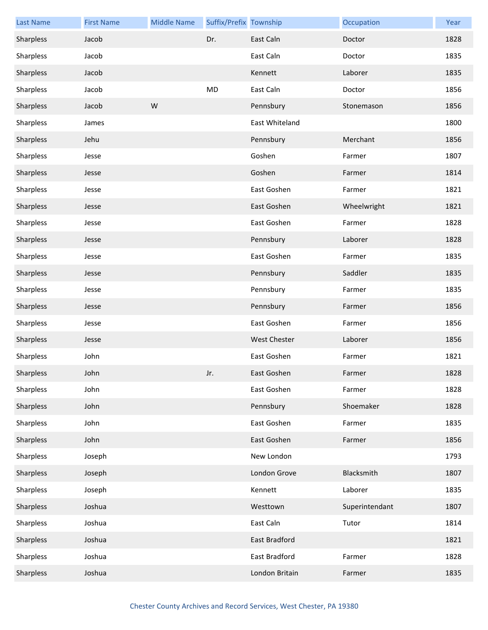| <b>Last Name</b> | <b>First Name</b> | <b>Middle Name</b> | Suffix/Prefix Township |                | Occupation     | Year |
|------------------|-------------------|--------------------|------------------------|----------------|----------------|------|
| Sharpless        | Jacob             |                    | Dr.                    | East Caln      | Doctor         | 1828 |
| Sharpless        | Jacob             |                    |                        | East Caln      | Doctor         | 1835 |
| Sharpless        | Jacob             |                    |                        | Kennett        | Laborer        | 1835 |
| Sharpless        | Jacob             |                    | <b>MD</b>              | East Caln      | Doctor         | 1856 |
| Sharpless        | Jacob             | W                  |                        | Pennsbury      | Stonemason     | 1856 |
| Sharpless        | James             |                    |                        | East Whiteland |                | 1800 |
| Sharpless        | Jehu              |                    |                        | Pennsbury      | Merchant       | 1856 |
| Sharpless        | Jesse             |                    |                        | Goshen         | Farmer         | 1807 |
| Sharpless        | Jesse             |                    |                        | Goshen         | Farmer         | 1814 |
| Sharpless        | Jesse             |                    |                        | East Goshen    | Farmer         | 1821 |
| Sharpless        | Jesse             |                    |                        | East Goshen    | Wheelwright    | 1821 |
| Sharpless        | Jesse             |                    |                        | East Goshen    | Farmer         | 1828 |
| Sharpless        | Jesse             |                    |                        | Pennsbury      | Laborer        | 1828 |
| Sharpless        | Jesse             |                    |                        | East Goshen    | Farmer         | 1835 |
| Sharpless        | Jesse             |                    |                        | Pennsbury      | Saddler        | 1835 |
| Sharpless        | Jesse             |                    |                        | Pennsbury      | Farmer         | 1835 |
| Sharpless        | Jesse             |                    |                        | Pennsbury      | Farmer         | 1856 |
| Sharpless        | Jesse             |                    |                        | East Goshen    | Farmer         | 1856 |
| Sharpless        | Jesse             |                    |                        | West Chester   | Laborer        | 1856 |
| Sharpless        | John              |                    |                        | East Goshen    | Farmer         | 1821 |
| Sharpless        | John              |                    | Jr.                    | East Goshen    | Farmer         | 1828 |
| Sharpless        | John              |                    |                        | East Goshen    | Farmer         | 1828 |
| Sharpless        | John              |                    |                        | Pennsbury      | Shoemaker      | 1828 |
| Sharpless        | John              |                    |                        | East Goshen    | Farmer         | 1835 |
| Sharpless        | John              |                    |                        | East Goshen    | Farmer         | 1856 |
| Sharpless        | Joseph            |                    |                        | New London     |                | 1793 |
| Sharpless        | Joseph            |                    |                        | London Grove   | Blacksmith     | 1807 |
| Sharpless        | Joseph            |                    |                        | Kennett        | Laborer        | 1835 |
| Sharpless        | Joshua            |                    |                        | Westtown       | Superintendant | 1807 |
| Sharpless        | Joshua            |                    |                        | East Caln      | Tutor          | 1814 |
| Sharpless        | Joshua            |                    |                        | East Bradford  |                | 1821 |
| Sharpless        | Joshua            |                    |                        | East Bradford  | Farmer         | 1828 |
| Sharpless        | Joshua            |                    |                        | London Britain | Farmer         | 1835 |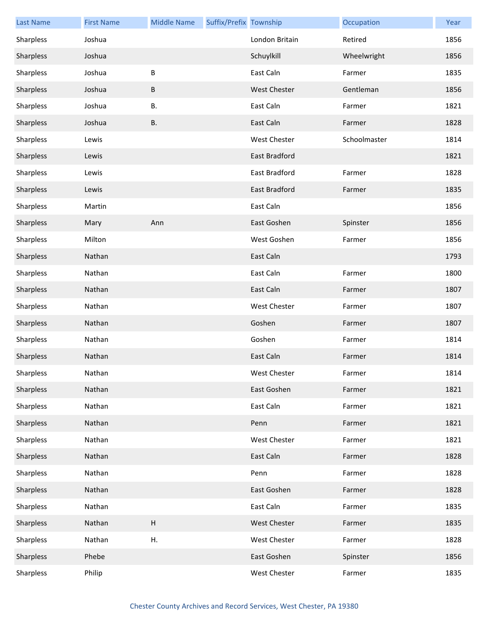| <b>Last Name</b> | <b>First Name</b> | <b>Middle Name</b>        | Suffix/Prefix Township |                     | Occupation   | Year |
|------------------|-------------------|---------------------------|------------------------|---------------------|--------------|------|
| Sharpless        | Joshua            |                           |                        | London Britain      | Retired      | 1856 |
| Sharpless        | Joshua            |                           |                        | Schuylkill          | Wheelwright  | 1856 |
| Sharpless        | Joshua            | B                         |                        | East Caln           | Farmer       | 1835 |
| Sharpless        | Joshua            | В                         |                        | <b>West Chester</b> | Gentleman    | 1856 |
| Sharpless        | Joshua            | В.                        |                        | East Caln           | Farmer       | 1821 |
| Sharpless        | Joshua            | <b>B.</b>                 |                        | East Caln           | Farmer       | 1828 |
| Sharpless        | Lewis             |                           |                        | West Chester        | Schoolmaster | 1814 |
| Sharpless        | Lewis             |                           |                        | East Bradford       |              | 1821 |
| Sharpless        | Lewis             |                           |                        | East Bradford       | Farmer       | 1828 |
| Sharpless        | Lewis             |                           |                        | East Bradford       | Farmer       | 1835 |
| Sharpless        | Martin            |                           |                        | East Caln           |              | 1856 |
| Sharpless        | Mary              | Ann                       |                        | East Goshen         | Spinster     | 1856 |
| Sharpless        | Milton            |                           |                        | West Goshen         | Farmer       | 1856 |
| Sharpless        | Nathan            |                           |                        | East Caln           |              | 1793 |
| Sharpless        | Nathan            |                           |                        | East Caln           | Farmer       | 1800 |
| Sharpless        | Nathan            |                           |                        | East Caln           | Farmer       | 1807 |
| Sharpless        | Nathan            |                           |                        | West Chester        | Farmer       | 1807 |
| Sharpless        | Nathan            |                           |                        | Goshen              | Farmer       | 1807 |
| Sharpless        | Nathan            |                           |                        | Goshen              | Farmer       | 1814 |
| Sharpless        | Nathan            |                           |                        | East Caln           | Farmer       | 1814 |
| Sharpless        | Nathan            |                           |                        | West Chester        | Farmer       | 1814 |
| Sharpless        | Nathan            |                           |                        | East Goshen         | Farmer       | 1821 |
| Sharpless        | Nathan            |                           |                        | East Caln           | Farmer       | 1821 |
| Sharpless        | Nathan            |                           |                        | Penn                | Farmer       | 1821 |
| Sharpless        | Nathan            |                           |                        | West Chester        | Farmer       | 1821 |
| Sharpless        | Nathan            |                           |                        | East Caln           | Farmer       | 1828 |
| Sharpless        | Nathan            |                           |                        | Penn                | Farmer       | 1828 |
| Sharpless        | Nathan            |                           |                        | East Goshen         | Farmer       | 1828 |
| Sharpless        | Nathan            |                           |                        | East Caln           | Farmer       | 1835 |
| Sharpless        | Nathan            | $\boldsymbol{\mathsf{H}}$ |                        | <b>West Chester</b> | Farmer       | 1835 |
| Sharpless        | Nathan            | Η.                        |                        | West Chester        | Farmer       | 1828 |
| Sharpless        | Phebe             |                           |                        | East Goshen         | Spinster     | 1856 |
| Sharpless        | Philip            |                           |                        | West Chester        | Farmer       | 1835 |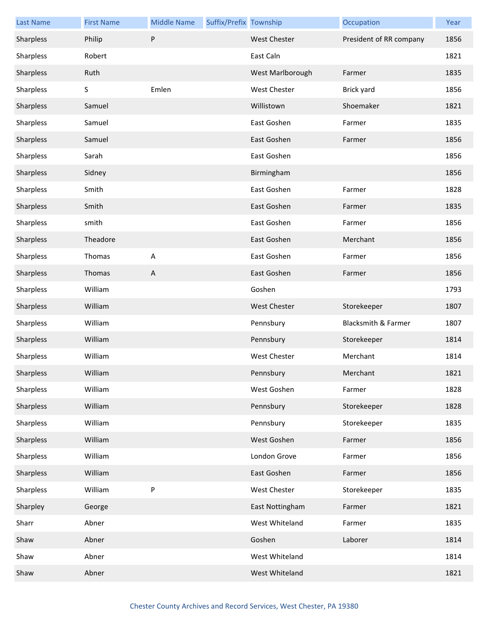| <b>Last Name</b> | <b>First Name</b> | <b>Middle Name</b> | Suffix/Prefix Township |                     | Occupation                     | Year |
|------------------|-------------------|--------------------|------------------------|---------------------|--------------------------------|------|
| Sharpless        | Philip            | P                  |                        | <b>West Chester</b> | President of RR company        | 1856 |
| Sharpless        | Robert            |                    |                        | East Caln           |                                | 1821 |
| Sharpless        | Ruth              |                    |                        | West Marlborough    | Farmer                         | 1835 |
| Sharpless        | S                 | Emlen              |                        | West Chester        | Brick yard                     | 1856 |
| Sharpless        | Samuel            |                    |                        | Willistown          | Shoemaker                      | 1821 |
| Sharpless        | Samuel            |                    |                        | East Goshen         | Farmer                         | 1835 |
| Sharpless        | Samuel            |                    |                        | East Goshen         | Farmer                         | 1856 |
| Sharpless        | Sarah             |                    |                        | East Goshen         |                                | 1856 |
| Sharpless        | Sidney            |                    |                        | Birmingham          |                                | 1856 |
| Sharpless        | Smith             |                    |                        | East Goshen         | Farmer                         | 1828 |
| Sharpless        | Smith             |                    |                        | East Goshen         | Farmer                         | 1835 |
| Sharpless        | smith             |                    |                        | East Goshen         | Farmer                         | 1856 |
| Sharpless        | Theadore          |                    |                        | East Goshen         | Merchant                       | 1856 |
| Sharpless        | Thomas            | A                  |                        | East Goshen         | Farmer                         | 1856 |
| Sharpless        | Thomas            | A                  |                        | East Goshen         | Farmer                         | 1856 |
| Sharpless        | William           |                    |                        | Goshen              |                                | 1793 |
| Sharpless        | William           |                    |                        | <b>West Chester</b> | Storekeeper                    | 1807 |
| Sharpless        | William           |                    |                        | Pennsbury           | <b>Blacksmith &amp; Farmer</b> | 1807 |
| Sharpless        | William           |                    |                        | Pennsbury           | Storekeeper                    | 1814 |
| Sharpless        | William           |                    |                        | <b>West Chester</b> | Merchant                       | 1814 |
| Sharpless        | William           |                    |                        | Pennsbury           | Merchant                       | 1821 |
| Sharpless        | William           |                    |                        | West Goshen         | Farmer                         | 1828 |
| Sharpless        | William           |                    |                        | Pennsbury           | Storekeeper                    | 1828 |
| Sharpless        | William           |                    |                        | Pennsbury           | Storekeeper                    | 1835 |
| Sharpless        | William           |                    |                        | West Goshen         | Farmer                         | 1856 |
| Sharpless        | William           |                    |                        | London Grove        | Farmer                         | 1856 |
| Sharpless        | William           |                    |                        | East Goshen         | Farmer                         | 1856 |
| Sharpless        | William           | ${\sf P}$          |                        | West Chester        | Storekeeper                    | 1835 |
| Sharpley         | George            |                    |                        | East Nottingham     | Farmer                         | 1821 |
| Sharr            | Abner             |                    |                        | West Whiteland      | Farmer                         | 1835 |
| Shaw             | Abner             |                    |                        | Goshen              | Laborer                        | 1814 |
| Shaw             | Abner             |                    |                        | West Whiteland      |                                | 1814 |
| Shaw             | Abner             |                    |                        | West Whiteland      |                                | 1821 |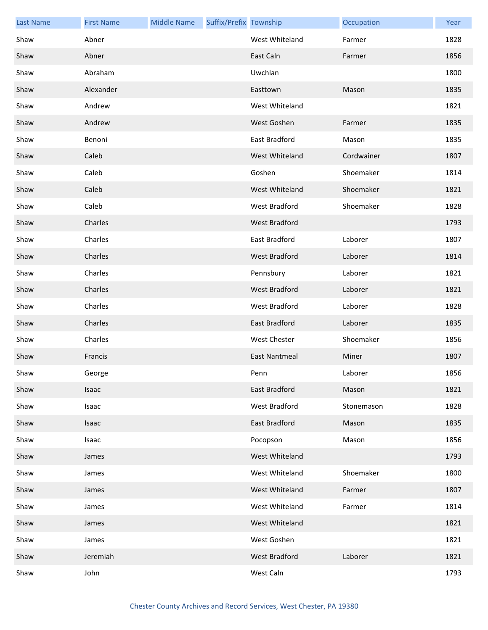| <b>Last Name</b> | <b>First Name</b> | <b>Middle Name</b> | Suffix/Prefix Township |                      | Occupation | Year |
|------------------|-------------------|--------------------|------------------------|----------------------|------------|------|
| Shaw             | Abner             |                    |                        | West Whiteland       | Farmer     | 1828 |
| Shaw             | Abner             |                    |                        | East Caln            | Farmer     | 1856 |
| Shaw             | Abraham           |                    |                        | Uwchlan              |            | 1800 |
| Shaw             | Alexander         |                    |                        | Easttown             | Mason      | 1835 |
| Shaw             | Andrew            |                    |                        | West Whiteland       |            | 1821 |
| Shaw             | Andrew            |                    |                        | West Goshen          | Farmer     | 1835 |
| Shaw             | Benoni            |                    |                        | East Bradford        | Mason      | 1835 |
| Shaw             | Caleb             |                    |                        | West Whiteland       | Cordwainer | 1807 |
| Shaw             | Caleb             |                    |                        | Goshen               | Shoemaker  | 1814 |
| Shaw             | Caleb             |                    |                        | West Whiteland       | Shoemaker  | 1821 |
| Shaw             | Caleb             |                    |                        | West Bradford        | Shoemaker  | 1828 |
| Shaw             | Charles           |                    |                        | West Bradford        |            | 1793 |
| Shaw             | Charles           |                    |                        | East Bradford        | Laborer    | 1807 |
| Shaw             | Charles           |                    |                        | West Bradford        | Laborer    | 1814 |
| Shaw             | Charles           |                    |                        | Pennsbury            | Laborer    | 1821 |
| Shaw             | Charles           |                    |                        | West Bradford        | Laborer    | 1821 |
| Shaw             | Charles           |                    |                        | West Bradford        | Laborer    | 1828 |
| Shaw             | Charles           |                    |                        | East Bradford        | Laborer    | 1835 |
| Shaw             | Charles           |                    |                        | West Chester         | Shoemaker  | 1856 |
| Shaw             | Francis           |                    |                        | <b>East Nantmeal</b> | Miner      | 1807 |
| Shaw             | George            |                    |                        | Penn                 | Laborer    | 1856 |
| Shaw             | Isaac             |                    |                        | East Bradford        | Mason      | 1821 |
| Shaw             | Isaac             |                    |                        | West Bradford        | Stonemason | 1828 |
| Shaw             | Isaac             |                    |                        | <b>East Bradford</b> | Mason      | 1835 |
| Shaw             | Isaac             |                    |                        | Pocopson             | Mason      | 1856 |
| Shaw             | James             |                    |                        | West Whiteland       |            | 1793 |
| Shaw             | James             |                    |                        | West Whiteland       | Shoemaker  | 1800 |
| Shaw             | James             |                    |                        | West Whiteland       | Farmer     | 1807 |
| Shaw             | James             |                    |                        | West Whiteland       | Farmer     | 1814 |
| Shaw             | James             |                    |                        | West Whiteland       |            | 1821 |
| Shaw             | James             |                    |                        | West Goshen          |            | 1821 |
| Shaw             | Jeremiah          |                    |                        | West Bradford        | Laborer    | 1821 |
| Shaw             | John              |                    |                        | West Caln            |            | 1793 |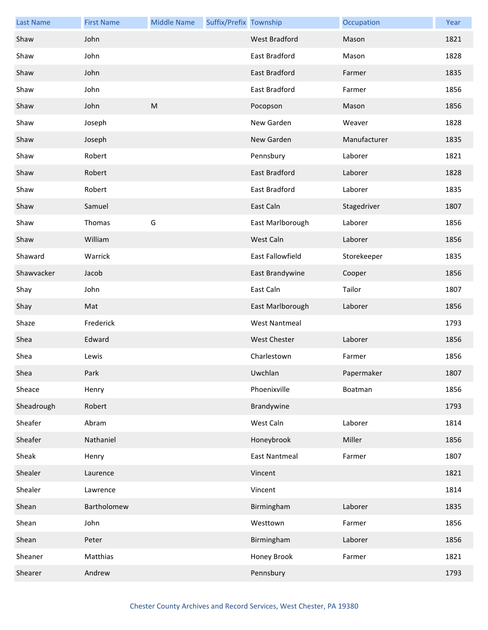| <b>Last Name</b> | <b>First Name</b> | <b>Middle Name</b> | Suffix/Prefix Township |                      | Occupation   | Year |
|------------------|-------------------|--------------------|------------------------|----------------------|--------------|------|
| Shaw             | John              |                    |                        | <b>West Bradford</b> | Mason        | 1821 |
| Shaw             | John              |                    |                        | East Bradford        | Mason        | 1828 |
| Shaw             | John              |                    |                        | East Bradford        | Farmer       | 1835 |
| Shaw             | John              |                    |                        | East Bradford        | Farmer       | 1856 |
| Shaw             | John              | M                  |                        | Pocopson             | Mason        | 1856 |
| Shaw             | Joseph            |                    |                        | New Garden           | Weaver       | 1828 |
| Shaw             | Joseph            |                    |                        | New Garden           | Manufacturer | 1835 |
| Shaw             | Robert            |                    |                        | Pennsbury            | Laborer      | 1821 |
| Shaw             | Robert            |                    |                        | East Bradford        | Laborer      | 1828 |
| Shaw             | Robert            |                    |                        | East Bradford        | Laborer      | 1835 |
| Shaw             | Samuel            |                    |                        | East Caln            | Stagedriver  | 1807 |
| Shaw             | Thomas            | G                  |                        | East Marlborough     | Laborer      | 1856 |
| Shaw             | William           |                    |                        | West Caln            | Laborer      | 1856 |
| Shaward          | Warrick           |                    |                        | East Fallowfield     | Storekeeper  | 1835 |
| Shawvacker       | Jacob             |                    |                        | East Brandywine      | Cooper       | 1856 |
| Shay             | John              |                    |                        | East Caln            | Tailor       | 1807 |
| Shay             | Mat               |                    |                        | East Marlborough     | Laborer      | 1856 |
| Shaze            | Frederick         |                    |                        | <b>West Nantmeal</b> |              | 1793 |
| Shea             | Edward            |                    |                        | <b>West Chester</b>  | Laborer      | 1856 |
| Shea             | Lewis             |                    |                        | Charlestown          | Farmer       | 1856 |
| Shea             | Park              |                    |                        | Uwchlan              | Papermaker   | 1807 |
| Sheace           | Henry             |                    |                        | Phoenixville         | Boatman      | 1856 |
| Sheadrough       | Robert            |                    |                        | Brandywine           |              | 1793 |
| Sheafer          | Abram             |                    |                        | West Caln            | Laborer      | 1814 |
| Sheafer          | Nathaniel         |                    |                        | Honeybrook           | Miller       | 1856 |
| Sheak            | Henry             |                    |                        | <b>East Nantmeal</b> | Farmer       | 1807 |
| Shealer          | Laurence          |                    |                        | Vincent              |              | 1821 |
| Shealer          | Lawrence          |                    |                        | Vincent              |              | 1814 |
| Shean            | Bartholomew       |                    |                        | Birmingham           | Laborer      | 1835 |
| Shean            | John              |                    |                        | Westtown             | Farmer       | 1856 |
| Shean            | Peter             |                    |                        | Birmingham           | Laborer      | 1856 |
| Sheaner          | Matthias          |                    |                        | Honey Brook          | Farmer       | 1821 |
| Shearer          | Andrew            |                    |                        | Pennsbury            |              | 1793 |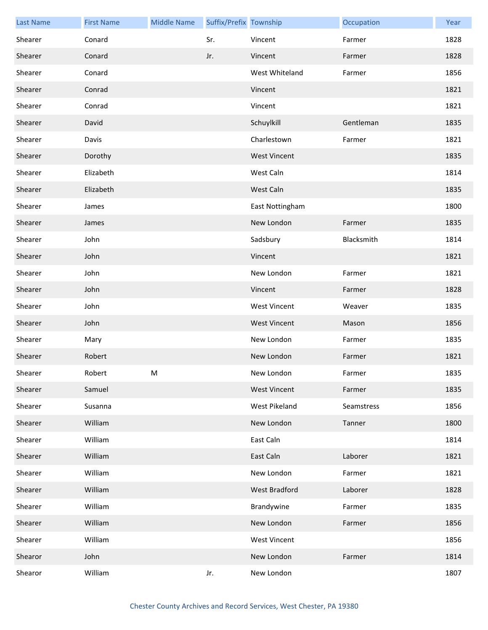| <b>Last Name</b> | <b>First Name</b> | <b>Middle Name</b> | Suffix/Prefix Township |                     | Occupation | Year |
|------------------|-------------------|--------------------|------------------------|---------------------|------------|------|
| Shearer          | Conard            |                    | Sr.                    | Vincent             | Farmer     | 1828 |
| Shearer          | Conard            |                    | Jr.                    | Vincent             | Farmer     | 1828 |
| Shearer          | Conard            |                    |                        | West Whiteland      | Farmer     | 1856 |
| Shearer          | Conrad            |                    |                        | Vincent             |            | 1821 |
| Shearer          | Conrad            |                    |                        | Vincent             |            | 1821 |
| Shearer          | David             |                    |                        | Schuylkill          | Gentleman  | 1835 |
| Shearer          | Davis             |                    |                        | Charlestown         | Farmer     | 1821 |
| Shearer          | Dorothy           |                    |                        | <b>West Vincent</b> |            | 1835 |
| Shearer          | Elizabeth         |                    |                        | West Caln           |            | 1814 |
| Shearer          | Elizabeth         |                    |                        | West Caln           |            | 1835 |
| Shearer          | James             |                    |                        | East Nottingham     |            | 1800 |
| Shearer          | James             |                    |                        | New London          | Farmer     | 1835 |
| Shearer          | John              |                    |                        | Sadsbury            | Blacksmith | 1814 |
| Shearer          | John              |                    |                        | Vincent             |            | 1821 |
| Shearer          | John              |                    |                        | New London          | Farmer     | 1821 |
| Shearer          | John              |                    |                        | Vincent             | Farmer     | 1828 |
| Shearer          | John              |                    |                        | <b>West Vincent</b> | Weaver     | 1835 |
| Shearer          | John              |                    |                        | <b>West Vincent</b> | Mason      | 1856 |
| Shearer          | Mary              |                    |                        | New London          | Farmer     | 1835 |
| Shearer          | Robert            |                    |                        | New London          | Farmer     | 1821 |
| Shearer          | Robert            | M                  |                        | New London          | Farmer     | 1835 |
| Shearer          | Samuel            |                    |                        | <b>West Vincent</b> | Farmer     | 1835 |
| Shearer          | Susanna           |                    |                        | West Pikeland       | Seamstress | 1856 |
| Shearer          | William           |                    |                        | New London          | Tanner     | 1800 |
| Shearer          | William           |                    |                        | East Caln           |            | 1814 |
| Shearer          | William           |                    |                        | East Caln           | Laborer    | 1821 |
| Shearer          | William           |                    |                        | New London          | Farmer     | 1821 |
| Shearer          | William           |                    |                        | West Bradford       | Laborer    | 1828 |
| Shearer          | William           |                    |                        | Brandywine          | Farmer     | 1835 |
| Shearer          | William           |                    |                        | New London          | Farmer     | 1856 |
| Shearer          | William           |                    |                        | West Vincent        |            | 1856 |
| Shearor          | John              |                    |                        | New London          | Farmer     | 1814 |
| Shearor          | William           |                    | Jr.                    | New London          |            | 1807 |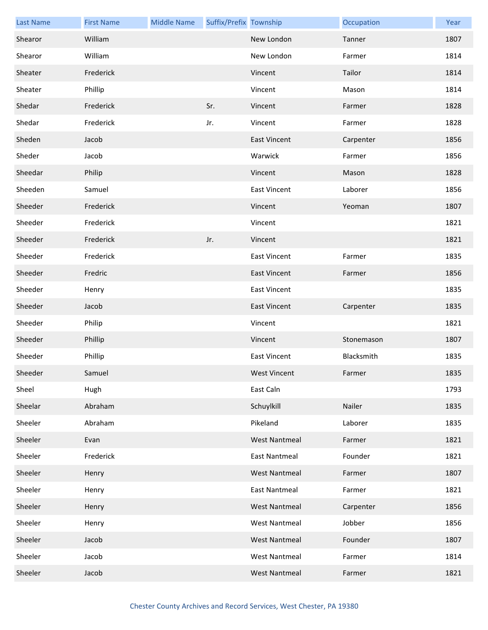| <b>Last Name</b> | <b>First Name</b> | <b>Middle Name</b> | Suffix/Prefix Township |                      | Occupation | Year |
|------------------|-------------------|--------------------|------------------------|----------------------|------------|------|
| Shearor          | William           |                    |                        | New London           | Tanner     | 1807 |
| Shearor          | William           |                    |                        | New London           | Farmer     | 1814 |
| Sheater          | Frederick         |                    |                        | Vincent              | Tailor     | 1814 |
| Sheater          | Phillip           |                    |                        | Vincent              | Mason      | 1814 |
| Shedar           | Frederick         |                    | Sr.                    | Vincent              | Farmer     | 1828 |
| Shedar           | Frederick         |                    | Jr.                    | Vincent              | Farmer     | 1828 |
| Sheden           | Jacob             |                    |                        | <b>East Vincent</b>  | Carpenter  | 1856 |
| Sheder           | Jacob             |                    |                        | Warwick              | Farmer     | 1856 |
| Sheedar          | Philip            |                    |                        | Vincent              | Mason      | 1828 |
| Sheeden          | Samuel            |                    |                        | <b>East Vincent</b>  | Laborer    | 1856 |
| Sheeder          | Frederick         |                    |                        | Vincent              | Yeoman     | 1807 |
| Sheeder          | Frederick         |                    |                        | Vincent              |            | 1821 |
| Sheeder          | Frederick         |                    | Jr.                    | Vincent              |            | 1821 |
| Sheeder          | Frederick         |                    |                        | <b>East Vincent</b>  | Farmer     | 1835 |
| Sheeder          | Fredric           |                    |                        | <b>East Vincent</b>  | Farmer     | 1856 |
| Sheeder          | Henry             |                    |                        | <b>East Vincent</b>  |            | 1835 |
| Sheeder          | Jacob             |                    |                        | East Vincent         | Carpenter  | 1835 |
| Sheeder          | Philip            |                    |                        | Vincent              |            | 1821 |
| Sheeder          | Phillip           |                    |                        | Vincent              | Stonemason | 1807 |
| Sheeder          | Phillip           |                    |                        | <b>East Vincent</b>  | Blacksmith | 1835 |
| Sheeder          | Samuel            |                    |                        | <b>West Vincent</b>  | Farmer     | 1835 |
| Sheel            | Hugh              |                    |                        | East Caln            |            | 1793 |
| Sheelar          | Abraham           |                    |                        | Schuylkill           | Nailer     | 1835 |
| Sheeler          | Abraham           |                    |                        | Pikeland             | Laborer    | 1835 |
| Sheeler          | Evan              |                    |                        | <b>West Nantmeal</b> | Farmer     | 1821 |
| Sheeler          | Frederick         |                    |                        | <b>East Nantmeal</b> | Founder    | 1821 |
| Sheeler          | Henry             |                    |                        | <b>West Nantmeal</b> | Farmer     | 1807 |
| Sheeler          | Henry             |                    |                        | <b>East Nantmeal</b> | Farmer     | 1821 |
| Sheeler          | Henry             |                    |                        | <b>West Nantmeal</b> | Carpenter  | 1856 |
| Sheeler          | Henry             |                    |                        | <b>West Nantmeal</b> | Jobber     | 1856 |
| Sheeler          | Jacob             |                    |                        | <b>West Nantmeal</b> | Founder    | 1807 |
| Sheeler          | Jacob             |                    |                        | <b>West Nantmeal</b> | Farmer     | 1814 |
| Sheeler          | Jacob             |                    |                        | <b>West Nantmeal</b> | Farmer     | 1821 |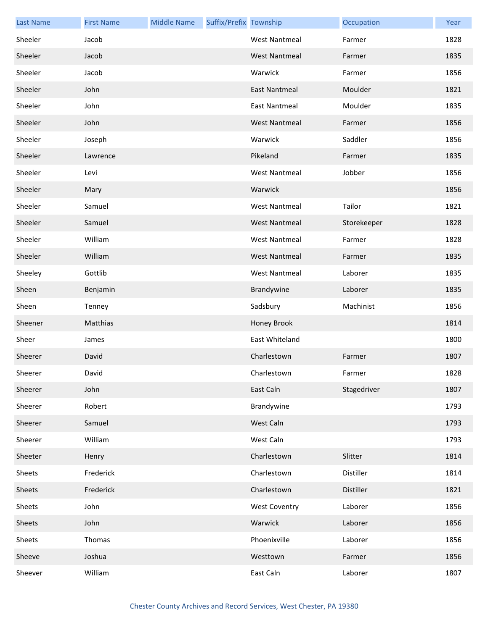| <b>Last Name</b> | <b>First Name</b> | <b>Middle Name</b> | Suffix/Prefix Township |                      | Occupation  | Year |
|------------------|-------------------|--------------------|------------------------|----------------------|-------------|------|
| Sheeler          | Jacob             |                    |                        | <b>West Nantmeal</b> | Farmer      | 1828 |
| Sheeler          | Jacob             |                    |                        | <b>West Nantmeal</b> | Farmer      | 1835 |
| Sheeler          | Jacob             |                    |                        | Warwick              | Farmer      | 1856 |
| Sheeler          | John              |                    |                        | <b>East Nantmeal</b> | Moulder     | 1821 |
| Sheeler          | John              |                    |                        | <b>East Nantmeal</b> | Moulder     | 1835 |
| Sheeler          | John              |                    |                        | <b>West Nantmeal</b> | Farmer      | 1856 |
| Sheeler          | Joseph            |                    |                        | Warwick              | Saddler     | 1856 |
| Sheeler          | Lawrence          |                    |                        | Pikeland             | Farmer      | 1835 |
| Sheeler          | Levi              |                    |                        | <b>West Nantmeal</b> | Jobber      | 1856 |
| Sheeler          | Mary              |                    |                        | Warwick              |             | 1856 |
| Sheeler          | Samuel            |                    |                        | <b>West Nantmeal</b> | Tailor      | 1821 |
| Sheeler          | Samuel            |                    |                        | <b>West Nantmeal</b> | Storekeeper | 1828 |
| Sheeler          | William           |                    |                        | <b>West Nantmeal</b> | Farmer      | 1828 |
| Sheeler          | William           |                    |                        | <b>West Nantmeal</b> | Farmer      | 1835 |
| Sheeley          | Gottlib           |                    |                        | <b>West Nantmeal</b> | Laborer     | 1835 |
| Sheen            | Benjamin          |                    |                        | Brandywine           | Laborer     | 1835 |
| Sheen            | Tenney            |                    |                        | Sadsbury             | Machinist   | 1856 |
| Sheener          | Matthias          |                    |                        | Honey Brook          |             | 1814 |
| Sheer            | James             |                    |                        | East Whiteland       |             | 1800 |
| Sheerer          | David             |                    |                        | Charlestown          | Farmer      | 1807 |
| Sheerer          | David             |                    |                        | Charlestown          | Farmer      | 1828 |
| Sheerer          | John              |                    |                        | East Caln            | Stagedriver | 1807 |
| Sheerer          | Robert            |                    |                        | Brandywine           |             | 1793 |
| Sheerer          | Samuel            |                    |                        | West Caln            |             | 1793 |
| Sheerer          | William           |                    |                        | West Caln            |             | 1793 |
| Sheeter          | Henry             |                    |                        | Charlestown          | Slitter     | 1814 |
| Sheets           | Frederick         |                    |                        | Charlestown          | Distiller   | 1814 |
| Sheets           | Frederick         |                    |                        | Charlestown          | Distiller   | 1821 |
| Sheets           | John              |                    |                        | <b>West Coventry</b> | Laborer     | 1856 |
| Sheets           | John              |                    |                        | Warwick              | Laborer     | 1856 |
| Sheets           | Thomas            |                    |                        | Phoenixville         | Laborer     | 1856 |
| Sheeve           | Joshua            |                    |                        | Westtown             | Farmer      | 1856 |
| Sheever          | William           |                    |                        | East Caln            | Laborer     | 1807 |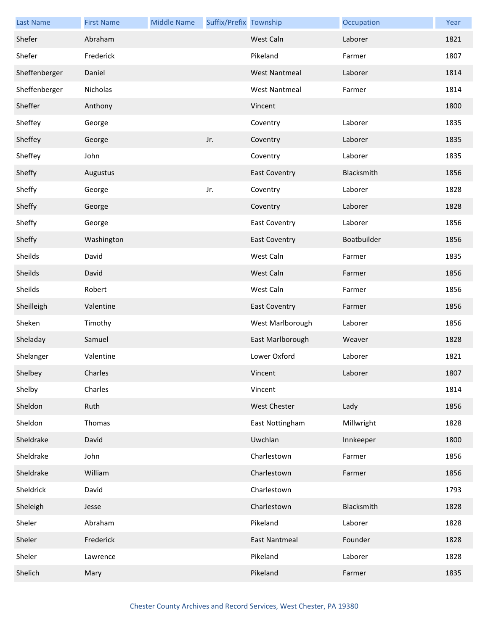| <b>Last Name</b> | <b>First Name</b> | <b>Middle Name</b> | Suffix/Prefix Township |                      | Occupation  | Year |
|------------------|-------------------|--------------------|------------------------|----------------------|-------------|------|
| Shefer           | Abraham           |                    |                        | West Caln            | Laborer     | 1821 |
| Shefer           | Frederick         |                    |                        | Pikeland             | Farmer      | 1807 |
| Sheffenberger    | Daniel            |                    |                        | <b>West Nantmeal</b> | Laborer     | 1814 |
| Sheffenberger    | Nicholas          |                    |                        | <b>West Nantmeal</b> | Farmer      | 1814 |
| Sheffer          | Anthony           |                    |                        | Vincent              |             | 1800 |
| Sheffey          | George            |                    |                        | Coventry             | Laborer     | 1835 |
| Sheffey          | George            |                    | Jr.                    | Coventry             | Laborer     | 1835 |
| Sheffey          | John              |                    |                        | Coventry             | Laborer     | 1835 |
| Sheffy           | Augustus          |                    |                        | <b>East Coventry</b> | Blacksmith  | 1856 |
| Sheffy           | George            |                    | Jr.                    | Coventry             | Laborer     | 1828 |
| Sheffy           | George            |                    |                        | Coventry             | Laborer     | 1828 |
| Sheffy           | George            |                    |                        | <b>East Coventry</b> | Laborer     | 1856 |
| Sheffy           | Washington        |                    |                        | <b>East Coventry</b> | Boatbuilder | 1856 |
| Sheilds          | David             |                    |                        | West Caln            | Farmer      | 1835 |
| Sheilds          | David             |                    |                        | West Caln            | Farmer      | 1856 |
| Sheilds          | Robert            |                    |                        | West Caln            | Farmer      | 1856 |
| Sheilleigh       | Valentine         |                    |                        | <b>East Coventry</b> | Farmer      | 1856 |
| Sheken           | Timothy           |                    |                        | West Marlborough     | Laborer     | 1856 |
| Sheladay         | Samuel            |                    |                        | East Marlborough     | Weaver      | 1828 |
| Shelanger        | Valentine         |                    |                        | Lower Oxford         | Laborer     | 1821 |
| Shelbey          | Charles           |                    |                        | Vincent              | Laborer     | 1807 |
| Shelby           | Charles           |                    |                        | Vincent              |             | 1814 |
| Sheldon          | Ruth              |                    |                        | West Chester         | Lady        | 1856 |
| Sheldon          | Thomas            |                    |                        | East Nottingham      | Millwright  | 1828 |
| Sheldrake        | David             |                    |                        | Uwchlan              | Innkeeper   | 1800 |
| Sheldrake        | John              |                    |                        | Charlestown          | Farmer      | 1856 |
| Sheldrake        | William           |                    |                        | Charlestown          | Farmer      | 1856 |
| Sheldrick        | David             |                    |                        | Charlestown          |             | 1793 |
| Sheleigh         | Jesse             |                    |                        | Charlestown          | Blacksmith  | 1828 |
| Sheler           | Abraham           |                    |                        | Pikeland             | Laborer     | 1828 |
| Sheler           | Frederick         |                    |                        | <b>East Nantmeal</b> | Founder     | 1828 |
| Sheler           | Lawrence          |                    |                        | Pikeland             | Laborer     | 1828 |
| Shelich          | Mary              |                    |                        | Pikeland             | Farmer      | 1835 |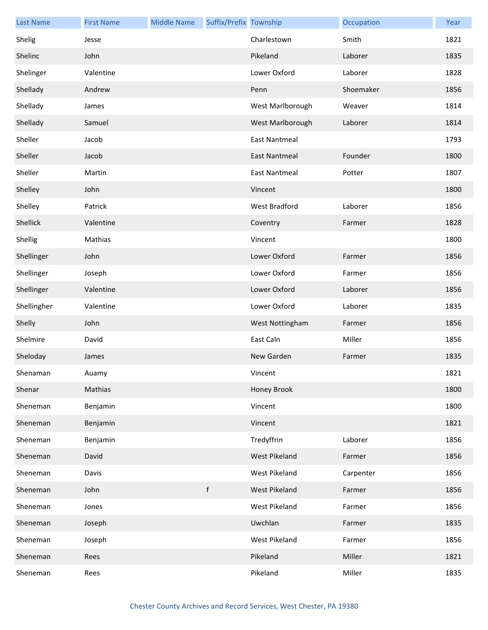| <b>Last Name</b> | <b>First Name</b> | <b>Middle Name</b> | Suffix/Prefix Township |                      | Occupation | Year |
|------------------|-------------------|--------------------|------------------------|----------------------|------------|------|
| Shelig           | Jesse             |                    |                        | Charlestown          | Smith      | 1821 |
| Shelinc          | John              |                    |                        | Pikeland             | Laborer    | 1835 |
| Shelinger        | Valentine         |                    |                        | Lower Oxford         | Laborer    | 1828 |
| Shellady         | Andrew            |                    |                        | Penn                 | Shoemaker  | 1856 |
| Shellady         | James             |                    |                        | West Marlborough     | Weaver     | 1814 |
| Shellady         | Samuel            |                    |                        | West Marlborough     | Laborer    | 1814 |
| Sheller          | Jacob             |                    |                        | <b>East Nantmeal</b> |            | 1793 |
| Sheller          | Jacob             |                    |                        | <b>East Nantmeal</b> | Founder    | 1800 |
| Sheller          | Martin            |                    |                        | <b>East Nantmeal</b> | Potter     | 1807 |
| Shelley          | John              |                    |                        | Vincent              |            | 1800 |
| Shelley          | Patrick           |                    |                        | West Bradford        | Laborer    | 1856 |
| Shellick         | Valentine         |                    |                        | Coventry             | Farmer     | 1828 |
| Shellig          | Mathias           |                    |                        | Vincent              |            | 1800 |
| Shellinger       | John              |                    |                        | Lower Oxford         | Farmer     | 1856 |
| Shellinger       | Joseph            |                    |                        | Lower Oxford         | Farmer     | 1856 |
| Shellinger       | Valentine         |                    |                        | Lower Oxford         | Laborer    | 1856 |
| Shellingher      | Valentine         |                    |                        | Lower Oxford         | Laborer    | 1835 |
| Shelly           | John              |                    |                        | West Nottingham      | Farmer     | 1856 |
| Shelmire         | David             |                    |                        | East Caln            | Miller     | 1856 |
| Sheloday         | James             |                    |                        | New Garden           | Farmer     | 1835 |
| Shenaman         | Auamy             |                    |                        | Vincent              |            | 1821 |
| Shenar           | Mathias           |                    |                        | Honey Brook          |            | 1800 |
| Sheneman         | Benjamin          |                    |                        | Vincent              |            | 1800 |
| Sheneman         | Benjamin          |                    |                        | Vincent              |            | 1821 |
| Sheneman         | Benjamin          |                    |                        | Tredyffrin           | Laborer    | 1856 |
| Sheneman         | David             |                    |                        | West Pikeland        | Farmer     | 1856 |
| Sheneman         | Davis             |                    |                        | West Pikeland        | Carpenter  | 1856 |
| Sheneman         | John              |                    | $\mathsf f$            | West Pikeland        | Farmer     | 1856 |
| Sheneman         | Jones             |                    |                        | West Pikeland        | Farmer     | 1856 |
| Sheneman         | Joseph            |                    |                        | Uwchlan              | Farmer     | 1835 |
| Sheneman         | Joseph            |                    |                        | West Pikeland        | Farmer     | 1856 |
| Sheneman         | Rees              |                    |                        | Pikeland             | Miller     | 1821 |
| Sheneman         | Rees              |                    |                        | Pikeland             | Miller     | 1835 |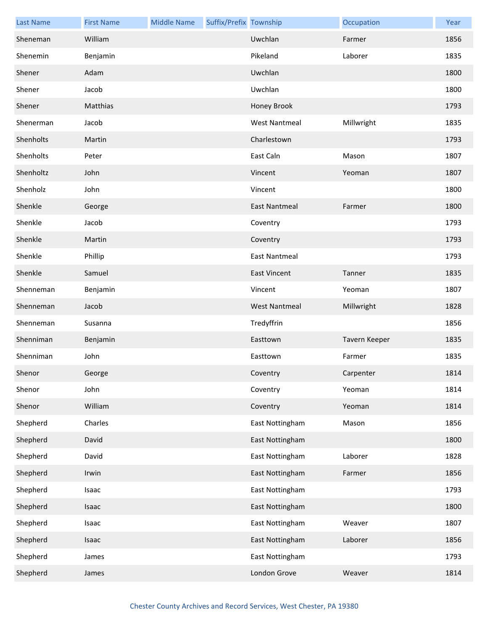| <b>Last Name</b> | <b>First Name</b> | <b>Middle Name</b> | Suffix/Prefix Township |                      | Occupation    | Year |
|------------------|-------------------|--------------------|------------------------|----------------------|---------------|------|
| Sheneman         | William           |                    |                        | Uwchlan              | Farmer        | 1856 |
| Shenemin         | Benjamin          |                    |                        | Pikeland             | Laborer       | 1835 |
| Shener           | Adam              |                    |                        | Uwchlan              |               | 1800 |
| Shener           | Jacob             |                    |                        | Uwchlan              |               | 1800 |
| Shener           | Matthias          |                    |                        | Honey Brook          |               | 1793 |
| Shenerman        | Jacob             |                    |                        | <b>West Nantmeal</b> | Millwright    | 1835 |
| Shenholts        | Martin            |                    |                        | Charlestown          |               | 1793 |
| Shenholts        | Peter             |                    |                        | East Caln            | Mason         | 1807 |
| Shenholtz        | John              |                    |                        | Vincent              | Yeoman        | 1807 |
| Shenholz         | John              |                    |                        | Vincent              |               | 1800 |
| Shenkle          | George            |                    |                        | <b>East Nantmeal</b> | Farmer        | 1800 |
| Shenkle          | Jacob             |                    |                        | Coventry             |               | 1793 |
| Shenkle          | Martin            |                    |                        | Coventry             |               | 1793 |
| Shenkle          | Phillip           |                    |                        | East Nantmeal        |               | 1793 |
| Shenkle          | Samuel            |                    |                        | <b>East Vincent</b>  | Tanner        | 1835 |
| Shenneman        | Benjamin          |                    |                        | Vincent              | Yeoman        | 1807 |
| Shenneman        | Jacob             |                    |                        | <b>West Nantmeal</b> | Millwright    | 1828 |
| Shenneman        | Susanna           |                    |                        | Tredyffrin           |               | 1856 |
| Shenniman        | Benjamin          |                    |                        | Easttown             | Tavern Keeper | 1835 |
| Shenniman        | John              |                    |                        | Easttown             | Farmer        | 1835 |
| Shenor           | George            |                    |                        | Coventry             | Carpenter     | 1814 |
| Shenor           | John              |                    |                        | Coventry             | Yeoman        | 1814 |
| Shenor           | William           |                    |                        | Coventry             | Yeoman        | 1814 |
| Shepherd         | Charles           |                    |                        | East Nottingham      | Mason         | 1856 |
| Shepherd         | David             |                    |                        | East Nottingham      |               | 1800 |
| Shepherd         | David             |                    |                        | East Nottingham      | Laborer       | 1828 |
| Shepherd         | Irwin             |                    |                        | East Nottingham      | Farmer        | 1856 |
| Shepherd         | Isaac             |                    |                        | East Nottingham      |               | 1793 |
| Shepherd         | Isaac             |                    |                        | East Nottingham      |               | 1800 |
| Shepherd         | Isaac             |                    |                        | East Nottingham      | Weaver        | 1807 |
| Shepherd         | Isaac             |                    |                        | East Nottingham      | Laborer       | 1856 |
| Shepherd         | James             |                    |                        | East Nottingham      |               | 1793 |
| Shepherd         | James             |                    |                        | London Grove         | Weaver        | 1814 |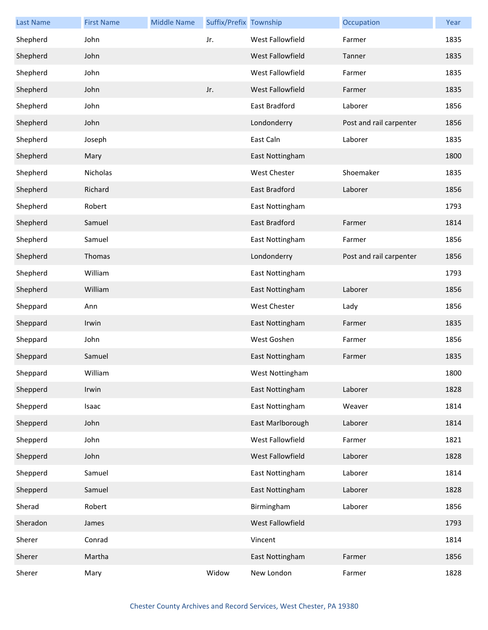| <b>Last Name</b> | <b>First Name</b> | <b>Middle Name</b> | Suffix/Prefix Township |                      | Occupation              | Year |
|------------------|-------------------|--------------------|------------------------|----------------------|-------------------------|------|
| Shepherd         | John              |                    | Jr.                    | West Fallowfield     | Farmer                  | 1835 |
| Shepherd         | John              |                    |                        | West Fallowfield     | Tanner                  | 1835 |
| Shepherd         | John              |                    |                        | West Fallowfield     | Farmer                  | 1835 |
| Shepherd         | John              |                    | Jr.                    | West Fallowfield     | Farmer                  | 1835 |
| Shepherd         | John              |                    |                        | East Bradford        | Laborer                 | 1856 |
| Shepherd         | John              |                    |                        | Londonderry          | Post and rail carpenter | 1856 |
| Shepherd         | Joseph            |                    |                        | East Caln            | Laborer                 | 1835 |
| Shepherd         | Mary              |                    |                        | East Nottingham      |                         | 1800 |
| Shepherd         | Nicholas          |                    |                        | <b>West Chester</b>  | Shoemaker               | 1835 |
| Shepherd         | Richard           |                    |                        | <b>East Bradford</b> | Laborer                 | 1856 |
| Shepherd         | Robert            |                    |                        | East Nottingham      |                         | 1793 |
| Shepherd         | Samuel            |                    |                        | East Bradford        | Farmer                  | 1814 |
| Shepherd         | Samuel            |                    |                        | East Nottingham      | Farmer                  | 1856 |
| Shepherd         | Thomas            |                    |                        | Londonderry          | Post and rail carpenter | 1856 |
| Shepherd         | William           |                    |                        | East Nottingham      |                         | 1793 |
| Shepherd         | William           |                    |                        | East Nottingham      | Laborer                 | 1856 |
| Sheppard         | Ann               |                    |                        | <b>West Chester</b>  | Lady                    | 1856 |
| Sheppard         | Irwin             |                    |                        | East Nottingham      | Farmer                  | 1835 |
| Sheppard         | John              |                    |                        | West Goshen          | Farmer                  | 1856 |
| Sheppard         | Samuel            |                    |                        | East Nottingham      | Farmer                  | 1835 |
| Sheppard         | William           |                    |                        | West Nottingham      |                         | 1800 |
| Shepperd         | Irwin             |                    |                        | East Nottingham      | Laborer                 | 1828 |
| Shepperd         | Isaac             |                    |                        | East Nottingham      | Weaver                  | 1814 |
| Shepperd         | John              |                    |                        | East Marlborough     | Laborer                 | 1814 |
| Shepperd         | John              |                    |                        | West Fallowfield     | Farmer                  | 1821 |
| Shepperd         | John              |                    |                        | West Fallowfield     | Laborer                 | 1828 |
| Shepperd         | Samuel            |                    |                        | East Nottingham      | Laborer                 | 1814 |
| Shepperd         | Samuel            |                    |                        | East Nottingham      | Laborer                 | 1828 |
| Sherad           | Robert            |                    |                        | Birmingham           | Laborer                 | 1856 |
| Sheradon         | James             |                    |                        | West Fallowfield     |                         | 1793 |
| Sherer           | Conrad            |                    |                        | Vincent              |                         | 1814 |
| Sherer           | Martha            |                    |                        | East Nottingham      | Farmer                  | 1856 |
| Sherer           | Mary              |                    | Widow                  | New London           | Farmer                  | 1828 |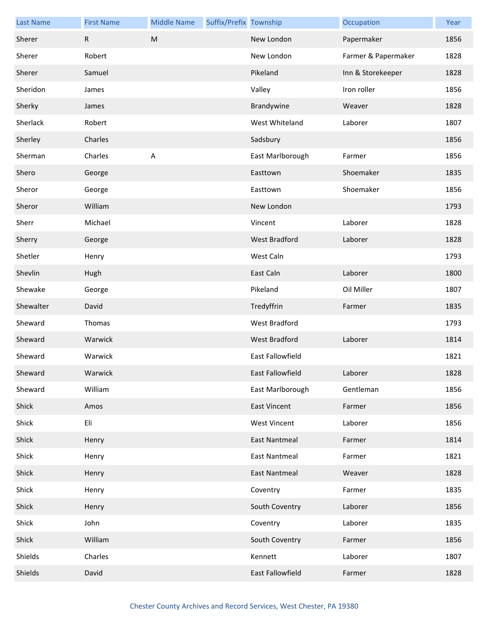| <b>Last Name</b> | <b>First Name</b> | <b>Middle Name</b> | Suffix/Prefix Township |                      | Occupation          | Year |
|------------------|-------------------|--------------------|------------------------|----------------------|---------------------|------|
| Sherer           | R                 | M                  |                        | New London           | Papermaker          | 1856 |
| Sherer           | Robert            |                    |                        | New London           | Farmer & Papermaker | 1828 |
| Sherer           | Samuel            |                    |                        | Pikeland             | Inn & Storekeeper   | 1828 |
| Sheridon         | James             |                    |                        | Valley               | Iron roller         | 1856 |
| Sherky           | James             |                    |                        | Brandywine           | Weaver              | 1828 |
| Sherlack         | Robert            |                    |                        | West Whiteland       | Laborer             | 1807 |
| Sherley          | Charles           |                    |                        | Sadsbury             |                     | 1856 |
| Sherman          | Charles           | $\sf A$            |                        | East Marlborough     | Farmer              | 1856 |
| Shero            | George            |                    |                        | Easttown             | Shoemaker           | 1835 |
| Sheror           | George            |                    |                        | Easttown             | Shoemaker           | 1856 |
| Sheror           | William           |                    |                        | New London           |                     | 1793 |
| Sherr            | Michael           |                    |                        | Vincent              | Laborer             | 1828 |
| Sherry           | George            |                    |                        | <b>West Bradford</b> | Laborer             | 1828 |
| Shetler          | Henry             |                    |                        | West Caln            |                     | 1793 |
| Shevlin          | Hugh              |                    |                        | East Caln            | Laborer             | 1800 |
| Shewake          | George            |                    |                        | Pikeland             | Oil Miller          | 1807 |
| Shewalter        | David             |                    |                        | Tredyffrin           | Farmer              | 1835 |
| Sheward          | Thomas            |                    |                        | West Bradford        |                     | 1793 |
| Sheward          | Warwick           |                    |                        | West Bradford        | Laborer             | 1814 |
| Sheward          | Warwick           |                    |                        | East Fallowfield     |                     | 1821 |
| Sheward          | Warwick           |                    |                        | East Fallowfield     | Laborer             | 1828 |
| Sheward          | William           |                    |                        | East Marlborough     | Gentleman           | 1856 |
| Shick            | Amos              |                    |                        | <b>East Vincent</b>  | Farmer              | 1856 |
| Shick            | Eli               |                    |                        | <b>West Vincent</b>  | Laborer             | 1856 |
| Shick            | Henry             |                    |                        | <b>East Nantmeal</b> | Farmer              | 1814 |
| Shick            | Henry             |                    |                        | <b>East Nantmeal</b> | Farmer              | 1821 |
| Shick            | Henry             |                    |                        | <b>East Nantmeal</b> | Weaver              | 1828 |
| Shick            | Henry             |                    |                        | Coventry             | Farmer              | 1835 |
| Shick            | Henry             |                    |                        | South Coventry       | Laborer             | 1856 |
| Shick            | John              |                    |                        | Coventry             | Laborer             | 1835 |
| Shick            | William           |                    |                        | South Coventry       | Farmer              | 1856 |
| Shields          | Charles           |                    |                        | Kennett              | Laborer             | 1807 |
| Shields          | David             |                    |                        | East Fallowfield     | Farmer              | 1828 |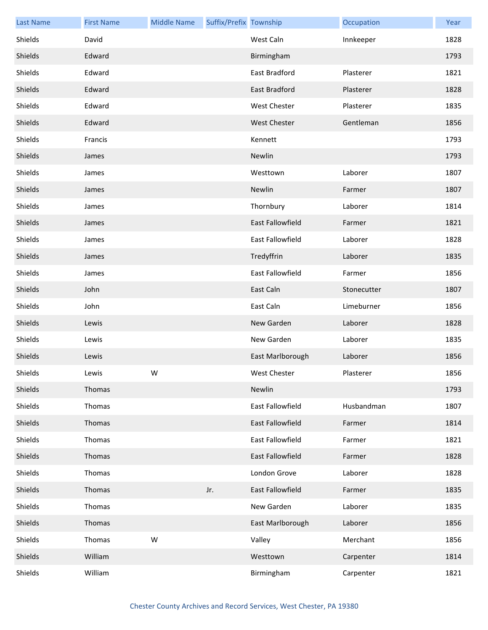| <b>Last Name</b> | <b>First Name</b> | <b>Middle Name</b> | Suffix/Prefix Township |                         | Occupation  | Year |
|------------------|-------------------|--------------------|------------------------|-------------------------|-------------|------|
| Shields          | David             |                    |                        | West Caln               | Innkeeper   | 1828 |
| Shields          | Edward            |                    |                        | Birmingham              |             | 1793 |
| Shields          | Edward            |                    |                        | East Bradford           | Plasterer   | 1821 |
| Shields          | Edward            |                    |                        | East Bradford           | Plasterer   | 1828 |
| Shields          | Edward            |                    |                        | <b>West Chester</b>     | Plasterer   | 1835 |
| Shields          | Edward            |                    |                        | <b>West Chester</b>     | Gentleman   | 1856 |
| Shields          | Francis           |                    |                        | Kennett                 |             | 1793 |
| Shields          | James             |                    |                        | Newlin                  |             | 1793 |
| Shields          | James             |                    |                        | Westtown                | Laborer     | 1807 |
| Shields          | James             |                    |                        | Newlin                  | Farmer      | 1807 |
| Shields          | James             |                    |                        | Thornbury               | Laborer     | 1814 |
| Shields          | James             |                    |                        | East Fallowfield        | Farmer      | 1821 |
| Shields          | James             |                    |                        | East Fallowfield        | Laborer     | 1828 |
| Shields          | James             |                    |                        | Tredyffrin              | Laborer     | 1835 |
| Shields          | James             |                    |                        | <b>East Fallowfield</b> | Farmer      | 1856 |
| Shields          | John              |                    |                        | East Caln               | Stonecutter | 1807 |
| Shields          | John              |                    |                        | East Caln               | Limeburner  | 1856 |
| Shields          | Lewis             |                    |                        | New Garden              | Laborer     | 1828 |
| Shields          | Lewis             |                    |                        | New Garden              | Laborer     | 1835 |
| Shields          | Lewis             |                    |                        | East Marlborough        | Laborer     | 1856 |
| Shields          | Lewis             | W                  |                        | West Chester            | Plasterer   | 1856 |
| Shields          | Thomas            |                    |                        | Newlin                  |             | 1793 |
| Shields          | Thomas            |                    |                        | East Fallowfield        | Husbandman  | 1807 |
| Shields          | Thomas            |                    |                        | East Fallowfield        | Farmer      | 1814 |
| Shields          | Thomas            |                    |                        | East Fallowfield        | Farmer      | 1821 |
| Shields          | Thomas            |                    |                        | East Fallowfield        | Farmer      | 1828 |
| Shields          | Thomas            |                    |                        | London Grove            | Laborer     | 1828 |
| Shields          | Thomas            |                    | Jr.                    | East Fallowfield        | Farmer      | 1835 |
| Shields          | Thomas            |                    |                        | New Garden              | Laborer     | 1835 |
| Shields          | Thomas            |                    |                        | East Marlborough        | Laborer     | 1856 |
| Shields          | Thomas            | W                  |                        | Valley                  | Merchant    | 1856 |
| Shields          | William           |                    |                        | Westtown                | Carpenter   | 1814 |
| Shields          | William           |                    |                        | Birmingham              | Carpenter   | 1821 |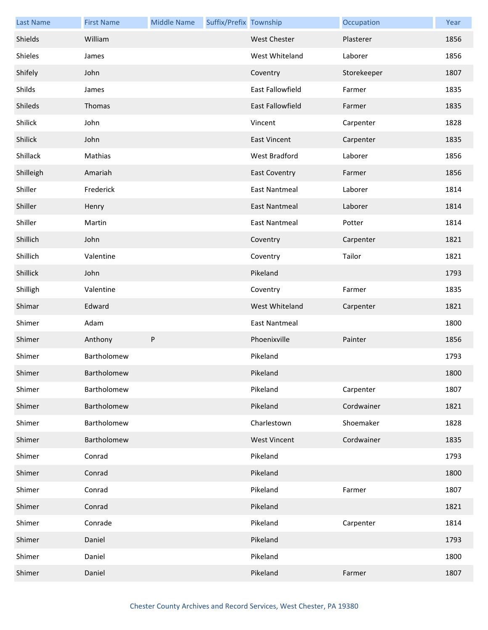| <b>Last Name</b> | <b>First Name</b> | <b>Middle Name</b> | Suffix/Prefix Township |                         | Occupation  | Year |
|------------------|-------------------|--------------------|------------------------|-------------------------|-------------|------|
| Shields          | William           |                    |                        | West Chester            | Plasterer   | 1856 |
| Shieles          | James             |                    |                        | West Whiteland          | Laborer     | 1856 |
| Shifely          | John              |                    |                        | Coventry                | Storekeeper | 1807 |
| Shilds           | James             |                    |                        | <b>East Fallowfield</b> | Farmer      | 1835 |
| Shileds          | Thomas            |                    |                        | <b>East Fallowfield</b> | Farmer      | 1835 |
| Shilick          | John              |                    |                        | Vincent                 | Carpenter   | 1828 |
| Shilick          | John              |                    |                        | <b>East Vincent</b>     | Carpenter   | 1835 |
| Shillack         | Mathias           |                    |                        | West Bradford           | Laborer     | 1856 |
| Shilleigh        | Amariah           |                    |                        | <b>East Coventry</b>    | Farmer      | 1856 |
| Shiller          | Frederick         |                    |                        | <b>East Nantmeal</b>    | Laborer     | 1814 |
| Shiller          | Henry             |                    |                        | <b>East Nantmeal</b>    | Laborer     | 1814 |
| Shiller          | Martin            |                    |                        | <b>East Nantmeal</b>    | Potter      | 1814 |
| Shillich         | John              |                    |                        | Coventry                | Carpenter   | 1821 |
| Shillich         | Valentine         |                    |                        | Coventry                | Tailor      | 1821 |
| Shillick         | John              |                    |                        | Pikeland                |             | 1793 |
| Shilligh         | Valentine         |                    |                        | Coventry                | Farmer      | 1835 |
| Shimar           | Edward            |                    |                        | West Whiteland          | Carpenter   | 1821 |
| Shimer           | Adam              |                    |                        | East Nantmeal           |             | 1800 |
| Shimer           | Anthony           | ${\sf P}$          |                        | Phoenixville            | Painter     | 1856 |
| Shimer           | Bartholomew       |                    |                        | Pikeland                |             | 1793 |
| Shimer           | Bartholomew       |                    |                        | Pikeland                |             | 1800 |
| Shimer           | Bartholomew       |                    |                        | Pikeland                | Carpenter   | 1807 |
| Shimer           | Bartholomew       |                    |                        | Pikeland                | Cordwainer  | 1821 |
| Shimer           | Bartholomew       |                    |                        | Charlestown             | Shoemaker   | 1828 |
| Shimer           | Bartholomew       |                    |                        | <b>West Vincent</b>     | Cordwainer  | 1835 |
| Shimer           | Conrad            |                    |                        | Pikeland                |             | 1793 |
| Shimer           | Conrad            |                    |                        | Pikeland                |             | 1800 |
| Shimer           | Conrad            |                    |                        | Pikeland                | Farmer      | 1807 |
| Shimer           | Conrad            |                    |                        | Pikeland                |             | 1821 |
| Shimer           | Conrade           |                    |                        | Pikeland                | Carpenter   | 1814 |
| Shimer           | Daniel            |                    |                        | Pikeland                |             | 1793 |
| Shimer           | Daniel            |                    |                        | Pikeland                |             | 1800 |
| Shimer           | Daniel            |                    |                        | Pikeland                | Farmer      | 1807 |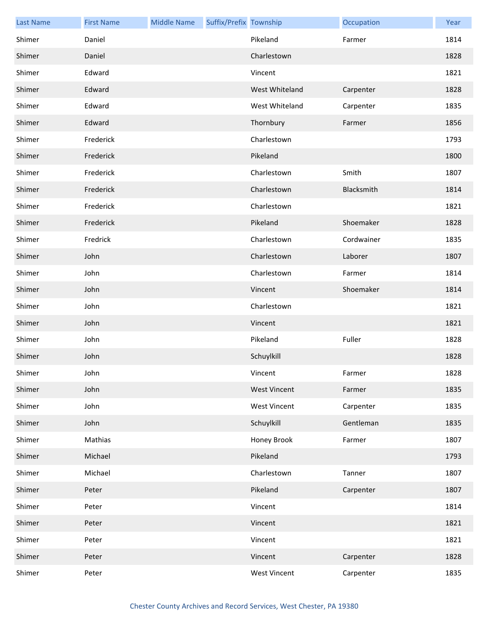| <b>Last Name</b> | <b>First Name</b> | <b>Middle Name</b> | Suffix/Prefix Township |                     | Occupation | Year |
|------------------|-------------------|--------------------|------------------------|---------------------|------------|------|
| Shimer           | Daniel            |                    |                        | Pikeland            | Farmer     | 1814 |
| Shimer           | Daniel            |                    |                        | Charlestown         |            | 1828 |
| Shimer           | Edward            |                    |                        | Vincent             |            | 1821 |
| Shimer           | Edward            |                    |                        | West Whiteland      | Carpenter  | 1828 |
| Shimer           | Edward            |                    |                        | West Whiteland      | Carpenter  | 1835 |
| Shimer           | Edward            |                    |                        | Thornbury           | Farmer     | 1856 |
| Shimer           | Frederick         |                    |                        | Charlestown         |            | 1793 |
| Shimer           | Frederick         |                    |                        | Pikeland            |            | 1800 |
| Shimer           | Frederick         |                    |                        | Charlestown         | Smith      | 1807 |
| Shimer           | Frederick         |                    |                        | Charlestown         | Blacksmith | 1814 |
| Shimer           | Frederick         |                    |                        | Charlestown         |            | 1821 |
| Shimer           | Frederick         |                    |                        | Pikeland            | Shoemaker  | 1828 |
| Shimer           | Fredrick          |                    |                        | Charlestown         | Cordwainer | 1835 |
| Shimer           | John              |                    |                        | Charlestown         | Laborer    | 1807 |
| Shimer           | John              |                    |                        | Charlestown         | Farmer     | 1814 |
| Shimer           | John              |                    |                        | Vincent             | Shoemaker  | 1814 |
| Shimer           | John              |                    |                        | Charlestown         |            | 1821 |
| Shimer           | John              |                    |                        | Vincent             |            | 1821 |
| Shimer           | John              |                    |                        | Pikeland            | Fuller     | 1828 |
| Shimer           | John              |                    |                        | Schuylkill          |            | 1828 |
| Shimer           | John              |                    |                        | Vincent             | Farmer     | 1828 |
| Shimer           | John              |                    |                        | <b>West Vincent</b> | Farmer     | 1835 |
| Shimer           | John              |                    |                        | <b>West Vincent</b> | Carpenter  | 1835 |
| Shimer           | John              |                    |                        | Schuylkill          | Gentleman  | 1835 |
| Shimer           | Mathias           |                    |                        | Honey Brook         | Farmer     | 1807 |
| Shimer           | Michael           |                    |                        | Pikeland            |            | 1793 |
| Shimer           | Michael           |                    |                        | Charlestown         | Tanner     | 1807 |
| Shimer           | Peter             |                    |                        | Pikeland            | Carpenter  | 1807 |
| Shimer           | Peter             |                    |                        | Vincent             |            | 1814 |
| Shimer           | Peter             |                    |                        | Vincent             |            | 1821 |
| Shimer           | Peter             |                    |                        | Vincent             |            | 1821 |
| Shimer           | Peter             |                    |                        | Vincent             | Carpenter  | 1828 |
| Shimer           | Peter             |                    |                        | <b>West Vincent</b> | Carpenter  | 1835 |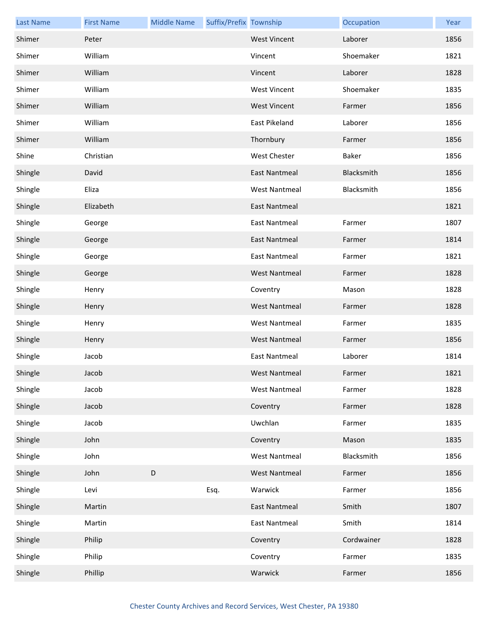| <b>Last Name</b> | <b>First Name</b> | <b>Middle Name</b> | Suffix/Prefix Township |                      | Occupation | Year |
|------------------|-------------------|--------------------|------------------------|----------------------|------------|------|
| Shimer           | Peter             |                    |                        | <b>West Vincent</b>  | Laborer    | 1856 |
| Shimer           | William           |                    |                        | Vincent              | Shoemaker  | 1821 |
| Shimer           | William           |                    |                        | Vincent              | Laborer    | 1828 |
| Shimer           | William           |                    |                        | <b>West Vincent</b>  | Shoemaker  | 1835 |
| Shimer           | William           |                    |                        | <b>West Vincent</b>  | Farmer     | 1856 |
| Shimer           | William           |                    |                        | East Pikeland        | Laborer    | 1856 |
| Shimer           | William           |                    |                        | Thornbury            | Farmer     | 1856 |
| Shine            | Christian         |                    |                        | <b>West Chester</b>  | Baker      | 1856 |
| Shingle          | David             |                    |                        | East Nantmeal        | Blacksmith | 1856 |
| Shingle          | Eliza             |                    |                        | <b>West Nantmeal</b> | Blacksmith | 1856 |
| Shingle          | Elizabeth         |                    |                        | <b>East Nantmeal</b> |            | 1821 |
| Shingle          | George            |                    |                        | <b>East Nantmeal</b> | Farmer     | 1807 |
| Shingle          | George            |                    |                        | East Nantmeal        | Farmer     | 1814 |
| Shingle          | George            |                    |                        | <b>East Nantmeal</b> | Farmer     | 1821 |
| Shingle          | George            |                    |                        | <b>West Nantmeal</b> | Farmer     | 1828 |
| Shingle          | Henry             |                    |                        | Coventry             | Mason      | 1828 |
| Shingle          | Henry             |                    |                        | <b>West Nantmeal</b> | Farmer     | 1828 |
| Shingle          | Henry             |                    |                        | <b>West Nantmeal</b> | Farmer     | 1835 |
| Shingle          | Henry             |                    |                        | <b>West Nantmeal</b> | Farmer     | 1856 |
| Shingle          | Jacob             |                    |                        | <b>East Nantmeal</b> | Laborer    | 1814 |
| Shingle          | Jacob             |                    |                        | West Nantmeal        | Farmer     | 1821 |
| Shingle          | Jacob             |                    |                        | <b>West Nantmeal</b> | Farmer     | 1828 |
| Shingle          | Jacob             |                    |                        | Coventry             | Farmer     | 1828 |
| Shingle          | Jacob             |                    |                        | Uwchlan              | Farmer     | 1835 |
| Shingle          | John              |                    |                        | Coventry             | Mason      | 1835 |
| Shingle          | John              |                    |                        | <b>West Nantmeal</b> | Blacksmith | 1856 |
| Shingle          | John              | $\mathsf D$        |                        | <b>West Nantmeal</b> | Farmer     | 1856 |
| Shingle          | Levi              |                    | Esq.                   | Warwick              | Farmer     | 1856 |
| Shingle          | Martin            |                    |                        | <b>East Nantmeal</b> | Smith      | 1807 |
| Shingle          | Martin            |                    |                        | <b>East Nantmeal</b> | Smith      | 1814 |
| Shingle          | Philip            |                    |                        | Coventry             | Cordwainer | 1828 |
| Shingle          | Philip            |                    |                        | Coventry             | Farmer     | 1835 |
| Shingle          | Phillip           |                    |                        | Warwick              | Farmer     | 1856 |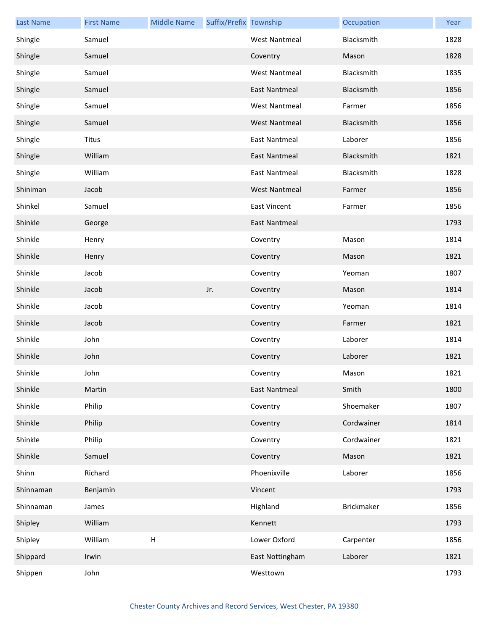| <b>Last Name</b> | <b>First Name</b> | <b>Middle Name</b>        | Suffix/Prefix Township |                      | Occupation | Year |
|------------------|-------------------|---------------------------|------------------------|----------------------|------------|------|
| Shingle          | Samuel            |                           |                        | <b>West Nantmeal</b> | Blacksmith | 1828 |
| Shingle          | Samuel            |                           |                        | Coventry             | Mason      | 1828 |
| Shingle          | Samuel            |                           |                        | <b>West Nantmeal</b> | Blacksmith | 1835 |
| Shingle          | Samuel            |                           |                        | <b>East Nantmeal</b> | Blacksmith | 1856 |
| Shingle          | Samuel            |                           |                        | <b>West Nantmeal</b> | Farmer     | 1856 |
| Shingle          | Samuel            |                           |                        | <b>West Nantmeal</b> | Blacksmith | 1856 |
| Shingle          | <b>Titus</b>      |                           |                        | <b>East Nantmeal</b> | Laborer    | 1856 |
| Shingle          | William           |                           |                        | East Nantmeal        | Blacksmith | 1821 |
| Shingle          | William           |                           |                        | <b>East Nantmeal</b> | Blacksmith | 1828 |
| Shiniman         | Jacob             |                           |                        | <b>West Nantmeal</b> | Farmer     | 1856 |
| Shinkel          | Samuel            |                           |                        | <b>East Vincent</b>  | Farmer     | 1856 |
| Shinkle          | George            |                           |                        | East Nantmeal        |            | 1793 |
| Shinkle          | Henry             |                           |                        | Coventry             | Mason      | 1814 |
| Shinkle          | Henry             |                           |                        | Coventry             | Mason      | 1821 |
| Shinkle          | Jacob             |                           |                        | Coventry             | Yeoman     | 1807 |
| Shinkle          | Jacob             |                           | Jr.                    | Coventry             | Mason      | 1814 |
| Shinkle          | Jacob             |                           |                        | Coventry             | Yeoman     | 1814 |
| Shinkle          | Jacob             |                           |                        | Coventry             | Farmer     | 1821 |
| Shinkle          | John              |                           |                        | Coventry             | Laborer    | 1814 |
| Shinkle          | John              |                           |                        | Coventry             | Laborer    | 1821 |
| Shinkle          | John              |                           |                        | Coventry             | Mason      | 1821 |
| Shinkle          | Martin            |                           |                        | <b>East Nantmeal</b> | Smith      | 1800 |
| Shinkle          | Philip            |                           |                        | Coventry             | Shoemaker  | 1807 |
| Shinkle          | Philip            |                           |                        | Coventry             | Cordwainer | 1814 |
| Shinkle          | Philip            |                           |                        | Coventry             | Cordwainer | 1821 |
| Shinkle          | Samuel            |                           |                        | Coventry             | Mason      | 1821 |
| Shinn            | Richard           |                           |                        | Phoenixville         | Laborer    | 1856 |
| Shinnaman        | Benjamin          |                           |                        | Vincent              |            | 1793 |
| Shinnaman        | James             |                           |                        | Highland             | Brickmaker | 1856 |
| Shipley          | William           |                           |                        | Kennett              |            | 1793 |
| Shipley          | William           | $\boldsymbol{\mathsf{H}}$ |                        | Lower Oxford         | Carpenter  | 1856 |
| Shippard         | Irwin             |                           |                        | East Nottingham      | Laborer    | 1821 |
| Shippen          | John              |                           |                        | Westtown             |            | 1793 |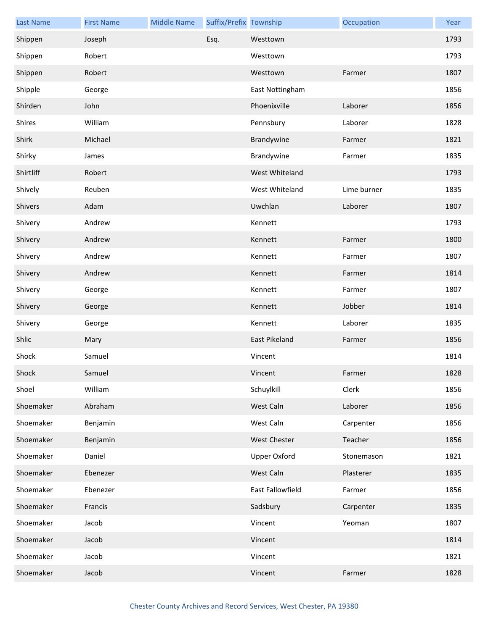| <b>Last Name</b> | <b>First Name</b> | <b>Middle Name</b> | Suffix/Prefix Township |                     | Occupation  | Year |
|------------------|-------------------|--------------------|------------------------|---------------------|-------------|------|
| Shippen          | Joseph            |                    | Esq.                   | Westtown            |             | 1793 |
| Shippen          | Robert            |                    |                        | Westtown            |             | 1793 |
| Shippen          | Robert            |                    |                        | Westtown            | Farmer      | 1807 |
| Shipple          | George            |                    |                        | East Nottingham     |             | 1856 |
| Shirden          | John              |                    |                        | Phoenixville        | Laborer     | 1856 |
| Shires           | William           |                    |                        | Pennsbury           | Laborer     | 1828 |
| Shirk            | Michael           |                    |                        | Brandywine          | Farmer      | 1821 |
| Shirky           | James             |                    |                        | Brandywine          | Farmer      | 1835 |
| Shirtliff        | Robert            |                    |                        | West Whiteland      |             | 1793 |
| Shively          | Reuben            |                    |                        | West Whiteland      | Lime burner | 1835 |
| Shivers          | Adam              |                    |                        | Uwchlan             | Laborer     | 1807 |
| Shivery          | Andrew            |                    |                        | Kennett             |             | 1793 |
| Shivery          | Andrew            |                    |                        | Kennett             | Farmer      | 1800 |
| Shivery          | Andrew            |                    |                        | Kennett             | Farmer      | 1807 |
| Shivery          | Andrew            |                    |                        | Kennett             | Farmer      | 1814 |
| Shivery          | George            |                    |                        | Kennett             | Farmer      | 1807 |
| Shivery          | George            |                    |                        | Kennett             | Jobber      | 1814 |
| Shivery          | George            |                    |                        | Kennett             | Laborer     | 1835 |
| Shlic            | Mary              |                    |                        | East Pikeland       | Farmer      | 1856 |
| Shock            | Samuel            |                    |                        | Vincent             |             | 1814 |
| Shock            | Samuel            |                    |                        | Vincent             | Farmer      | 1828 |
| Shoel            | William           |                    |                        | Schuylkill          | Clerk       | 1856 |
| Shoemaker        | Abraham           |                    |                        | West Caln           | Laborer     | 1856 |
| Shoemaker        | Benjamin          |                    |                        | West Caln           | Carpenter   | 1856 |
| Shoemaker        | Benjamin          |                    |                        | West Chester        | Teacher     | 1856 |
| Shoemaker        | Daniel            |                    |                        | <b>Upper Oxford</b> | Stonemason  | 1821 |
| Shoemaker        | Ebenezer          |                    |                        | West Caln           | Plasterer   | 1835 |
| Shoemaker        | Ebenezer          |                    |                        | East Fallowfield    | Farmer      | 1856 |
| Shoemaker        | Francis           |                    |                        | Sadsbury            | Carpenter   | 1835 |
| Shoemaker        | Jacob             |                    |                        | Vincent             | Yeoman      | 1807 |
| Shoemaker        | Jacob             |                    |                        | Vincent             |             | 1814 |
| Shoemaker        | Jacob             |                    |                        | Vincent             |             | 1821 |
| Shoemaker        | Jacob             |                    |                        | Vincent             | Farmer      | 1828 |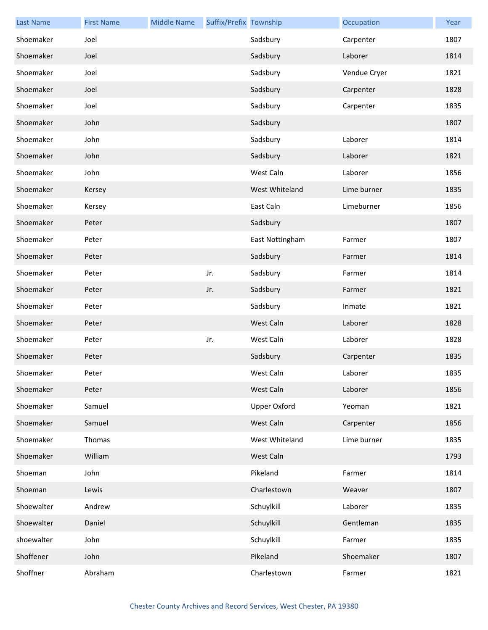| <b>Last Name</b> | <b>First Name</b> | <b>Middle Name</b> | Suffix/Prefix Township |                 | Occupation   | Year |
|------------------|-------------------|--------------------|------------------------|-----------------|--------------|------|
| Shoemaker        | Joel              |                    |                        | Sadsbury        | Carpenter    | 1807 |
| Shoemaker        | Joel              |                    |                        | Sadsbury        | Laborer      | 1814 |
| Shoemaker        | Joel              |                    |                        | Sadsbury        | Vendue Cryer | 1821 |
| Shoemaker        | Joel              |                    |                        | Sadsbury        | Carpenter    | 1828 |
| Shoemaker        | Joel              |                    |                        | Sadsbury        | Carpenter    | 1835 |
| Shoemaker        | John              |                    |                        | Sadsbury        |              | 1807 |
| Shoemaker        | John              |                    |                        | Sadsbury        | Laborer      | 1814 |
| Shoemaker        | John              |                    |                        | Sadsbury        | Laborer      | 1821 |
| Shoemaker        | John              |                    |                        | West Caln       | Laborer      | 1856 |
| Shoemaker        | Kersey            |                    |                        | West Whiteland  | Lime burner  | 1835 |
| Shoemaker        | Kersey            |                    |                        | East Caln       | Limeburner   | 1856 |
| Shoemaker        | Peter             |                    |                        | Sadsbury        |              | 1807 |
| Shoemaker        | Peter             |                    |                        | East Nottingham | Farmer       | 1807 |
| Shoemaker        | Peter             |                    |                        | Sadsbury        | Farmer       | 1814 |
| Shoemaker        | Peter             |                    | Jr.                    | Sadsbury        | Farmer       | 1814 |
| Shoemaker        | Peter             |                    | Jr.                    | Sadsbury        | Farmer       | 1821 |
| Shoemaker        | Peter             |                    |                        | Sadsbury        | Inmate       | 1821 |
| Shoemaker        | Peter             |                    |                        | West Caln       | Laborer      | 1828 |
| Shoemaker        | Peter             |                    | Jr.                    | West Caln       | Laborer      | 1828 |
| Shoemaker        | Peter             |                    |                        | Sadsbury        | Carpenter    | 1835 |
| Shoemaker        | Peter             |                    |                        | West Caln       | Laborer      | 1835 |
| Shoemaker        | Peter             |                    |                        | West Caln       | Laborer      | 1856 |
| Shoemaker        | Samuel            |                    |                        | Upper Oxford    | Yeoman       | 1821 |
| Shoemaker        | Samuel            |                    |                        | West Caln       | Carpenter    | 1856 |
| Shoemaker        | Thomas            |                    |                        | West Whiteland  | Lime burner  | 1835 |
| Shoemaker        | William           |                    |                        | West Caln       |              | 1793 |
| Shoeman          | John              |                    |                        | Pikeland        | Farmer       | 1814 |
| Shoeman          | Lewis             |                    |                        | Charlestown     | Weaver       | 1807 |
| Shoewalter       | Andrew            |                    |                        | Schuylkill      | Laborer      | 1835 |
| Shoewalter       | Daniel            |                    |                        | Schuylkill      | Gentleman    | 1835 |
| shoewalter       | John              |                    |                        | Schuylkill      | Farmer       | 1835 |
| Shoffener        | John              |                    |                        | Pikeland        | Shoemaker    | 1807 |
| Shoffner         | Abraham           |                    |                        | Charlestown     | Farmer       | 1821 |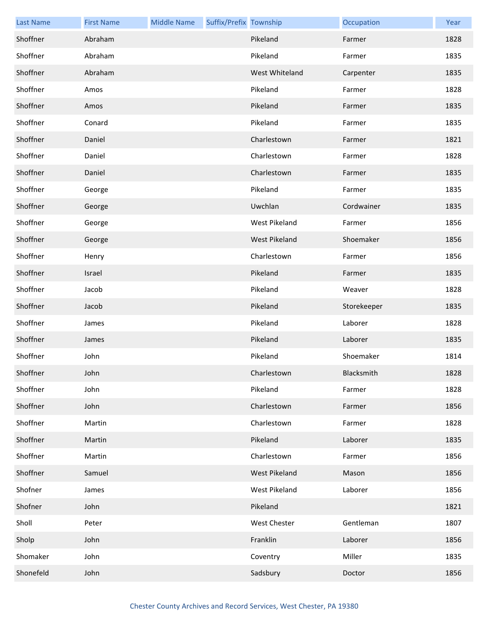| <b>Last Name</b> | <b>First Name</b> | <b>Middle Name</b> | Suffix/Prefix Township |                | Occupation  | Year |
|------------------|-------------------|--------------------|------------------------|----------------|-------------|------|
| Shoffner         | Abraham           |                    |                        | Pikeland       | Farmer      | 1828 |
| Shoffner         | Abraham           |                    |                        | Pikeland       | Farmer      | 1835 |
| Shoffner         | Abraham           |                    |                        | West Whiteland | Carpenter   | 1835 |
| Shoffner         | Amos              |                    |                        | Pikeland       | Farmer      | 1828 |
| Shoffner         | Amos              |                    |                        | Pikeland       | Farmer      | 1835 |
| Shoffner         | Conard            |                    |                        | Pikeland       | Farmer      | 1835 |
| Shoffner         | Daniel            |                    |                        | Charlestown    | Farmer      | 1821 |
| Shoffner         | Daniel            |                    |                        | Charlestown    | Farmer      | 1828 |
| Shoffner         | Daniel            |                    |                        | Charlestown    | Farmer      | 1835 |
| Shoffner         | George            |                    |                        | Pikeland       | Farmer      | 1835 |
| Shoffner         | George            |                    |                        | Uwchlan        | Cordwainer  | 1835 |
| Shoffner         | George            |                    |                        | West Pikeland  | Farmer      | 1856 |
| Shoffner         | George            |                    |                        | West Pikeland  | Shoemaker   | 1856 |
| Shoffner         | Henry             |                    |                        | Charlestown    | Farmer      | 1856 |
| Shoffner         | Israel            |                    |                        | Pikeland       | Farmer      | 1835 |
| Shoffner         | Jacob             |                    |                        | Pikeland       | Weaver      | 1828 |
| Shoffner         | Jacob             |                    |                        | Pikeland       | Storekeeper | 1835 |
| Shoffner         | James             |                    |                        | Pikeland       | Laborer     | 1828 |
| Shoffner         | James             |                    |                        | Pikeland       | Laborer     | 1835 |
| Shoffner         | John              |                    |                        | Pikeland       | Shoemaker   | 1814 |
| Shoffner         | John              |                    |                        | Charlestown    | Blacksmith  | 1828 |
| Shoffner         | John              |                    |                        | Pikeland       | Farmer      | 1828 |
| Shoffner         | John              |                    |                        | Charlestown    | Farmer      | 1856 |
| Shoffner         | Martin            |                    |                        | Charlestown    | Farmer      | 1828 |
| Shoffner         | Martin            |                    |                        | Pikeland       | Laborer     | 1835 |
| Shoffner         | Martin            |                    |                        | Charlestown    | Farmer      | 1856 |
| Shoffner         | Samuel            |                    |                        | West Pikeland  | Mason       | 1856 |
| Shofner          | James             |                    |                        | West Pikeland  | Laborer     | 1856 |
| Shofner          | John              |                    |                        | Pikeland       |             | 1821 |
| Sholl            | Peter             |                    |                        | West Chester   | Gentleman   | 1807 |
| Sholp            | John              |                    |                        | Franklin       | Laborer     | 1856 |
| Shomaker         | John              |                    |                        | Coventry       | Miller      | 1835 |
| Shonefeld        | John              |                    |                        | Sadsbury       | Doctor      | 1856 |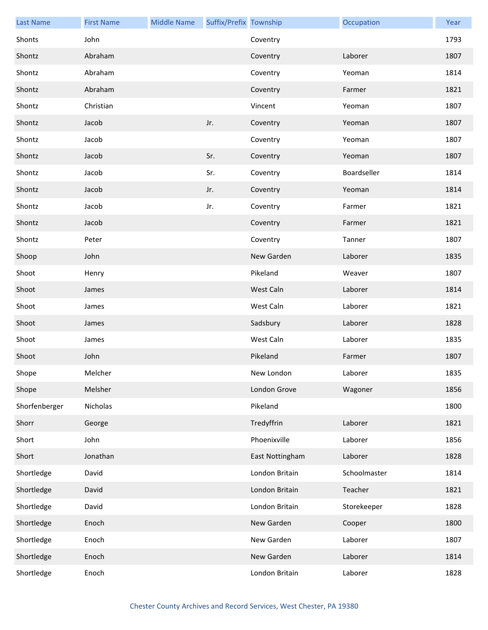| <b>Last Name</b> | <b>First Name</b> | <b>Middle Name</b> | Suffix/Prefix Township |                 | Occupation   | Year |
|------------------|-------------------|--------------------|------------------------|-----------------|--------------|------|
| Shonts           | John              |                    |                        | Coventry        |              | 1793 |
| Shontz           | Abraham           |                    |                        | Coventry        | Laborer      | 1807 |
| Shontz           | Abraham           |                    |                        | Coventry        | Yeoman       | 1814 |
| Shontz           | Abraham           |                    |                        | Coventry        | Farmer       | 1821 |
| Shontz           | Christian         |                    |                        | Vincent         | Yeoman       | 1807 |
| Shontz           | Jacob             |                    | Jr.                    | Coventry        | Yeoman       | 1807 |
| Shontz           | Jacob             |                    |                        | Coventry        | Yeoman       | 1807 |
| Shontz           | Jacob             |                    | Sr.                    | Coventry        | Yeoman       | 1807 |
| Shontz           | Jacob             |                    | Sr.                    | Coventry        | Boardseller  | 1814 |
| Shontz           | Jacob             |                    | Jr.                    | Coventry        | Yeoman       | 1814 |
| Shontz           | Jacob             |                    | Jr.                    | Coventry        | Farmer       | 1821 |
| Shontz           | Jacob             |                    |                        | Coventry        | Farmer       | 1821 |
| Shontz           | Peter             |                    |                        | Coventry        | Tanner       | 1807 |
| Shoop            | John              |                    |                        | New Garden      | Laborer      | 1835 |
| Shoot            | Henry             |                    |                        | Pikeland        | Weaver       | 1807 |
| Shoot            | James             |                    |                        | West Caln       | Laborer      | 1814 |
| Shoot            | James             |                    |                        | West Caln       | Laborer      | 1821 |
| Shoot            | James             |                    |                        | Sadsbury        | Laborer      | 1828 |
| Shoot            | James             |                    |                        | West Caln       | Laborer      | 1835 |
| Shoot            | John              |                    |                        | Pikeland        | Farmer       | 1807 |
| Shope            | Melcher           |                    |                        | New London      | Laborer      | 1835 |
| Shope            | Melsher           |                    |                        | London Grove    | Wagoner      | 1856 |
| Shorfenberger    | Nicholas          |                    |                        | Pikeland        |              | 1800 |
| Shorr            | George            |                    |                        | Tredyffrin      | Laborer      | 1821 |
| Short            | John              |                    |                        | Phoenixville    | Laborer      | 1856 |
| Short            | Jonathan          |                    |                        | East Nottingham | Laborer      | 1828 |
| Shortledge       | David             |                    |                        | London Britain  | Schoolmaster | 1814 |
| Shortledge       | David             |                    |                        | London Britain  | Teacher      | 1821 |
| Shortledge       | David             |                    |                        | London Britain  | Storekeeper  | 1828 |
| Shortledge       | Enoch             |                    |                        | New Garden      | Cooper       | 1800 |
| Shortledge       | Enoch             |                    |                        | New Garden      | Laborer      | 1807 |
| Shortledge       | Enoch             |                    |                        | New Garden      | Laborer      | 1814 |
| Shortledge       | Enoch             |                    |                        | London Britain  | Laborer      | 1828 |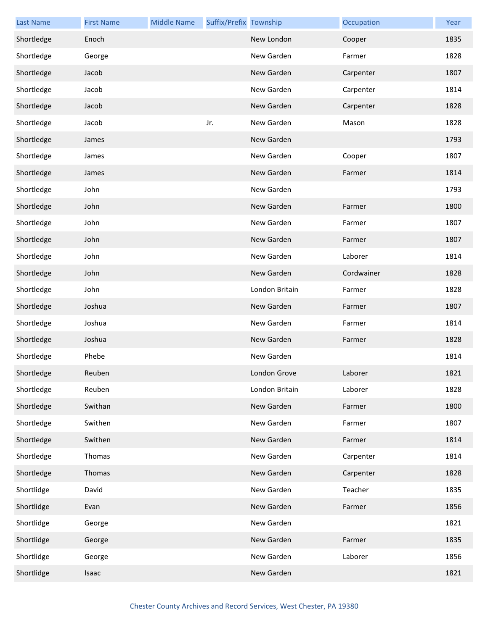| <b>Last Name</b> | <b>First Name</b> | <b>Middle Name</b> | Suffix/Prefix Township |                | Occupation | Year |
|------------------|-------------------|--------------------|------------------------|----------------|------------|------|
| Shortledge       | Enoch             |                    |                        | New London     | Cooper     | 1835 |
| Shortledge       | George            |                    |                        | New Garden     | Farmer     | 1828 |
| Shortledge       | Jacob             |                    |                        | New Garden     | Carpenter  | 1807 |
| Shortledge       | Jacob             |                    |                        | New Garden     | Carpenter  | 1814 |
| Shortledge       | Jacob             |                    |                        | New Garden     | Carpenter  | 1828 |
| Shortledge       | Jacob             |                    | Jr.                    | New Garden     | Mason      | 1828 |
| Shortledge       | James             |                    |                        | New Garden     |            | 1793 |
| Shortledge       | James             |                    |                        | New Garden     | Cooper     | 1807 |
| Shortledge       | James             |                    |                        | New Garden     | Farmer     | 1814 |
| Shortledge       | John              |                    |                        | New Garden     |            | 1793 |
| Shortledge       | John              |                    |                        | New Garden     | Farmer     | 1800 |
| Shortledge       | John              |                    |                        | New Garden     | Farmer     | 1807 |
| Shortledge       | John              |                    |                        | New Garden     | Farmer     | 1807 |
| Shortledge       | John              |                    |                        | New Garden     | Laborer    | 1814 |
| Shortledge       | John              |                    |                        | New Garden     | Cordwainer | 1828 |
| Shortledge       | John              |                    |                        | London Britain | Farmer     | 1828 |
| Shortledge       | Joshua            |                    |                        | New Garden     | Farmer     | 1807 |
| Shortledge       | Joshua            |                    |                        | New Garden     | Farmer     | 1814 |
| Shortledge       | Joshua            |                    |                        | New Garden     | Farmer     | 1828 |
| Shortledge       | Phebe             |                    |                        | New Garden     |            | 1814 |
| Shortledge       | Reuben            |                    |                        | London Grove   | Laborer    | 1821 |
| Shortledge       | Reuben            |                    |                        | London Britain | Laborer    | 1828 |
| Shortledge       | Swithan           |                    |                        | New Garden     | Farmer     | 1800 |
| Shortledge       | Swithen           |                    |                        | New Garden     | Farmer     | 1807 |
| Shortledge       | Swithen           |                    |                        | New Garden     | Farmer     | 1814 |
| Shortledge       | Thomas            |                    |                        | New Garden     | Carpenter  | 1814 |
| Shortledge       | Thomas            |                    |                        | New Garden     | Carpenter  | 1828 |
| Shortlidge       | David             |                    |                        | New Garden     | Teacher    | 1835 |
| Shortlidge       | Evan              |                    |                        | New Garden     | Farmer     | 1856 |
| Shortlidge       | George            |                    |                        | New Garden     |            | 1821 |
| Shortlidge       | George            |                    |                        | New Garden     | Farmer     | 1835 |
| Shortlidge       | George            |                    |                        | New Garden     | Laborer    | 1856 |
| Shortlidge       | Isaac             |                    |                        | New Garden     |            | 1821 |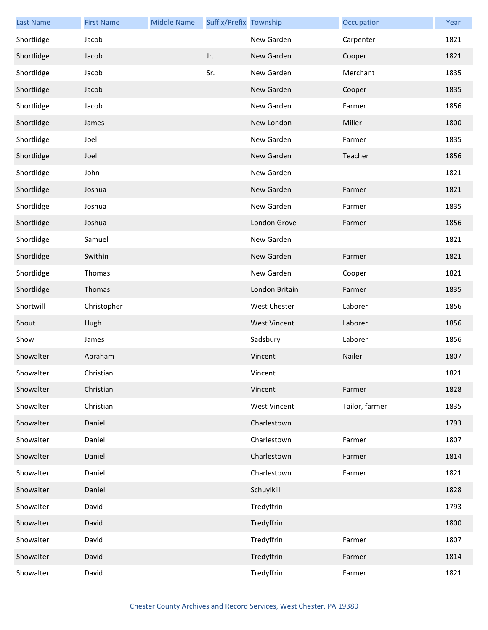| <b>Last Name</b> | <b>First Name</b> | <b>Middle Name</b> | Suffix/Prefix Township |                     | Occupation     | Year |
|------------------|-------------------|--------------------|------------------------|---------------------|----------------|------|
| Shortlidge       | Jacob             |                    |                        | New Garden          | Carpenter      | 1821 |
| Shortlidge       | Jacob             |                    | Jr.                    | New Garden          | Cooper         | 1821 |
| Shortlidge       | Jacob             |                    | Sr.                    | New Garden          | Merchant       | 1835 |
| Shortlidge       | Jacob             |                    |                        | New Garden          | Cooper         | 1835 |
| Shortlidge       | Jacob             |                    |                        | New Garden          | Farmer         | 1856 |
| Shortlidge       | James             |                    |                        | New London          | Miller         | 1800 |
| Shortlidge       | Joel              |                    |                        | New Garden          | Farmer         | 1835 |
| Shortlidge       | Joel              |                    |                        | New Garden          | Teacher        | 1856 |
| Shortlidge       | John              |                    |                        | New Garden          |                | 1821 |
| Shortlidge       | Joshua            |                    |                        | New Garden          | Farmer         | 1821 |
| Shortlidge       | Joshua            |                    |                        | New Garden          | Farmer         | 1835 |
| Shortlidge       | Joshua            |                    |                        | London Grove        | Farmer         | 1856 |
| Shortlidge       | Samuel            |                    |                        | New Garden          |                | 1821 |
| Shortlidge       | Swithin           |                    |                        | New Garden          | Farmer         | 1821 |
| Shortlidge       | Thomas            |                    |                        | New Garden          | Cooper         | 1821 |
| Shortlidge       | Thomas            |                    |                        | London Britain      | Farmer         | 1835 |
| Shortwill        | Christopher       |                    |                        | <b>West Chester</b> | Laborer        | 1856 |
| Shout            | Hugh              |                    |                        | <b>West Vincent</b> | Laborer        | 1856 |
| Show             | James             |                    |                        | Sadsbury            | Laborer        | 1856 |
| Showalter        | Abraham           |                    |                        | Vincent             | Nailer         | 1807 |
| Showalter        | Christian         |                    |                        | Vincent             |                | 1821 |
| Showalter        | Christian         |                    |                        | Vincent             | Farmer         | 1828 |
| Showalter        | Christian         |                    |                        | <b>West Vincent</b> | Tailor, farmer | 1835 |
| Showalter        | Daniel            |                    |                        | Charlestown         |                | 1793 |
| Showalter        | Daniel            |                    |                        | Charlestown         | Farmer         | 1807 |
| Showalter        | Daniel            |                    |                        | Charlestown         | Farmer         | 1814 |
| Showalter        | Daniel            |                    |                        | Charlestown         | Farmer         | 1821 |
| Showalter        | Daniel            |                    |                        | Schuylkill          |                | 1828 |
| Showalter        | David             |                    |                        | Tredyffrin          |                | 1793 |
| Showalter        | David             |                    |                        | Tredyffrin          |                | 1800 |
| Showalter        | David             |                    |                        | Tredyffrin          | Farmer         | 1807 |
| Showalter        | David             |                    |                        | Tredyffrin          | Farmer         | 1814 |
| Showalter        | David             |                    |                        | Tredyffrin          | Farmer         | 1821 |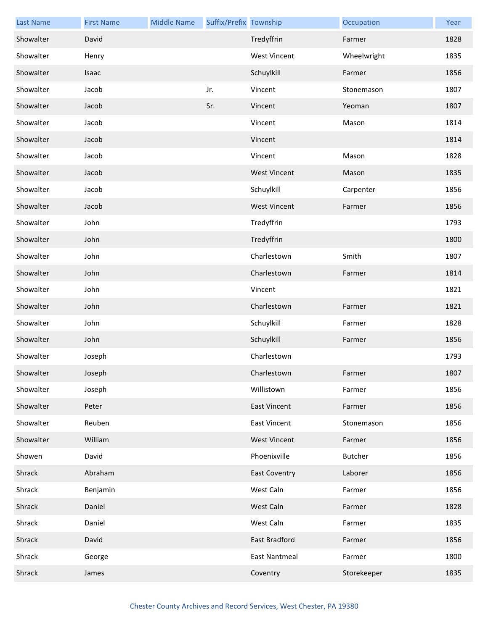| <b>Last Name</b> | <b>First Name</b> | <b>Middle Name</b> | Suffix/Prefix Township |                      | Occupation     | Year |
|------------------|-------------------|--------------------|------------------------|----------------------|----------------|------|
| Showalter        | David             |                    |                        | Tredyffrin           | Farmer         | 1828 |
| Showalter        | Henry             |                    |                        | <b>West Vincent</b>  | Wheelwright    | 1835 |
| Showalter        | Isaac             |                    |                        | Schuylkill           | Farmer         | 1856 |
| Showalter        | Jacob             |                    | Jr.                    | Vincent              | Stonemason     | 1807 |
| Showalter        | Jacob             |                    | Sr.                    | Vincent              | Yeoman         | 1807 |
| Showalter        | Jacob             |                    |                        | Vincent              | Mason          | 1814 |
| Showalter        | Jacob             |                    |                        | Vincent              |                | 1814 |
| Showalter        | Jacob             |                    |                        | Vincent              | Mason          | 1828 |
| Showalter        | Jacob             |                    |                        | <b>West Vincent</b>  | Mason          | 1835 |
| Showalter        | Jacob             |                    |                        | Schuylkill           | Carpenter      | 1856 |
| Showalter        | Jacob             |                    |                        | <b>West Vincent</b>  | Farmer         | 1856 |
| Showalter        | John              |                    |                        | Tredyffrin           |                | 1793 |
| Showalter        | John              |                    |                        | Tredyffrin           |                | 1800 |
| Showalter        | John              |                    |                        | Charlestown          | Smith          | 1807 |
| Showalter        | John              |                    |                        | Charlestown          | Farmer         | 1814 |
| Showalter        | John              |                    |                        | Vincent              |                | 1821 |
| Showalter        | John              |                    |                        | Charlestown          | Farmer         | 1821 |
| Showalter        | John              |                    |                        | Schuylkill           | Farmer         | 1828 |
| Showalter        | John              |                    |                        | Schuylkill           | Farmer         | 1856 |
| Showalter        | Joseph            |                    |                        | Charlestown          |                | 1793 |
| Showalter        | Joseph            |                    |                        | Charlestown          | Farmer         | 1807 |
| Showalter        | Joseph            |                    |                        | Willistown           | Farmer         | 1856 |
| Showalter        | Peter             |                    |                        | <b>East Vincent</b>  | Farmer         | 1856 |
| Showalter        | Reuben            |                    |                        | <b>East Vincent</b>  | Stonemason     | 1856 |
| Showalter        | William           |                    |                        | <b>West Vincent</b>  | Farmer         | 1856 |
| Showen           | David             |                    |                        | Phoenixville         | <b>Butcher</b> | 1856 |
| Shrack           | Abraham           |                    |                        | <b>East Coventry</b> | Laborer        | 1856 |
| Shrack           | Benjamin          |                    |                        | West Caln            | Farmer         | 1856 |
| Shrack           | Daniel            |                    |                        | West Caln            | Farmer         | 1828 |
| Shrack           | Daniel            |                    |                        | West Caln            | Farmer         | 1835 |
| Shrack           | David             |                    |                        | East Bradford        | Farmer         | 1856 |
| Shrack           | George            |                    |                        | <b>East Nantmeal</b> | Farmer         | 1800 |
| Shrack           | James             |                    |                        | Coventry             | Storekeeper    | 1835 |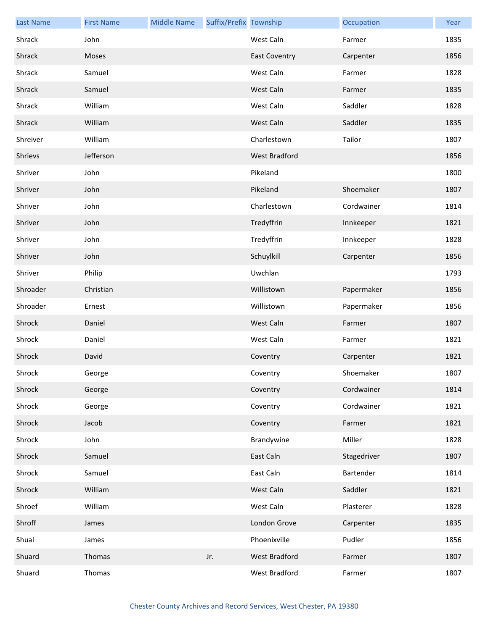| <b>Last Name</b> | <b>First Name</b> | <b>Middle Name</b> | Suffix/Prefix Township |                      | Occupation  | Year |
|------------------|-------------------|--------------------|------------------------|----------------------|-------------|------|
| Shrack           | John              |                    |                        | West Caln            | Farmer      | 1835 |
| Shrack           | Moses             |                    |                        | <b>East Coventry</b> | Carpenter   | 1856 |
| Shrack           | Samuel            |                    |                        | West Caln            | Farmer      | 1828 |
| Shrack           | Samuel            |                    |                        | West Caln            | Farmer      | 1835 |
| Shrack           | William           |                    |                        | West Caln            | Saddler     | 1828 |
| Shrack           | William           |                    |                        | West Caln            | Saddler     | 1835 |
| Shreiver         | William           |                    |                        | Charlestown          | Tailor      | 1807 |
| Shrievs          | Jefferson         |                    |                        | West Bradford        |             | 1856 |
| Shriver          | John              |                    |                        | Pikeland             |             | 1800 |
| Shriver          | John              |                    |                        | Pikeland             | Shoemaker   | 1807 |
| Shriver          | John              |                    |                        | Charlestown          | Cordwainer  | 1814 |
| Shriver          | John              |                    |                        | Tredyffrin           | Innkeeper   | 1821 |
| Shriver          | John              |                    |                        | Tredyffrin           | Innkeeper   | 1828 |
| Shriver          | John              |                    |                        | Schuylkill           | Carpenter   | 1856 |
| Shriver          | Philip            |                    |                        | Uwchlan              |             | 1793 |
| Shroader         | Christian         |                    |                        | Willistown           | Papermaker  | 1856 |
| Shroader         | Ernest            |                    |                        | Willistown           | Papermaker  | 1856 |
| Shrock           | Daniel            |                    |                        | West Caln            | Farmer      | 1807 |
| Shrock           | Daniel            |                    |                        | West Caln            | Farmer      | 1821 |
| Shrock           | David             |                    |                        | Coventry             | Carpenter   | 1821 |
| Shrock           | George            |                    |                        | Coventry             | Shoemaker   | 1807 |
| Shrock           | George            |                    |                        | Coventry             | Cordwainer  | 1814 |
| Shrock           | George            |                    |                        | Coventry             | Cordwainer  | 1821 |
| Shrock           | Jacob             |                    |                        | Coventry             | Farmer      | 1821 |
| Shrock           | John              |                    |                        | Brandywine           | Miller      | 1828 |
| Shrock           | Samuel            |                    |                        | East Caln            | Stagedriver | 1807 |
| Shrock           | Samuel            |                    |                        | East Caln            | Bartender   | 1814 |
| Shrock           | William           |                    |                        | West Caln            | Saddler     | 1821 |
| Shroef           | William           |                    |                        | West Caln            | Plasterer   | 1828 |
| Shroff           | James             |                    |                        | London Grove         | Carpenter   | 1835 |
| Shual            | James             |                    |                        | Phoenixville         | Pudler      | 1856 |
| Shuard           | Thomas            |                    | Jr.                    | West Bradford        | Farmer      | 1807 |
| Shuard           | Thomas            |                    |                        | West Bradford        | Farmer      | 1807 |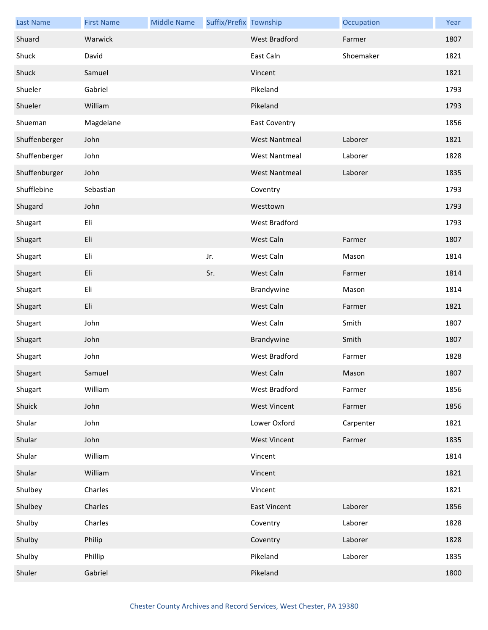| <b>Last Name</b> | <b>First Name</b> | <b>Middle Name</b> | Suffix/Prefix Township |                      | Occupation | Year |
|------------------|-------------------|--------------------|------------------------|----------------------|------------|------|
| Shuard           | Warwick           |                    |                        | West Bradford        | Farmer     | 1807 |
| Shuck            | David             |                    |                        | East Caln            | Shoemaker  | 1821 |
| Shuck            | Samuel            |                    |                        | Vincent              |            | 1821 |
| Shueler          | Gabriel           |                    |                        | Pikeland             |            | 1793 |
| Shueler          | William           |                    |                        | Pikeland             |            | 1793 |
| Shueman          | Magdelane         |                    |                        | East Coventry        |            | 1856 |
| Shuffenberger    | John              |                    |                        | <b>West Nantmeal</b> | Laborer    | 1821 |
| Shuffenberger    | John              |                    |                        | <b>West Nantmeal</b> | Laborer    | 1828 |
| Shuffenburger    | John              |                    |                        | <b>West Nantmeal</b> | Laborer    | 1835 |
| Shufflebine      | Sebastian         |                    |                        | Coventry             |            | 1793 |
| Shugard          | John              |                    |                        | Westtown             |            | 1793 |
| Shugart          | Eli               |                    |                        | West Bradford        |            | 1793 |
| Shugart          | Eli               |                    |                        | West Caln            | Farmer     | 1807 |
| Shugart          | Eli               |                    | Jr.                    | West Caln            | Mason      | 1814 |
| Shugart          | Eli               |                    | Sr.                    | West Caln            | Farmer     | 1814 |
| Shugart          | Eli               |                    |                        | Brandywine           | Mason      | 1814 |
| Shugart          | Eli               |                    |                        | West Caln            | Farmer     | 1821 |
| Shugart          | John              |                    |                        | West Caln            | Smith      | 1807 |
| Shugart          | John              |                    |                        | Brandywine           | Smith      | 1807 |
| Shugart          | John              |                    |                        | West Bradford        | Farmer     | 1828 |
| Shugart          | Samuel            |                    |                        | West Caln            | Mason      | 1807 |
| Shugart          | William           |                    |                        | West Bradford        | Farmer     | 1856 |
| Shuick           | John              |                    |                        | <b>West Vincent</b>  | Farmer     | 1856 |
| Shular           | John              |                    |                        | Lower Oxford         | Carpenter  | 1821 |
| Shular           | John              |                    |                        | <b>West Vincent</b>  | Farmer     | 1835 |
| Shular           | William           |                    |                        | Vincent              |            | 1814 |
| Shular           | William           |                    |                        | Vincent              |            | 1821 |
| Shulbey          | Charles           |                    |                        | Vincent              |            | 1821 |
| Shulbey          | Charles           |                    |                        | <b>East Vincent</b>  | Laborer    | 1856 |
| Shulby           | Charles           |                    |                        | Coventry             | Laborer    | 1828 |
| Shulby           | Philip            |                    |                        | Coventry             | Laborer    | 1828 |
| Shulby           | Phillip           |                    |                        | Pikeland             | Laborer    | 1835 |
| Shuler           | Gabriel           |                    |                        | Pikeland             |            | 1800 |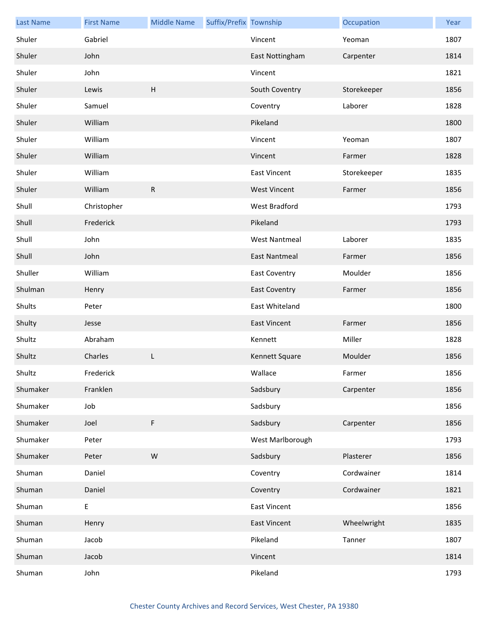| <b>Last Name</b> | <b>First Name</b> | <b>Middle Name</b> | Suffix/Prefix Township |                      | Occupation  | Year |
|------------------|-------------------|--------------------|------------------------|----------------------|-------------|------|
| Shuler           | Gabriel           |                    |                        | Vincent              | Yeoman      | 1807 |
| Shuler           | John              |                    |                        | East Nottingham      | Carpenter   | 1814 |
| Shuler           | John              |                    |                        | Vincent              |             | 1821 |
| Shuler           | Lewis             | H                  |                        | South Coventry       | Storekeeper | 1856 |
| Shuler           | Samuel            |                    |                        | Coventry             | Laborer     | 1828 |
| Shuler           | William           |                    |                        | Pikeland             |             | 1800 |
| Shuler           | William           |                    |                        | Vincent              | Yeoman      | 1807 |
| Shuler           | William           |                    |                        | Vincent              | Farmer      | 1828 |
| Shuler           | William           |                    |                        | <b>East Vincent</b>  | Storekeeper | 1835 |
| Shuler           | William           | ${\sf R}$          |                        | <b>West Vincent</b>  | Farmer      | 1856 |
| Shull            | Christopher       |                    |                        | West Bradford        |             | 1793 |
| Shull            | Frederick         |                    |                        | Pikeland             |             | 1793 |
| Shull            | John              |                    |                        | <b>West Nantmeal</b> | Laborer     | 1835 |
| Shull            | John              |                    |                        | <b>East Nantmeal</b> | Farmer      | 1856 |
| Shuller          | William           |                    |                        | <b>East Coventry</b> | Moulder     | 1856 |
| Shulman          | Henry             |                    |                        | <b>East Coventry</b> | Farmer      | 1856 |
| Shults           | Peter             |                    |                        | East Whiteland       |             | 1800 |
| Shulty           | Jesse             |                    |                        | <b>East Vincent</b>  | Farmer      | 1856 |
| Shultz           | Abraham           |                    |                        | Kennett              | Miller      | 1828 |
| Shultz           | Charles           | L                  |                        | Kennett Square       | Moulder     | 1856 |
| Shultz           | Frederick         |                    |                        | Wallace              | Farmer      | 1856 |
| Shumaker         | Franklen          |                    |                        | Sadsbury             | Carpenter   | 1856 |
| Shumaker         | Job               |                    |                        | Sadsbury             |             | 1856 |
| Shumaker         | Joel              | F                  |                        | Sadsbury             | Carpenter   | 1856 |
| Shumaker         | Peter             |                    |                        | West Marlborough     |             | 1793 |
| Shumaker         | Peter             | ${\sf W}$          |                        | Sadsbury             | Plasterer   | 1856 |
| Shuman           | Daniel            |                    |                        | Coventry             | Cordwainer  | 1814 |
| Shuman           | Daniel            |                    |                        | Coventry             | Cordwainer  | 1821 |
| Shuman           | Ε                 |                    |                        | <b>East Vincent</b>  |             | 1856 |
| Shuman           | Henry             |                    |                        | <b>East Vincent</b>  | Wheelwright | 1835 |
| Shuman           | Jacob             |                    |                        | Pikeland             | Tanner      | 1807 |
| Shuman           | Jacob             |                    |                        | Vincent              |             | 1814 |
| Shuman           | John              |                    |                        | Pikeland             |             | 1793 |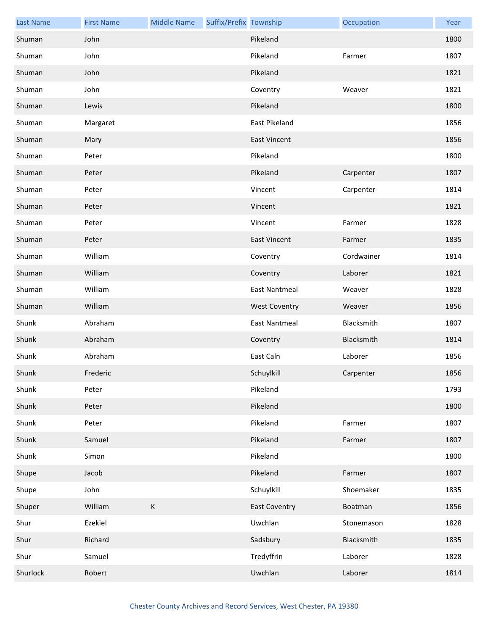| <b>Last Name</b> | <b>First Name</b> | <b>Middle Name</b> | Suffix/Prefix Township |                      | Occupation | Year |
|------------------|-------------------|--------------------|------------------------|----------------------|------------|------|
| Shuman           | John              |                    |                        | Pikeland             |            | 1800 |
| Shuman           | John              |                    |                        | Pikeland             | Farmer     | 1807 |
| Shuman           | John              |                    |                        | Pikeland             |            | 1821 |
| Shuman           | John              |                    |                        | Coventry             | Weaver     | 1821 |
| Shuman           | Lewis             |                    |                        | Pikeland             |            | 1800 |
| Shuman           | Margaret          |                    |                        | East Pikeland        |            | 1856 |
| Shuman           | Mary              |                    |                        | <b>East Vincent</b>  |            | 1856 |
| Shuman           | Peter             |                    |                        | Pikeland             |            | 1800 |
| Shuman           | Peter             |                    |                        | Pikeland             | Carpenter  | 1807 |
| Shuman           | Peter             |                    |                        | Vincent              | Carpenter  | 1814 |
| Shuman           | Peter             |                    |                        | Vincent              |            | 1821 |
| Shuman           | Peter             |                    |                        | Vincent              | Farmer     | 1828 |
| Shuman           | Peter             |                    |                        | <b>East Vincent</b>  | Farmer     | 1835 |
| Shuman           | William           |                    |                        | Coventry             | Cordwainer | 1814 |
| Shuman           | William           |                    |                        | Coventry             | Laborer    | 1821 |
| Shuman           | William           |                    |                        | East Nantmeal        | Weaver     | 1828 |
| Shuman           | William           |                    |                        | <b>West Coventry</b> | Weaver     | 1856 |
| Shunk            | Abraham           |                    |                        | <b>East Nantmeal</b> | Blacksmith | 1807 |
| Shunk            | Abraham           |                    |                        | Coventry             | Blacksmith | 1814 |
| Shunk            | Abraham           |                    |                        | East Caln            | Laborer    | 1856 |
| Shunk            | Frederic          |                    |                        | Schuylkill           | Carpenter  | 1856 |
| Shunk            | Peter             |                    |                        | Pikeland             |            | 1793 |
| Shunk            | Peter             |                    |                        | Pikeland             |            | 1800 |
| Shunk            | Peter             |                    |                        | Pikeland             | Farmer     | 1807 |
| Shunk            | Samuel            |                    |                        | Pikeland             | Farmer     | 1807 |
| Shunk            | Simon             |                    |                        | Pikeland             |            | 1800 |
| Shupe            | Jacob             |                    |                        | Pikeland             | Farmer     | 1807 |
| Shupe            | John              |                    |                        | Schuylkill           | Shoemaker  | 1835 |
| Shuper           | William           | $\mathsf K$        |                        | <b>East Coventry</b> | Boatman    | 1856 |
| Shur             | Ezekiel           |                    |                        | Uwchlan              | Stonemason | 1828 |
| Shur             | Richard           |                    |                        | Sadsbury             | Blacksmith | 1835 |
| Shur             | Samuel            |                    |                        | Tredyffrin           | Laborer    | 1828 |
| Shurlock         | Robert            |                    |                        | Uwchlan              | Laborer    | 1814 |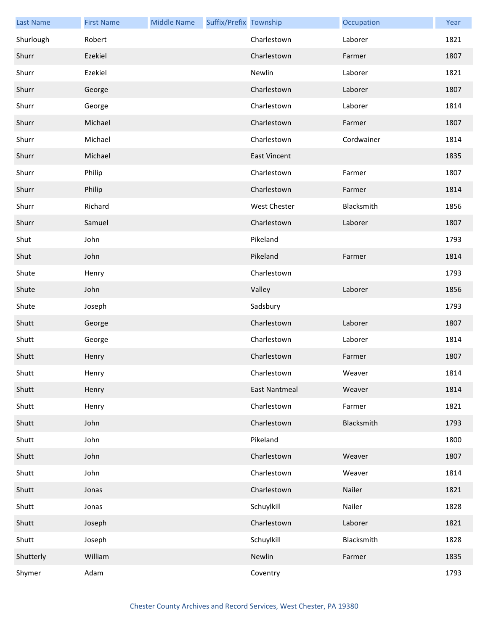| <b>Last Name</b> | <b>First Name</b> | <b>Middle Name</b> | Suffix/Prefix Township |                      | Occupation | Year |
|------------------|-------------------|--------------------|------------------------|----------------------|------------|------|
| Shurlough        | Robert            |                    |                        | Charlestown          | Laborer    | 1821 |
| Shurr            | Ezekiel           |                    |                        | Charlestown          | Farmer     | 1807 |
| Shurr            | Ezekiel           |                    |                        | Newlin               | Laborer    | 1821 |
| Shurr            | George            |                    |                        | Charlestown          | Laborer    | 1807 |
| Shurr            | George            |                    |                        | Charlestown          | Laborer    | 1814 |
| Shurr            | Michael           |                    |                        | Charlestown          | Farmer     | 1807 |
| Shurr            | Michael           |                    |                        | Charlestown          | Cordwainer | 1814 |
| Shurr            | Michael           |                    |                        | <b>East Vincent</b>  |            | 1835 |
| Shurr            | Philip            |                    |                        | Charlestown          | Farmer     | 1807 |
| Shurr            | Philip            |                    |                        | Charlestown          | Farmer     | 1814 |
| Shurr            | Richard           |                    |                        | West Chester         | Blacksmith | 1856 |
| Shurr            | Samuel            |                    |                        | Charlestown          | Laborer    | 1807 |
| Shut             | John              |                    |                        | Pikeland             |            | 1793 |
| Shut             | John              |                    |                        | Pikeland             | Farmer     | 1814 |
| Shute            | Henry             |                    |                        | Charlestown          |            | 1793 |
| Shute            | John              |                    |                        | Valley               | Laborer    | 1856 |
| Shute            | Joseph            |                    |                        | Sadsbury             |            | 1793 |
| Shutt            | George            |                    |                        | Charlestown          | Laborer    | 1807 |
| Shutt            | George            |                    |                        | Charlestown          | Laborer    | 1814 |
| Shutt            | Henry             |                    |                        | Charlestown          | Farmer     | 1807 |
| Shutt            | Henry             |                    |                        | Charlestown          | Weaver     | 1814 |
| Shutt            | Henry             |                    |                        | <b>East Nantmeal</b> | Weaver     | 1814 |
| Shutt            | Henry             |                    |                        | Charlestown          | Farmer     | 1821 |
| Shutt            | John              |                    |                        | Charlestown          | Blacksmith | 1793 |
| Shutt            | John              |                    |                        | Pikeland             |            | 1800 |
| Shutt            | John              |                    |                        | Charlestown          | Weaver     | 1807 |
| Shutt            | John              |                    |                        | Charlestown          | Weaver     | 1814 |
| Shutt            | Jonas             |                    |                        | Charlestown          | Nailer     | 1821 |
| Shutt            | Jonas             |                    |                        | Schuylkill           | Nailer     | 1828 |
| Shutt            | Joseph            |                    |                        | Charlestown          | Laborer    | 1821 |
| Shutt            | Joseph            |                    |                        | Schuylkill           | Blacksmith | 1828 |
| Shutterly        | William           |                    |                        | Newlin               | Farmer     | 1835 |
| Shymer           | Adam              |                    |                        | Coventry             |            | 1793 |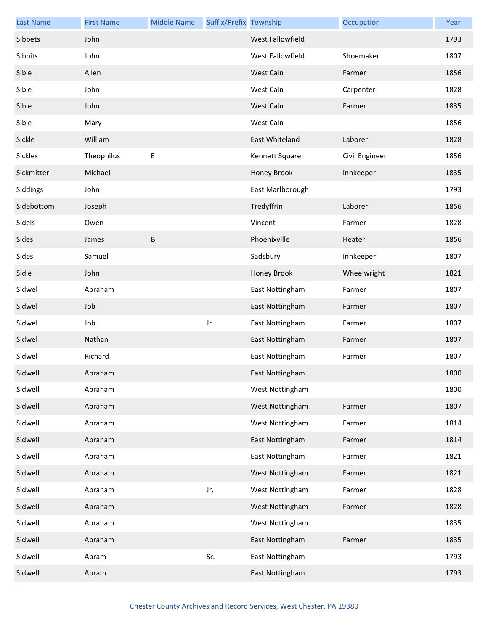| <b>Last Name</b> | <b>First Name</b> | <b>Middle Name</b> | Suffix/Prefix Township |                  | Occupation     | Year |
|------------------|-------------------|--------------------|------------------------|------------------|----------------|------|
| Sibbets          | John              |                    |                        | West Fallowfield |                | 1793 |
| Sibbits          | John              |                    |                        | West Fallowfield | Shoemaker      | 1807 |
| Sible            | Allen             |                    |                        | West Caln        | Farmer         | 1856 |
| Sible            | John              |                    |                        | West Caln        | Carpenter      | 1828 |
| Sible            | John              |                    |                        | West Caln        | Farmer         | 1835 |
| Sible            | Mary              |                    |                        | West Caln        |                | 1856 |
| Sickle           | William           |                    |                        | East Whiteland   | Laborer        | 1828 |
| Sickles          | Theophilus        | Е                  |                        | Kennett Square   | Civil Engineer | 1856 |
| Sickmitter       | Michael           |                    |                        | Honey Brook      | Innkeeper      | 1835 |
| Siddings         | John              |                    |                        | East Marlborough |                | 1793 |
| Sidebottom       | Joseph            |                    |                        | Tredyffrin       | Laborer        | 1856 |
| Sidels           | Owen              |                    |                        | Vincent          | Farmer         | 1828 |
| Sides            | James             | B                  |                        | Phoenixville     | Heater         | 1856 |
| Sides            | Samuel            |                    |                        | Sadsbury         | Innkeeper      | 1807 |
| Sidle            | John              |                    |                        | Honey Brook      | Wheelwright    | 1821 |
| Sidwel           | Abraham           |                    |                        | East Nottingham  | Farmer         | 1807 |
| Sidwel           | Job               |                    |                        | East Nottingham  | Farmer         | 1807 |
| Sidwel           | Job               |                    | Jr.                    | East Nottingham  | Farmer         | 1807 |
| Sidwel           | Nathan            |                    |                        | East Nottingham  | Farmer         | 1807 |
| Sidwel           | Richard           |                    |                        | East Nottingham  | Farmer         | 1807 |
| Sidwell          | Abraham           |                    |                        | East Nottingham  |                | 1800 |
| Sidwell          | Abraham           |                    |                        | West Nottingham  |                | 1800 |
| Sidwell          | Abraham           |                    |                        | West Nottingham  | Farmer         | 1807 |
| Sidwell          | Abraham           |                    |                        | West Nottingham  | Farmer         | 1814 |
| Sidwell          | Abraham           |                    |                        | East Nottingham  | Farmer         | 1814 |
| Sidwell          | Abraham           |                    |                        | East Nottingham  | Farmer         | 1821 |
| Sidwell          | Abraham           |                    |                        | West Nottingham  | Farmer         | 1821 |
| Sidwell          | Abraham           |                    | Jr.                    | West Nottingham  | Farmer         | 1828 |
| Sidwell          | Abraham           |                    |                        | West Nottingham  | Farmer         | 1828 |
| Sidwell          | Abraham           |                    |                        | West Nottingham  |                | 1835 |
| Sidwell          | Abraham           |                    |                        | East Nottingham  | Farmer         | 1835 |
| Sidwell          | Abram             |                    | Sr.                    | East Nottingham  |                | 1793 |
| Sidwell          | Abram             |                    |                        | East Nottingham  |                | 1793 |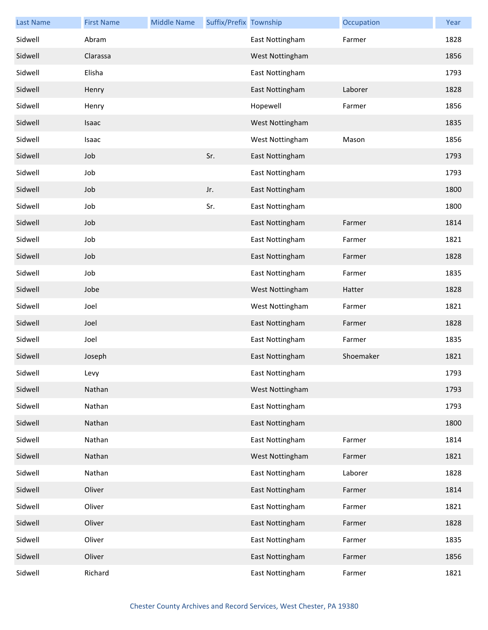| <b>Last Name</b> | <b>First Name</b> | <b>Middle Name</b> | Suffix/Prefix Township |                 | Occupation | Year |
|------------------|-------------------|--------------------|------------------------|-----------------|------------|------|
| Sidwell          | Abram             |                    |                        | East Nottingham | Farmer     | 1828 |
| Sidwell          | Clarassa          |                    |                        | West Nottingham |            | 1856 |
| Sidwell          | Elisha            |                    |                        | East Nottingham |            | 1793 |
| Sidwell          | Henry             |                    |                        | East Nottingham | Laborer    | 1828 |
| Sidwell          | Henry             |                    |                        | Hopewell        | Farmer     | 1856 |
| Sidwell          | Isaac             |                    |                        | West Nottingham |            | 1835 |
| Sidwell          | Isaac             |                    |                        | West Nottingham | Mason      | 1856 |
| Sidwell          | Job               |                    | Sr.                    | East Nottingham |            | 1793 |
| Sidwell          | Job               |                    |                        | East Nottingham |            | 1793 |
| Sidwell          | Job               |                    | Jr.                    | East Nottingham |            | 1800 |
| Sidwell          | Job               |                    | Sr.                    | East Nottingham |            | 1800 |
| Sidwell          | Job               |                    |                        | East Nottingham | Farmer     | 1814 |
| Sidwell          | Job               |                    |                        | East Nottingham | Farmer     | 1821 |
| Sidwell          | Job               |                    |                        | East Nottingham | Farmer     | 1828 |
| Sidwell          | Job               |                    |                        | East Nottingham | Farmer     | 1835 |
| Sidwell          | Jobe              |                    |                        | West Nottingham | Hatter     | 1828 |
| Sidwell          | Joel              |                    |                        | West Nottingham | Farmer     | 1821 |
| Sidwell          | Joel              |                    |                        | East Nottingham | Farmer     | 1828 |
| Sidwell          | Joel              |                    |                        | East Nottingham | Farmer     | 1835 |
| Sidwell          | Joseph            |                    |                        | East Nottingham | Shoemaker  | 1821 |
| Sidwell          | Levy              |                    |                        | East Nottingham |            | 1793 |
| Sidwell          | Nathan            |                    |                        | West Nottingham |            | 1793 |
| Sidwell          | Nathan            |                    |                        | East Nottingham |            | 1793 |
| Sidwell          | Nathan            |                    |                        | East Nottingham |            | 1800 |
| Sidwell          | Nathan            |                    |                        | East Nottingham | Farmer     | 1814 |
| Sidwell          | Nathan            |                    |                        | West Nottingham | Farmer     | 1821 |
| Sidwell          | Nathan            |                    |                        | East Nottingham | Laborer    | 1828 |
| Sidwell          | Oliver            |                    |                        | East Nottingham | Farmer     | 1814 |
| Sidwell          | Oliver            |                    |                        | East Nottingham | Farmer     | 1821 |
| Sidwell          | Oliver            |                    |                        | East Nottingham | Farmer     | 1828 |
| Sidwell          | Oliver            |                    |                        | East Nottingham | Farmer     | 1835 |
| Sidwell          | Oliver            |                    |                        | East Nottingham | Farmer     | 1856 |
| Sidwell          | Richard           |                    |                        | East Nottingham | Farmer     | 1821 |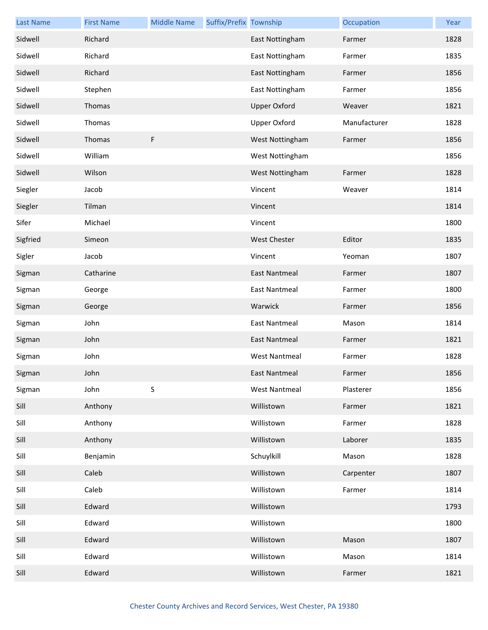| <b>Last Name</b> | <b>First Name</b> | <b>Middle Name</b> | Suffix/Prefix Township |                      | Occupation   | Year |
|------------------|-------------------|--------------------|------------------------|----------------------|--------------|------|
| Sidwell          | Richard           |                    |                        | East Nottingham      | Farmer       | 1828 |
| Sidwell          | Richard           |                    |                        | East Nottingham      | Farmer       | 1835 |
| Sidwell          | Richard           |                    |                        | East Nottingham      | Farmer       | 1856 |
| Sidwell          | Stephen           |                    |                        | East Nottingham      | Farmer       | 1856 |
| Sidwell          | Thomas            |                    |                        | <b>Upper Oxford</b>  | Weaver       | 1821 |
| Sidwell          | Thomas            |                    |                        | <b>Upper Oxford</b>  | Manufacturer | 1828 |
| Sidwell          | Thomas            | F                  |                        | West Nottingham      | Farmer       | 1856 |
| Sidwell          | William           |                    |                        | West Nottingham      |              | 1856 |
| Sidwell          | Wilson            |                    |                        | West Nottingham      | Farmer       | 1828 |
| Siegler          | Jacob             |                    |                        | Vincent              | Weaver       | 1814 |
| Siegler          | Tilman            |                    |                        | Vincent              |              | 1814 |
| Sifer            | Michael           |                    |                        | Vincent              |              | 1800 |
| Sigfried         | Simeon            |                    |                        | <b>West Chester</b>  | Editor       | 1835 |
| Sigler           | Jacob             |                    |                        | Vincent              | Yeoman       | 1807 |
| Sigman           | Catharine         |                    |                        | <b>East Nantmeal</b> | Farmer       | 1807 |
| Sigman           | George            |                    |                        | <b>East Nantmeal</b> | Farmer       | 1800 |
| Sigman           | George            |                    |                        | Warwick              | Farmer       | 1856 |
| Sigman           | John              |                    |                        | <b>East Nantmeal</b> | Mason        | 1814 |
| Sigman           | John              |                    |                        | <b>East Nantmeal</b> | Farmer       | 1821 |
| Sigman           | John              |                    |                        | <b>West Nantmeal</b> | Farmer       | 1828 |
| Sigman           | John              |                    |                        | <b>East Nantmeal</b> | Farmer       | 1856 |
| Sigman           | John              | $\sf S$            |                        | <b>West Nantmeal</b> | Plasterer    | 1856 |
| Sill             | Anthony           |                    |                        | Willistown           | Farmer       | 1821 |
| Sill             | Anthony           |                    |                        | Willistown           | Farmer       | 1828 |
| Sill             | Anthony           |                    |                        | Willistown           | Laborer      | 1835 |
| Sill             | Benjamin          |                    |                        | Schuylkill           | Mason        | 1828 |
| Sill             | Caleb             |                    |                        | Willistown           | Carpenter    | 1807 |
| Sill             | Caleb             |                    |                        | Willistown           | Farmer       | 1814 |
| Sill             | Edward            |                    |                        | Willistown           |              | 1793 |
| Sill             | Edward            |                    |                        | Willistown           |              | 1800 |
| Sill             | Edward            |                    |                        | Willistown           | Mason        | 1807 |
| Sill             | Edward            |                    |                        | Willistown           | Mason        | 1814 |
| Sill             | Edward            |                    |                        | Willistown           | Farmer       | 1821 |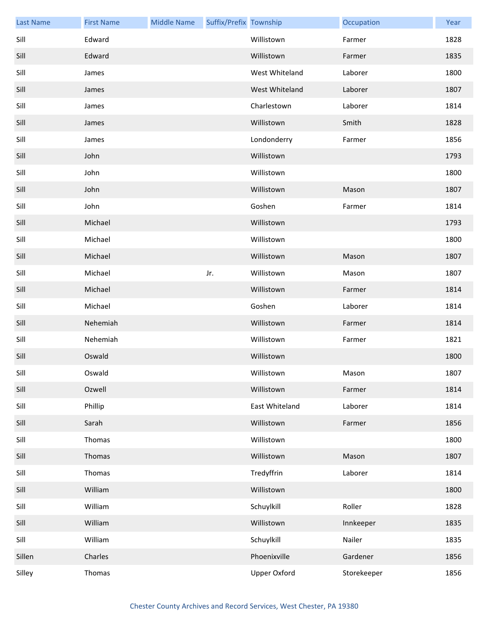| <b>Last Name</b> | <b>First Name</b> | <b>Middle Name</b> | Suffix/Prefix Township |                | Occupation  | Year |
|------------------|-------------------|--------------------|------------------------|----------------|-------------|------|
| Sill             | Edward            |                    |                        | Willistown     | Farmer      | 1828 |
| Sill             | Edward            |                    |                        | Willistown     | Farmer      | 1835 |
| Sill             | James             |                    |                        | West Whiteland | Laborer     | 1800 |
| Sill             | James             |                    |                        | West Whiteland | Laborer     | 1807 |
| Sill             | James             |                    |                        | Charlestown    | Laborer     | 1814 |
| Sill             | James             |                    |                        | Willistown     | Smith       | 1828 |
| Sill             | James             |                    |                        | Londonderry    | Farmer      | 1856 |
| Sill             | John              |                    |                        | Willistown     |             | 1793 |
| Sill             | John              |                    |                        | Willistown     |             | 1800 |
| Sill             | John              |                    |                        | Willistown     | Mason       | 1807 |
| Sill             | John              |                    |                        | Goshen         | Farmer      | 1814 |
| Sill             | Michael           |                    |                        | Willistown     |             | 1793 |
| Sill             | Michael           |                    |                        | Willistown     |             | 1800 |
| Sill             | Michael           |                    |                        | Willistown     | Mason       | 1807 |
| Sill             | Michael           |                    | Jr.                    | Willistown     | Mason       | 1807 |
| Sill             | Michael           |                    |                        | Willistown     | Farmer      | 1814 |
| Sill             | Michael           |                    |                        | Goshen         | Laborer     | 1814 |
| Sill             | Nehemiah          |                    |                        | Willistown     | Farmer      | 1814 |
| Sill             | Nehemiah          |                    |                        | Willistown     | Farmer      | 1821 |
| Sill             | Oswald            |                    |                        | Willistown     |             | 1800 |
| Sill             | Oswald            |                    |                        | Willistown     | Mason       | 1807 |
| Sill             | Ozwell            |                    |                        | Willistown     | Farmer      | 1814 |
| Sill             | Phillip           |                    |                        | East Whiteland | Laborer     | 1814 |
| Sill             | Sarah             |                    |                        | Willistown     | Farmer      | 1856 |
| Sill             | Thomas            |                    |                        | Willistown     |             | 1800 |
| Sill             | Thomas            |                    |                        | Willistown     | Mason       | 1807 |
| Sill             | Thomas            |                    |                        | Tredyffrin     | Laborer     | 1814 |
| Sill             | William           |                    |                        | Willistown     |             | 1800 |
| Sill             | William           |                    |                        | Schuylkill     | Roller      | 1828 |
| Sill             | William           |                    |                        | Willistown     | Innkeeper   | 1835 |
| Sill             | William           |                    |                        | Schuylkill     | Nailer      | 1835 |
| Sillen           | Charles           |                    |                        | Phoenixville   | Gardener    | 1856 |
| Silley           | Thomas            |                    |                        | Upper Oxford   | Storekeeper | 1856 |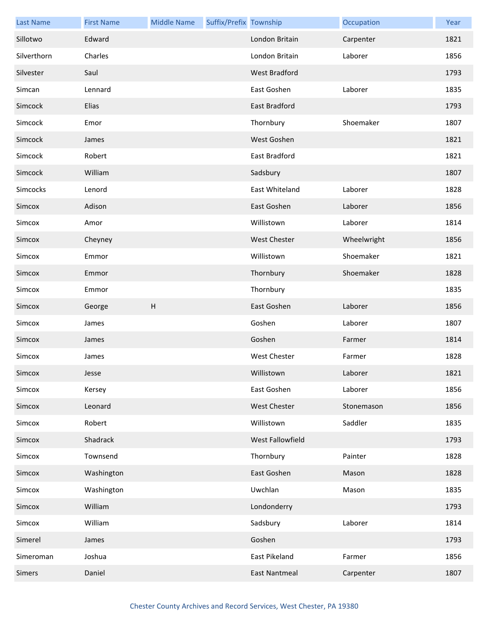| <b>Last Name</b> | <b>First Name</b> | <b>Middle Name</b>        | Suffix/Prefix Township |                      | Occupation  | Year |
|------------------|-------------------|---------------------------|------------------------|----------------------|-------------|------|
| Sillotwo         | Edward            |                           |                        | London Britain       | Carpenter   | 1821 |
| Silverthorn      | Charles           |                           |                        | London Britain       | Laborer     | 1856 |
| Silvester        | Saul              |                           |                        | West Bradford        |             | 1793 |
| Simcan           | Lennard           |                           |                        | East Goshen          | Laborer     | 1835 |
| Simcock          | Elias             |                           |                        | <b>East Bradford</b> |             | 1793 |
| Simcock          | Emor              |                           |                        | Thornbury            | Shoemaker   | 1807 |
| Simcock          | James             |                           |                        | West Goshen          |             | 1821 |
| Simcock          | Robert            |                           |                        | East Bradford        |             | 1821 |
| Simcock          | William           |                           |                        | Sadsbury             |             | 1807 |
| Simcocks         | Lenord            |                           |                        | East Whiteland       | Laborer     | 1828 |
| Simcox           | Adison            |                           |                        | East Goshen          | Laborer     | 1856 |
| Simcox           | Amor              |                           |                        | Willistown           | Laborer     | 1814 |
| Simcox           | Cheyney           |                           |                        | <b>West Chester</b>  | Wheelwright | 1856 |
| Simcox           | Emmor             |                           |                        | Willistown           | Shoemaker   | 1821 |
| Simcox           | Emmor             |                           |                        | Thornbury            | Shoemaker   | 1828 |
| Simcox           | Emmor             |                           |                        | Thornbury            |             | 1835 |
| Simcox           | George            | $\boldsymbol{\mathsf{H}}$ |                        | East Goshen          | Laborer     | 1856 |
| Simcox           | James             |                           |                        | Goshen               | Laborer     | 1807 |
| Simcox           | James             |                           |                        | Goshen               | Farmer      | 1814 |
| Simcox           | James             |                           |                        | <b>West Chester</b>  | Farmer      | 1828 |
| Simcox           | Jesse             |                           |                        | Willistown           | Laborer     | 1821 |
| Simcox           | Kersey            |                           |                        | East Goshen          | Laborer     | 1856 |
| Simcox           | Leonard           |                           |                        | <b>West Chester</b>  | Stonemason  | 1856 |
| Simcox           | Robert            |                           |                        | Willistown           | Saddler     | 1835 |
| Simcox           | Shadrack          |                           |                        | West Fallowfield     |             | 1793 |
| Simcox           | Townsend          |                           |                        | Thornbury            | Painter     | 1828 |
| Simcox           | Washington        |                           |                        | East Goshen          | Mason       | 1828 |
| Simcox           | Washington        |                           |                        | Uwchlan              | Mason       | 1835 |
| Simcox           | William           |                           |                        | Londonderry          |             | 1793 |
| Simcox           | William           |                           |                        | Sadsbury             | Laborer     | 1814 |
| Simerel          | James             |                           |                        | Goshen               |             | 1793 |
|                  |                   |                           |                        |                      |             |      |
| Simeroman        | Joshua            |                           |                        | East Pikeland        | Farmer      | 1856 |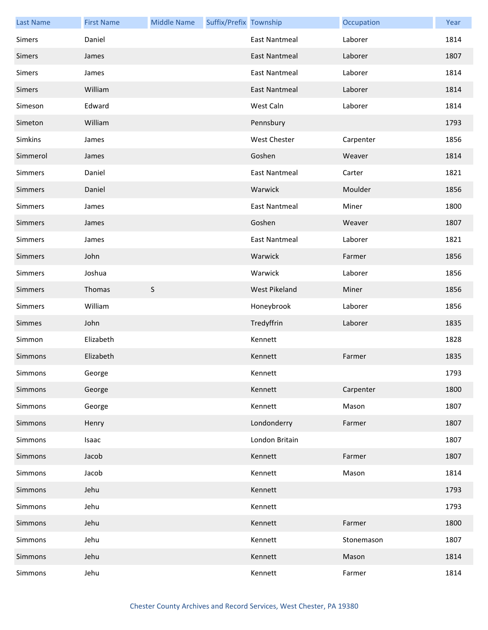| <b>Last Name</b> | <b>First Name</b> | <b>Middle Name</b> | Suffix/Prefix Township |                      | Occupation | Year |
|------------------|-------------------|--------------------|------------------------|----------------------|------------|------|
| Simers           | Daniel            |                    |                        | <b>East Nantmeal</b> | Laborer    | 1814 |
| Simers           | James             |                    |                        | <b>East Nantmeal</b> | Laborer    | 1807 |
| Simers           | James             |                    |                        | <b>East Nantmeal</b> | Laborer    | 1814 |
| Simers           | William           |                    |                        | <b>East Nantmeal</b> | Laborer    | 1814 |
| Simeson          | Edward            |                    |                        | West Caln            | Laborer    | 1814 |
| Simeton          | William           |                    |                        | Pennsbury            |            | 1793 |
| Simkins          | James             |                    |                        | West Chester         | Carpenter  | 1856 |
| Simmerol         | James             |                    |                        | Goshen               | Weaver     | 1814 |
| Simmers          | Daniel            |                    |                        | <b>East Nantmeal</b> | Carter     | 1821 |
| Simmers          | Daniel            |                    |                        | Warwick              | Moulder    | 1856 |
| Simmers          | James             |                    |                        | <b>East Nantmeal</b> | Miner      | 1800 |
| Simmers          | James             |                    |                        | Goshen               | Weaver     | 1807 |
| Simmers          | James             |                    |                        | <b>East Nantmeal</b> | Laborer    | 1821 |
| Simmers          | John              |                    |                        | Warwick              | Farmer     | 1856 |
| Simmers          | Joshua            |                    |                        | Warwick              | Laborer    | 1856 |
| Simmers          | Thomas            | $\mathsf S$        |                        | West Pikeland        | Miner      | 1856 |
| Simmers          | William           |                    |                        | Honeybrook           | Laborer    | 1856 |
| Simmes           | John              |                    |                        | Tredyffrin           | Laborer    | 1835 |
| Simmon           | Elizabeth         |                    |                        | Kennett              |            | 1828 |
| Simmons          | Elizabeth         |                    |                        | Kennett              | Farmer     | 1835 |
| Simmons          | George            |                    |                        | Kennett              |            | 1793 |
| Simmons          | George            |                    |                        | Kennett              | Carpenter  | 1800 |
| Simmons          | George            |                    |                        | Kennett              | Mason      | 1807 |
| Simmons          | Henry             |                    |                        | Londonderry          | Farmer     | 1807 |
| Simmons          | Isaac             |                    |                        | London Britain       |            | 1807 |
| Simmons          | Jacob             |                    |                        | Kennett              | Farmer     | 1807 |
| Simmons          | Jacob             |                    |                        | Kennett              | Mason      | 1814 |
| Simmons          | Jehu              |                    |                        | Kennett              |            | 1793 |
| Simmons          | Jehu              |                    |                        | Kennett              |            | 1793 |
| Simmons          | Jehu              |                    |                        | Kennett              | Farmer     | 1800 |
| Simmons          | Jehu              |                    |                        | Kennett              | Stonemason | 1807 |
| Simmons          | Jehu              |                    |                        | Kennett              | Mason      | 1814 |
| Simmons          | Jehu              |                    |                        | Kennett              | Farmer     | 1814 |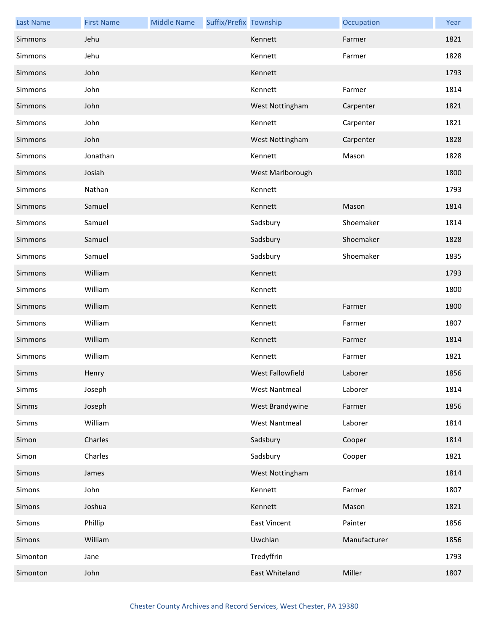| <b>Last Name</b> | <b>First Name</b> | <b>Middle Name</b> | Suffix/Prefix Township |                      | Occupation   | Year |
|------------------|-------------------|--------------------|------------------------|----------------------|--------------|------|
| Simmons          | Jehu              |                    |                        | Kennett              | Farmer       | 1821 |
| Simmons          | Jehu              |                    |                        | Kennett              | Farmer       | 1828 |
| Simmons          | John              |                    |                        | Kennett              |              | 1793 |
| Simmons          | John              |                    |                        | Kennett              | Farmer       | 1814 |
| Simmons          | John              |                    |                        | West Nottingham      | Carpenter    | 1821 |
| Simmons          | John              |                    |                        | Kennett              | Carpenter    | 1821 |
| Simmons          | John              |                    |                        | West Nottingham      | Carpenter    | 1828 |
| Simmons          | Jonathan          |                    |                        | Kennett              | Mason        | 1828 |
| Simmons          | Josiah            |                    |                        | West Marlborough     |              | 1800 |
| Simmons          | Nathan            |                    |                        | Kennett              |              | 1793 |
| Simmons          | Samuel            |                    |                        | Kennett              | Mason        | 1814 |
| Simmons          | Samuel            |                    |                        | Sadsbury             | Shoemaker    | 1814 |
| Simmons          | Samuel            |                    |                        | Sadsbury             | Shoemaker    | 1828 |
| Simmons          | Samuel            |                    |                        | Sadsbury             | Shoemaker    | 1835 |
| Simmons          | William           |                    |                        | Kennett              |              | 1793 |
| Simmons          | William           |                    |                        | Kennett              |              | 1800 |
| Simmons          | William           |                    |                        | Kennett              | Farmer       | 1800 |
| Simmons          | William           |                    |                        | Kennett              | Farmer       | 1807 |
| Simmons          | William           |                    |                        | Kennett              | Farmer       | 1814 |
| Simmons          | William           |                    |                        | Kennett              | Farmer       | 1821 |
| Simms            | Henry             |                    |                        | West Fallowfield     | Laborer      | 1856 |
| Simms            | Joseph            |                    |                        | <b>West Nantmeal</b> | Laborer      | 1814 |
| Simms            | Joseph            |                    |                        | West Brandywine      | Farmer       | 1856 |
| Simms            | William           |                    |                        | <b>West Nantmeal</b> | Laborer      | 1814 |
| Simon            | Charles           |                    |                        | Sadsbury             | Cooper       | 1814 |
| Simon            | Charles           |                    |                        | Sadsbury             | Cooper       | 1821 |
| Simons           | James             |                    |                        | West Nottingham      |              | 1814 |
| Simons           | John              |                    |                        | Kennett              | Farmer       | 1807 |
| Simons           | Joshua            |                    |                        | Kennett              | Mason        | 1821 |
| Simons           | Phillip           |                    |                        | <b>East Vincent</b>  | Painter      | 1856 |
| Simons           | William           |                    |                        | Uwchlan              | Manufacturer | 1856 |
| Simonton         | Jane              |                    |                        | Tredyffrin           |              | 1793 |
| Simonton         | John              |                    |                        | East Whiteland       | Miller       | 1807 |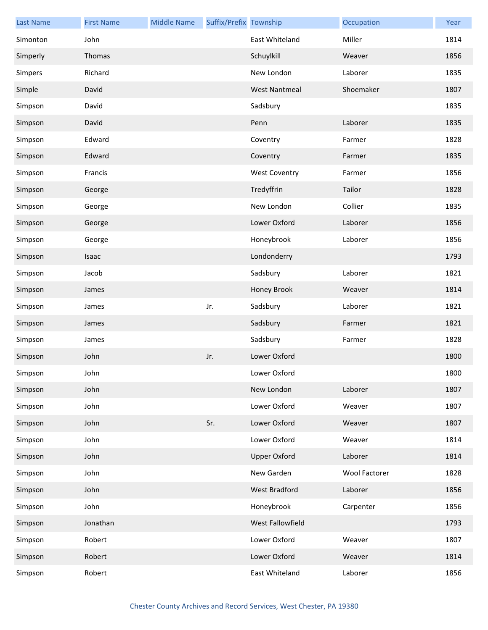| <b>Last Name</b> | <b>First Name</b> | <b>Middle Name</b> | Suffix/Prefix Township |                      | Occupation           | Year |
|------------------|-------------------|--------------------|------------------------|----------------------|----------------------|------|
| Simonton         | John              |                    |                        | East Whiteland       | Miller               | 1814 |
| Simperly         | Thomas            |                    |                        | Schuylkill           | Weaver               | 1856 |
| Simpers          | Richard           |                    |                        | New London           | Laborer              | 1835 |
| Simple           | David             |                    |                        | <b>West Nantmeal</b> | Shoemaker            | 1807 |
| Simpson          | David             |                    |                        | Sadsbury             |                      | 1835 |
| Simpson          | David             |                    |                        | Penn                 | Laborer              | 1835 |
| Simpson          | Edward            |                    |                        | Coventry             | Farmer               | 1828 |
| Simpson          | Edward            |                    |                        | Coventry             | Farmer               | 1835 |
| Simpson          | Francis           |                    |                        | <b>West Coventry</b> | Farmer               | 1856 |
| Simpson          | George            |                    |                        | Tredyffrin           | Tailor               | 1828 |
| Simpson          | George            |                    |                        | New London           | Collier              | 1835 |
| Simpson          | George            |                    |                        | Lower Oxford         | Laborer              | 1856 |
| Simpson          | George            |                    |                        | Honeybrook           | Laborer              | 1856 |
| Simpson          | Isaac             |                    |                        | Londonderry          |                      | 1793 |
| Simpson          | Jacob             |                    |                        | Sadsbury             | Laborer              | 1821 |
| Simpson          | James             |                    |                        | Honey Brook          | Weaver               | 1814 |
| Simpson          | James             |                    | Jr.                    | Sadsbury             | Laborer              | 1821 |
| Simpson          | James             |                    |                        | Sadsbury             | Farmer               | 1821 |
| Simpson          | James             |                    |                        | Sadsbury             | Farmer               | 1828 |
| Simpson          | John              |                    | Jr.                    | Lower Oxford         |                      | 1800 |
| Simpson          | John              |                    |                        | Lower Oxford         |                      | 1800 |
| Simpson          | John              |                    |                        | New London           | Laborer              | 1807 |
| Simpson          | John              |                    |                        | Lower Oxford         | Weaver               | 1807 |
| Simpson          | John              |                    | Sr.                    | Lower Oxford         | Weaver               | 1807 |
| Simpson          | John              |                    |                        | Lower Oxford         | Weaver               | 1814 |
| Simpson          | John              |                    |                        | <b>Upper Oxford</b>  | Laborer              | 1814 |
| Simpson          | John              |                    |                        | New Garden           | <b>Wool Factorer</b> | 1828 |
| Simpson          | John              |                    |                        | West Bradford        | Laborer              | 1856 |
| Simpson          | John              |                    |                        | Honeybrook           | Carpenter            | 1856 |
| Simpson          | Jonathan          |                    |                        | West Fallowfield     |                      | 1793 |
| Simpson          | Robert            |                    |                        | Lower Oxford         | Weaver               | 1807 |
| Simpson          | Robert            |                    |                        | Lower Oxford         | Weaver               | 1814 |
| Simpson          | Robert            |                    |                        | East Whiteland       | Laborer              | 1856 |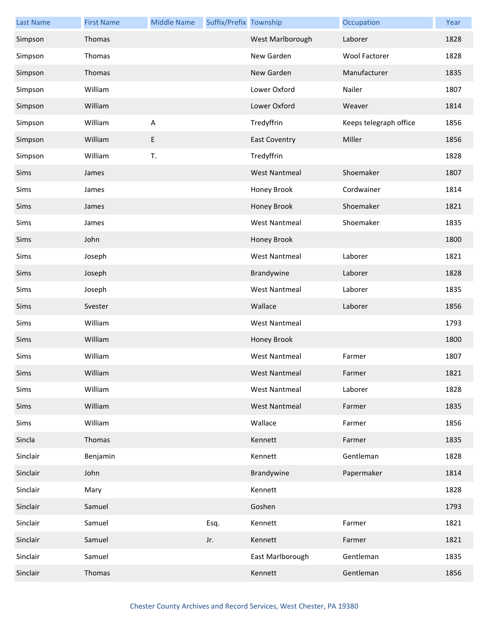| <b>Last Name</b> | <b>First Name</b> | <b>Middle Name</b> | Suffix/Prefix Township |                      | Occupation             | Year |
|------------------|-------------------|--------------------|------------------------|----------------------|------------------------|------|
| Simpson          | Thomas            |                    |                        | West Marlborough     | Laborer                | 1828 |
| Simpson          | Thomas            |                    |                        | New Garden           | Wool Factorer          | 1828 |
| Simpson          | Thomas            |                    |                        | New Garden           | Manufacturer           | 1835 |
| Simpson          | William           |                    |                        | Lower Oxford         | Nailer                 | 1807 |
| Simpson          | William           |                    |                        | Lower Oxford         | Weaver                 | 1814 |
| Simpson          | William           | A                  |                        | Tredyffrin           | Keeps telegraph office | 1856 |
| Simpson          | William           | E                  |                        | <b>East Coventry</b> | Miller                 | 1856 |
| Simpson          | William           | T.                 |                        | Tredyffrin           |                        | 1828 |
| Sims             | James             |                    |                        | <b>West Nantmeal</b> | Shoemaker              | 1807 |
| Sims             | James             |                    |                        | Honey Brook          | Cordwainer             | 1814 |
| Sims             | James             |                    |                        | Honey Brook          | Shoemaker              | 1821 |
| Sims             | James             |                    |                        | <b>West Nantmeal</b> | Shoemaker              | 1835 |
| Sims             | John              |                    |                        | Honey Brook          |                        | 1800 |
| Sims             | Joseph            |                    |                        | <b>West Nantmeal</b> | Laborer                | 1821 |
| Sims             | Joseph            |                    |                        | Brandywine           | Laborer                | 1828 |
| Sims             | Joseph            |                    |                        | <b>West Nantmeal</b> | Laborer                | 1835 |
| Sims             | Svester           |                    |                        | Wallace              | Laborer                | 1856 |
| Sims             | William           |                    |                        | <b>West Nantmeal</b> |                        | 1793 |
| Sims             | William           |                    |                        | Honey Brook          |                        | 1800 |
| Sims             | William           |                    |                        | <b>West Nantmeal</b> | Farmer                 | 1807 |
| Sims             | William           |                    |                        | West Nantmeal        | Farmer                 | 1821 |
| Sims             | William           |                    |                        | <b>West Nantmeal</b> | Laborer                | 1828 |
| Sims             | William           |                    |                        | <b>West Nantmeal</b> | Farmer                 | 1835 |
| Sims             | William           |                    |                        | Wallace              | Farmer                 | 1856 |
| Sincla           | Thomas            |                    |                        | Kennett              | Farmer                 | 1835 |
| Sinclair         | Benjamin          |                    |                        | Kennett              | Gentleman              | 1828 |
| Sinclair         | John              |                    |                        | Brandywine           | Papermaker             | 1814 |
| Sinclair         | Mary              |                    |                        | Kennett              |                        | 1828 |
| Sinclair         | Samuel            |                    |                        | Goshen               |                        | 1793 |
| Sinclair         | Samuel            |                    | Esq.                   | Kennett              | Farmer                 | 1821 |
| Sinclair         | Samuel            |                    | Jr.                    | Kennett              | Farmer                 | 1821 |
| Sinclair         | Samuel            |                    |                        | East Marlborough     | Gentleman              | 1835 |
| Sinclair         | Thomas            |                    |                        | Kennett              | Gentleman              | 1856 |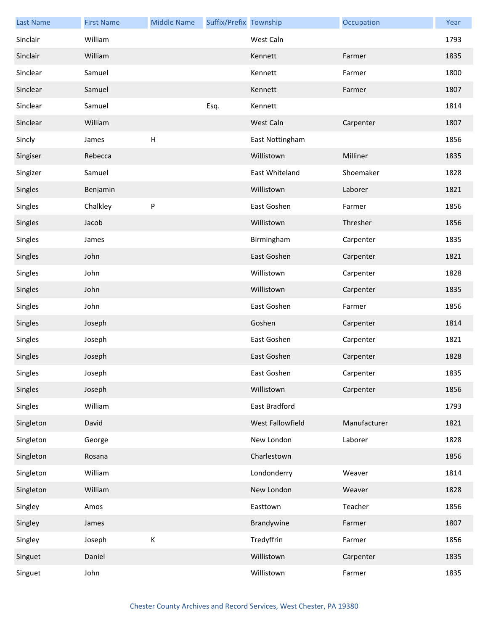| <b>Last Name</b> | <b>First Name</b> | <b>Middle Name</b> | Suffix/Prefix Township |                  | Occupation   | Year |
|------------------|-------------------|--------------------|------------------------|------------------|--------------|------|
| Sinclair         | William           |                    |                        | West Caln        |              | 1793 |
| Sinclair         | William           |                    |                        | Kennett          | Farmer       | 1835 |
| Sinclear         | Samuel            |                    |                        | Kennett          | Farmer       | 1800 |
| Sinclear         | Samuel            |                    |                        | Kennett          | Farmer       | 1807 |
| Sinclear         | Samuel            |                    | Esq.                   | Kennett          |              | 1814 |
| Sinclear         | William           |                    |                        | West Caln        | Carpenter    | 1807 |
| Sincly           | James             | H                  |                        | East Nottingham  |              | 1856 |
| Singiser         | Rebecca           |                    |                        | Willistown       | Milliner     | 1835 |
| Singizer         | Samuel            |                    |                        | East Whiteland   | Shoemaker    | 1828 |
| Singles          | Benjamin          |                    |                        | Willistown       | Laborer      | 1821 |
| Singles          | Chalkley          | ${\sf P}$          |                        | East Goshen      | Farmer       | 1856 |
| Singles          | Jacob             |                    |                        | Willistown       | Thresher     | 1856 |
| Singles          | James             |                    |                        | Birmingham       | Carpenter    | 1835 |
| Singles          | John              |                    |                        | East Goshen      | Carpenter    | 1821 |
| Singles          | John              |                    |                        | Willistown       | Carpenter    | 1828 |
| Singles          | John              |                    |                        | Willistown       | Carpenter    | 1835 |
| Singles          | John              |                    |                        | East Goshen      | Farmer       | 1856 |
| Singles          | Joseph            |                    |                        | Goshen           | Carpenter    | 1814 |
| Singles          | Joseph            |                    |                        | East Goshen      | Carpenter    | 1821 |
| Singles          | Joseph            |                    |                        | East Goshen      | Carpenter    | 1828 |
| Singles          | Joseph            |                    |                        | East Goshen      | Carpenter    | 1835 |
| Singles          | Joseph            |                    |                        | Willistown       | Carpenter    | 1856 |
| Singles          | William           |                    |                        | East Bradford    |              | 1793 |
| Singleton        | David             |                    |                        | West Fallowfield | Manufacturer | 1821 |
| Singleton        | George            |                    |                        | New London       | Laborer      | 1828 |
| Singleton        | Rosana            |                    |                        | Charlestown      |              | 1856 |
| Singleton        | William           |                    |                        | Londonderry      | Weaver       | 1814 |
| Singleton        | William           |                    |                        | New London       | Weaver       | 1828 |
| Singley          | Amos              |                    |                        | Easttown         | Teacher      | 1856 |
| Singley          | James             |                    |                        | Brandywine       | Farmer       | 1807 |
| Singley          | Joseph            | К                  |                        | Tredyffrin       | Farmer       | 1856 |
| Singuet          | Daniel            |                    |                        | Willistown       | Carpenter    | 1835 |
| Singuet          | John              |                    |                        | Willistown       | Farmer       | 1835 |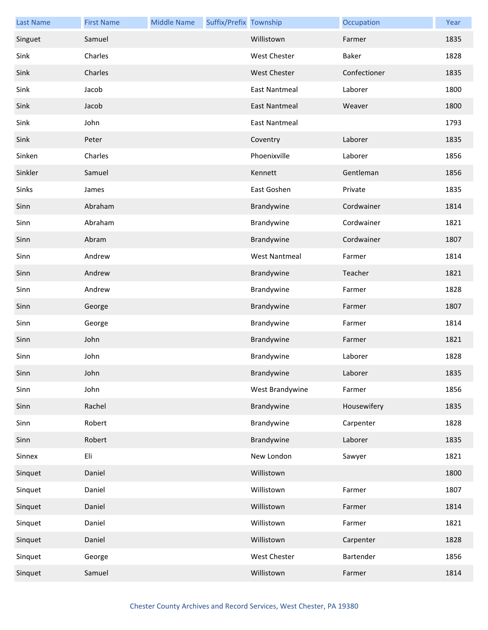| <b>Last Name</b> | <b>First Name</b> | <b>Middle Name</b> | Suffix/Prefix Township |                      | Occupation   | Year |
|------------------|-------------------|--------------------|------------------------|----------------------|--------------|------|
| Singuet          | Samuel            |                    |                        | Willistown           | Farmer       | 1835 |
| Sink             | Charles           |                    |                        | <b>West Chester</b>  | Baker        | 1828 |
| Sink             | Charles           |                    |                        | <b>West Chester</b>  | Confectioner | 1835 |
| Sink             | Jacob             |                    |                        | <b>East Nantmeal</b> | Laborer      | 1800 |
| Sink             | Jacob             |                    |                        | <b>East Nantmeal</b> | Weaver       | 1800 |
| Sink             | John              |                    |                        | East Nantmeal        |              | 1793 |
| Sink             | Peter             |                    |                        | Coventry             | Laborer      | 1835 |
| Sinken           | Charles           |                    |                        | Phoenixville         | Laborer      | 1856 |
| Sinkler          | Samuel            |                    |                        | Kennett              | Gentleman    | 1856 |
| Sinks            | James             |                    |                        | East Goshen          | Private      | 1835 |
| Sinn             | Abraham           |                    |                        | Brandywine           | Cordwainer   | 1814 |
| Sinn             | Abraham           |                    |                        | Brandywine           | Cordwainer   | 1821 |
| Sinn             | Abram             |                    |                        | Brandywine           | Cordwainer   | 1807 |
| Sinn             | Andrew            |                    |                        | <b>West Nantmeal</b> | Farmer       | 1814 |
| Sinn             | Andrew            |                    |                        | Brandywine           | Teacher      | 1821 |
| Sinn             | Andrew            |                    |                        | Brandywine           | Farmer       | 1828 |
| Sinn             | George            |                    |                        | Brandywine           | Farmer       | 1807 |
| Sinn             | George            |                    |                        | Brandywine           | Farmer       | 1814 |
| Sinn             | John              |                    |                        | Brandywine           | Farmer       | 1821 |
| Sinn             | John              |                    |                        | Brandywine           | Laborer      | 1828 |
| Sinn             | John              |                    |                        | Brandywine           | Laborer      | 1835 |
| Sinn             | John              |                    |                        | West Brandywine      | Farmer       | 1856 |
| Sinn             | Rachel            |                    |                        | Brandywine           | Housewifery  | 1835 |
| Sinn             | Robert            |                    |                        | Brandywine           | Carpenter    | 1828 |
| Sinn             | Robert            |                    |                        | Brandywine           | Laborer      | 1835 |
| Sinnex           | Eli               |                    |                        | New London           | Sawyer       | 1821 |
| Sinquet          | Daniel            |                    |                        | Willistown           |              | 1800 |
| Sinquet          | Daniel            |                    |                        | Willistown           | Farmer       | 1807 |
| Sinquet          | Daniel            |                    |                        | Willistown           | Farmer       | 1814 |
| Sinquet          | Daniel            |                    |                        | Willistown           | Farmer       | 1821 |
| Sinquet          | Daniel            |                    |                        | Willistown           | Carpenter    | 1828 |
| Sinquet          | George            |                    |                        | West Chester         | Bartender    | 1856 |
| Sinquet          | Samuel            |                    |                        | Willistown           | Farmer       | 1814 |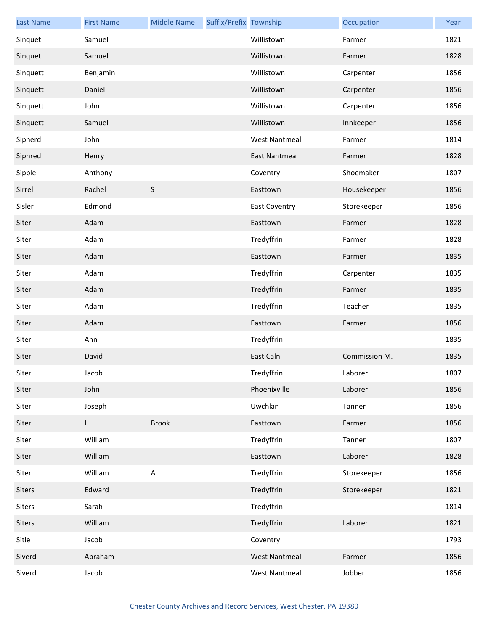| <b>Last Name</b> | <b>First Name</b> | <b>Middle Name</b> | Suffix/Prefix Township |                      | Occupation    | Year |
|------------------|-------------------|--------------------|------------------------|----------------------|---------------|------|
| Sinquet          | Samuel            |                    |                        | Willistown           | Farmer        | 1821 |
| Sinquet          | Samuel            |                    |                        | Willistown           | Farmer        | 1828 |
| Sinquett         | Benjamin          |                    |                        | Willistown           | Carpenter     | 1856 |
| Sinquett         | Daniel            |                    |                        | Willistown           | Carpenter     | 1856 |
| Sinquett         | John              |                    |                        | Willistown           | Carpenter     | 1856 |
| Sinquett         | Samuel            |                    |                        | Willistown           | Innkeeper     | 1856 |
| Sipherd          | John              |                    |                        | <b>West Nantmeal</b> | Farmer        | 1814 |
| Siphred          | Henry             |                    |                        | <b>East Nantmeal</b> | Farmer        | 1828 |
| Sipple           | Anthony           |                    |                        | Coventry             | Shoemaker     | 1807 |
| Sirrell          | Rachel            | $\sf S$            |                        | Easttown             | Housekeeper   | 1856 |
| Sisler           | Edmond            |                    |                        | <b>East Coventry</b> | Storekeeper   | 1856 |
| Siter            | Adam              |                    |                        | Easttown             | Farmer        | 1828 |
| Siter            | Adam              |                    |                        | Tredyffrin           | Farmer        | 1828 |
| Siter            | Adam              |                    |                        | Easttown             | Farmer        | 1835 |
| Siter            | Adam              |                    |                        | Tredyffrin           | Carpenter     | 1835 |
| Siter            | Adam              |                    |                        | Tredyffrin           | Farmer        | 1835 |
| Siter            | Adam              |                    |                        | Tredyffrin           | Teacher       | 1835 |
| Siter            | Adam              |                    |                        | Easttown             | Farmer        | 1856 |
| Siter            | Ann               |                    |                        | Tredyffrin           |               | 1835 |
| Siter            | David             |                    |                        | East Caln            | Commission M. | 1835 |
| Siter            | Jacob             |                    |                        | Tredyffrin           | Laborer       | 1807 |
| Siter            | John              |                    |                        | Phoenixville         | Laborer       | 1856 |
| Siter            | Joseph            |                    |                        | Uwchlan              | Tanner        | 1856 |
| Siter            | L.                | <b>Brook</b>       |                        | Easttown             | Farmer        | 1856 |
| Siter            | William           |                    |                        | Tredyffrin           | Tanner        | 1807 |
| Siter            | William           |                    |                        | Easttown             | Laborer       | 1828 |
| Siter            | William           | $\mathsf A$        |                        | Tredyffrin           | Storekeeper   | 1856 |
| Siters           | Edward            |                    |                        | Tredyffrin           | Storekeeper   | 1821 |
| Siters           | Sarah             |                    |                        | Tredyffrin           |               | 1814 |
| Siters           | William           |                    |                        | Tredyffrin           | Laborer       | 1821 |
| Sitle            | Jacob             |                    |                        | Coventry             |               | 1793 |
| Siverd           | Abraham           |                    |                        | <b>West Nantmeal</b> | Farmer        | 1856 |
| Siverd           | Jacob             |                    |                        | <b>West Nantmeal</b> | Jobber        | 1856 |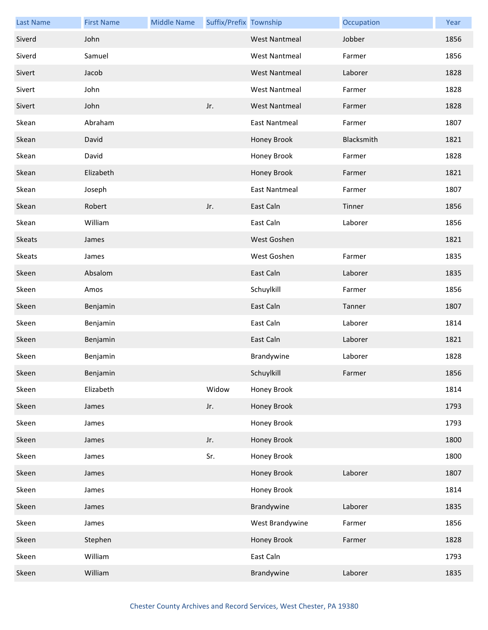| <b>Last Name</b> | <b>First Name</b> | <b>Middle Name</b> | Suffix/Prefix Township |                      | Occupation | Year |
|------------------|-------------------|--------------------|------------------------|----------------------|------------|------|
| Siverd           | John              |                    |                        | <b>West Nantmeal</b> | Jobber     | 1856 |
| Siverd           | Samuel            |                    |                        | West Nantmeal        | Farmer     | 1856 |
| Sivert           | Jacob             |                    |                        | <b>West Nantmeal</b> | Laborer    | 1828 |
| Sivert           | John              |                    |                        | <b>West Nantmeal</b> | Farmer     | 1828 |
| Sivert           | John              |                    | Jr.                    | <b>West Nantmeal</b> | Farmer     | 1828 |
| Skean            | Abraham           |                    |                        | East Nantmeal        | Farmer     | 1807 |
| Skean            | David             |                    |                        | Honey Brook          | Blacksmith | 1821 |
| Skean            | David             |                    |                        | Honey Brook          | Farmer     | 1828 |
| Skean            | Elizabeth         |                    |                        | Honey Brook          | Farmer     | 1821 |
| Skean            | Joseph            |                    |                        | <b>East Nantmeal</b> | Farmer     | 1807 |
| Skean            | Robert            |                    | Jr.                    | East Caln            | Tinner     | 1856 |
| Skean            | William           |                    |                        | East Caln            | Laborer    | 1856 |
| <b>Skeats</b>    | James             |                    |                        | West Goshen          |            | 1821 |
| Skeats           | James             |                    |                        | West Goshen          | Farmer     | 1835 |
| Skeen            | Absalom           |                    |                        | East Caln            | Laborer    | 1835 |
| Skeen            | Amos              |                    |                        | Schuylkill           | Farmer     | 1856 |
| Skeen            | Benjamin          |                    |                        | East Caln            | Tanner     | 1807 |
| Skeen            | Benjamin          |                    |                        | East Caln            | Laborer    | 1814 |
| Skeen            | Benjamin          |                    |                        | East Caln            | Laborer    | 1821 |
| Skeen            | Benjamin          |                    |                        | Brandywine           | Laborer    | 1828 |
| Skeen            | Benjamin          |                    |                        | Schuylkill           | Farmer     | 1856 |
| Skeen            | Elizabeth         |                    | Widow                  | Honey Brook          |            | 1814 |
| Skeen            | James             |                    | Jr.                    | Honey Brook          |            | 1793 |
| Skeen            | James             |                    |                        | Honey Brook          |            | 1793 |
| Skeen            | James             |                    | Jr.                    | Honey Brook          |            | 1800 |
| Skeen            | James             |                    | Sr.                    | Honey Brook          |            | 1800 |
| Skeen            | James             |                    |                        | Honey Brook          | Laborer    | 1807 |
| Skeen            | James             |                    |                        | Honey Brook          |            | 1814 |
| Skeen            | James             |                    |                        | Brandywine           | Laborer    | 1835 |
| Skeen            | James             |                    |                        | West Brandywine      | Farmer     | 1856 |
| Skeen            | Stephen           |                    |                        | Honey Brook          | Farmer     | 1828 |
| Skeen            | William           |                    |                        | East Caln            |            | 1793 |
| Skeen            | William           |                    |                        | Brandywine           | Laborer    | 1835 |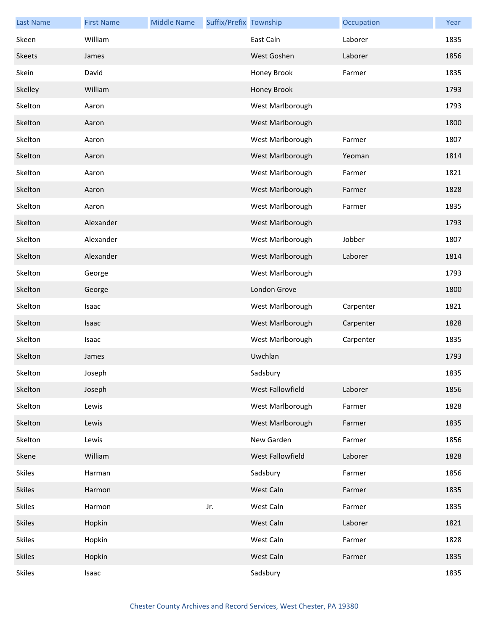| <b>Last Name</b> | <b>First Name</b> | <b>Middle Name</b> | Suffix/Prefix Township |                  | Occupation | Year |
|------------------|-------------------|--------------------|------------------------|------------------|------------|------|
| Skeen            | William           |                    |                        | East Caln        | Laborer    | 1835 |
| <b>Skeets</b>    | James             |                    |                        | West Goshen      | Laborer    | 1856 |
| Skein            | David             |                    |                        | Honey Brook      | Farmer     | 1835 |
| Skelley          | William           |                    |                        | Honey Brook      |            | 1793 |
| Skelton          | Aaron             |                    |                        | West Marlborough |            | 1793 |
| Skelton          | Aaron             |                    |                        | West Marlborough |            | 1800 |
| Skelton          | Aaron             |                    |                        | West Marlborough | Farmer     | 1807 |
| Skelton          | Aaron             |                    |                        | West Marlborough | Yeoman     | 1814 |
| Skelton          | Aaron             |                    |                        | West Marlborough | Farmer     | 1821 |
| Skelton          | Aaron             |                    |                        | West Marlborough | Farmer     | 1828 |
| Skelton          | Aaron             |                    |                        | West Marlborough | Farmer     | 1835 |
| Skelton          | Alexander         |                    |                        | West Marlborough |            | 1793 |
| Skelton          | Alexander         |                    |                        | West Marlborough | Jobber     | 1807 |
| Skelton          | Alexander         |                    |                        | West Marlborough | Laborer    | 1814 |
| Skelton          | George            |                    |                        | West Marlborough |            | 1793 |
| Skelton          | George            |                    |                        | London Grove     |            | 1800 |
| Skelton          | Isaac             |                    |                        | West Marlborough | Carpenter  | 1821 |
| Skelton          | Isaac             |                    |                        | West Marlborough | Carpenter  | 1828 |
| Skelton          | Isaac             |                    |                        | West Marlborough | Carpenter  | 1835 |
| Skelton          | James             |                    |                        | Uwchlan          |            | 1793 |
| Skelton          | Joseph            |                    |                        | Sadsbury         |            | 1835 |
| Skelton          | Joseph            |                    |                        | West Fallowfield | Laborer    | 1856 |
| Skelton          | Lewis             |                    |                        | West Marlborough | Farmer     | 1828 |
| Skelton          | Lewis             |                    |                        | West Marlborough | Farmer     | 1835 |
| Skelton          | Lewis             |                    |                        | New Garden       | Farmer     | 1856 |
| Skene            | William           |                    |                        | West Fallowfield | Laborer    | 1828 |
| <b>Skiles</b>    | Harman            |                    |                        | Sadsbury         | Farmer     | 1856 |
| <b>Skiles</b>    | Harmon            |                    |                        | West Caln        | Farmer     | 1835 |
| Skiles           | Harmon            |                    | Jr.                    | West Caln        | Farmer     | 1835 |
| <b>Skiles</b>    | Hopkin            |                    |                        | West Caln        | Laborer    | 1821 |
| <b>Skiles</b>    | Hopkin            |                    |                        | West Caln        | Farmer     | 1828 |
| <b>Skiles</b>    | Hopkin            |                    |                        | West Caln        | Farmer     | 1835 |
| <b>Skiles</b>    | Isaac             |                    |                        | Sadsbury         |            | 1835 |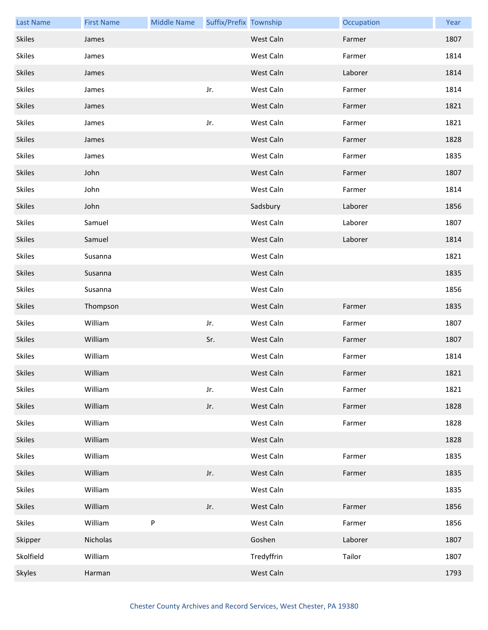| <b>Last Name</b> | <b>First Name</b> | <b>Middle Name</b> | Suffix/Prefix Township |            | Occupation | Year |
|------------------|-------------------|--------------------|------------------------|------------|------------|------|
| <b>Skiles</b>    | James             |                    |                        | West Caln  | Farmer     | 1807 |
| <b>Skiles</b>    | James             |                    |                        | West Caln  | Farmer     | 1814 |
| <b>Skiles</b>    | James             |                    |                        | West Caln  | Laborer    | 1814 |
| <b>Skiles</b>    | James             |                    | Jr.                    | West Caln  | Farmer     | 1814 |
| <b>Skiles</b>    | James             |                    |                        | West Caln  | Farmer     | 1821 |
| <b>Skiles</b>    | James             |                    | Jr.                    | West Caln  | Farmer     | 1821 |
| <b>Skiles</b>    | James             |                    |                        | West Caln  | Farmer     | 1828 |
| <b>Skiles</b>    | James             |                    |                        | West Caln  | Farmer     | 1835 |
| <b>Skiles</b>    | John              |                    |                        | West Caln  | Farmer     | 1807 |
| <b>Skiles</b>    | John              |                    |                        | West Caln  | Farmer     | 1814 |
| <b>Skiles</b>    | John              |                    |                        | Sadsbury   | Laborer    | 1856 |
| <b>Skiles</b>    | Samuel            |                    |                        | West Caln  | Laborer    | 1807 |
| <b>Skiles</b>    | Samuel            |                    |                        | West Caln  | Laborer    | 1814 |
| <b>Skiles</b>    | Susanna           |                    |                        | West Caln  |            | 1821 |
| <b>Skiles</b>    | Susanna           |                    |                        | West Caln  |            | 1835 |
| <b>Skiles</b>    | Susanna           |                    |                        | West Caln  |            | 1856 |
| <b>Skiles</b>    | Thompson          |                    |                        | West Caln  | Farmer     | 1835 |
| <b>Skiles</b>    | William           |                    | Jr.                    | West Caln  | Farmer     | 1807 |
| <b>Skiles</b>    | William           |                    | Sr.                    | West Caln  | Farmer     | 1807 |
| <b>Skiles</b>    | William           |                    |                        | West Caln  | Farmer     | 1814 |
| Skiles           | William           |                    |                        | West Caln  | Farmer     | 1821 |
| Skiles           | William           |                    | Jr.                    | West Caln  | Farmer     | 1821 |
| <b>Skiles</b>    | William           |                    | Jr.                    | West Caln  | Farmer     | 1828 |
| <b>Skiles</b>    | William           |                    |                        | West Caln  | Farmer     | 1828 |
| <b>Skiles</b>    | William           |                    |                        | West Caln  |            | 1828 |
| <b>Skiles</b>    | William           |                    |                        | West Caln  | Farmer     | 1835 |
| <b>Skiles</b>    | William           |                    | Jr.                    | West Caln  | Farmer     | 1835 |
| <b>Skiles</b>    | William           |                    |                        | West Caln  |            | 1835 |
| <b>Skiles</b>    | William           |                    | Jr.                    | West Caln  | Farmer     | 1856 |
| <b>Skiles</b>    | William           | ${\sf P}$          |                        | West Caln  | Farmer     | 1856 |
| Skipper          | Nicholas          |                    |                        | Goshen     | Laborer    | 1807 |
| Skolfield        | William           |                    |                        | Tredyffrin | Tailor     | 1807 |
| Skyles           | Harman            |                    |                        | West Caln  |            | 1793 |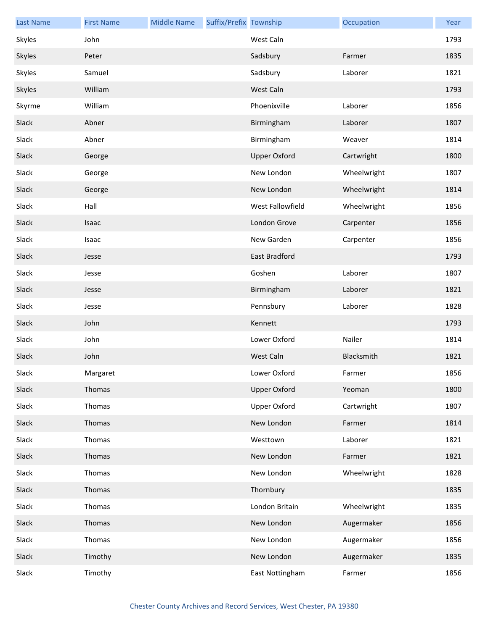| <b>Last Name</b> | <b>First Name</b> | <b>Middle Name</b> | Suffix/Prefix Township |                     | Occupation  | Year |
|------------------|-------------------|--------------------|------------------------|---------------------|-------------|------|
| Skyles           | John              |                    |                        | West Caln           |             | 1793 |
| Skyles           | Peter             |                    |                        | Sadsbury            | Farmer      | 1835 |
| Skyles           | Samuel            |                    |                        | Sadsbury            | Laborer     | 1821 |
| Skyles           | William           |                    |                        | West Caln           |             | 1793 |
| Skyrme           | William           |                    |                        | Phoenixville        | Laborer     | 1856 |
| Slack            | Abner             |                    |                        | Birmingham          | Laborer     | 1807 |
| Slack            | Abner             |                    |                        | Birmingham          | Weaver      | 1814 |
| Slack            | George            |                    |                        | <b>Upper Oxford</b> | Cartwright  | 1800 |
| Slack            | George            |                    |                        | New London          | Wheelwright | 1807 |
| Slack            | George            |                    |                        | New London          | Wheelwright | 1814 |
| Slack            | Hall              |                    |                        | West Fallowfield    | Wheelwright | 1856 |
| Slack            | Isaac             |                    |                        | London Grove        | Carpenter   | 1856 |
| Slack            | Isaac             |                    |                        | New Garden          | Carpenter   | 1856 |
| Slack            | Jesse             |                    |                        | East Bradford       |             | 1793 |
| Slack            | Jesse             |                    |                        | Goshen              | Laborer     | 1807 |
| Slack            | Jesse             |                    |                        | Birmingham          | Laborer     | 1821 |
| Slack            | Jesse             |                    |                        | Pennsbury           | Laborer     | 1828 |
| Slack            | John              |                    |                        | Kennett             |             | 1793 |
| Slack            | John              |                    |                        | Lower Oxford        | Nailer      | 1814 |
| Slack            | John              |                    |                        | West Caln           | Blacksmith  | 1821 |
| Slack            | Margaret          |                    |                        | Lower Oxford        | Farmer      | 1856 |
| Slack            | Thomas            |                    |                        | <b>Upper Oxford</b> | Yeoman      | 1800 |
| Slack            | Thomas            |                    |                        | <b>Upper Oxford</b> | Cartwright  | 1807 |
| Slack            | Thomas            |                    |                        | New London          | Farmer      | 1814 |
| Slack            | Thomas            |                    |                        | Westtown            | Laborer     | 1821 |
| Slack            | Thomas            |                    |                        | New London          | Farmer      | 1821 |
| Slack            | Thomas            |                    |                        | New London          | Wheelwright | 1828 |
| Slack            | Thomas            |                    |                        | Thornbury           |             | 1835 |
| Slack            | Thomas            |                    |                        | London Britain      | Wheelwright | 1835 |
| Slack            | Thomas            |                    |                        | New London          | Augermaker  | 1856 |
| Slack            | Thomas            |                    |                        | New London          | Augermaker  | 1856 |
| Slack            | Timothy           |                    |                        | New London          | Augermaker  | 1835 |
| Slack            | Timothy           |                    |                        | East Nottingham     | Farmer      | 1856 |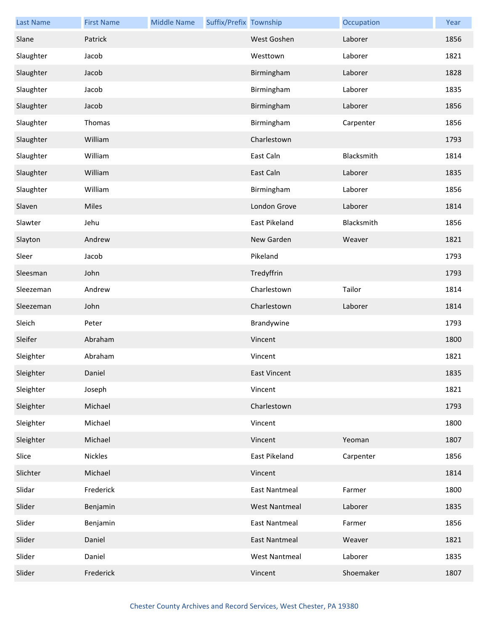| <b>Last Name</b> | <b>First Name</b> | <b>Middle Name</b> | Suffix/Prefix Township |                      | Occupation | Year |
|------------------|-------------------|--------------------|------------------------|----------------------|------------|------|
| Slane            | Patrick           |                    |                        | West Goshen          | Laborer    | 1856 |
| Slaughter        | Jacob             |                    |                        | Westtown             | Laborer    | 1821 |
| Slaughter        | Jacob             |                    |                        | Birmingham           | Laborer    | 1828 |
| Slaughter        | Jacob             |                    |                        | Birmingham           | Laborer    | 1835 |
| Slaughter        | Jacob             |                    |                        | Birmingham           | Laborer    | 1856 |
| Slaughter        | Thomas            |                    |                        | Birmingham           | Carpenter  | 1856 |
| Slaughter        | William           |                    |                        | Charlestown          |            | 1793 |
| Slaughter        | William           |                    |                        | East Caln            | Blacksmith | 1814 |
| Slaughter        | William           |                    |                        | East Caln            | Laborer    | 1835 |
| Slaughter        | William           |                    |                        | Birmingham           | Laborer    | 1856 |
| Slaven           | Miles             |                    |                        | London Grove         | Laborer    | 1814 |
| Slawter          | Jehu              |                    |                        | East Pikeland        | Blacksmith | 1856 |
| Slayton          | Andrew            |                    |                        | New Garden           | Weaver     | 1821 |
| Sleer            | Jacob             |                    |                        | Pikeland             |            | 1793 |
| Sleesman         | John              |                    |                        | Tredyffrin           |            | 1793 |
| Sleezeman        | Andrew            |                    |                        | Charlestown          | Tailor     | 1814 |
| Sleezeman        | John              |                    |                        | Charlestown          | Laborer    | 1814 |
| Sleich           | Peter             |                    |                        | Brandywine           |            | 1793 |
| Sleifer          | Abraham           |                    |                        | Vincent              |            | 1800 |
| Sleighter        | Abraham           |                    |                        | Vincent              |            | 1821 |
| Sleighter        | Daniel            |                    |                        | East Vincent         |            | 1835 |
| Sleighter        | Joseph            |                    |                        | Vincent              |            | 1821 |
| Sleighter        | Michael           |                    |                        | Charlestown          |            | 1793 |
| Sleighter        | Michael           |                    |                        | Vincent              |            | 1800 |
| Sleighter        | Michael           |                    |                        | Vincent              | Yeoman     | 1807 |
| Slice            | Nickles           |                    |                        | East Pikeland        | Carpenter  | 1856 |
| Slichter         | Michael           |                    |                        | Vincent              |            | 1814 |
| Slidar           | Frederick         |                    |                        | <b>East Nantmeal</b> | Farmer     | 1800 |
| Slider           | Benjamin          |                    |                        | <b>West Nantmeal</b> | Laborer    | 1835 |
| Slider           | Benjamin          |                    |                        | <b>East Nantmeal</b> | Farmer     | 1856 |
| Slider           | Daniel            |                    |                        | <b>East Nantmeal</b> | Weaver     | 1821 |
| Slider           | Daniel            |                    |                        | <b>West Nantmeal</b> | Laborer    | 1835 |
| Slider           | Frederick         |                    |                        | Vincent              | Shoemaker  | 1807 |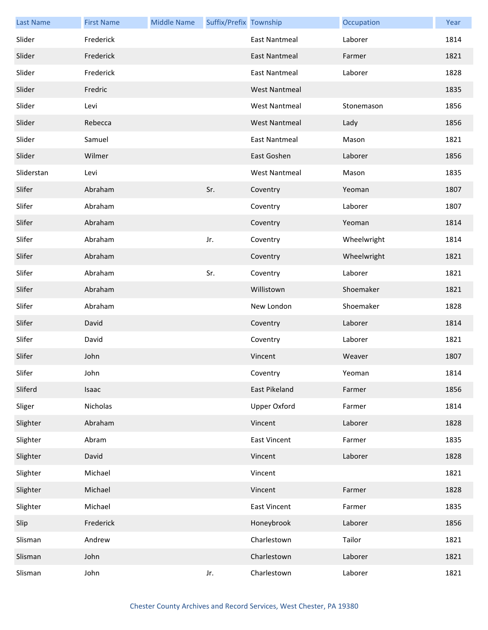| <b>Last Name</b> | <b>First Name</b> | <b>Middle Name</b> | Suffix/Prefix Township |                      | Occupation  | Year |
|------------------|-------------------|--------------------|------------------------|----------------------|-------------|------|
| Slider           | Frederick         |                    |                        | <b>East Nantmeal</b> | Laborer     | 1814 |
| Slider           | Frederick         |                    |                        | <b>East Nantmeal</b> | Farmer      | 1821 |
| Slider           | Frederick         |                    |                        | <b>East Nantmeal</b> | Laborer     | 1828 |
| Slider           | Fredric           |                    |                        | <b>West Nantmeal</b> |             | 1835 |
| Slider           | Levi              |                    |                        | <b>West Nantmeal</b> | Stonemason  | 1856 |
| Slider           | Rebecca           |                    |                        | <b>West Nantmeal</b> | Lady        | 1856 |
| Slider           | Samuel            |                    |                        | <b>East Nantmeal</b> | Mason       | 1821 |
| Slider           | Wilmer            |                    |                        | East Goshen          | Laborer     | 1856 |
| Sliderstan       | Levi              |                    |                        | <b>West Nantmeal</b> | Mason       | 1835 |
| Slifer           | Abraham           |                    | Sr.                    | Coventry             | Yeoman      | 1807 |
| Slifer           | Abraham           |                    |                        | Coventry             | Laborer     | 1807 |
| Slifer           | Abraham           |                    |                        | Coventry             | Yeoman      | 1814 |
| Slifer           | Abraham           |                    | Jr.                    | Coventry             | Wheelwright | 1814 |
| Slifer           | Abraham           |                    |                        | Coventry             | Wheelwright | 1821 |
| Slifer           | Abraham           |                    | Sr.                    | Coventry             | Laborer     | 1821 |
| Slifer           | Abraham           |                    |                        | Willistown           | Shoemaker   | 1821 |
| Slifer           | Abraham           |                    |                        | New London           | Shoemaker   | 1828 |
| Slifer           | David             |                    |                        | Coventry             | Laborer     | 1814 |
| Slifer           | David             |                    |                        | Coventry             | Laborer     | 1821 |
| Slifer           | John              |                    |                        | Vincent              | Weaver      | 1807 |
| Slifer           | John              |                    |                        | Coventry             | Yeoman      | 1814 |
| Sliferd          | Isaac             |                    |                        | East Pikeland        | Farmer      | 1856 |
| Sliger           | Nicholas          |                    |                        | Upper Oxford         | Farmer      | 1814 |
| Slighter         | Abraham           |                    |                        | Vincent              | Laborer     | 1828 |
| Slighter         | Abram             |                    |                        | <b>East Vincent</b>  | Farmer      | 1835 |
| Slighter         | David             |                    |                        | Vincent              | Laborer     | 1828 |
| Slighter         | Michael           |                    |                        | Vincent              |             | 1821 |
| Slighter         | Michael           |                    |                        | Vincent              | Farmer      | 1828 |
| Slighter         | Michael           |                    |                        | <b>East Vincent</b>  | Farmer      | 1835 |
| Slip             | Frederick         |                    |                        | Honeybrook           | Laborer     | 1856 |
| Slisman          | Andrew            |                    |                        | Charlestown          | Tailor      | 1821 |
| Slisman          | John              |                    |                        | Charlestown          | Laborer     | 1821 |
| Slisman          | John              |                    | Jr.                    | Charlestown          | Laborer     | 1821 |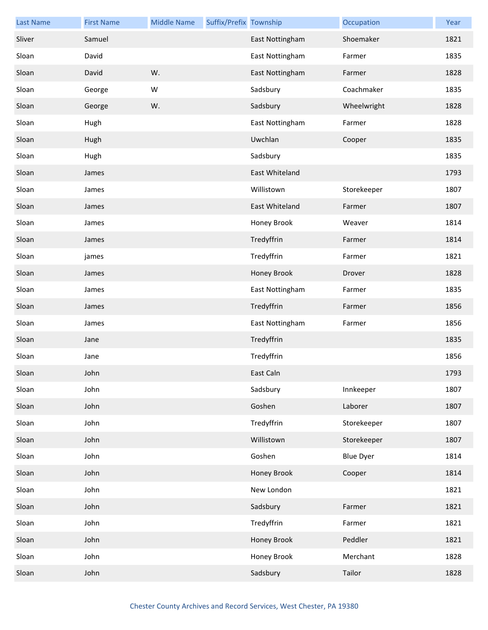| <b>Last Name</b> | <b>First Name</b> | <b>Middle Name</b> | Suffix/Prefix Township |                 | Occupation       | Year |
|------------------|-------------------|--------------------|------------------------|-----------------|------------------|------|
| Sliver           | Samuel            |                    |                        | East Nottingham | Shoemaker        | 1821 |
| Sloan            | David             |                    |                        | East Nottingham | Farmer           | 1835 |
| Sloan            | David             | W.                 |                        | East Nottingham | Farmer           | 1828 |
| Sloan            | George            | W                  |                        | Sadsbury        | Coachmaker       | 1835 |
| Sloan            | George            | W.                 |                        | Sadsbury        | Wheelwright      | 1828 |
| Sloan            | Hugh              |                    |                        | East Nottingham | Farmer           | 1828 |
| Sloan            | Hugh              |                    |                        | Uwchlan         | Cooper           | 1835 |
| Sloan            | Hugh              |                    |                        | Sadsbury        |                  | 1835 |
| Sloan            | James             |                    |                        | East Whiteland  |                  | 1793 |
| Sloan            | James             |                    |                        | Willistown      | Storekeeper      | 1807 |
| Sloan            | James             |                    |                        | East Whiteland  | Farmer           | 1807 |
| Sloan            | James             |                    |                        | Honey Brook     | Weaver           | 1814 |
| Sloan            | James             |                    |                        | Tredyffrin      | Farmer           | 1814 |
| Sloan            | james             |                    |                        | Tredyffrin      | Farmer           | 1821 |
| Sloan            | James             |                    |                        | Honey Brook     | Drover           | 1828 |
| Sloan            | James             |                    |                        | East Nottingham | Farmer           | 1835 |
| Sloan            | James             |                    |                        | Tredyffrin      | Farmer           | 1856 |
| Sloan            | James             |                    |                        | East Nottingham | Farmer           | 1856 |
| Sloan            | Jane              |                    |                        | Tredyffrin      |                  | 1835 |
| Sloan            | Jane              |                    |                        | Tredyffrin      |                  | 1856 |
| Sloan            | John              |                    |                        | East Caln       |                  | 1793 |
| Sloan            | John              |                    |                        | Sadsbury        | Innkeeper        | 1807 |
| Sloan            | John              |                    |                        | Goshen          | Laborer          | 1807 |
| Sloan            | John              |                    |                        | Tredyffrin      | Storekeeper      | 1807 |
| Sloan            | John              |                    |                        | Willistown      | Storekeeper      | 1807 |
| Sloan            | John              |                    |                        | Goshen          | <b>Blue Dyer</b> | 1814 |
| Sloan            | John              |                    |                        | Honey Brook     | Cooper           | 1814 |
| Sloan            | John              |                    |                        | New London      |                  | 1821 |
| Sloan            | John              |                    |                        | Sadsbury        | Farmer           | 1821 |
| Sloan            | John              |                    |                        | Tredyffrin      | Farmer           | 1821 |
| Sloan            | John              |                    |                        | Honey Brook     | Peddler          | 1821 |
| Sloan            | John              |                    |                        | Honey Brook     | Merchant         | 1828 |
| Sloan            | John              |                    |                        | Sadsbury        | Tailor           | 1828 |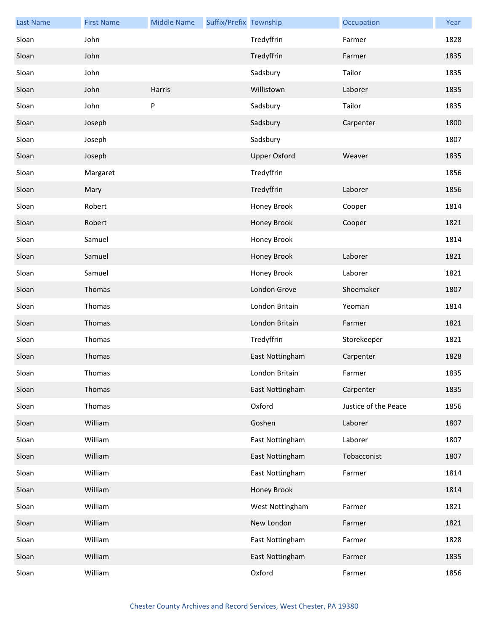| <b>Last Name</b> | <b>First Name</b> | <b>Middle Name</b> | Suffix/Prefix Township |                     | Occupation           | Year |
|------------------|-------------------|--------------------|------------------------|---------------------|----------------------|------|
| Sloan            | John              |                    |                        | Tredyffrin          | Farmer               | 1828 |
| Sloan            | John              |                    |                        | Tredyffrin          | Farmer               | 1835 |
| Sloan            | John              |                    |                        | Sadsbury            | Tailor               | 1835 |
| Sloan            | John              | Harris             |                        | Willistown          | Laborer              | 1835 |
| Sloan            | John              | ${\sf P}$          |                        | Sadsbury            | Tailor               | 1835 |
| Sloan            | Joseph            |                    |                        | Sadsbury            | Carpenter            | 1800 |
| Sloan            | Joseph            |                    |                        | Sadsbury            |                      | 1807 |
| Sloan            | Joseph            |                    |                        | <b>Upper Oxford</b> | Weaver               | 1835 |
| Sloan            | Margaret          |                    |                        | Tredyffrin          |                      | 1856 |
| Sloan            | Mary              |                    |                        | Tredyffrin          | Laborer              | 1856 |
| Sloan            | Robert            |                    |                        | Honey Brook         | Cooper               | 1814 |
| Sloan            | Robert            |                    |                        | Honey Brook         | Cooper               | 1821 |
| Sloan            | Samuel            |                    |                        | Honey Brook         |                      | 1814 |
| Sloan            | Samuel            |                    |                        | Honey Brook         | Laborer              | 1821 |
| Sloan            | Samuel            |                    |                        | Honey Brook         | Laborer              | 1821 |
| Sloan            | Thomas            |                    |                        | London Grove        | Shoemaker            | 1807 |
| Sloan            | Thomas            |                    |                        | London Britain      | Yeoman               | 1814 |
| Sloan            | Thomas            |                    |                        | London Britain      | Farmer               | 1821 |
| Sloan            | Thomas            |                    |                        | Tredyffrin          | Storekeeper          | 1821 |
| Sloan            | Thomas            |                    |                        | East Nottingham     | Carpenter            | 1828 |
| Sloan            | Thomas            |                    |                        | London Britain      | Farmer               | 1835 |
| Sloan            | Thomas            |                    |                        | East Nottingham     | Carpenter            | 1835 |
| Sloan            | Thomas            |                    |                        | Oxford              | Justice of the Peace | 1856 |
| Sloan            | William           |                    |                        | Goshen              | Laborer              | 1807 |
| Sloan            | William           |                    |                        | East Nottingham     | Laborer              | 1807 |
| Sloan            | William           |                    |                        | East Nottingham     | Tobacconist          | 1807 |
| Sloan            | William           |                    |                        | East Nottingham     | Farmer               | 1814 |
| Sloan            | William           |                    |                        | Honey Brook         |                      | 1814 |
| Sloan            | William           |                    |                        | West Nottingham     | Farmer               | 1821 |
| Sloan            | William           |                    |                        | New London          | Farmer               | 1821 |
| Sloan            | William           |                    |                        | East Nottingham     | Farmer               | 1828 |
| Sloan            | William           |                    |                        | East Nottingham     | Farmer               | 1835 |
| Sloan            | William           |                    |                        | Oxford              | Farmer               | 1856 |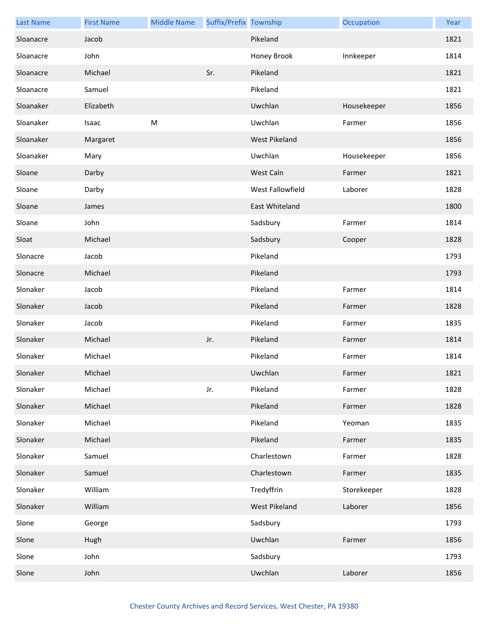| <b>Last Name</b> | <b>First Name</b> | <b>Middle Name</b> | Suffix/Prefix Township |                      | Occupation  | Year |
|------------------|-------------------|--------------------|------------------------|----------------------|-------------|------|
| Sloanacre        | Jacob             |                    |                        | Pikeland             |             | 1821 |
| Sloanacre        | John              |                    |                        | Honey Brook          | Innkeeper   | 1814 |
| Sloanacre        | Michael           |                    | Sr.                    | Pikeland             |             | 1821 |
| Sloanacre        | Samuel            |                    |                        | Pikeland             |             | 1821 |
| Sloanaker        | Elizabeth         |                    |                        | Uwchlan              | Housekeeper | 1856 |
| Sloanaker        | Isaac             | M                  |                        | Uwchlan              | Farmer      | 1856 |
| Sloanaker        | Margaret          |                    |                        | <b>West Pikeland</b> |             | 1856 |
| Sloanaker        | Mary              |                    |                        | Uwchlan              | Housekeeper | 1856 |
| Sloane           | Darby             |                    |                        | West Caln            | Farmer      | 1821 |
| Sloane           | Darby             |                    |                        | West Fallowfield     | Laborer     | 1828 |
| Sloane           | James             |                    |                        | East Whiteland       |             | 1800 |
| Sloane           | John              |                    |                        | Sadsbury             | Farmer      | 1814 |
| Sloat            | Michael           |                    |                        | Sadsbury             | Cooper      | 1828 |
| Slonacre         | Jacob             |                    |                        | Pikeland             |             | 1793 |
| Slonacre         | Michael           |                    |                        | Pikeland             |             | 1793 |
| Slonaker         | Jacob             |                    |                        | Pikeland             | Farmer      | 1814 |
| Slonaker         | Jacob             |                    |                        | Pikeland             | Farmer      | 1828 |
| Slonaker         | Jacob             |                    |                        | Pikeland             | Farmer      | 1835 |
| Slonaker         | Michael           |                    | Jr.                    | Pikeland             | Farmer      | 1814 |
| Slonaker         | Michael           |                    |                        | Pikeland             | Farmer      | 1814 |
| Slonaker         | Michael           |                    |                        | Uwchlan              | Farmer      | 1821 |
| Slonaker         | Michael           |                    | Jr.                    | Pikeland             | Farmer      | 1828 |
| Slonaker         | Michael           |                    |                        | Pikeland             | Farmer      | 1828 |
| Slonaker         | Michael           |                    |                        | Pikeland             | Yeoman      | 1835 |
| Slonaker         | Michael           |                    |                        | Pikeland             | Farmer      | 1835 |
| Slonaker         | Samuel            |                    |                        | Charlestown          | Farmer      | 1828 |
| Slonaker         | Samuel            |                    |                        | Charlestown          | Farmer      | 1835 |
| Slonaker         | William           |                    |                        | Tredyffrin           | Storekeeper | 1828 |
| Slonaker         | William           |                    |                        | West Pikeland        | Laborer     | 1856 |
| Slone            | George            |                    |                        | Sadsbury             |             | 1793 |
| Slone            | Hugh              |                    |                        | Uwchlan              | Farmer      | 1856 |
| Slone            | John              |                    |                        | Sadsbury             |             | 1793 |
| Slone            | John              |                    |                        | Uwchlan              | Laborer     | 1856 |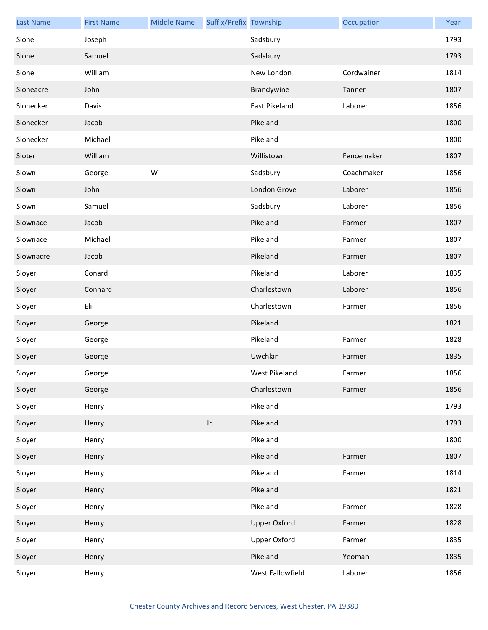| <b>Last Name</b> | <b>First Name</b> | <b>Middle Name</b> | Suffix/Prefix Township |                     | Occupation | Year |
|------------------|-------------------|--------------------|------------------------|---------------------|------------|------|
| Slone            | Joseph            |                    |                        | Sadsbury            |            | 1793 |
| Slone            | Samuel            |                    |                        | Sadsbury            |            | 1793 |
| Slone            | William           |                    |                        | New London          | Cordwainer | 1814 |
| Sloneacre        | John              |                    |                        | Brandywine          | Tanner     | 1807 |
| Slonecker        | Davis             |                    |                        | East Pikeland       | Laborer    | 1856 |
| Slonecker        | Jacob             |                    |                        | Pikeland            |            | 1800 |
| Slonecker        | Michael           |                    |                        | Pikeland            |            | 1800 |
| Sloter           | William           |                    |                        | Willistown          | Fencemaker | 1807 |
| Slown            | George            | W                  |                        | Sadsbury            | Coachmaker | 1856 |
| Slown            | John              |                    |                        | London Grove        | Laborer    | 1856 |
| Slown            | Samuel            |                    |                        | Sadsbury            | Laborer    | 1856 |
| Slownace         | Jacob             |                    |                        | Pikeland            | Farmer     | 1807 |
| Slownace         | Michael           |                    |                        | Pikeland            | Farmer     | 1807 |
| Slownacre        | Jacob             |                    |                        | Pikeland            | Farmer     | 1807 |
| Sloyer           | Conard            |                    |                        | Pikeland            | Laborer    | 1835 |
| Sloyer           | Connard           |                    |                        | Charlestown         | Laborer    | 1856 |
| Sloyer           | Eli               |                    |                        | Charlestown         | Farmer     | 1856 |
| Sloyer           | George            |                    |                        | Pikeland            |            | 1821 |
| Sloyer           | George            |                    |                        | Pikeland            | Farmer     | 1828 |
| Sloyer           | George            |                    |                        | Uwchlan             | Farmer     | 1835 |
| Sloyer           | George            |                    |                        | West Pikeland       | Farmer     | 1856 |
| Sloyer           | George            |                    |                        | Charlestown         | Farmer     | 1856 |
| Sloyer           | Henry             |                    |                        | Pikeland            |            | 1793 |
| Sloyer           | Henry             |                    | Jr.                    | Pikeland            |            | 1793 |
| Sloyer           | Henry             |                    |                        | Pikeland            |            | 1800 |
| Sloyer           | Henry             |                    |                        | Pikeland            | Farmer     | 1807 |
| Sloyer           | Henry             |                    |                        | Pikeland            | Farmer     | 1814 |
| Sloyer           | Henry             |                    |                        | Pikeland            |            | 1821 |
| Sloyer           | Henry             |                    |                        | Pikeland            | Farmer     | 1828 |
| Sloyer           | Henry             |                    |                        | <b>Upper Oxford</b> | Farmer     | 1828 |
| Sloyer           | Henry             |                    |                        | <b>Upper Oxford</b> | Farmer     | 1835 |
| Sloyer           | Henry             |                    |                        | Pikeland            | Yeoman     | 1835 |
| Sloyer           | Henry             |                    |                        | West Fallowfield    | Laborer    | 1856 |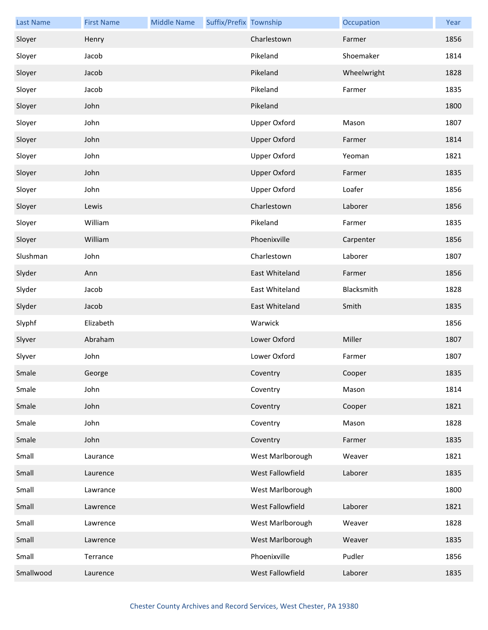| <b>Last Name</b> | <b>First Name</b> | <b>Middle Name</b> | Suffix/Prefix Township |                     | Occupation  | Year |
|------------------|-------------------|--------------------|------------------------|---------------------|-------------|------|
| Sloyer           | Henry             |                    |                        | Charlestown         | Farmer      | 1856 |
| Sloyer           | Jacob             |                    |                        | Pikeland            | Shoemaker   | 1814 |
| Sloyer           | Jacob             |                    |                        | Pikeland            | Wheelwright | 1828 |
| Sloyer           | Jacob             |                    |                        | Pikeland            | Farmer      | 1835 |
| Sloyer           | John              |                    |                        | Pikeland            |             | 1800 |
| Sloyer           | John              |                    |                        | <b>Upper Oxford</b> | Mason       | 1807 |
| Sloyer           | John              |                    |                        | <b>Upper Oxford</b> | Farmer      | 1814 |
| Sloyer           | John              |                    |                        | <b>Upper Oxford</b> | Yeoman      | 1821 |
| Sloyer           | John              |                    |                        | <b>Upper Oxford</b> | Farmer      | 1835 |
| Sloyer           | John              |                    |                        | Upper Oxford        | Loafer      | 1856 |
| Sloyer           | Lewis             |                    |                        | Charlestown         | Laborer     | 1856 |
| Sloyer           | William           |                    |                        | Pikeland            | Farmer      | 1835 |
| Sloyer           | William           |                    |                        | Phoenixville        | Carpenter   | 1856 |
| Slushman         | John              |                    |                        | Charlestown         | Laborer     | 1807 |
| Slyder           | Ann               |                    |                        | East Whiteland      | Farmer      | 1856 |
| Slyder           | Jacob             |                    |                        | East Whiteland      | Blacksmith  | 1828 |
| Slyder           | Jacob             |                    |                        | East Whiteland      | Smith       | 1835 |
| Slyphf           | Elizabeth         |                    |                        | Warwick             |             | 1856 |
| Slyver           | Abraham           |                    |                        | Lower Oxford        | Miller      | 1807 |
| Slyver           | John              |                    |                        | Lower Oxford        | Farmer      | 1807 |
| Smale            | George            |                    |                        | Coventry            | Cooper      | 1835 |
| Smale            | John              |                    |                        | Coventry            | Mason       | 1814 |
| Smale            | John              |                    |                        | Coventry            | Cooper      | 1821 |
| Smale            | John              |                    |                        | Coventry            | Mason       | 1828 |
| Smale            | John              |                    |                        | Coventry            | Farmer      | 1835 |
| Small            | Laurance          |                    |                        | West Marlborough    | Weaver      | 1821 |
| Small            | Laurence          |                    |                        | West Fallowfield    | Laborer     | 1835 |
| Small            | Lawrance          |                    |                        | West Marlborough    |             | 1800 |
| Small            | Lawrence          |                    |                        | West Fallowfield    | Laborer     | 1821 |
| Small            | Lawrence          |                    |                        | West Marlborough    | Weaver      | 1828 |
| Small            | Lawrence          |                    |                        | West Marlborough    | Weaver      | 1835 |
| Small            | Terrance          |                    |                        | Phoenixville        | Pudler      | 1856 |
| Smallwood        | Laurence          |                    |                        | West Fallowfield    | Laborer     | 1835 |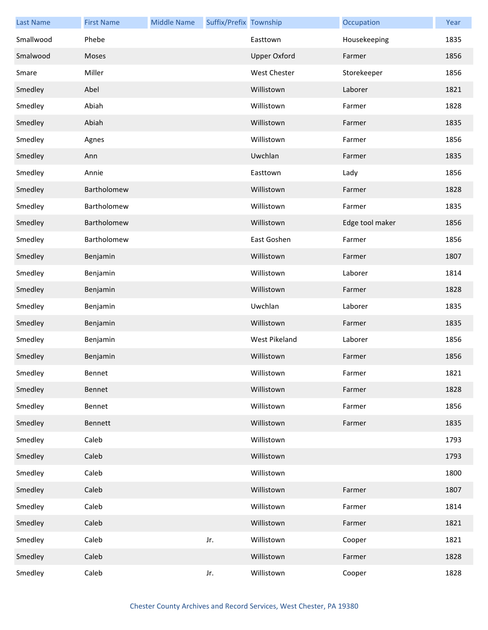| <b>Last Name</b> | <b>First Name</b> | <b>Middle Name</b> | Suffix/Prefix Township |                     | Occupation      | Year |
|------------------|-------------------|--------------------|------------------------|---------------------|-----------------|------|
| Smallwood        | Phebe             |                    |                        | Easttown            | Housekeeping    | 1835 |
| Smalwood         | Moses             |                    |                        | <b>Upper Oxford</b> | Farmer          | 1856 |
| Smare            | Miller            |                    |                        | West Chester        | Storekeeper     | 1856 |
| Smedley          | Abel              |                    |                        | Willistown          | Laborer         | 1821 |
| Smedley          | Abiah             |                    |                        | Willistown          | Farmer          | 1828 |
| Smedley          | Abiah             |                    |                        | Willistown          | Farmer          | 1835 |
| Smedley          | Agnes             |                    |                        | Willistown          | Farmer          | 1856 |
| Smedley          | Ann               |                    |                        | Uwchlan             | Farmer          | 1835 |
| Smedley          | Annie             |                    |                        | Easttown            | Lady            | 1856 |
| Smedley          | Bartholomew       |                    |                        | Willistown          | Farmer          | 1828 |
| Smedley          | Bartholomew       |                    |                        | Willistown          | Farmer          | 1835 |
| Smedley          | Bartholomew       |                    |                        | Willistown          | Edge tool maker | 1856 |
| Smedley          | Bartholomew       |                    |                        | East Goshen         | Farmer          | 1856 |
| Smedley          | Benjamin          |                    |                        | Willistown          | Farmer          | 1807 |
| Smedley          | Benjamin          |                    |                        | Willistown          | Laborer         | 1814 |
| Smedley          | Benjamin          |                    |                        | Willistown          | Farmer          | 1828 |
| Smedley          | Benjamin          |                    |                        | Uwchlan             | Laborer         | 1835 |
| Smedley          | Benjamin          |                    |                        | Willistown          | Farmer          | 1835 |
| Smedley          | Benjamin          |                    |                        | West Pikeland       | Laborer         | 1856 |
| Smedley          | Benjamin          |                    |                        | Willistown          | Farmer          | 1856 |
| Smedley          | Bennet            |                    |                        | Willistown          | Farmer          | 1821 |
| Smedley          | Bennet            |                    |                        | Willistown          | Farmer          | 1828 |
| Smedley          | Bennet            |                    |                        | Willistown          | Farmer          | 1856 |
| Smedley          | Bennett           |                    |                        | Willistown          | Farmer          | 1835 |
| Smedley          | Caleb             |                    |                        | Willistown          |                 | 1793 |
| Smedley          | Caleb             |                    |                        | Willistown          |                 | 1793 |
| Smedley          | Caleb             |                    |                        | Willistown          |                 | 1800 |
| Smedley          | Caleb             |                    |                        | Willistown          | Farmer          | 1807 |
| Smedley          | Caleb             |                    |                        | Willistown          | Farmer          | 1814 |
| Smedley          | Caleb             |                    |                        | Willistown          | Farmer          | 1821 |
| Smedley          | Caleb             |                    | Jr.                    | Willistown          | Cooper          | 1821 |
| Smedley          | Caleb             |                    |                        | Willistown          | Farmer          | 1828 |
| Smedley          | Caleb             |                    | Jr.                    | Willistown          | Cooper          | 1828 |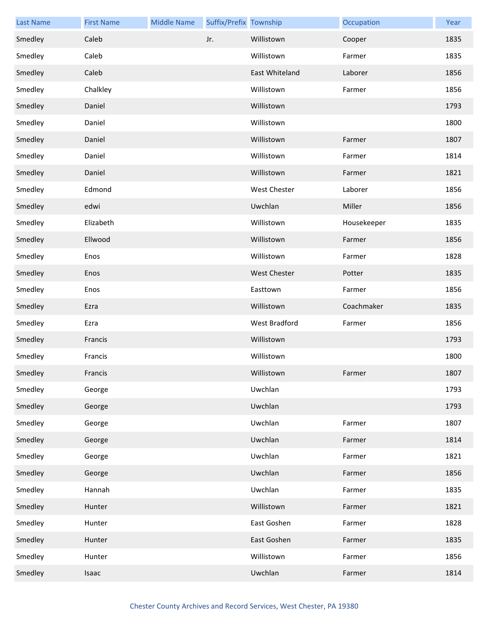| <b>Last Name</b> | <b>First Name</b> | <b>Middle Name</b> | Suffix/Prefix Township |                     | Occupation  | Year |
|------------------|-------------------|--------------------|------------------------|---------------------|-------------|------|
| Smedley          | Caleb             |                    | Jr.                    | Willistown          | Cooper      | 1835 |
| Smedley          | Caleb             |                    |                        | Willistown          | Farmer      | 1835 |
| Smedley          | Caleb             |                    |                        | East Whiteland      | Laborer     | 1856 |
| Smedley          | Chalkley          |                    |                        | Willistown          | Farmer      | 1856 |
| Smedley          | Daniel            |                    |                        | Willistown          |             | 1793 |
| Smedley          | Daniel            |                    |                        | Willistown          |             | 1800 |
| Smedley          | Daniel            |                    |                        | Willistown          | Farmer      | 1807 |
| Smedley          | Daniel            |                    |                        | Willistown          | Farmer      | 1814 |
| Smedley          | Daniel            |                    |                        | Willistown          | Farmer      | 1821 |
| Smedley          | Edmond            |                    |                        | West Chester        | Laborer     | 1856 |
| Smedley          | edwi              |                    |                        | Uwchlan             | Miller      | 1856 |
| Smedley          | Elizabeth         |                    |                        | Willistown          | Housekeeper | 1835 |
| Smedley          | Ellwood           |                    |                        | Willistown          | Farmer      | 1856 |
| Smedley          | Enos              |                    |                        | Willistown          | Farmer      | 1828 |
| Smedley          | Enos              |                    |                        | <b>West Chester</b> | Potter      | 1835 |
| Smedley          | Enos              |                    |                        | Easttown            | Farmer      | 1856 |
| Smedley          | Ezra              |                    |                        | Willistown          | Coachmaker  | 1835 |
| Smedley          | Ezra              |                    |                        | West Bradford       | Farmer      | 1856 |
| Smedley          | Francis           |                    |                        | Willistown          |             | 1793 |
| Smedley          | Francis           |                    |                        | Willistown          |             | 1800 |
| Smedley          | Francis           |                    |                        | Willistown          | Farmer      | 1807 |
| Smedley          | George            |                    |                        | Uwchlan             |             | 1793 |
| Smedley          | George            |                    |                        | Uwchlan             |             | 1793 |
| Smedley          | George            |                    |                        | Uwchlan             | Farmer      | 1807 |
| Smedley          | George            |                    |                        | Uwchlan             | Farmer      | 1814 |
| Smedley          | George            |                    |                        | Uwchlan             | Farmer      | 1821 |
| Smedley          | George            |                    |                        | Uwchlan             | Farmer      | 1856 |
| Smedley          | Hannah            |                    |                        | Uwchlan             | Farmer      | 1835 |
| Smedley          | Hunter            |                    |                        | Willistown          | Farmer      | 1821 |
| Smedley          | Hunter            |                    |                        | East Goshen         | Farmer      | 1828 |
| Smedley          | Hunter            |                    |                        | East Goshen         | Farmer      | 1835 |
| Smedley          | Hunter            |                    |                        | Willistown          | Farmer      | 1856 |
| Smedley          | Isaac             |                    |                        | Uwchlan             | Farmer      | 1814 |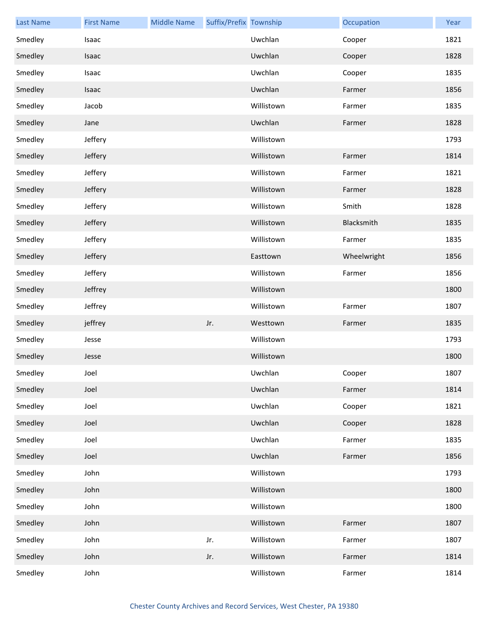| <b>Last Name</b> | <b>First Name</b> | <b>Middle Name</b> | Suffix/Prefix Township |            | Occupation  | Year |
|------------------|-------------------|--------------------|------------------------|------------|-------------|------|
| Smedley          | Isaac             |                    |                        | Uwchlan    | Cooper      | 1821 |
| Smedley          | Isaac             |                    |                        | Uwchlan    | Cooper      | 1828 |
| Smedley          | Isaac             |                    |                        | Uwchlan    | Cooper      | 1835 |
| Smedley          | Isaac             |                    |                        | Uwchlan    | Farmer      | 1856 |
| Smedley          | Jacob             |                    |                        | Willistown | Farmer      | 1835 |
| Smedley          | Jane              |                    |                        | Uwchlan    | Farmer      | 1828 |
| Smedley          | Jeffery           |                    |                        | Willistown |             | 1793 |
| Smedley          | Jeffery           |                    |                        | Willistown | Farmer      | 1814 |
| Smedley          | Jeffery           |                    |                        | Willistown | Farmer      | 1821 |
| Smedley          | Jeffery           |                    |                        | Willistown | Farmer      | 1828 |
| Smedley          | Jeffery           |                    |                        | Willistown | Smith       | 1828 |
| Smedley          | Jeffery           |                    |                        | Willistown | Blacksmith  | 1835 |
| Smedley          | Jeffery           |                    |                        | Willistown | Farmer      | 1835 |
| Smedley          | Jeffery           |                    |                        | Easttown   | Wheelwright | 1856 |
| Smedley          | Jeffery           |                    |                        | Willistown | Farmer      | 1856 |
| Smedley          | Jeffrey           |                    |                        | Willistown |             | 1800 |
| Smedley          | Jeffrey           |                    |                        | Willistown | Farmer      | 1807 |
| Smedley          | jeffrey           |                    | Jr.                    | Westtown   | Farmer      | 1835 |
| Smedley          | Jesse             |                    |                        | Willistown |             | 1793 |
| Smedley          | Jesse             |                    |                        | Willistown |             | 1800 |
| Smedley          | Joel              |                    |                        | Uwchlan    | Cooper      | 1807 |
| Smedley          | Joel              |                    |                        | Uwchlan    | Farmer      | 1814 |
| Smedley          | Joel              |                    |                        | Uwchlan    | Cooper      | 1821 |
| Smedley          | Joel              |                    |                        | Uwchlan    | Cooper      | 1828 |
| Smedley          | Joel              |                    |                        | Uwchlan    | Farmer      | 1835 |
| Smedley          | Joel              |                    |                        | Uwchlan    | Farmer      | 1856 |
| Smedley          | John              |                    |                        | Willistown |             | 1793 |
| Smedley          | John              |                    |                        | Willistown |             | 1800 |
| Smedley          | John              |                    |                        | Willistown |             | 1800 |
| Smedley          | John              |                    |                        | Willistown | Farmer      | 1807 |
| Smedley          | John              |                    | Jr.                    | Willistown | Farmer      | 1807 |
| Smedley          | John              |                    | Jr.                    | Willistown | Farmer      | 1814 |
| Smedley          | John              |                    |                        | Willistown | Farmer      | 1814 |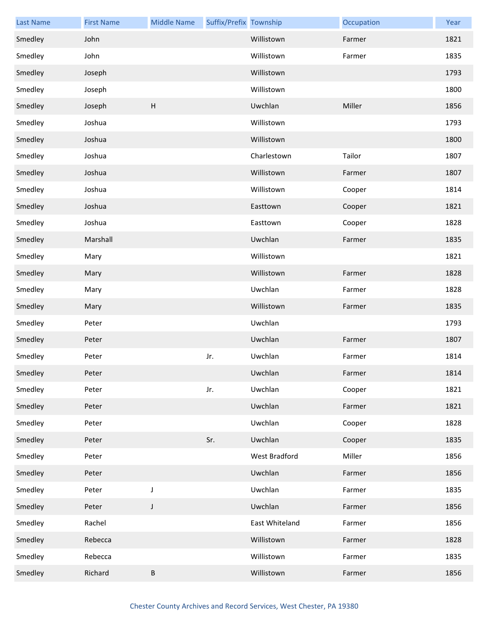| <b>Last Name</b> | <b>First Name</b> | <b>Middle Name</b> | Suffix/Prefix Township |                | Occupation | Year |
|------------------|-------------------|--------------------|------------------------|----------------|------------|------|
| Smedley          | John              |                    |                        | Willistown     | Farmer     | 1821 |
| Smedley          | John              |                    |                        | Willistown     | Farmer     | 1835 |
| Smedley          | Joseph            |                    |                        | Willistown     |            | 1793 |
| Smedley          | Joseph            |                    |                        | Willistown     |            | 1800 |
| Smedley          | Joseph            | H                  |                        | Uwchlan        | Miller     | 1856 |
| Smedley          | Joshua            |                    |                        | Willistown     |            | 1793 |
| Smedley          | Joshua            |                    |                        | Willistown     |            | 1800 |
| Smedley          | Joshua            |                    |                        | Charlestown    | Tailor     | 1807 |
| Smedley          | Joshua            |                    |                        | Willistown     | Farmer     | 1807 |
| Smedley          | Joshua            |                    |                        | Willistown     | Cooper     | 1814 |
| Smedley          | Joshua            |                    |                        | Easttown       | Cooper     | 1821 |
| Smedley          | Joshua            |                    |                        | Easttown       | Cooper     | 1828 |
| Smedley          | Marshall          |                    |                        | Uwchlan        | Farmer     | 1835 |
| Smedley          | Mary              |                    |                        | Willistown     |            | 1821 |
| Smedley          | Mary              |                    |                        | Willistown     | Farmer     | 1828 |
| Smedley          | Mary              |                    |                        | Uwchlan        | Farmer     | 1828 |
| Smedley          | Mary              |                    |                        | Willistown     | Farmer     | 1835 |
| Smedley          | Peter             |                    |                        | Uwchlan        |            | 1793 |
| Smedley          | Peter             |                    |                        | Uwchlan        | Farmer     | 1807 |
| Smedley          | Peter             |                    | Jr.                    | Uwchlan        | Farmer     | 1814 |
| Smedley          | Peter             |                    |                        | Uwchlan        | Farmer     | 1814 |
| Smedley          | Peter             |                    | Jr.                    | Uwchlan        | Cooper     | 1821 |
| Smedley          | Peter             |                    |                        | Uwchlan        | Farmer     | 1821 |
| Smedley          | Peter             |                    |                        | Uwchlan        | Cooper     | 1828 |
| Smedley          | Peter             |                    | Sr.                    | Uwchlan        | Cooper     | 1835 |
| Smedley          | Peter             |                    |                        | West Bradford  | Miller     | 1856 |
| Smedley          | Peter             |                    |                        | Uwchlan        | Farmer     | 1856 |
| Smedley          | Peter             | $\mathsf J$        |                        | Uwchlan        | Farmer     | 1835 |
| Smedley          | Peter             | $\mathsf J$        |                        | Uwchlan        | Farmer     | 1856 |
| Smedley          | Rachel            |                    |                        | East Whiteland | Farmer     | 1856 |
| Smedley          | Rebecca           |                    |                        | Willistown     | Farmer     | 1828 |
| Smedley          | Rebecca           |                    |                        | Willistown     | Farmer     | 1835 |
| Smedley          | Richard           | $\sf B$            |                        | Willistown     | Farmer     | 1856 |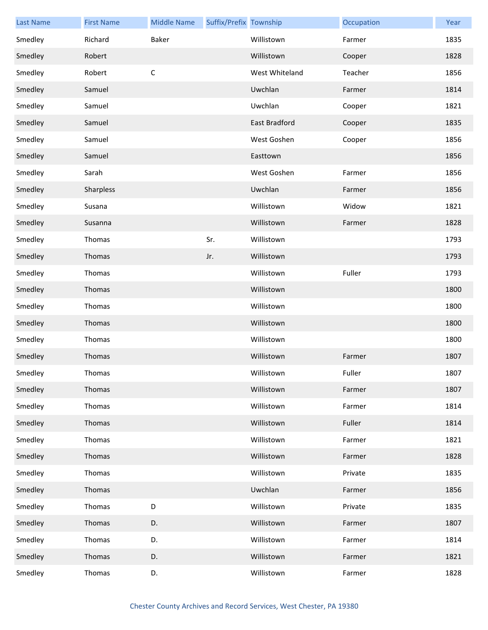| <b>Last Name</b> | <b>First Name</b> | <b>Middle Name</b> | Suffix/Prefix Township |                | Occupation | Year |
|------------------|-------------------|--------------------|------------------------|----------------|------------|------|
| Smedley          | Richard           | Baker              |                        | Willistown     | Farmer     | 1835 |
| Smedley          | Robert            |                    |                        | Willistown     | Cooper     | 1828 |
| Smedley          | Robert            | $\mathsf C$        |                        | West Whiteland | Teacher    | 1856 |
| Smedley          | Samuel            |                    |                        | Uwchlan        | Farmer     | 1814 |
| Smedley          | Samuel            |                    |                        | Uwchlan        | Cooper     | 1821 |
| Smedley          | Samuel            |                    |                        | East Bradford  | Cooper     | 1835 |
| Smedley          | Samuel            |                    |                        | West Goshen    | Cooper     | 1856 |
| Smedley          | Samuel            |                    |                        | Easttown       |            | 1856 |
| Smedley          | Sarah             |                    |                        | West Goshen    | Farmer     | 1856 |
| Smedley          | Sharpless         |                    |                        | Uwchlan        | Farmer     | 1856 |
| Smedley          | Susana            |                    |                        | Willistown     | Widow      | 1821 |
| Smedley          | Susanna           |                    |                        | Willistown     | Farmer     | 1828 |
| Smedley          | Thomas            |                    | Sr.                    | Willistown     |            | 1793 |
| Smedley          | Thomas            |                    | Jr.                    | Willistown     |            | 1793 |
| Smedley          | Thomas            |                    |                        | Willistown     | Fuller     | 1793 |
| Smedley          | Thomas            |                    |                        | Willistown     |            | 1800 |
| Smedley          | Thomas            |                    |                        | Willistown     |            | 1800 |
| Smedley          | Thomas            |                    |                        | Willistown     |            | 1800 |
| Smedley          | Thomas            |                    |                        | Willistown     |            | 1800 |
| Smedley          | Thomas            |                    |                        | Willistown     | Farmer     | 1807 |
| Smedley          | Thomas            |                    |                        | Willistown     | Fuller     | 1807 |
| Smedley          | Thomas            |                    |                        | Willistown     | Farmer     | 1807 |
| Smedley          | Thomas            |                    |                        | Willistown     | Farmer     | 1814 |
| Smedley          | Thomas            |                    |                        | Willistown     | Fuller     | 1814 |
| Smedley          | Thomas            |                    |                        | Willistown     | Farmer     | 1821 |
| Smedley          | Thomas            |                    |                        | Willistown     | Farmer     | 1828 |
| Smedley          | Thomas            |                    |                        | Willistown     | Private    | 1835 |
| Smedley          | Thomas            |                    |                        | Uwchlan        | Farmer     | 1856 |
| Smedley          | Thomas            | D                  |                        | Willistown     | Private    | 1835 |
| Smedley          | Thomas            | D.                 |                        | Willistown     | Farmer     | 1807 |
| Smedley          | Thomas            | D.                 |                        | Willistown     | Farmer     | 1814 |
| Smedley          | Thomas            | D.                 |                        | Willistown     | Farmer     | 1821 |
| Smedley          | Thomas            | D.                 |                        | Willistown     | Farmer     | 1828 |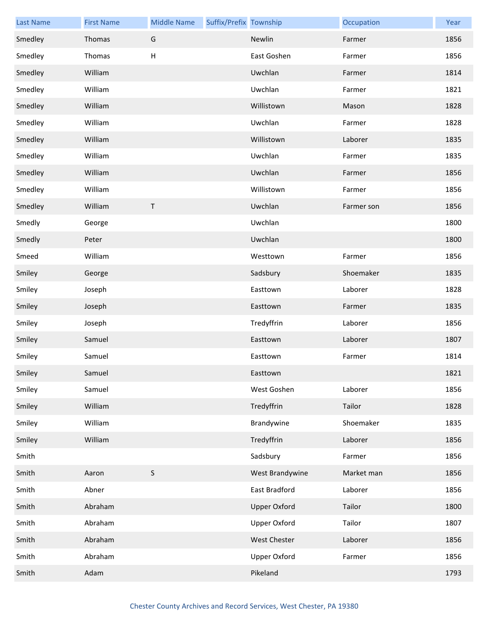| <b>Last Name</b> | <b>First Name</b> | <b>Middle Name</b> | Suffix/Prefix Township |                     | Occupation | Year |
|------------------|-------------------|--------------------|------------------------|---------------------|------------|------|
| Smedley          | Thomas            | G                  |                        | Newlin              | Farmer     | 1856 |
| Smedley          | Thomas            | H                  |                        | East Goshen         | Farmer     | 1856 |
| Smedley          | William           |                    |                        | Uwchlan             | Farmer     | 1814 |
| Smedley          | William           |                    |                        | Uwchlan             | Farmer     | 1821 |
| Smedley          | William           |                    |                        | Willistown          | Mason      | 1828 |
| Smedley          | William           |                    |                        | Uwchlan             | Farmer     | 1828 |
| Smedley          | William           |                    |                        | Willistown          | Laborer    | 1835 |
| Smedley          | William           |                    |                        | Uwchlan             | Farmer     | 1835 |
| Smedley          | William           |                    |                        | Uwchlan             | Farmer     | 1856 |
| Smedley          | William           |                    |                        | Willistown          | Farmer     | 1856 |
| Smedley          | William           | T                  |                        | Uwchlan             | Farmer son | 1856 |
| Smedly           | George            |                    |                        | Uwchlan             |            | 1800 |
| Smedly           | Peter             |                    |                        | Uwchlan             |            | 1800 |
| Smeed            | William           |                    |                        | Westtown            | Farmer     | 1856 |
| Smiley           | George            |                    |                        | Sadsbury            | Shoemaker  | 1835 |
| Smiley           | Joseph            |                    |                        | Easttown            | Laborer    | 1828 |
| Smiley           | Joseph            |                    |                        | Easttown            | Farmer     | 1835 |
| Smiley           | Joseph            |                    |                        | Tredyffrin          | Laborer    | 1856 |
| Smiley           | Samuel            |                    |                        | Easttown            | Laborer    | 1807 |
| Smiley           | Samuel            |                    |                        | Easttown            | Farmer     | 1814 |
| Smiley           | Samuel            |                    |                        | Easttown            |            | 1821 |
| Smiley           | Samuel            |                    |                        | West Goshen         | Laborer    | 1856 |
| Smiley           | William           |                    |                        | Tredyffrin          | Tailor     | 1828 |
| Smiley           | William           |                    |                        | Brandywine          | Shoemaker  | 1835 |
| Smiley           | William           |                    |                        | Tredyffrin          | Laborer    | 1856 |
| Smith            |                   |                    |                        | Sadsbury            | Farmer     | 1856 |
| Smith            | Aaron             | $\mathsf S$        |                        | West Brandywine     | Market man | 1856 |
| Smith            | Abner             |                    |                        | East Bradford       | Laborer    | 1856 |
| Smith            | Abraham           |                    |                        | <b>Upper Oxford</b> | Tailor     | 1800 |
| Smith            | Abraham           |                    |                        | <b>Upper Oxford</b> | Tailor     | 1807 |
| Smith            | Abraham           |                    |                        | West Chester        | Laborer    | 1856 |
| Smith            | Abraham           |                    |                        | <b>Upper Oxford</b> | Farmer     | 1856 |
| Smith            | Adam              |                    |                        | Pikeland            |            | 1793 |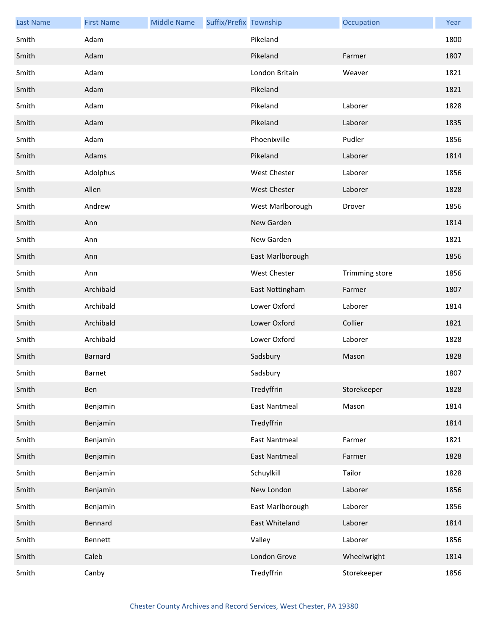| <b>Last Name</b> | <b>First Name</b> | <b>Middle Name</b> | Suffix/Prefix Township |                      | Occupation     | Year |
|------------------|-------------------|--------------------|------------------------|----------------------|----------------|------|
| Smith            | Adam              |                    |                        | Pikeland             |                | 1800 |
| Smith            | Adam              |                    |                        | Pikeland             | Farmer         | 1807 |
| Smith            | Adam              |                    |                        | London Britain       | Weaver         | 1821 |
| Smith            | Adam              |                    |                        | Pikeland             |                | 1821 |
| Smith            | Adam              |                    |                        | Pikeland             | Laborer        | 1828 |
| Smith            | Adam              |                    |                        | Pikeland             | Laborer        | 1835 |
| Smith            | Adam              |                    |                        | Phoenixville         | Pudler         | 1856 |
| Smith            | Adams             |                    |                        | Pikeland             | Laborer        | 1814 |
| Smith            | Adolphus          |                    |                        | <b>West Chester</b>  | Laborer        | 1856 |
| Smith            | Allen             |                    |                        | <b>West Chester</b>  | Laborer        | 1828 |
| Smith            | Andrew            |                    |                        | West Marlborough     | Drover         | 1856 |
| Smith            | Ann               |                    |                        | New Garden           |                | 1814 |
| Smith            | Ann               |                    |                        | New Garden           |                | 1821 |
| Smith            | Ann               |                    |                        | East Marlborough     |                | 1856 |
| Smith            | Ann               |                    |                        | West Chester         | Trimming store | 1856 |
| Smith            | Archibald         |                    |                        | East Nottingham      | Farmer         | 1807 |
| Smith            | Archibald         |                    |                        | Lower Oxford         | Laborer        | 1814 |
| Smith            | Archibald         |                    |                        | Lower Oxford         | Collier        | 1821 |
| Smith            | Archibald         |                    |                        | Lower Oxford         | Laborer        | 1828 |
| Smith            | <b>Barnard</b>    |                    |                        | Sadsbury             | Mason          | 1828 |
| Smith            | Barnet            |                    |                        | Sadsbury             |                | 1807 |
| Smith            | Ben               |                    |                        | Tredyffrin           | Storekeeper    | 1828 |
| Smith            | Benjamin          |                    |                        | <b>East Nantmeal</b> | Mason          | 1814 |
| Smith            | Benjamin          |                    |                        | Tredyffrin           |                | 1814 |
| Smith            | Benjamin          |                    |                        | <b>East Nantmeal</b> | Farmer         | 1821 |
| Smith            | Benjamin          |                    |                        | <b>East Nantmeal</b> | Farmer         | 1828 |
| Smith            | Benjamin          |                    |                        | Schuylkill           | Tailor         | 1828 |
| Smith            | Benjamin          |                    |                        | New London           | Laborer        | 1856 |
| Smith            | Benjamin          |                    |                        | East Marlborough     | Laborer        | 1856 |
| Smith            | Bennard           |                    |                        | East Whiteland       | Laborer        | 1814 |
| Smith            | Bennett           |                    |                        | Valley               | Laborer        | 1856 |
| Smith            | Caleb             |                    |                        | London Grove         | Wheelwright    | 1814 |
| Smith            | Canby             |                    |                        | Tredyffrin           | Storekeeper    | 1856 |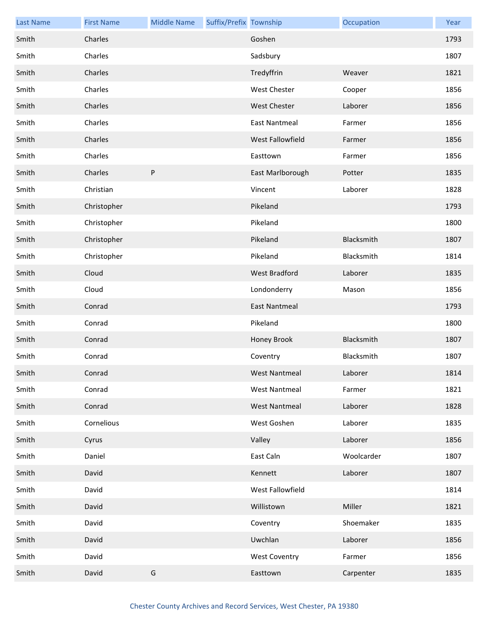| <b>Last Name</b> | <b>First Name</b> | <b>Middle Name</b> | Suffix/Prefix Township |                      | Occupation | Year |
|------------------|-------------------|--------------------|------------------------|----------------------|------------|------|
| Smith            | Charles           |                    |                        | Goshen               |            | 1793 |
| Smith            | Charles           |                    |                        | Sadsbury             |            | 1807 |
| Smith            | Charles           |                    |                        | Tredyffrin           | Weaver     | 1821 |
| Smith            | Charles           |                    |                        | West Chester         | Cooper     | 1856 |
| Smith            | Charles           |                    |                        | <b>West Chester</b>  | Laborer    | 1856 |
| Smith            | Charles           |                    |                        | <b>East Nantmeal</b> | Farmer     | 1856 |
| Smith            | Charles           |                    |                        | West Fallowfield     | Farmer     | 1856 |
| Smith            | Charles           |                    |                        | Easttown             | Farmer     | 1856 |
| Smith            | Charles           | ${\sf P}$          |                        | East Marlborough     | Potter     | 1835 |
| Smith            | Christian         |                    |                        | Vincent              | Laborer    | 1828 |
| Smith            | Christopher       |                    |                        | Pikeland             |            | 1793 |
| Smith            | Christopher       |                    |                        | Pikeland             |            | 1800 |
| Smith            | Christopher       |                    |                        | Pikeland             | Blacksmith | 1807 |
| Smith            | Christopher       |                    |                        | Pikeland             | Blacksmith | 1814 |
| Smith            | Cloud             |                    |                        | <b>West Bradford</b> | Laborer    | 1835 |
| Smith            | Cloud             |                    |                        | Londonderry          | Mason      | 1856 |
| Smith            | Conrad            |                    |                        | East Nantmeal        |            | 1793 |
| Smith            | Conrad            |                    |                        | Pikeland             |            | 1800 |
| Smith            | Conrad            |                    |                        | Honey Brook          | Blacksmith | 1807 |
| Smith            | Conrad            |                    |                        | Coventry             | Blacksmith | 1807 |
| Smith            | Conrad            |                    |                        | West Nantmeal        | Laborer    | 1814 |
| Smith            | Conrad            |                    |                        | <b>West Nantmeal</b> | Farmer     | 1821 |
| Smith            | Conrad            |                    |                        | <b>West Nantmeal</b> | Laborer    | 1828 |
| Smith            | Cornelious        |                    |                        | West Goshen          | Laborer    | 1835 |
| Smith            | Cyrus             |                    |                        | Valley               | Laborer    | 1856 |
| Smith            | Daniel            |                    |                        | East Caln            | Woolcarder | 1807 |
| Smith            | David             |                    |                        | Kennett              | Laborer    | 1807 |
| Smith            | David             |                    |                        | West Fallowfield     |            | 1814 |
| Smith            | David             |                    |                        | Willistown           | Miller     | 1821 |
| Smith            | David             |                    |                        | Coventry             | Shoemaker  | 1835 |
| Smith            | David             |                    |                        | Uwchlan              | Laborer    | 1856 |
| Smith            | David             |                    |                        | <b>West Coventry</b> | Farmer     | 1856 |
| Smith            | David             | ${\mathsf G}$      |                        | Easttown             | Carpenter  | 1835 |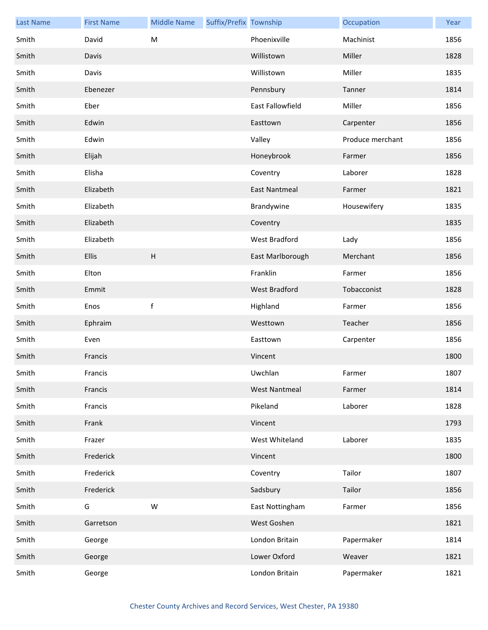| <b>Last Name</b> | <b>First Name</b> | <b>Middle Name</b>        | Suffix/Prefix Township |                      | Occupation       | Year |
|------------------|-------------------|---------------------------|------------------------|----------------------|------------------|------|
| Smith            | David             | M                         |                        | Phoenixville         | Machinist        | 1856 |
| Smith            | Davis             |                           |                        | Willistown           | Miller           | 1828 |
| Smith            | Davis             |                           |                        | Willistown           | Miller           | 1835 |
| Smith            | Ebenezer          |                           |                        | Pennsbury            | Tanner           | 1814 |
| Smith            | Eber              |                           |                        | East Fallowfield     | Miller           | 1856 |
| Smith            | Edwin             |                           |                        | Easttown             | Carpenter        | 1856 |
| Smith            | Edwin             |                           |                        | Valley               | Produce merchant | 1856 |
| Smith            | Elijah            |                           |                        | Honeybrook           | Farmer           | 1856 |
| Smith            | Elisha            |                           |                        | Coventry             | Laborer          | 1828 |
| Smith            | Elizabeth         |                           |                        | <b>East Nantmeal</b> | Farmer           | 1821 |
| Smith            | Elizabeth         |                           |                        | Brandywine           | Housewifery      | 1835 |
| Smith            | Elizabeth         |                           |                        | Coventry             |                  | 1835 |
| Smith            | Elizabeth         |                           |                        | West Bradford        | Lady             | 1856 |
| Smith            | <b>Ellis</b>      | $\boldsymbol{\mathsf{H}}$ |                        | East Marlborough     | Merchant         | 1856 |
| Smith            | Elton             |                           |                        | Franklin             | Farmer           | 1856 |
| Smith            | Emmit             |                           |                        | <b>West Bradford</b> | Tobacconist      | 1828 |
| Smith            | Enos              | $\mathsf f$               |                        | Highland             | Farmer           | 1856 |
| Smith            | Ephraim           |                           |                        | Westtown             | Teacher          | 1856 |
| Smith            | Even              |                           |                        | Easttown             | Carpenter        | 1856 |
| Smith            | Francis           |                           |                        | Vincent              |                  | 1800 |
| Smith            | Francis           |                           |                        | Uwchlan              | Farmer           | 1807 |
| Smith            | Francis           |                           |                        | <b>West Nantmeal</b> | Farmer           | 1814 |
| Smith            | Francis           |                           |                        | Pikeland             | Laborer          | 1828 |
| Smith            | Frank             |                           |                        | Vincent              |                  | 1793 |
| Smith            | Frazer            |                           |                        | West Whiteland       | Laborer          | 1835 |
| Smith            | Frederick         |                           |                        | Vincent              |                  | 1800 |
| Smith            | Frederick         |                           |                        | Coventry             | Tailor           | 1807 |
| Smith            | Frederick         |                           |                        | Sadsbury             | Tailor           | 1856 |
| Smith            | G                 | W                         |                        | East Nottingham      | Farmer           | 1856 |
| Smith            | Garretson         |                           |                        | West Goshen          |                  | 1821 |
| Smith            | George            |                           |                        | London Britain       | Papermaker       | 1814 |
| Smith            | George            |                           |                        | Lower Oxford         | Weaver           | 1821 |
| Smith            | George            |                           |                        | London Britain       | Papermaker       | 1821 |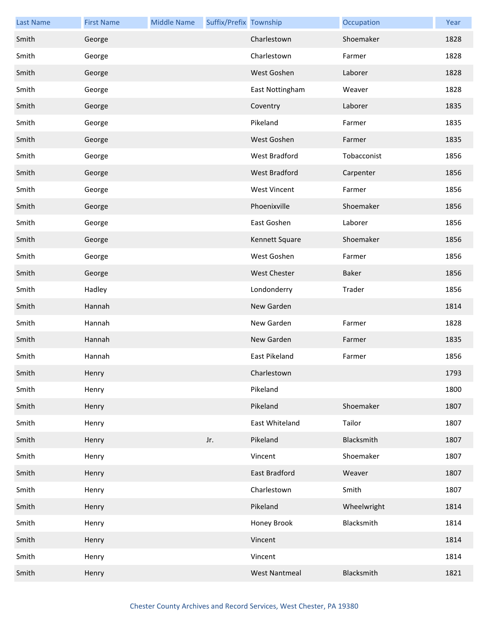| <b>Last Name</b> | <b>First Name</b> | <b>Middle Name</b> | Suffix/Prefix Township |                      | Occupation  | Year |
|------------------|-------------------|--------------------|------------------------|----------------------|-------------|------|
| Smith            | George            |                    |                        | Charlestown          | Shoemaker   | 1828 |
| Smith            | George            |                    |                        | Charlestown          | Farmer      | 1828 |
| Smith            | George            |                    |                        | West Goshen          | Laborer     | 1828 |
| Smith            | George            |                    |                        | East Nottingham      | Weaver      | 1828 |
| Smith            | George            |                    |                        | Coventry             | Laborer     | 1835 |
| Smith            | George            |                    |                        | Pikeland             | Farmer      | 1835 |
| Smith            | George            |                    |                        | West Goshen          | Farmer      | 1835 |
| Smith            | George            |                    |                        | West Bradford        | Tobacconist | 1856 |
| Smith            | George            |                    |                        | West Bradford        | Carpenter   | 1856 |
| Smith            | George            |                    |                        | <b>West Vincent</b>  | Farmer      | 1856 |
| Smith            | George            |                    |                        | Phoenixville         | Shoemaker   | 1856 |
| Smith            | George            |                    |                        | East Goshen          | Laborer     | 1856 |
| Smith            | George            |                    |                        | Kennett Square       | Shoemaker   | 1856 |
| Smith            | George            |                    |                        | West Goshen          | Farmer      | 1856 |
| Smith            | George            |                    |                        | <b>West Chester</b>  | Baker       | 1856 |
| Smith            | Hadley            |                    |                        | Londonderry          | Trader      | 1856 |
| Smith            | Hannah            |                    |                        | New Garden           |             | 1814 |
| Smith            | Hannah            |                    |                        | New Garden           | Farmer      | 1828 |
| Smith            | Hannah            |                    |                        | New Garden           | Farmer      | 1835 |
| Smith            | Hannah            |                    |                        | East Pikeland        | Farmer      | 1856 |
| Smith            | Henry             |                    |                        | Charlestown          |             | 1793 |
| Smith            | Henry             |                    |                        | Pikeland             |             | 1800 |
| Smith            | Henry             |                    |                        | Pikeland             | Shoemaker   | 1807 |
| Smith            | Henry             |                    |                        | East Whiteland       | Tailor      | 1807 |
| Smith            | Henry             |                    | Jr.                    | Pikeland             | Blacksmith  | 1807 |
| Smith            | Henry             |                    |                        | Vincent              | Shoemaker   | 1807 |
| Smith            | Henry             |                    |                        | East Bradford        | Weaver      | 1807 |
| Smith            | Henry             |                    |                        | Charlestown          | Smith       | 1807 |
| Smith            | Henry             |                    |                        | Pikeland             | Wheelwright | 1814 |
| Smith            | Henry             |                    |                        | Honey Brook          | Blacksmith  | 1814 |
| Smith            | Henry             |                    |                        | Vincent              |             | 1814 |
| Smith            | Henry             |                    |                        | Vincent              |             | 1814 |
| Smith            | Henry             |                    |                        | <b>West Nantmeal</b> | Blacksmith  | 1821 |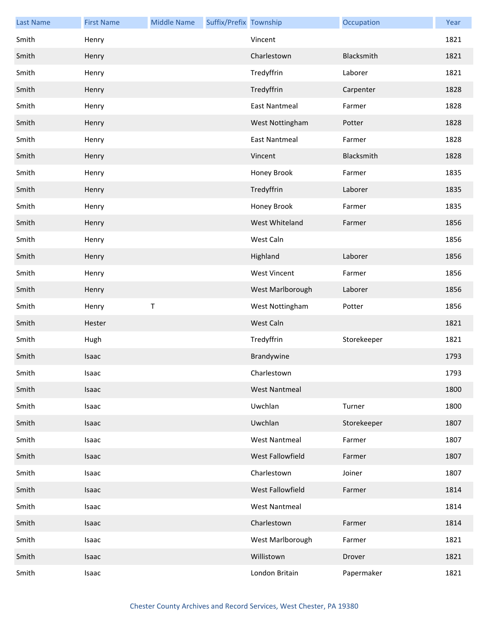| <b>Last Name</b> | <b>First Name</b> | <b>Middle Name</b> | Suffix/Prefix Township |                      | Occupation  | Year |
|------------------|-------------------|--------------------|------------------------|----------------------|-------------|------|
| Smith            | Henry             |                    |                        | Vincent              |             | 1821 |
| Smith            | Henry             |                    |                        | Charlestown          | Blacksmith  | 1821 |
| Smith            | Henry             |                    |                        | Tredyffrin           | Laborer     | 1821 |
| Smith            | Henry             |                    |                        | Tredyffrin           | Carpenter   | 1828 |
| Smith            | Henry             |                    |                        | <b>East Nantmeal</b> | Farmer      | 1828 |
| Smith            | Henry             |                    |                        | West Nottingham      | Potter      | 1828 |
| Smith            | Henry             |                    |                        | <b>East Nantmeal</b> | Farmer      | 1828 |
| Smith            | Henry             |                    |                        | Vincent              | Blacksmith  | 1828 |
| Smith            | Henry             |                    |                        | Honey Brook          | Farmer      | 1835 |
| Smith            | Henry             |                    |                        | Tredyffrin           | Laborer     | 1835 |
| Smith            | Henry             |                    |                        | Honey Brook          | Farmer      | 1835 |
| Smith            | Henry             |                    |                        | West Whiteland       | Farmer      | 1856 |
| Smith            | Henry             |                    |                        | West Caln            |             | 1856 |
| Smith            | Henry             |                    |                        | Highland             | Laborer     | 1856 |
| Smith            | Henry             |                    |                        | <b>West Vincent</b>  | Farmer      | 1856 |
| Smith            | Henry             |                    |                        | West Marlborough     | Laborer     | 1856 |
| Smith            | Henry             | Τ                  |                        | West Nottingham      | Potter      | 1856 |
| Smith            | Hester            |                    |                        | West Caln            |             | 1821 |
| Smith            | Hugh              |                    |                        | Tredyffrin           | Storekeeper | 1821 |
| Smith            | Isaac             |                    |                        | Brandywine           |             | 1793 |
| Smith            | Isaac             |                    |                        | Charlestown          |             | 1793 |
| Smith            | Isaac             |                    |                        | <b>West Nantmeal</b> |             | 1800 |
| Smith            | Isaac             |                    |                        | Uwchlan              | Turner      | 1800 |
| Smith            | Isaac             |                    |                        | Uwchlan              | Storekeeper | 1807 |
| Smith            | Isaac             |                    |                        | <b>West Nantmeal</b> | Farmer      | 1807 |
| Smith            | Isaac             |                    |                        | West Fallowfield     | Farmer      | 1807 |
| Smith            | Isaac             |                    |                        | Charlestown          | Joiner      | 1807 |
| Smith            | Isaac             |                    |                        | West Fallowfield     | Farmer      | 1814 |
| Smith            | Isaac             |                    |                        | <b>West Nantmeal</b> |             | 1814 |
| Smith            | Isaac             |                    |                        | Charlestown          | Farmer      | 1814 |
| Smith            | Isaac             |                    |                        | West Marlborough     | Farmer      | 1821 |
| Smith            | Isaac             |                    |                        | Willistown           | Drover      | 1821 |
| Smith            | Isaac             |                    |                        | London Britain       | Papermaker  | 1821 |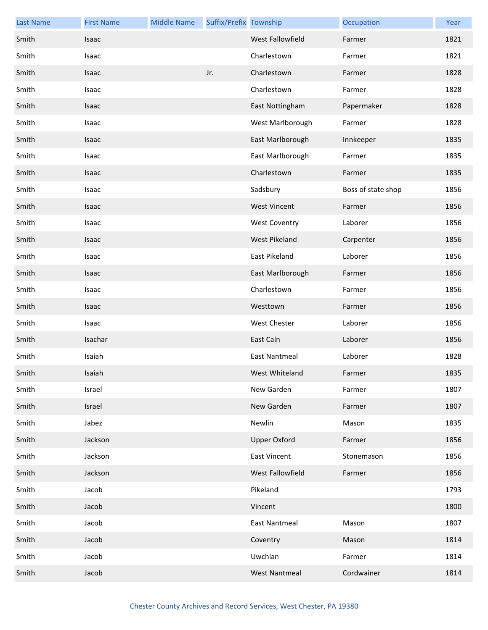| <b>Last Name</b> | <b>First Name</b> | <b>Middle Name</b> | Suffix/Prefix Township |                         | Occupation         | Year |
|------------------|-------------------|--------------------|------------------------|-------------------------|--------------------|------|
| Smith            | <b>Isaac</b>      |                    |                        | <b>West Fallowfield</b> | Farmer             | 1821 |
| Smith            | Isaac             |                    |                        | Charlestown             | Farmer             | 1821 |
| Smith            | Isaac             |                    | Jr.                    | Charlestown             | Farmer             | 1828 |
| Smith            | Isaac             |                    |                        | Charlestown             | Farmer             | 1828 |
| Smith            | Isaac             |                    |                        | East Nottingham         | Papermaker         | 1828 |
| Smith            | Isaac             |                    |                        | West Marlborough        | Farmer             | 1828 |
| Smith            | Isaac             |                    |                        | East Marlborough        | Innkeeper          | 1835 |
| Smith            | Isaac             |                    |                        | East Marlborough        | Farmer             | 1835 |
| Smith            | Isaac             |                    |                        | Charlestown             | Farmer             | 1835 |
| Smith            | Isaac             |                    |                        | Sadsbury                | Boss of state shop | 1856 |
| Smith            | Isaac             |                    |                        | <b>West Vincent</b>     | Farmer             | 1856 |
| Smith            | Isaac             |                    |                        | <b>West Coventry</b>    | Laborer            | 1856 |
| Smith            | Isaac             |                    |                        | <b>West Pikeland</b>    | Carpenter          | 1856 |
| Smith            | Isaac             |                    |                        | East Pikeland           | Laborer            | 1856 |
| Smith            | Isaac             |                    |                        | East Marlborough        | Farmer             | 1856 |
| Smith            | Isaac             |                    |                        | Charlestown             | Farmer             | 1856 |
| Smith            | Isaac             |                    |                        | Westtown                | Farmer             | 1856 |
| Smith            | Isaac             |                    |                        | <b>West Chester</b>     | Laborer            | 1856 |
| Smith            | Isachar           |                    |                        | East Caln               | Laborer            | 1856 |
| Smith            | Isaiah            |                    |                        | <b>East Nantmeal</b>    | Laborer            | 1828 |
| Smith            | Isaiah            |                    |                        | West Whiteland          | Farmer             | 1835 |
| Smith            | Israel            |                    |                        | New Garden              | Farmer             | 1807 |
| Smith            | Israel            |                    |                        | New Garden              | Farmer             | 1807 |
| Smith            | Jabez             |                    |                        | Newlin                  | Mason              | 1835 |
| Smith            | Jackson           |                    |                        | <b>Upper Oxford</b>     | Farmer             | 1856 |
| Smith            | Jackson           |                    |                        | <b>East Vincent</b>     | Stonemason         | 1856 |
| Smith            | Jackson           |                    |                        | West Fallowfield        | Farmer             | 1856 |
| Smith            | Jacob             |                    |                        | Pikeland                |                    | 1793 |
| Smith            | Jacob             |                    |                        | Vincent                 |                    | 1800 |
| Smith            | Jacob             |                    |                        | <b>East Nantmeal</b>    | Mason              | 1807 |
| Smith            | Jacob             |                    |                        | Coventry                | Mason              | 1814 |
| Smith            | Jacob             |                    |                        | Uwchlan                 | Farmer             | 1814 |
| Smith            | Jacob             |                    |                        | <b>West Nantmeal</b>    | Cordwainer         | 1814 |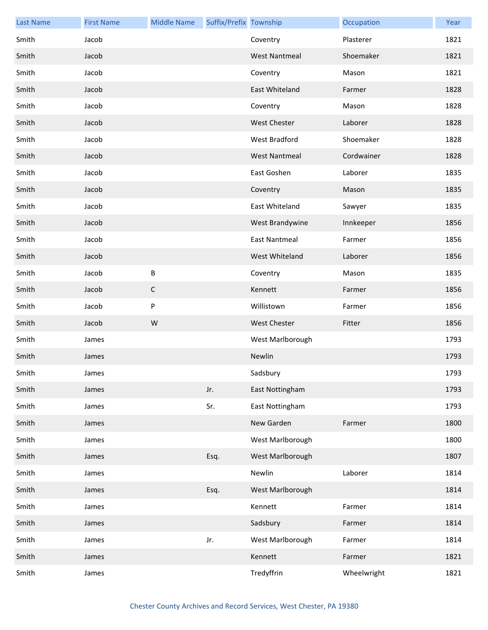| <b>Last Name</b> | <b>First Name</b> | <b>Middle Name</b> | Suffix/Prefix Township |                      | Occupation  | Year |
|------------------|-------------------|--------------------|------------------------|----------------------|-------------|------|
| Smith            | Jacob             |                    |                        | Coventry             | Plasterer   | 1821 |
| Smith            | Jacob             |                    |                        | <b>West Nantmeal</b> | Shoemaker   | 1821 |
| Smith            | Jacob             |                    |                        | Coventry             | Mason       | 1821 |
| Smith            | Jacob             |                    |                        | East Whiteland       | Farmer      | 1828 |
| Smith            | Jacob             |                    |                        | Coventry             | Mason       | 1828 |
| Smith            | Jacob             |                    |                        | <b>West Chester</b>  | Laborer     | 1828 |
| Smith            | Jacob             |                    |                        | West Bradford        | Shoemaker   | 1828 |
| Smith            | Jacob             |                    |                        | <b>West Nantmeal</b> | Cordwainer  | 1828 |
| Smith            | Jacob             |                    |                        | East Goshen          | Laborer     | 1835 |
| Smith            | Jacob             |                    |                        | Coventry             | Mason       | 1835 |
| Smith            | Jacob             |                    |                        | East Whiteland       | Sawyer      | 1835 |
| Smith            | Jacob             |                    |                        | West Brandywine      | Innkeeper   | 1856 |
| Smith            | Jacob             |                    |                        | <b>East Nantmeal</b> | Farmer      | 1856 |
| Smith            | Jacob             |                    |                        | West Whiteland       | Laborer     | 1856 |
| Smith            | Jacob             | $\sf B$            |                        | Coventry             | Mason       | 1835 |
| Smith            | Jacob             | $\mathsf C$        |                        | Kennett              | Farmer      | 1856 |
| Smith            | Jacob             | $\sf P$            |                        | Willistown           | Farmer      | 1856 |
| Smith            | Jacob             | W                  |                        | <b>West Chester</b>  | Fitter      | 1856 |
| Smith            | James             |                    |                        | West Marlborough     |             | 1793 |
| Smith            | James             |                    |                        | Newlin               |             | 1793 |
| Smith            | James             |                    |                        | Sadsbury             |             | 1793 |
| Smith            | James             |                    | Jr.                    | East Nottingham      |             | 1793 |
| Smith            | James             |                    | Sr.                    | East Nottingham      |             | 1793 |
| Smith            | James             |                    |                        | New Garden           | Farmer      | 1800 |
| Smith            | James             |                    |                        | West Marlborough     |             | 1800 |
| Smith            | James             |                    | Esq.                   | West Marlborough     |             | 1807 |
| Smith            | James             |                    |                        | Newlin               | Laborer     | 1814 |
| Smith            | James             |                    | Esq.                   | West Marlborough     |             | 1814 |
| Smith            | James             |                    |                        | Kennett              | Farmer      | 1814 |
| Smith            | James             |                    |                        | Sadsbury             | Farmer      | 1814 |
| Smith            | James             |                    | Jr.                    | West Marlborough     | Farmer      | 1814 |
| Smith            | James             |                    |                        | Kennett              | Farmer      | 1821 |
| Smith            | James             |                    |                        | Tredyffrin           | Wheelwright | 1821 |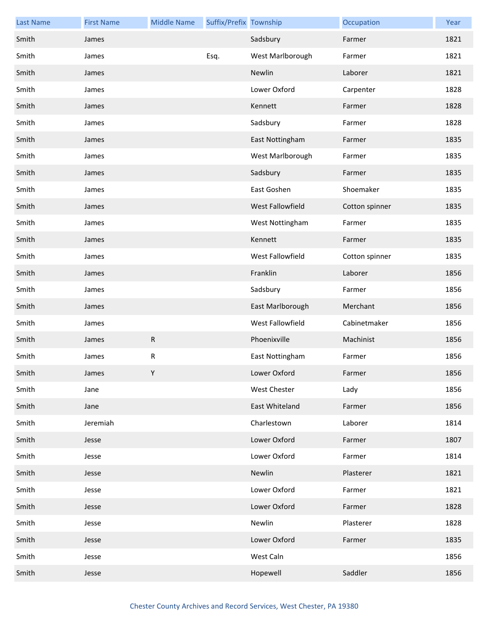| <b>Last Name</b> | <b>First Name</b> | <b>Middle Name</b> | Suffix/Prefix Township |                  | Occupation     | Year |
|------------------|-------------------|--------------------|------------------------|------------------|----------------|------|
| Smith            | James             |                    |                        | Sadsbury         | Farmer         | 1821 |
| Smith            | James             |                    | Esq.                   | West Marlborough | Farmer         | 1821 |
| Smith            | James             |                    |                        | Newlin           | Laborer        | 1821 |
| Smith            | James             |                    |                        | Lower Oxford     | Carpenter      | 1828 |
| Smith            | James             |                    |                        | Kennett          | Farmer         | 1828 |
| Smith            | James             |                    |                        | Sadsbury         | Farmer         | 1828 |
| Smith            | James             |                    |                        | East Nottingham  | Farmer         | 1835 |
| Smith            | James             |                    |                        | West Marlborough | Farmer         | 1835 |
| Smith            | James             |                    |                        | Sadsbury         | Farmer         | 1835 |
| Smith            | James             |                    |                        | East Goshen      | Shoemaker      | 1835 |
| Smith            | James             |                    |                        | West Fallowfield | Cotton spinner | 1835 |
| Smith            | James             |                    |                        | West Nottingham  | Farmer         | 1835 |
| Smith            | James             |                    |                        | Kennett          | Farmer         | 1835 |
| Smith            | James             |                    |                        | West Fallowfield | Cotton spinner | 1835 |
| Smith            | James             |                    |                        | Franklin         | Laborer        | 1856 |
| Smith            | James             |                    |                        | Sadsbury         | Farmer         | 1856 |
| Smith            | James             |                    |                        | East Marlborough | Merchant       | 1856 |
| Smith            | James             |                    |                        | West Fallowfield | Cabinetmaker   | 1856 |
| Smith            | James             | ${\sf R}$          |                        | Phoenixville     | Machinist      | 1856 |
| Smith            | James             | ${\sf R}$          |                        | East Nottingham  | Farmer         | 1856 |
| Smith            | James             | Y                  |                        | Lower Oxford     | Farmer         | 1856 |
| Smith            | Jane              |                    |                        | West Chester     | Lady           | 1856 |
| Smith            | Jane              |                    |                        | East Whiteland   | Farmer         | 1856 |
| Smith            | Jeremiah          |                    |                        | Charlestown      | Laborer        | 1814 |
| Smith            | Jesse             |                    |                        | Lower Oxford     | Farmer         | 1807 |
| Smith            | Jesse             |                    |                        | Lower Oxford     | Farmer         | 1814 |
| Smith            | Jesse             |                    |                        | Newlin           | Plasterer      | 1821 |
| Smith            | Jesse             |                    |                        | Lower Oxford     | Farmer         | 1821 |
| Smith            | Jesse             |                    |                        | Lower Oxford     | Farmer         | 1828 |
| Smith            | Jesse             |                    |                        | Newlin           | Plasterer      | 1828 |
| Smith            | Jesse             |                    |                        | Lower Oxford     | Farmer         | 1835 |
| Smith            | Jesse             |                    |                        | West Caln        |                | 1856 |
| Smith            | Jesse             |                    |                        | Hopewell         | Saddler        | 1856 |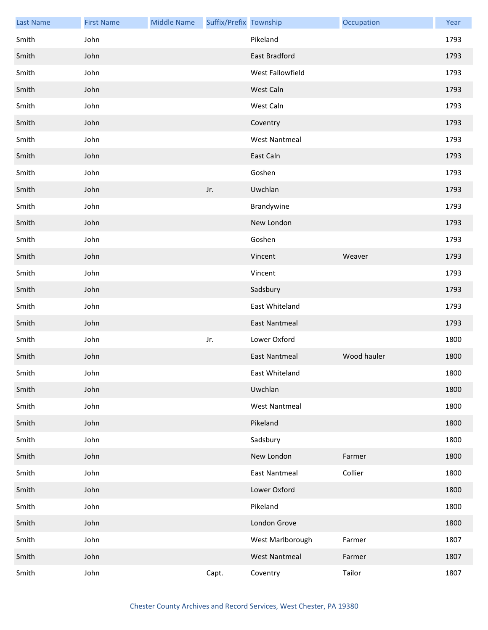| <b>Last Name</b> | <b>First Name</b> | <b>Middle Name</b> | Suffix/Prefix Township |                      | Occupation  | Year |
|------------------|-------------------|--------------------|------------------------|----------------------|-------------|------|
| Smith            | John              |                    |                        | Pikeland             |             | 1793 |
| Smith            | John              |                    |                        | East Bradford        |             | 1793 |
| Smith            | John              |                    |                        | West Fallowfield     |             | 1793 |
| Smith            | John              |                    |                        | West Caln            |             | 1793 |
| Smith            | John              |                    |                        | West Caln            |             | 1793 |
| Smith            | John              |                    |                        | Coventry             |             | 1793 |
| Smith            | John              |                    |                        | <b>West Nantmeal</b> |             | 1793 |
| Smith            | John              |                    |                        | East Caln            |             | 1793 |
| Smith            | John              |                    |                        | Goshen               |             | 1793 |
| Smith            | John              |                    | Jr.                    | Uwchlan              |             | 1793 |
| Smith            | John              |                    |                        | Brandywine           |             | 1793 |
| Smith            | John              |                    |                        | New London           |             | 1793 |
| Smith            | John              |                    |                        | Goshen               |             | 1793 |
| Smith            | John              |                    |                        | Vincent              | Weaver      | 1793 |
| Smith            | John              |                    |                        | Vincent              |             | 1793 |
| Smith            | John              |                    |                        | Sadsbury             |             | 1793 |
| Smith            | John              |                    |                        | East Whiteland       |             | 1793 |
| Smith            | John              |                    |                        | <b>East Nantmeal</b> |             | 1793 |
| Smith            | John              |                    | Jr.                    | Lower Oxford         |             | 1800 |
| Smith            | John              |                    |                        | <b>East Nantmeal</b> | Wood hauler | 1800 |
| Smith            | John              |                    |                        | East Whiteland       |             | 1800 |
| Smith            | John              |                    |                        | Uwchlan              |             | 1800 |
| Smith            | John              |                    |                        | <b>West Nantmeal</b> |             | 1800 |
| Smith            | John              |                    |                        | Pikeland             |             | 1800 |
| Smith            | John              |                    |                        | Sadsbury             |             | 1800 |
| Smith            | John              |                    |                        | New London           | Farmer      | 1800 |
| Smith            | John              |                    |                        | East Nantmeal        | Collier     | 1800 |
| Smith            | John              |                    |                        | Lower Oxford         |             | 1800 |
| Smith            | John              |                    |                        | Pikeland             |             | 1800 |
| Smith            | John              |                    |                        | London Grove         |             | 1800 |
| Smith            | John              |                    |                        | West Marlborough     | Farmer      | 1807 |
| Smith            | John              |                    |                        | <b>West Nantmeal</b> | Farmer      | 1807 |
| Smith            | John              |                    | Capt.                  | Coventry             | Tailor      | 1807 |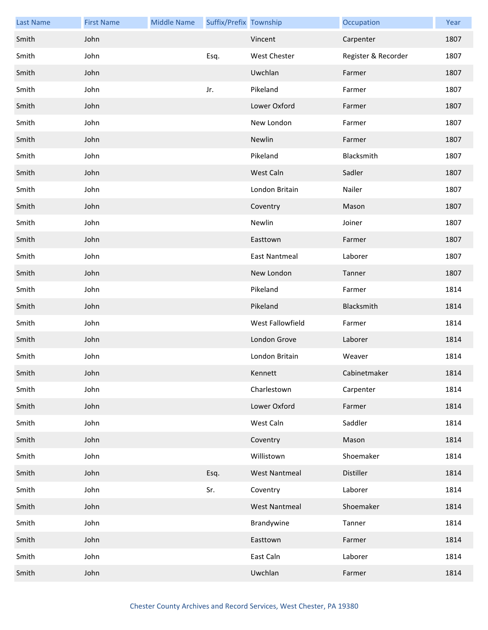| <b>Last Name</b> | <b>First Name</b> | <b>Middle Name</b> | Suffix/Prefix Township |                      | Occupation          | Year |
|------------------|-------------------|--------------------|------------------------|----------------------|---------------------|------|
| Smith            | John              |                    |                        | Vincent              | Carpenter           | 1807 |
| Smith            | John              |                    | Esq.                   | West Chester         | Register & Recorder | 1807 |
| Smith            | John              |                    |                        | Uwchlan              | Farmer              | 1807 |
| Smith            | John              |                    | Jr.                    | Pikeland             | Farmer              | 1807 |
| Smith            | John              |                    |                        | Lower Oxford         | Farmer              | 1807 |
| Smith            | John              |                    |                        | New London           | Farmer              | 1807 |
| Smith            | John              |                    |                        | Newlin               | Farmer              | 1807 |
| Smith            | John              |                    |                        | Pikeland             | Blacksmith          | 1807 |
| Smith            | John              |                    |                        | West Caln            | Sadler              | 1807 |
| Smith            | John              |                    |                        | London Britain       | Nailer              | 1807 |
| Smith            | John              |                    |                        | Coventry             | Mason               | 1807 |
| Smith            | John              |                    |                        | Newlin               | Joiner              | 1807 |
| Smith            | John              |                    |                        | Easttown             | Farmer              | 1807 |
| Smith            | John              |                    |                        | <b>East Nantmeal</b> | Laborer             | 1807 |
| Smith            | John              |                    |                        | New London           | Tanner              | 1807 |
| Smith            | John              |                    |                        | Pikeland             | Farmer              | 1814 |
| Smith            | John              |                    |                        | Pikeland             | Blacksmith          | 1814 |
| Smith            | John              |                    |                        | West Fallowfield     | Farmer              | 1814 |
| Smith            | John              |                    |                        | London Grove         | Laborer             | 1814 |
| Smith            | John              |                    |                        | London Britain       | Weaver              | 1814 |
| Smith            | John              |                    |                        | Kennett              | Cabinetmaker        | 1814 |
| Smith            | John              |                    |                        | Charlestown          | Carpenter           | 1814 |
| Smith            | John              |                    |                        | Lower Oxford         | Farmer              | 1814 |
| Smith            | John              |                    |                        | West Caln            | Saddler             | 1814 |
| Smith            | John              |                    |                        | Coventry             | Mason               | 1814 |
| Smith            | John              |                    |                        | Willistown           | Shoemaker           | 1814 |
| Smith            | John              |                    | Esq.                   | <b>West Nantmeal</b> | Distiller           | 1814 |
| Smith            | John              |                    | Sr.                    | Coventry             | Laborer             | 1814 |
| Smith            | John              |                    |                        | <b>West Nantmeal</b> | Shoemaker           | 1814 |
| Smith            | John              |                    |                        | Brandywine           | Tanner              | 1814 |
| Smith            | John              |                    |                        | Easttown             | Farmer              | 1814 |
| Smith            | John              |                    |                        | East Caln            | Laborer             | 1814 |
| Smith            | John              |                    |                        | Uwchlan              | Farmer              | 1814 |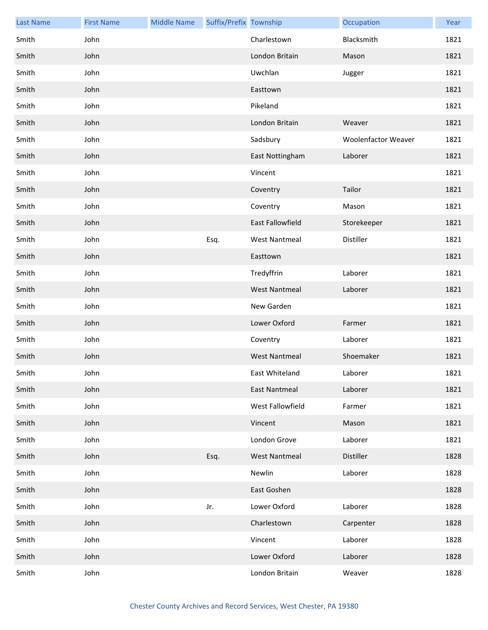| <b>Last Name</b> | <b>First Name</b> | <b>Middle Name</b> | Suffix/Prefix Township |                         | Occupation          | Year |
|------------------|-------------------|--------------------|------------------------|-------------------------|---------------------|------|
| Smith            | John              |                    |                        | Charlestown             | Blacksmith          | 1821 |
| Smith            | John              |                    |                        | London Britain          | Mason               | 1821 |
| Smith            | John              |                    |                        | Uwchlan                 | Jugger              | 1821 |
| Smith            | John              |                    |                        | Easttown                |                     | 1821 |
| Smith            | John              |                    |                        | Pikeland                |                     | 1821 |
| Smith            | John              |                    |                        | London Britain          | Weaver              | 1821 |
| Smith            | John              |                    |                        | Sadsbury                | Woolenfactor Weaver | 1821 |
| Smith            | John              |                    |                        | East Nottingham         | Laborer             | 1821 |
| Smith            | John              |                    |                        | Vincent                 |                     | 1821 |
| Smith            | John              |                    |                        | Coventry                | Tailor              | 1821 |
| Smith            | John              |                    |                        | Coventry                | Mason               | 1821 |
| Smith            | John              |                    |                        | <b>East Fallowfield</b> | Storekeeper         | 1821 |
| Smith            | John              |                    | Esq.                   | <b>West Nantmeal</b>    | Distiller           | 1821 |
| Smith            | John              |                    |                        | Easttown                |                     | 1821 |
| Smith            | John              |                    |                        | Tredyffrin              | Laborer             | 1821 |
| Smith            | John              |                    |                        | <b>West Nantmeal</b>    | Laborer             | 1821 |
| Smith            | John              |                    |                        | New Garden              |                     | 1821 |
| Smith            | John              |                    |                        | Lower Oxford            | Farmer              | 1821 |
| Smith            | John              |                    |                        | Coventry                | Laborer             | 1821 |
| Smith            | John              |                    |                        | <b>West Nantmeal</b>    | Shoemaker           | 1821 |
| Smith            | John              |                    |                        | East Whiteland          | Laborer             | 1821 |
| Smith            | John              |                    |                        | <b>East Nantmeal</b>    | Laborer             | 1821 |
| Smith            | John              |                    |                        | West Fallowfield        | Farmer              | 1821 |
| Smith            | John              |                    |                        | Vincent                 | Mason               | 1821 |
| Smith            | John              |                    |                        | London Grove            | Laborer             | 1821 |
| Smith            | John              |                    | Esq.                   | <b>West Nantmeal</b>    | Distiller           | 1828 |
| Smith            | John              |                    |                        | Newlin                  | Laborer             | 1828 |
| Smith            | John              |                    |                        | East Goshen             |                     | 1828 |
| Smith            | John              |                    | Jr.                    | Lower Oxford            | Laborer             | 1828 |
| Smith            | John              |                    |                        | Charlestown             | Carpenter           | 1828 |
| Smith            | John              |                    |                        | Vincent                 | Laborer             | 1828 |
| Smith            | John              |                    |                        | Lower Oxford            | Laborer             | 1828 |
| Smith            | John              |                    |                        | London Britain          | Weaver              | 1828 |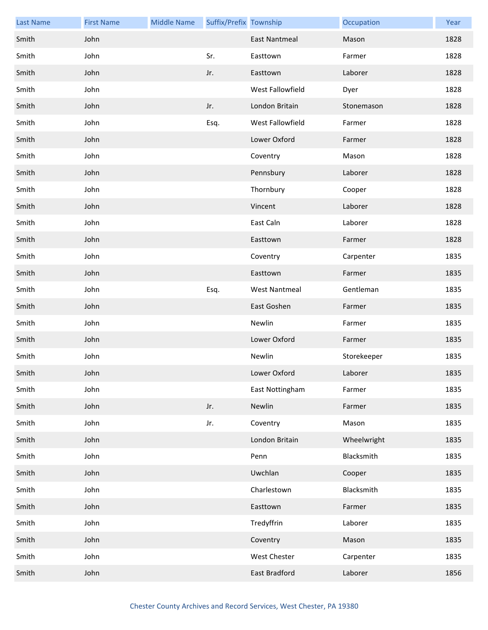| <b>Last Name</b> | <b>First Name</b> | <b>Middle Name</b> | Suffix/Prefix Township |                      | Occupation  | Year |
|------------------|-------------------|--------------------|------------------------|----------------------|-------------|------|
| Smith            | John              |                    |                        | <b>East Nantmeal</b> | Mason       | 1828 |
| Smith            | John              |                    | Sr.                    | Easttown             | Farmer      | 1828 |
| Smith            | John              |                    | Jr.                    | Easttown             | Laborer     | 1828 |
| Smith            | John              |                    |                        | West Fallowfield     | Dyer        | 1828 |
| Smith            | John              |                    | Jr.                    | London Britain       | Stonemason  | 1828 |
| Smith            | John              |                    | Esq.                   | West Fallowfield     | Farmer      | 1828 |
| Smith            | John              |                    |                        | Lower Oxford         | Farmer      | 1828 |
| Smith            | John              |                    |                        | Coventry             | Mason       | 1828 |
| Smith            | John              |                    |                        | Pennsbury            | Laborer     | 1828 |
| Smith            | John              |                    |                        | Thornbury            | Cooper      | 1828 |
| Smith            | John              |                    |                        | Vincent              | Laborer     | 1828 |
| Smith            | John              |                    |                        | East Caln            | Laborer     | 1828 |
| Smith            | John              |                    |                        | Easttown             | Farmer      | 1828 |
| Smith            | John              |                    |                        | Coventry             | Carpenter   | 1835 |
| Smith            | John              |                    |                        | Easttown             | Farmer      | 1835 |
| Smith            | John              |                    | Esq.                   | <b>West Nantmeal</b> | Gentleman   | 1835 |
| Smith            | John              |                    |                        | East Goshen          | Farmer      | 1835 |
| Smith            | John              |                    |                        | Newlin               | Farmer      | 1835 |
| Smith            | John              |                    |                        | Lower Oxford         | Farmer      | 1835 |
| Smith            | John              |                    |                        | Newlin               | Storekeeper | 1835 |
| Smith            | John              |                    |                        | Lower Oxford         | Laborer     | 1835 |
| Smith            | John              |                    |                        | East Nottingham      | Farmer      | 1835 |
| Smith            | John              |                    | Jr.                    | Newlin               | Farmer      | 1835 |
| Smith            | John              |                    | Jr.                    | Coventry             | Mason       | 1835 |
| Smith            | John              |                    |                        | London Britain       | Wheelwright | 1835 |
| Smith            | John              |                    |                        | Penn                 | Blacksmith  | 1835 |
| Smith            | John              |                    |                        | Uwchlan              | Cooper      | 1835 |
| Smith            | John              |                    |                        | Charlestown          | Blacksmith  | 1835 |
| Smith            | John              |                    |                        | Easttown             | Farmer      | 1835 |
| Smith            | John              |                    |                        | Tredyffrin           | Laborer     | 1835 |
| Smith            | John              |                    |                        | Coventry             | Mason       | 1835 |
| Smith            | John              |                    |                        | <b>West Chester</b>  | Carpenter   | 1835 |
| Smith            | John              |                    |                        | East Bradford        | Laborer     | 1856 |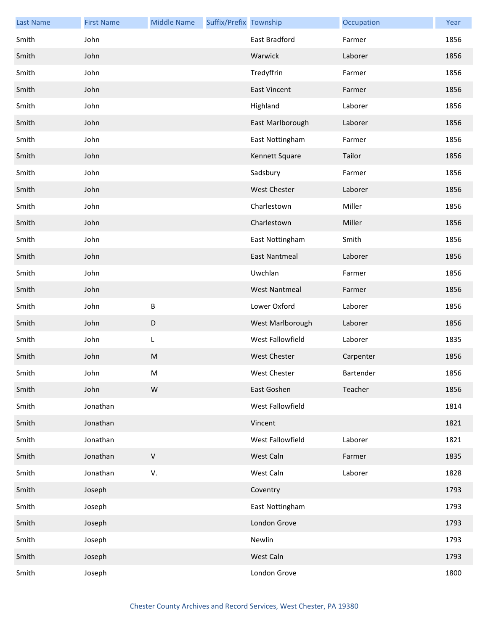| <b>Last Name</b> | <b>First Name</b> | <b>Middle Name</b> | Suffix/Prefix Township |                      | Occupation | Year |
|------------------|-------------------|--------------------|------------------------|----------------------|------------|------|
| Smith            | John              |                    |                        | East Bradford        | Farmer     | 1856 |
| Smith            | John              |                    |                        | Warwick              | Laborer    | 1856 |
| Smith            | John              |                    |                        | Tredyffrin           | Farmer     | 1856 |
| Smith            | John              |                    |                        | <b>East Vincent</b>  | Farmer     | 1856 |
| Smith            | John              |                    |                        | Highland             | Laborer    | 1856 |
| Smith            | John              |                    |                        | East Marlborough     | Laborer    | 1856 |
| Smith            | John              |                    |                        | East Nottingham      | Farmer     | 1856 |
| Smith            | John              |                    |                        | Kennett Square       | Tailor     | 1856 |
| Smith            | John              |                    |                        | Sadsbury             | Farmer     | 1856 |
| Smith            | John              |                    |                        | <b>West Chester</b>  | Laborer    | 1856 |
| Smith            | John              |                    |                        | Charlestown          | Miller     | 1856 |
| Smith            | John              |                    |                        | Charlestown          | Miller     | 1856 |
| Smith            | John              |                    |                        | East Nottingham      | Smith      | 1856 |
| Smith            | John              |                    |                        | <b>East Nantmeal</b> | Laborer    | 1856 |
| Smith            | John              |                    |                        | Uwchlan              | Farmer     | 1856 |
| Smith            | John              |                    |                        | <b>West Nantmeal</b> | Farmer     | 1856 |
| Smith            | John              | $\sf B$            |                        | Lower Oxford         | Laborer    | 1856 |
| Smith            | John              | $\mathsf D$        |                        | West Marlborough     | Laborer    | 1856 |
| Smith            | John              | L                  |                        | West Fallowfield     | Laborer    | 1835 |
| Smith            | John              | M                  |                        | <b>West Chester</b>  | Carpenter  | 1856 |
| Smith            | John              | M                  |                        | West Chester         | Bartender  | 1856 |
| Smith            | John              | W                  |                        | East Goshen          | Teacher    | 1856 |
| Smith            | Jonathan          |                    |                        | West Fallowfield     |            | 1814 |
| Smith            | Jonathan          |                    |                        | Vincent              |            | 1821 |
| Smith            | Jonathan          |                    |                        | West Fallowfield     | Laborer    | 1821 |
| Smith            | Jonathan          | $\sf V$            |                        | West Caln            | Farmer     | 1835 |
| Smith            | Jonathan          | V.                 |                        | West Caln            | Laborer    | 1828 |
| Smith            | Joseph            |                    |                        | Coventry             |            | 1793 |
| Smith            | Joseph            |                    |                        | East Nottingham      |            | 1793 |
| Smith            | Joseph            |                    |                        | London Grove         |            | 1793 |
| Smith            | Joseph            |                    |                        | Newlin               |            | 1793 |
| Smith            | Joseph            |                    |                        | West Caln            |            | 1793 |
| Smith            | Joseph            |                    |                        | London Grove         |            | 1800 |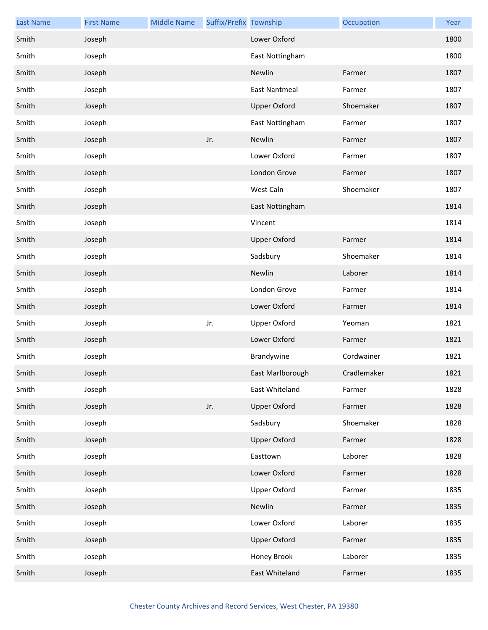| <b>Last Name</b> | <b>First Name</b> | <b>Middle Name</b> | Suffix/Prefix Township |                      | Occupation  | Year |
|------------------|-------------------|--------------------|------------------------|----------------------|-------------|------|
| Smith            | Joseph            |                    |                        | Lower Oxford         |             | 1800 |
| Smith            | Joseph            |                    |                        | East Nottingham      |             | 1800 |
| Smith            | Joseph            |                    |                        | Newlin               | Farmer      | 1807 |
| Smith            | Joseph            |                    |                        | <b>East Nantmeal</b> | Farmer      | 1807 |
| Smith            | Joseph            |                    |                        | <b>Upper Oxford</b>  | Shoemaker   | 1807 |
| Smith            | Joseph            |                    |                        | East Nottingham      | Farmer      | 1807 |
| Smith            | Joseph            |                    | Jr.                    | Newlin               | Farmer      | 1807 |
| Smith            | Joseph            |                    |                        | Lower Oxford         | Farmer      | 1807 |
| Smith            | Joseph            |                    |                        | London Grove         | Farmer      | 1807 |
| Smith            | Joseph            |                    |                        | West Caln            | Shoemaker   | 1807 |
| Smith            | Joseph            |                    |                        | East Nottingham      |             | 1814 |
| Smith            | Joseph            |                    |                        | Vincent              |             | 1814 |
| Smith            | Joseph            |                    |                        | <b>Upper Oxford</b>  | Farmer      | 1814 |
| Smith            | Joseph            |                    |                        | Sadsbury             | Shoemaker   | 1814 |
| Smith            | Joseph            |                    |                        | Newlin               | Laborer     | 1814 |
| Smith            | Joseph            |                    |                        | London Grove         | Farmer      | 1814 |
| Smith            | Joseph            |                    |                        | Lower Oxford         | Farmer      | 1814 |
| Smith            | Joseph            |                    | Jr.                    | <b>Upper Oxford</b>  | Yeoman      | 1821 |
| Smith            | Joseph            |                    |                        | Lower Oxford         | Farmer      | 1821 |
| Smith            | Joseph            |                    |                        | Brandywine           | Cordwainer  | 1821 |
| Smith            | Joseph            |                    |                        | East Marlborough     | Cradlemaker | 1821 |
| Smith            | Joseph            |                    |                        | East Whiteland       | Farmer      | 1828 |
| Smith            | Joseph            |                    | Jr.                    | <b>Upper Oxford</b>  | Farmer      | 1828 |
| Smith            | Joseph            |                    |                        | Sadsbury             | Shoemaker   | 1828 |
| Smith            | Joseph            |                    |                        | <b>Upper Oxford</b>  | Farmer      | 1828 |
| Smith            | Joseph            |                    |                        | Easttown             | Laborer     | 1828 |
| Smith            | Joseph            |                    |                        | Lower Oxford         | Farmer      | 1828 |
| Smith            | Joseph            |                    |                        | <b>Upper Oxford</b>  | Farmer      | 1835 |
| Smith            | Joseph            |                    |                        | Newlin               | Farmer      | 1835 |
| Smith            | Joseph            |                    |                        | Lower Oxford         | Laborer     | 1835 |
| Smith            | Joseph            |                    |                        | <b>Upper Oxford</b>  | Farmer      | 1835 |
| Smith            | Joseph            |                    |                        | Honey Brook          | Laborer     | 1835 |
| Smith            | Joseph            |                    |                        | East Whiteland       | Farmer      | 1835 |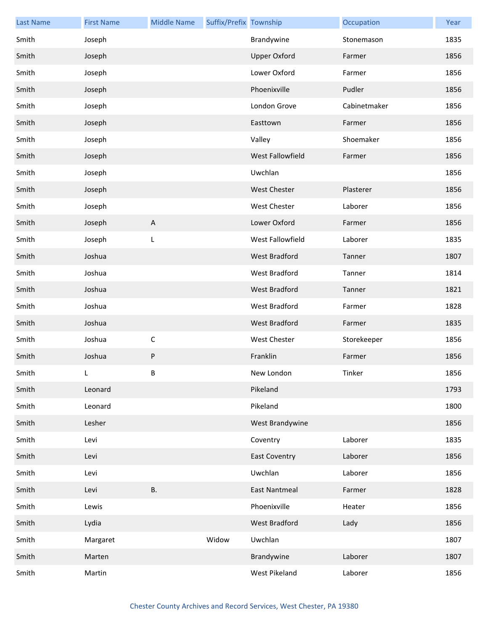| <b>Last Name</b> | <b>First Name</b> | <b>Middle Name</b>        | Suffix/Prefix Township |                      | Occupation   | Year |
|------------------|-------------------|---------------------------|------------------------|----------------------|--------------|------|
| Smith            | Joseph            |                           |                        | Brandywine           | Stonemason   | 1835 |
| Smith            | Joseph            |                           |                        | <b>Upper Oxford</b>  | Farmer       | 1856 |
| Smith            | Joseph            |                           |                        | Lower Oxford         | Farmer       | 1856 |
| Smith            | Joseph            |                           |                        | Phoenixville         | Pudler       | 1856 |
| Smith            | Joseph            |                           |                        | London Grove         | Cabinetmaker | 1856 |
| Smith            | Joseph            |                           |                        | Easttown             | Farmer       | 1856 |
| Smith            | Joseph            |                           |                        | Valley               | Shoemaker    | 1856 |
| Smith            | Joseph            |                           |                        | West Fallowfield     | Farmer       | 1856 |
| Smith            | Joseph            |                           |                        | Uwchlan              |              | 1856 |
| Smith            | Joseph            |                           |                        | <b>West Chester</b>  | Plasterer    | 1856 |
| Smith            | Joseph            |                           |                        | West Chester         | Laborer      | 1856 |
| Smith            | Joseph            | $\boldsymbol{\mathsf{A}}$ |                        | Lower Oxford         | Farmer       | 1856 |
| Smith            | Joseph            | L                         |                        | West Fallowfield     | Laborer      | 1835 |
| Smith            | Joshua            |                           |                        | West Bradford        | Tanner       | 1807 |
| Smith            | Joshua            |                           |                        | West Bradford        | Tanner       | 1814 |
| Smith            | Joshua            |                           |                        | West Bradford        | Tanner       | 1821 |
| Smith            | Joshua            |                           |                        | West Bradford        | Farmer       | 1828 |
| Smith            | Joshua            |                           |                        | West Bradford        | Farmer       | 1835 |
| Smith            | Joshua            | $\mathsf C$               |                        | <b>West Chester</b>  | Storekeeper  | 1856 |
| Smith            | Joshua            | ${\sf P}$                 |                        | Franklin             | Farmer       | 1856 |
| Smith            | L.                | B                         |                        | New London           | Tinker       | 1856 |
| Smith            | Leonard           |                           |                        | Pikeland             |              | 1793 |
| Smith            | Leonard           |                           |                        | Pikeland             |              | 1800 |
| Smith            | Lesher            |                           |                        | West Brandywine      |              | 1856 |
| Smith            | Levi              |                           |                        | Coventry             | Laborer      | 1835 |
| Smith            | Levi              |                           |                        | <b>East Coventry</b> | Laborer      | 1856 |
| Smith            | Levi              |                           |                        | Uwchlan              | Laborer      | 1856 |
| Smith            | Levi              | <b>B.</b>                 |                        | <b>East Nantmeal</b> | Farmer       | 1828 |
| Smith            | Lewis             |                           |                        | Phoenixville         | Heater       | 1856 |
| Smith            | Lydia             |                           |                        | West Bradford        | Lady         | 1856 |
| Smith            | Margaret          |                           | Widow                  | Uwchlan              |              | 1807 |
| Smith            | Marten            |                           |                        | Brandywine           | Laborer      | 1807 |
| Smith            | Martin            |                           |                        | West Pikeland        | Laborer      | 1856 |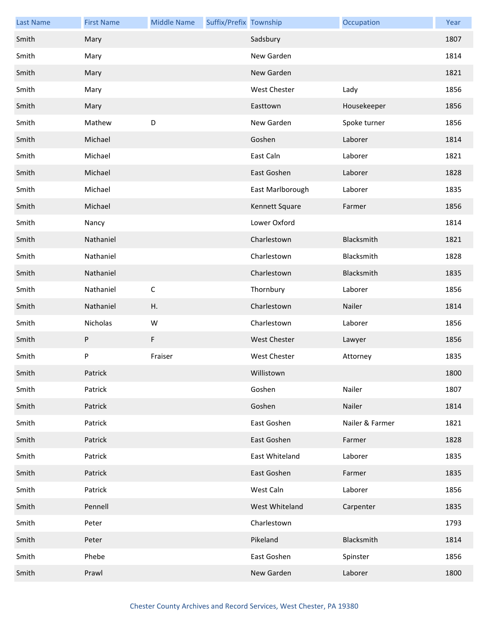| <b>Last Name</b> | <b>First Name</b> | <b>Middle Name</b> | Suffix/Prefix Township |                     | Occupation      | Year |
|------------------|-------------------|--------------------|------------------------|---------------------|-----------------|------|
| Smith            | Mary              |                    |                        | Sadsbury            |                 | 1807 |
| Smith            | Mary              |                    |                        | New Garden          |                 | 1814 |
| Smith            | Mary              |                    |                        | New Garden          |                 | 1821 |
| Smith            | Mary              |                    |                        | <b>West Chester</b> | Lady            | 1856 |
| Smith            | Mary              |                    |                        | Easttown            | Housekeeper     | 1856 |
| Smith            | Mathew            | D                  |                        | New Garden          | Spoke turner    | 1856 |
| Smith            | Michael           |                    |                        | Goshen              | Laborer         | 1814 |
| Smith            | Michael           |                    |                        | East Caln           | Laborer         | 1821 |
| Smith            | Michael           |                    |                        | East Goshen         | Laborer         | 1828 |
| Smith            | Michael           |                    |                        | East Marlborough    | Laborer         | 1835 |
| Smith            | Michael           |                    |                        | Kennett Square      | Farmer          | 1856 |
| Smith            | Nancy             |                    |                        | Lower Oxford        |                 | 1814 |
| Smith            | Nathaniel         |                    |                        | Charlestown         | Blacksmith      | 1821 |
| Smith            | Nathaniel         |                    |                        | Charlestown         | Blacksmith      | 1828 |
| Smith            | Nathaniel         |                    |                        | Charlestown         | Blacksmith      | 1835 |
| Smith            | Nathaniel         | $\mathsf C$        |                        | Thornbury           | Laborer         | 1856 |
| Smith            | Nathaniel         | Η.                 |                        | Charlestown         | Nailer          | 1814 |
| Smith            | Nicholas          | W                  |                        | Charlestown         | Laborer         | 1856 |
| Smith            | P                 | F                  |                        | West Chester        | Lawyer          | 1856 |
| Smith            | P                 | Fraiser            |                        | <b>West Chester</b> | Attorney        | 1835 |
| Smith            | Patrick           |                    |                        | Willistown          |                 | 1800 |
| Smith            | Patrick           |                    |                        | Goshen              | Nailer          | 1807 |
| Smith            | Patrick           |                    |                        | Goshen              | Nailer          | 1814 |
| Smith            | Patrick           |                    |                        | East Goshen         | Nailer & Farmer | 1821 |
| Smith            | Patrick           |                    |                        | East Goshen         | Farmer          | 1828 |
| Smith            | Patrick           |                    |                        | East Whiteland      | Laborer         | 1835 |
| Smith            | Patrick           |                    |                        | East Goshen         | Farmer          | 1835 |
| Smith            | Patrick           |                    |                        | West Caln           | Laborer         | 1856 |
| Smith            | Pennell           |                    |                        | West Whiteland      | Carpenter       | 1835 |
| Smith            | Peter             |                    |                        | Charlestown         |                 | 1793 |
| Smith            | Peter             |                    |                        | Pikeland            | Blacksmith      | 1814 |
| Smith            | Phebe             |                    |                        | East Goshen         | Spinster        | 1856 |
| Smith            | Prawl             |                    |                        | New Garden          | Laborer         | 1800 |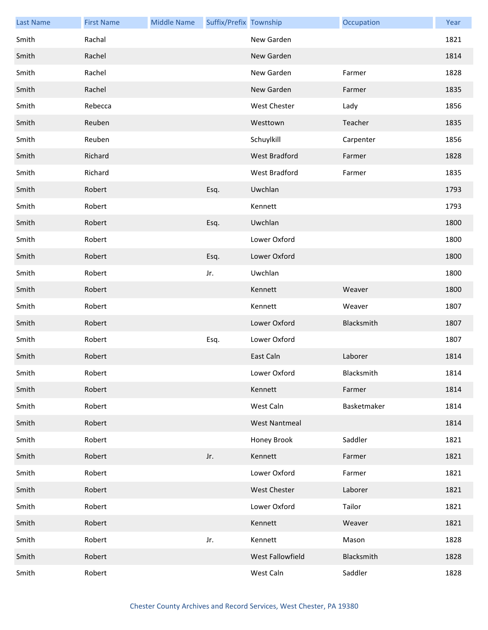| <b>Last Name</b> | <b>First Name</b> | <b>Middle Name</b> | Suffix/Prefix Township |                      | Occupation  | Year |
|------------------|-------------------|--------------------|------------------------|----------------------|-------------|------|
| Smith            | Rachal            |                    |                        | New Garden           |             | 1821 |
| Smith            | Rachel            |                    |                        | New Garden           |             | 1814 |
| Smith            | Rachel            |                    |                        | New Garden           | Farmer      | 1828 |
| Smith            | Rachel            |                    |                        | New Garden           | Farmer      | 1835 |
| Smith            | Rebecca           |                    |                        | West Chester         | Lady        | 1856 |
| Smith            | Reuben            |                    |                        | Westtown             | Teacher     | 1835 |
| Smith            | Reuben            |                    |                        | Schuylkill           | Carpenter   | 1856 |
| Smith            | Richard           |                    |                        | West Bradford        | Farmer      | 1828 |
| Smith            | Richard           |                    |                        | West Bradford        | Farmer      | 1835 |
| Smith            | Robert            |                    | Esq.                   | Uwchlan              |             | 1793 |
| Smith            | Robert            |                    |                        | Kennett              |             | 1793 |
| Smith            | Robert            |                    | Esq.                   | Uwchlan              |             | 1800 |
| Smith            | Robert            |                    |                        | Lower Oxford         |             | 1800 |
| Smith            | Robert            |                    | Esq.                   | Lower Oxford         |             | 1800 |
| Smith            | Robert            |                    | Jr.                    | Uwchlan              |             | 1800 |
| Smith            | Robert            |                    |                        | Kennett              | Weaver      | 1800 |
| Smith            | Robert            |                    |                        | Kennett              | Weaver      | 1807 |
| Smith            | Robert            |                    |                        | Lower Oxford         | Blacksmith  | 1807 |
| Smith            | Robert            |                    | Esq.                   | Lower Oxford         |             | 1807 |
| Smith            | Robert            |                    |                        | East Caln            | Laborer     | 1814 |
| Smith            | Robert            |                    |                        | Lower Oxford         | Blacksmith  | 1814 |
| Smith            | Robert            |                    |                        | Kennett              | Farmer      | 1814 |
| Smith            | Robert            |                    |                        | West Caln            | Basketmaker | 1814 |
| Smith            | Robert            |                    |                        | <b>West Nantmeal</b> |             | 1814 |
| Smith            | Robert            |                    |                        | Honey Brook          | Saddler     | 1821 |
| Smith            | Robert            |                    | Jr.                    | Kennett              | Farmer      | 1821 |
| Smith            | Robert            |                    |                        | Lower Oxford         | Farmer      | 1821 |
| Smith            | Robert            |                    |                        | <b>West Chester</b>  | Laborer     | 1821 |
| Smith            | Robert            |                    |                        | Lower Oxford         | Tailor      | 1821 |
| Smith            | Robert            |                    |                        | Kennett              | Weaver      | 1821 |
| Smith            | Robert            |                    | Jr.                    | Kennett              | Mason       | 1828 |
| Smith            | Robert            |                    |                        | West Fallowfield     | Blacksmith  | 1828 |
| Smith            | Robert            |                    |                        | West Caln            | Saddler     | 1828 |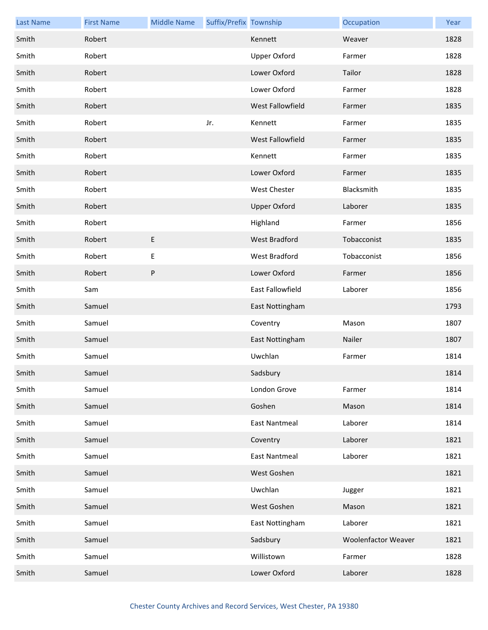| <b>Last Name</b> | <b>First Name</b> | <b>Middle Name</b> | Suffix/Prefix Township |                      | Occupation          | Year |
|------------------|-------------------|--------------------|------------------------|----------------------|---------------------|------|
| Smith            | Robert            |                    |                        | Kennett              | Weaver              | 1828 |
| Smith            | Robert            |                    |                        | <b>Upper Oxford</b>  | Farmer              | 1828 |
| Smith            | Robert            |                    |                        | Lower Oxford         | Tailor              | 1828 |
| Smith            | Robert            |                    |                        | Lower Oxford         | Farmer              | 1828 |
| Smith            | Robert            |                    |                        | West Fallowfield     | Farmer              | 1835 |
| Smith            | Robert            |                    | Jr.                    | Kennett              | Farmer              | 1835 |
| Smith            | Robert            |                    |                        | West Fallowfield     | Farmer              | 1835 |
| Smith            | Robert            |                    |                        | Kennett              | Farmer              | 1835 |
| Smith            | Robert            |                    |                        | Lower Oxford         | Farmer              | 1835 |
| Smith            | Robert            |                    |                        | <b>West Chester</b>  | Blacksmith          | 1835 |
| Smith            | Robert            |                    |                        | <b>Upper Oxford</b>  | Laborer             | 1835 |
| Smith            | Robert            |                    |                        | Highland             | Farmer              | 1856 |
| Smith            | Robert            | E                  |                        | West Bradford        | Tobacconist         | 1835 |
| Smith            | Robert            | Е                  |                        | West Bradford        | Tobacconist         | 1856 |
| Smith            | Robert            | ${\sf P}$          |                        | Lower Oxford         | Farmer              | 1856 |
| Smith            | Sam               |                    |                        | East Fallowfield     | Laborer             | 1856 |
| Smith            | Samuel            |                    |                        | East Nottingham      |                     | 1793 |
| Smith            | Samuel            |                    |                        | Coventry             | Mason               | 1807 |
| Smith            | Samuel            |                    |                        | East Nottingham      | Nailer              | 1807 |
| Smith            | Samuel            |                    |                        | Uwchlan              | Farmer              | 1814 |
| Smith            | Samuel            |                    |                        | Sadsbury             |                     | 1814 |
| Smith            | Samuel            |                    |                        | London Grove         | Farmer              | 1814 |
| Smith            | Samuel            |                    |                        | Goshen               | Mason               | 1814 |
| Smith            | Samuel            |                    |                        | <b>East Nantmeal</b> | Laborer             | 1814 |
| Smith            | Samuel            |                    |                        | Coventry             | Laborer             | 1821 |
| Smith            | Samuel            |                    |                        | <b>East Nantmeal</b> | Laborer             | 1821 |
| Smith            | Samuel            |                    |                        | West Goshen          |                     | 1821 |
| Smith            | Samuel            |                    |                        | Uwchlan              | Jugger              | 1821 |
| Smith            | Samuel            |                    |                        | West Goshen          | Mason               | 1821 |
| Smith            | Samuel            |                    |                        | East Nottingham      | Laborer             | 1821 |
| Smith            | Samuel            |                    |                        | Sadsbury             | Woolenfactor Weaver | 1821 |
| Smith            | Samuel            |                    |                        | Willistown           | Farmer              | 1828 |
| Smith            | Samuel            |                    |                        | Lower Oxford         | Laborer             | 1828 |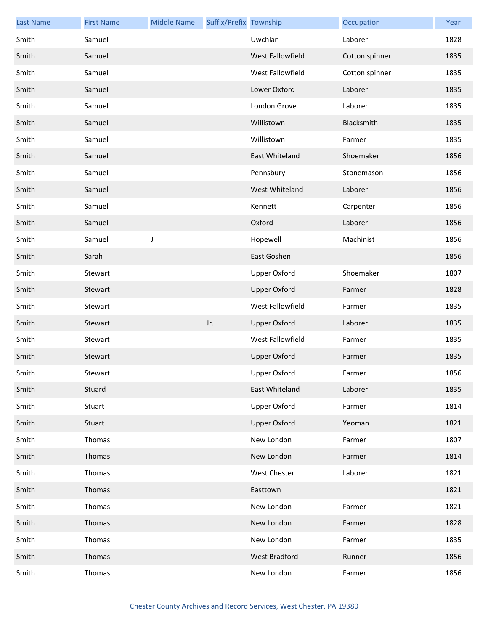| <b>Last Name</b> | <b>First Name</b> | <b>Middle Name</b> | Suffix/Prefix Township |                     | Occupation     | Year |
|------------------|-------------------|--------------------|------------------------|---------------------|----------------|------|
| Smith            | Samuel            |                    |                        | Uwchlan             | Laborer        | 1828 |
| Smith            | Samuel            |                    |                        | West Fallowfield    | Cotton spinner | 1835 |
| Smith            | Samuel            |                    |                        | West Fallowfield    | Cotton spinner | 1835 |
| Smith            | Samuel            |                    |                        | Lower Oxford        | Laborer        | 1835 |
| Smith            | Samuel            |                    |                        | London Grove        | Laborer        | 1835 |
| Smith            | Samuel            |                    |                        | Willistown          | Blacksmith     | 1835 |
| Smith            | Samuel            |                    |                        | Willistown          | Farmer         | 1835 |
| Smith            | Samuel            |                    |                        | East Whiteland      | Shoemaker      | 1856 |
| Smith            | Samuel            |                    |                        | Pennsbury           | Stonemason     | 1856 |
| Smith            | Samuel            |                    |                        | West Whiteland      | Laborer        | 1856 |
| Smith            | Samuel            |                    |                        | Kennett             | Carpenter      | 1856 |
| Smith            | Samuel            |                    |                        | Oxford              | Laborer        | 1856 |
| Smith            | Samuel            | J                  |                        | Hopewell            | Machinist      | 1856 |
| Smith            | Sarah             |                    |                        | East Goshen         |                | 1856 |
| Smith            | Stewart           |                    |                        | <b>Upper Oxford</b> | Shoemaker      | 1807 |
| Smith            | Stewart           |                    |                        | <b>Upper Oxford</b> | Farmer         | 1828 |
| Smith            | Stewart           |                    |                        | West Fallowfield    | Farmer         | 1835 |
| Smith            | Stewart           |                    | Jr.                    | <b>Upper Oxford</b> | Laborer        | 1835 |
| Smith            | Stewart           |                    |                        | West Fallowfield    | Farmer         | 1835 |
| Smith            | Stewart           |                    |                        | <b>Upper Oxford</b> | Farmer         | 1835 |
| Smith            | Stewart           |                    |                        | Upper Oxford        | Farmer         | 1856 |
| Smith            | Stuard            |                    |                        | East Whiteland      | Laborer        | 1835 |
| Smith            | Stuart            |                    |                        | <b>Upper Oxford</b> | Farmer         | 1814 |
| Smith            | Stuart            |                    |                        | <b>Upper Oxford</b> | Yeoman         | 1821 |
| Smith            | Thomas            |                    |                        | New London          | Farmer         | 1807 |
| Smith            | Thomas            |                    |                        | New London          | Farmer         | 1814 |
| Smith            | Thomas            |                    |                        | West Chester        | Laborer        | 1821 |
| Smith            | Thomas            |                    |                        | Easttown            |                | 1821 |
| Smith            | Thomas            |                    |                        | New London          | Farmer         | 1821 |
| Smith            | Thomas            |                    |                        | New London          | Farmer         | 1828 |
| Smith            | Thomas            |                    |                        | New London          | Farmer         | 1835 |
| Smith            | Thomas            |                    |                        | West Bradford       | Runner         | 1856 |
| Smith            | Thomas            |                    |                        | New London          | Farmer         | 1856 |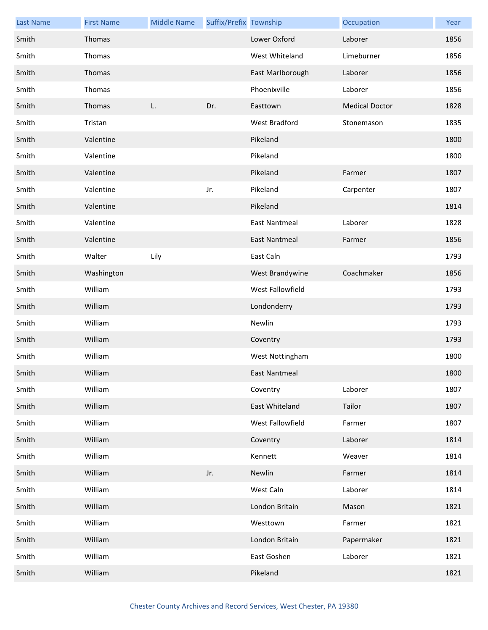| <b>Last Name</b> | <b>First Name</b> | <b>Middle Name</b> | Suffix/Prefix Township |                      | Occupation            | Year |
|------------------|-------------------|--------------------|------------------------|----------------------|-----------------------|------|
| Smith            | <b>Thomas</b>     |                    |                        | Lower Oxford         | Laborer               | 1856 |
| Smith            | Thomas            |                    |                        | West Whiteland       | Limeburner            | 1856 |
| Smith            | Thomas            |                    |                        | East Marlborough     | Laborer               | 1856 |
| Smith            | Thomas            |                    |                        | Phoenixville         | Laborer               | 1856 |
| Smith            | Thomas            | L.                 | Dr.                    | Easttown             | <b>Medical Doctor</b> | 1828 |
| Smith            | Tristan           |                    |                        | West Bradford        | Stonemason            | 1835 |
| Smith            | Valentine         |                    |                        | Pikeland             |                       | 1800 |
| Smith            | Valentine         |                    |                        | Pikeland             |                       | 1800 |
| Smith            | Valentine         |                    |                        | Pikeland             | Farmer                | 1807 |
| Smith            | Valentine         |                    | Jr.                    | Pikeland             | Carpenter             | 1807 |
| Smith            | Valentine         |                    |                        | Pikeland             |                       | 1814 |
| Smith            | Valentine         |                    |                        | <b>East Nantmeal</b> | Laborer               | 1828 |
| Smith            | Valentine         |                    |                        | East Nantmeal        | Farmer                | 1856 |
| Smith            | Walter            | Lily               |                        | East Caln            |                       | 1793 |
| Smith            | Washington        |                    |                        | West Brandywine      | Coachmaker            | 1856 |
| Smith            | William           |                    |                        | West Fallowfield     |                       | 1793 |
| Smith            | William           |                    |                        | Londonderry          |                       | 1793 |
| Smith            | William           |                    |                        | Newlin               |                       | 1793 |
| Smith            | William           |                    |                        | Coventry             |                       | 1793 |
| Smith            | William           |                    |                        | West Nottingham      |                       | 1800 |
| Smith            | William           |                    |                        | <b>East Nantmeal</b> |                       | 1800 |
| Smith            | William           |                    |                        | Coventry             | Laborer               | 1807 |
| Smith            | William           |                    |                        | East Whiteland       | Tailor                | 1807 |
| Smith            | William           |                    |                        | West Fallowfield     | Farmer                | 1807 |
| Smith            | William           |                    |                        | Coventry             | Laborer               | 1814 |
| Smith            | William           |                    |                        | Kennett              | Weaver                | 1814 |
| Smith            | William           |                    | Jr.                    | Newlin               | Farmer                | 1814 |
| Smith            | William           |                    |                        | West Caln            | Laborer               | 1814 |
| Smith            | William           |                    |                        | London Britain       | Mason                 | 1821 |
| Smith            | William           |                    |                        | Westtown             | Farmer                | 1821 |
| Smith            | William           |                    |                        | London Britain       | Papermaker            | 1821 |
| Smith            | William           |                    |                        | East Goshen          | Laborer               | 1821 |
| Smith            | William           |                    |                        | Pikeland             |                       | 1821 |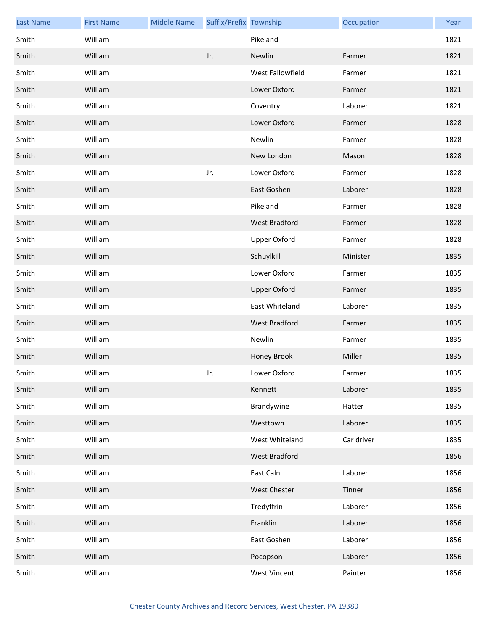| <b>Last Name</b> | <b>First Name</b> | <b>Middle Name</b> | Suffix/Prefix Township |                      | Occupation | Year |
|------------------|-------------------|--------------------|------------------------|----------------------|------------|------|
| Smith            | William           |                    |                        | Pikeland             |            | 1821 |
| Smith            | William           |                    | Jr.                    | Newlin               | Farmer     | 1821 |
| Smith            | William           |                    |                        | West Fallowfield     | Farmer     | 1821 |
| Smith            | William           |                    |                        | Lower Oxford         | Farmer     | 1821 |
| Smith            | William           |                    |                        | Coventry             | Laborer    | 1821 |
| Smith            | William           |                    |                        | Lower Oxford         | Farmer     | 1828 |
| Smith            | William           |                    |                        | Newlin               | Farmer     | 1828 |
| Smith            | William           |                    |                        | New London           | Mason      | 1828 |
| Smith            | William           |                    | Jr.                    | Lower Oxford         | Farmer     | 1828 |
| Smith            | William           |                    |                        | East Goshen          | Laborer    | 1828 |
| Smith            | William           |                    |                        | Pikeland             | Farmer     | 1828 |
| Smith            | William           |                    |                        | <b>West Bradford</b> | Farmer     | 1828 |
| Smith            | William           |                    |                        | <b>Upper Oxford</b>  | Farmer     | 1828 |
| Smith            | William           |                    |                        | Schuylkill           | Minister   | 1835 |
| Smith            | William           |                    |                        | Lower Oxford         | Farmer     | 1835 |
| Smith            | William           |                    |                        | <b>Upper Oxford</b>  | Farmer     | 1835 |
| Smith            | William           |                    |                        | East Whiteland       | Laborer    | 1835 |
| Smith            | William           |                    |                        | West Bradford        | Farmer     | 1835 |
| Smith            | William           |                    |                        | Newlin               | Farmer     | 1835 |
| Smith            | William           |                    |                        | Honey Brook          | Miller     | 1835 |
| Smith            | William           |                    | Jr.                    | Lower Oxford         | Farmer     | 1835 |
| Smith            | William           |                    |                        | Kennett              | Laborer    | 1835 |
| Smith            | William           |                    |                        | Brandywine           | Hatter     | 1835 |
| Smith            | William           |                    |                        | Westtown             | Laborer    | 1835 |
| Smith            | William           |                    |                        | West Whiteland       | Car driver | 1835 |
| Smith            | William           |                    |                        | West Bradford        |            | 1856 |
| Smith            | William           |                    |                        | East Caln            | Laborer    | 1856 |
| Smith            | William           |                    |                        | <b>West Chester</b>  | Tinner     | 1856 |
| Smith            | William           |                    |                        | Tredyffrin           | Laborer    | 1856 |
| Smith            | William           |                    |                        | Franklin             | Laborer    | 1856 |
| Smith            | William           |                    |                        | East Goshen          | Laborer    | 1856 |
| Smith            | William           |                    |                        | Pocopson             | Laborer    | 1856 |
| Smith            | William           |                    |                        | West Vincent         | Painter    | 1856 |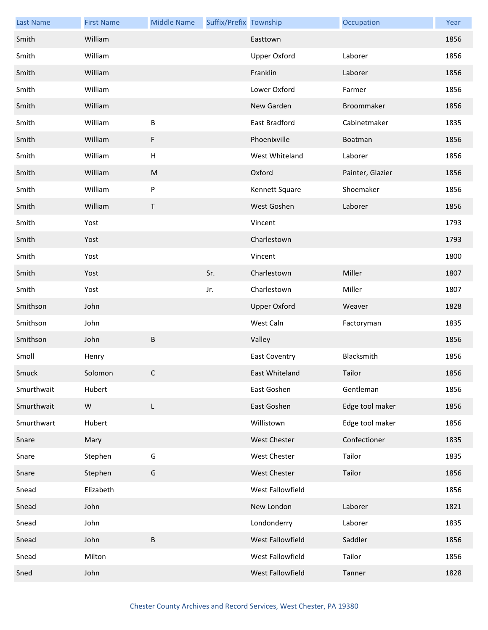| <b>Last Name</b> | <b>First Name</b> | <b>Middle Name</b>        | Suffix/Prefix Township |                      | Occupation       | Year |
|------------------|-------------------|---------------------------|------------------------|----------------------|------------------|------|
| Smith            | William           |                           |                        | Easttown             |                  | 1856 |
| Smith            | William           |                           |                        | <b>Upper Oxford</b>  | Laborer          | 1856 |
| Smith            | William           |                           |                        | Franklin             | Laborer          | 1856 |
| Smith            | William           |                           |                        | Lower Oxford         | Farmer           | 1856 |
| Smith            | William           |                           |                        | New Garden           | Broommaker       | 1856 |
| Smith            | William           | B                         |                        | East Bradford        | Cabinetmaker     | 1835 |
| Smith            | William           | F                         |                        | Phoenixville         | Boatman          | 1856 |
| Smith            | William           | $\boldsymbol{\mathsf{H}}$ |                        | West Whiteland       | Laborer          | 1856 |
| Smith            | William           | ${\sf M}$                 |                        | Oxford               | Painter, Glazier | 1856 |
| Smith            | William           | P                         |                        | Kennett Square       | Shoemaker        | 1856 |
| Smith            | William           | T                         |                        | West Goshen          | Laborer          | 1856 |
| Smith            | Yost              |                           |                        | Vincent              |                  | 1793 |
| Smith            | Yost              |                           |                        | Charlestown          |                  | 1793 |
| Smith            | Yost              |                           |                        | Vincent              |                  | 1800 |
| Smith            | Yost              |                           | Sr.                    | Charlestown          | Miller           | 1807 |
| Smith            | Yost              |                           | Jr.                    | Charlestown          | Miller           | 1807 |
| Smithson         | John              |                           |                        | <b>Upper Oxford</b>  | Weaver           | 1828 |
| Smithson         | John              |                           |                        | West Caln            | Factoryman       | 1835 |
| Smithson         | John              | B                         |                        | Valley               |                  | 1856 |
| Smoll            | Henry             |                           |                        | <b>East Coventry</b> | Blacksmith       | 1856 |
| Smuck            | Solomon           | C                         |                        | East Whiteland       | Tailor           | 1856 |
| Smurthwait       | Hubert            |                           |                        | East Goshen          | Gentleman        | 1856 |
| Smurthwait       | W                 | L                         |                        | East Goshen          | Edge tool maker  | 1856 |
| Smurthwart       | Hubert            |                           |                        | Willistown           | Edge tool maker  | 1856 |
| Snare            | Mary              |                           |                        | <b>West Chester</b>  | Confectioner     | 1835 |
| Snare            | Stephen           | G                         |                        | West Chester         | Tailor           | 1835 |
| Snare            | Stephen           | G                         |                        | <b>West Chester</b>  | Tailor           | 1856 |
| Snead            | Elizabeth         |                           |                        | West Fallowfield     |                  | 1856 |
| Snead            | John              |                           |                        | New London           | Laborer          | 1821 |
| Snead            | John              |                           |                        | Londonderry          | Laborer          | 1835 |
| Snead            | John              | $\sf B$                   |                        | West Fallowfield     | Saddler          | 1856 |
| Snead            | Milton            |                           |                        | West Fallowfield     | Tailor           | 1856 |
|                  |                   |                           |                        |                      |                  |      |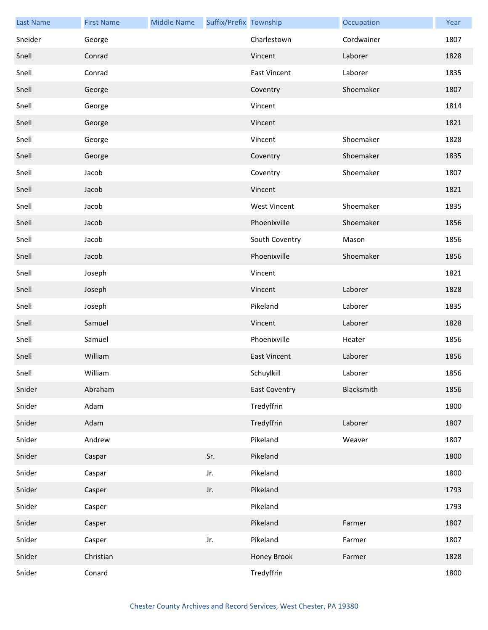| <b>Last Name</b> | <b>First Name</b> | <b>Middle Name</b> | Suffix/Prefix Township |                      | Occupation | Year |
|------------------|-------------------|--------------------|------------------------|----------------------|------------|------|
| Sneider          | George            |                    |                        | Charlestown          | Cordwainer | 1807 |
| Snell            | Conrad            |                    |                        | Vincent              | Laborer    | 1828 |
| Snell            | Conrad            |                    |                        | <b>East Vincent</b>  | Laborer    | 1835 |
| Snell            | George            |                    |                        | Coventry             | Shoemaker  | 1807 |
| Snell            | George            |                    |                        | Vincent              |            | 1814 |
| Snell            | George            |                    |                        | Vincent              |            | 1821 |
| Snell            | George            |                    |                        | Vincent              | Shoemaker  | 1828 |
| Snell            | George            |                    |                        | Coventry             | Shoemaker  | 1835 |
| Snell            | Jacob             |                    |                        | Coventry             | Shoemaker  | 1807 |
| Snell            | Jacob             |                    |                        | Vincent              |            | 1821 |
| Snell            | Jacob             |                    |                        | <b>West Vincent</b>  | Shoemaker  | 1835 |
| Snell            | Jacob             |                    |                        | Phoenixville         | Shoemaker  | 1856 |
| Snell            | Jacob             |                    |                        | South Coventry       | Mason      | 1856 |
| Snell            | Jacob             |                    |                        | Phoenixville         | Shoemaker  | 1856 |
| Snell            | Joseph            |                    |                        | Vincent              |            | 1821 |
| Snell            | Joseph            |                    |                        | Vincent              | Laborer    | 1828 |
| Snell            | Joseph            |                    |                        | Pikeland             | Laborer    | 1835 |
| Snell            | Samuel            |                    |                        | Vincent              | Laborer    | 1828 |
| Snell            | Samuel            |                    |                        | Phoenixville         | Heater     | 1856 |
| Snell            | William           |                    |                        | <b>East Vincent</b>  | Laborer    | 1856 |
| Snell            | William           |                    |                        | Schuylkill           | Laborer    | 1856 |
| Snider           | Abraham           |                    |                        | <b>East Coventry</b> | Blacksmith | 1856 |
| Snider           | Adam              |                    |                        | Tredyffrin           |            | 1800 |
| Snider           | Adam              |                    |                        | Tredyffrin           | Laborer    | 1807 |
| Snider           | Andrew            |                    |                        | Pikeland             | Weaver     | 1807 |
| Snider           | Caspar            |                    | Sr.                    | Pikeland             |            | 1800 |
| Snider           | Caspar            |                    | Jr.                    | Pikeland             |            | 1800 |
| Snider           | Casper            |                    | Jr.                    | Pikeland             |            | 1793 |
| Snider           | Casper            |                    |                        | Pikeland             |            | 1793 |
| Snider           | Casper            |                    |                        | Pikeland             | Farmer     | 1807 |
| Snider           | Casper            |                    | Jr.                    | Pikeland             | Farmer     | 1807 |
| Snider           | Christian         |                    |                        | Honey Brook          | Farmer     | 1828 |
| Snider           | Conard            |                    |                        | Tredyffrin           |            | 1800 |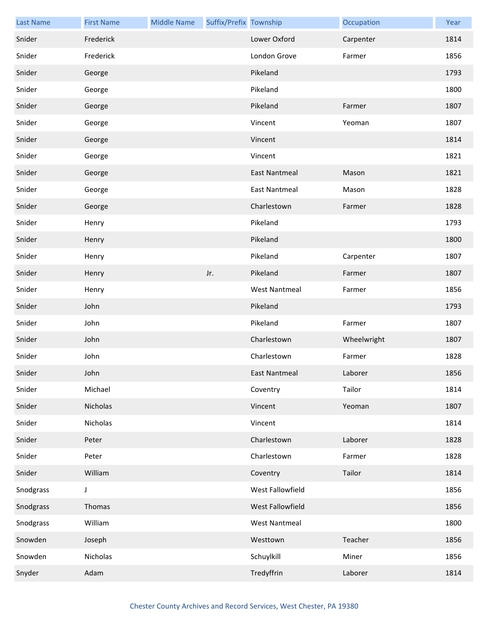| <b>Last Name</b> | <b>First Name</b> | <b>Middle Name</b> | Suffix/Prefix Township |                      | Occupation  | Year |
|------------------|-------------------|--------------------|------------------------|----------------------|-------------|------|
| Snider           | Frederick         |                    |                        | Lower Oxford         | Carpenter   | 1814 |
| Snider           | Frederick         |                    |                        | London Grove         | Farmer      | 1856 |
| Snider           | George            |                    |                        | Pikeland             |             | 1793 |
| Snider           | George            |                    |                        | Pikeland             |             | 1800 |
| Snider           | George            |                    |                        | Pikeland             | Farmer      | 1807 |
| Snider           | George            |                    |                        | Vincent              | Yeoman      | 1807 |
| Snider           | George            |                    |                        | Vincent              |             | 1814 |
| Snider           | George            |                    |                        | Vincent              |             | 1821 |
| Snider           | George            |                    |                        | <b>East Nantmeal</b> | Mason       | 1821 |
| Snider           | George            |                    |                        | <b>East Nantmeal</b> | Mason       | 1828 |
| Snider           | George            |                    |                        | Charlestown          | Farmer      | 1828 |
| Snider           | Henry             |                    |                        | Pikeland             |             | 1793 |
| Snider           | Henry             |                    |                        | Pikeland             |             | 1800 |
| Snider           | Henry             |                    |                        | Pikeland             | Carpenter   | 1807 |
| Snider           | Henry             |                    | Jr.                    | Pikeland             | Farmer      | 1807 |
| Snider           | Henry             |                    |                        | <b>West Nantmeal</b> | Farmer      | 1856 |
| Snider           | John              |                    |                        | Pikeland             |             | 1793 |
| Snider           | John              |                    |                        | Pikeland             | Farmer      | 1807 |
| Snider           | John              |                    |                        | Charlestown          | Wheelwright | 1807 |
| Snider           | John              |                    |                        | Charlestown          | Farmer      | 1828 |
| Snider           | John              |                    |                        | East Nantmeal        | Laborer     | 1856 |
| Snider           | Michael           |                    |                        | Coventry             | Tailor      | 1814 |
| Snider           | Nicholas          |                    |                        | Vincent              | Yeoman      | 1807 |
| Snider           | Nicholas          |                    |                        | Vincent              |             | 1814 |
| Snider           | Peter             |                    |                        | Charlestown          | Laborer     | 1828 |
| Snider           | Peter             |                    |                        | Charlestown          | Farmer      | 1828 |
| Snider           | William           |                    |                        | Coventry             | Tailor      | 1814 |
| Snodgrass        | J                 |                    |                        | West Fallowfield     |             | 1856 |
| Snodgrass        | Thomas            |                    |                        | West Fallowfield     |             | 1856 |
| Snodgrass        | William           |                    |                        | <b>West Nantmeal</b> |             | 1800 |
| Snowden          | Joseph            |                    |                        | Westtown             | Teacher     | 1856 |
| Snowden          | Nicholas          |                    |                        | Schuylkill           | Miner       | 1856 |
| Snyder           | Adam              |                    |                        | Tredyffrin           | Laborer     | 1814 |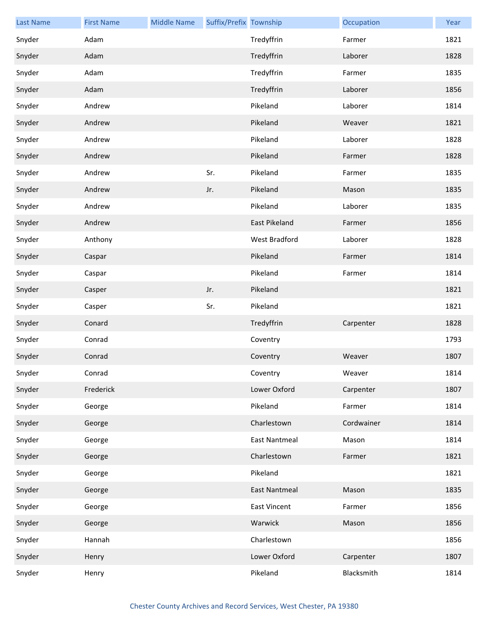| <b>Last Name</b> | <b>First Name</b> | <b>Middle Name</b> | Suffix/Prefix Township |                      | Occupation | Year |
|------------------|-------------------|--------------------|------------------------|----------------------|------------|------|
| Snyder           | Adam              |                    |                        | Tredyffrin           | Farmer     | 1821 |
| Snyder           | Adam              |                    |                        | Tredyffrin           | Laborer    | 1828 |
| Snyder           | Adam              |                    |                        | Tredyffrin           | Farmer     | 1835 |
| Snyder           | Adam              |                    |                        | Tredyffrin           | Laborer    | 1856 |
| Snyder           | Andrew            |                    |                        | Pikeland             | Laborer    | 1814 |
| Snyder           | Andrew            |                    |                        | Pikeland             | Weaver     | 1821 |
| Snyder           | Andrew            |                    |                        | Pikeland             | Laborer    | 1828 |
| Snyder           | Andrew            |                    |                        | Pikeland             | Farmer     | 1828 |
| Snyder           | Andrew            |                    | Sr.                    | Pikeland             | Farmer     | 1835 |
| Snyder           | Andrew            |                    | Jr.                    | Pikeland             | Mason      | 1835 |
| Snyder           | Andrew            |                    |                        | Pikeland             | Laborer    | 1835 |
| Snyder           | Andrew            |                    |                        | East Pikeland        | Farmer     | 1856 |
| Snyder           | Anthony           |                    |                        | West Bradford        | Laborer    | 1828 |
| Snyder           | Caspar            |                    |                        | Pikeland             | Farmer     | 1814 |
| Snyder           | Caspar            |                    |                        | Pikeland             | Farmer     | 1814 |
| Snyder           | Casper            |                    | Jr.                    | Pikeland             |            | 1821 |
| Snyder           | Casper            |                    | Sr.                    | Pikeland             |            | 1821 |
| Snyder           | Conard            |                    |                        | Tredyffrin           | Carpenter  | 1828 |
| Snyder           | Conrad            |                    |                        | Coventry             |            | 1793 |
| Snyder           | Conrad            |                    |                        | Coventry             | Weaver     | 1807 |
| Snyder           | Conrad            |                    |                        | Coventry             | Weaver     | 1814 |
| Snyder           | Frederick         |                    |                        | Lower Oxford         | Carpenter  | 1807 |
| Snyder           | George            |                    |                        | Pikeland             | Farmer     | 1814 |
| Snyder           | George            |                    |                        | Charlestown          | Cordwainer | 1814 |
| Snyder           | George            |                    |                        | <b>East Nantmeal</b> | Mason      | 1814 |
| Snyder           | George            |                    |                        | Charlestown          | Farmer     | 1821 |
| Snyder           | George            |                    |                        | Pikeland             |            | 1821 |
| Snyder           | George            |                    |                        | <b>East Nantmeal</b> | Mason      | 1835 |
| Snyder           | George            |                    |                        | <b>East Vincent</b>  | Farmer     | 1856 |
| Snyder           | George            |                    |                        | Warwick              | Mason      | 1856 |
| Snyder           | Hannah            |                    |                        | Charlestown          |            | 1856 |
| Snyder           | Henry             |                    |                        | Lower Oxford         | Carpenter  | 1807 |
| Snyder           | Henry             |                    |                        | Pikeland             | Blacksmith | 1814 |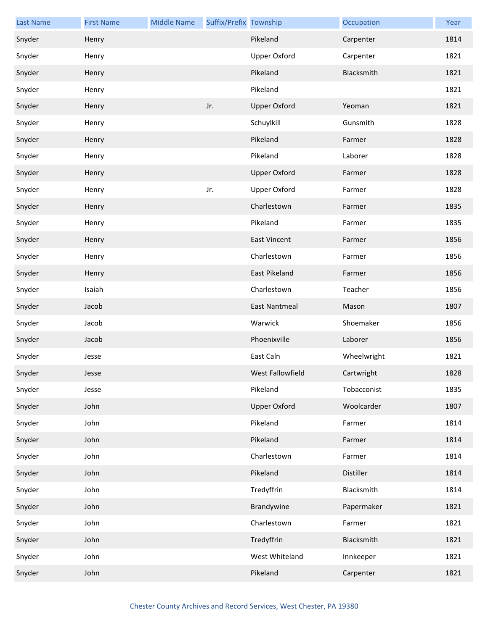| <b>Last Name</b> | <b>First Name</b> | <b>Middle Name</b> | Suffix/Prefix Township |                      | Occupation  | Year |
|------------------|-------------------|--------------------|------------------------|----------------------|-------------|------|
| Snyder           | Henry             |                    |                        | Pikeland             | Carpenter   | 1814 |
| Snyder           | Henry             |                    |                        | <b>Upper Oxford</b>  | Carpenter   | 1821 |
| Snyder           | Henry             |                    |                        | Pikeland             | Blacksmith  | 1821 |
| Snyder           | Henry             |                    |                        | Pikeland             |             | 1821 |
| Snyder           | Henry             |                    | Jr.                    | <b>Upper Oxford</b>  | Yeoman      | 1821 |
| Snyder           | Henry             |                    |                        | Schuylkill           | Gunsmith    | 1828 |
| Snyder           | Henry             |                    |                        | Pikeland             | Farmer      | 1828 |
| Snyder           | Henry             |                    |                        | Pikeland             | Laborer     | 1828 |
| Snyder           | Henry             |                    |                        | <b>Upper Oxford</b>  | Farmer      | 1828 |
| Snyder           | Henry             |                    | Jr.                    | <b>Upper Oxford</b>  | Farmer      | 1828 |
| Snyder           | Henry             |                    |                        | Charlestown          | Farmer      | 1835 |
| Snyder           | Henry             |                    |                        | Pikeland             | Farmer      | 1835 |
| Snyder           | Henry             |                    |                        | <b>East Vincent</b>  | Farmer      | 1856 |
| Snyder           | Henry             |                    |                        | Charlestown          | Farmer      | 1856 |
| Snyder           | Henry             |                    |                        | East Pikeland        | Farmer      | 1856 |
| Snyder           | Isaiah            |                    |                        | Charlestown          | Teacher     | 1856 |
| Snyder           | Jacob             |                    |                        | <b>East Nantmeal</b> | Mason       | 1807 |
| Snyder           | Jacob             |                    |                        | Warwick              | Shoemaker   | 1856 |
| Snyder           | Jacob             |                    |                        | Phoenixville         | Laborer     | 1856 |
| Snyder           | Jesse             |                    |                        | East Caln            | Wheelwright | 1821 |
| Snyder           | Jesse             |                    |                        | West Fallowfield     | Cartwright  | 1828 |
| Snyder           | Jesse             |                    |                        | Pikeland             | Tobacconist | 1835 |
| Snyder           | John              |                    |                        | <b>Upper Oxford</b>  | Woolcarder  | 1807 |
| Snyder           | John              |                    |                        | Pikeland             | Farmer      | 1814 |
| Snyder           | John              |                    |                        | Pikeland             | Farmer      | 1814 |
| Snyder           | John              |                    |                        | Charlestown          | Farmer      | 1814 |
| Snyder           | John              |                    |                        | Pikeland             | Distiller   | 1814 |
| Snyder           | John              |                    |                        | Tredyffrin           | Blacksmith  | 1814 |
| Snyder           | John              |                    |                        | Brandywine           | Papermaker  | 1821 |
| Snyder           | John              |                    |                        | Charlestown          | Farmer      | 1821 |
| Snyder           | John              |                    |                        | Tredyffrin           | Blacksmith  | 1821 |
| Snyder           | John              |                    |                        | West Whiteland       | Innkeeper   | 1821 |
| Snyder           | John              |                    |                        | Pikeland             | Carpenter   | 1821 |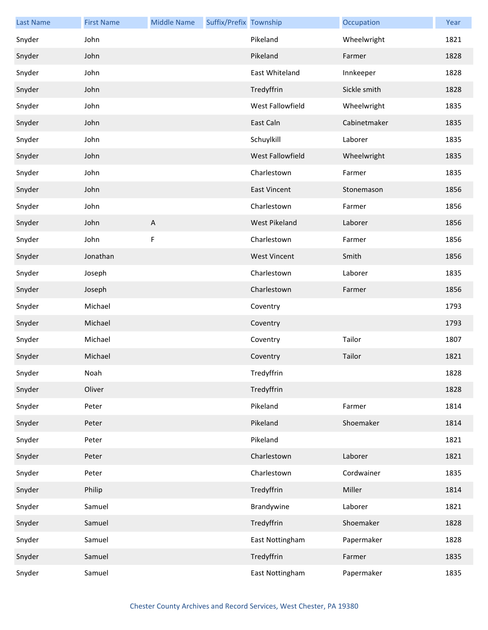| <b>Last Name</b> | <b>First Name</b> | <b>Middle Name</b> | Suffix/Prefix Township |                     | Occupation   | Year |
|------------------|-------------------|--------------------|------------------------|---------------------|--------------|------|
| Snyder           | John              |                    |                        | Pikeland            | Wheelwright  | 1821 |
| Snyder           | John              |                    |                        | Pikeland            | Farmer       | 1828 |
| Snyder           | John              |                    |                        | East Whiteland      | Innkeeper    | 1828 |
| Snyder           | John              |                    |                        | Tredyffrin          | Sickle smith | 1828 |
| Snyder           | John              |                    |                        | West Fallowfield    | Wheelwright  | 1835 |
| Snyder           | John              |                    |                        | East Caln           | Cabinetmaker | 1835 |
| Snyder           | John              |                    |                        | Schuylkill          | Laborer      | 1835 |
| Snyder           | John              |                    |                        | West Fallowfield    | Wheelwright  | 1835 |
| Snyder           | John              |                    |                        | Charlestown         | Farmer       | 1835 |
| Snyder           | John              |                    |                        | <b>East Vincent</b> | Stonemason   | 1856 |
| Snyder           | John              |                    |                        | Charlestown         | Farmer       | 1856 |
| Snyder           | John              | $\overline{A}$     |                        | West Pikeland       | Laborer      | 1856 |
| Snyder           | John              | F                  |                        | Charlestown         | Farmer       | 1856 |
| Snyder           | Jonathan          |                    |                        | <b>West Vincent</b> | Smith        | 1856 |
| Snyder           | Joseph            |                    |                        | Charlestown         | Laborer      | 1835 |
| Snyder           | Joseph            |                    |                        | Charlestown         | Farmer       | 1856 |
| Snyder           | Michael           |                    |                        | Coventry            |              | 1793 |
| Snyder           | Michael           |                    |                        | Coventry            |              | 1793 |
| Snyder           | Michael           |                    |                        | Coventry            | Tailor       | 1807 |
| Snyder           | Michael           |                    |                        | Coventry            | Tailor       | 1821 |
| Snyder           | Noah              |                    |                        | Tredyffrin          |              | 1828 |
| Snyder           | Oliver            |                    |                        | Tredyffrin          |              | 1828 |
| Snyder           | Peter             |                    |                        | Pikeland            | Farmer       | 1814 |
| Snyder           | Peter             |                    |                        | Pikeland            | Shoemaker    | 1814 |
| Snyder           | Peter             |                    |                        | Pikeland            |              | 1821 |
| Snyder           | Peter             |                    |                        | Charlestown         | Laborer      | 1821 |
| Snyder           | Peter             |                    |                        | Charlestown         | Cordwainer   | 1835 |
| Snyder           | Philip            |                    |                        | Tredyffrin          | Miller       | 1814 |
| Snyder           | Samuel            |                    |                        | Brandywine          | Laborer      | 1821 |
| Snyder           | Samuel            |                    |                        | Tredyffrin          | Shoemaker    | 1828 |
| Snyder           | Samuel            |                    |                        | East Nottingham     | Papermaker   | 1828 |
| Snyder           | Samuel            |                    |                        | Tredyffrin          | Farmer       | 1835 |
| Snyder           | Samuel            |                    |                        | East Nottingham     | Papermaker   | 1835 |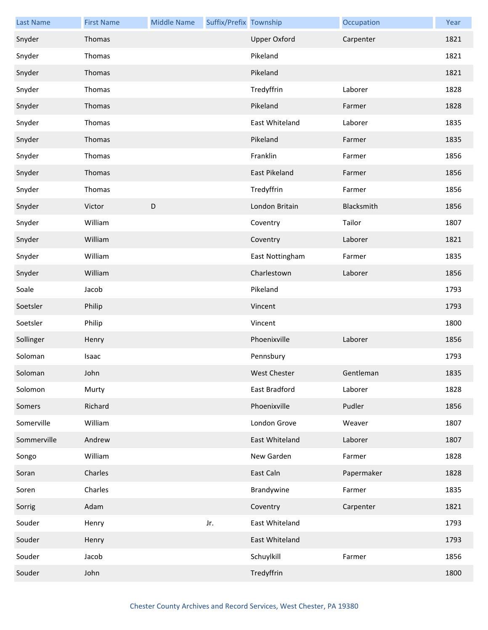| <b>Last Name</b> | <b>First Name</b> | <b>Middle Name</b> | Suffix/Prefix Township |                     | Occupation | Year |
|------------------|-------------------|--------------------|------------------------|---------------------|------------|------|
| Snyder           | Thomas            |                    |                        | <b>Upper Oxford</b> | Carpenter  | 1821 |
| Snyder           | Thomas            |                    |                        | Pikeland            |            | 1821 |
| Snyder           | Thomas            |                    |                        | Pikeland            |            | 1821 |
| Snyder           | Thomas            |                    |                        | Tredyffrin          | Laborer    | 1828 |
| Snyder           | Thomas            |                    |                        | Pikeland            | Farmer     | 1828 |
| Snyder           | Thomas            |                    |                        | East Whiteland      | Laborer    | 1835 |
| Snyder           | Thomas            |                    |                        | Pikeland            | Farmer     | 1835 |
| Snyder           | Thomas            |                    |                        | Franklin            | Farmer     | 1856 |
| Snyder           | Thomas            |                    |                        | East Pikeland       | Farmer     | 1856 |
| Snyder           | Thomas            |                    |                        | Tredyffrin          | Farmer     | 1856 |
| Snyder           | Victor            | D                  |                        | London Britain      | Blacksmith | 1856 |
| Snyder           | William           |                    |                        | Coventry            | Tailor     | 1807 |
| Snyder           | William           |                    |                        | Coventry            | Laborer    | 1821 |
| Snyder           | William           |                    |                        | East Nottingham     | Farmer     | 1835 |
| Snyder           | William           |                    |                        | Charlestown         | Laborer    | 1856 |
| Soale            | Jacob             |                    |                        | Pikeland            |            | 1793 |
| Soetsler         | Philip            |                    |                        | Vincent             |            | 1793 |
| Soetsler         | Philip            |                    |                        | Vincent             |            | 1800 |
| Sollinger        | Henry             |                    |                        | Phoenixville        | Laborer    | 1856 |
| Soloman          | Isaac             |                    |                        | Pennsbury           |            | 1793 |
| Soloman          | John              |                    |                        | West Chester        | Gentleman  | 1835 |
| Solomon          | Murty             |                    |                        | East Bradford       | Laborer    | 1828 |
| Somers           | Richard           |                    |                        | Phoenixville        | Pudler     | 1856 |
| Somerville       | William           |                    |                        | London Grove        | Weaver     | 1807 |
| Sommerville      | Andrew            |                    |                        | East Whiteland      | Laborer    | 1807 |
| Songo            | William           |                    |                        | New Garden          | Farmer     | 1828 |
| Soran            | Charles           |                    |                        | East Caln           | Papermaker | 1828 |
| Soren            | Charles           |                    |                        | Brandywine          | Farmer     | 1835 |
| Sorrig           | Adam              |                    |                        | Coventry            | Carpenter  | 1821 |
| Souder           | Henry             |                    | Jr.                    | East Whiteland      |            | 1793 |
| Souder           | Henry             |                    |                        | East Whiteland      |            | 1793 |
| Souder           | Jacob             |                    |                        | Schuylkill          | Farmer     | 1856 |
| Souder           | John              |                    |                        | Tredyffrin          |            | 1800 |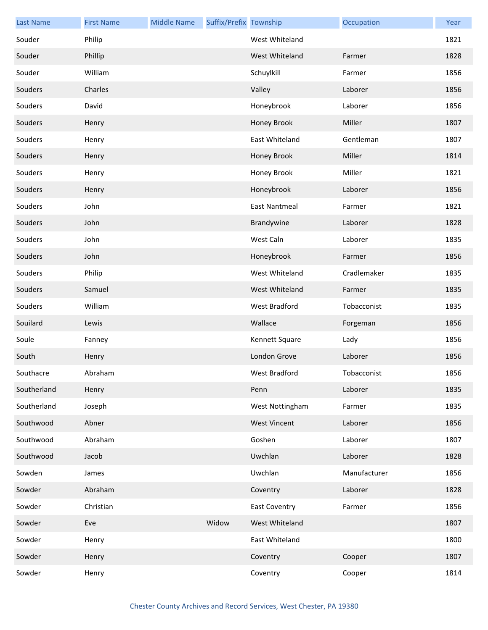| <b>Last Name</b> | <b>First Name</b> | <b>Middle Name</b> | Suffix/Prefix Township |                      | Occupation   | Year |
|------------------|-------------------|--------------------|------------------------|----------------------|--------------|------|
| Souder           | Philip            |                    |                        | West Whiteland       |              | 1821 |
| Souder           | Phillip           |                    |                        | West Whiteland       | Farmer       | 1828 |
| Souder           | William           |                    |                        | Schuylkill           | Farmer       | 1856 |
| Souders          | Charles           |                    |                        | Valley               | Laborer      | 1856 |
| Souders          | David             |                    |                        | Honeybrook           | Laborer      | 1856 |
| Souders          | Henry             |                    |                        | Honey Brook          | Miller       | 1807 |
| Souders          | Henry             |                    |                        | East Whiteland       | Gentleman    | 1807 |
| Souders          | Henry             |                    |                        | Honey Brook          | Miller       | 1814 |
| Souders          | Henry             |                    |                        | Honey Brook          | Miller       | 1821 |
| Souders          | Henry             |                    |                        | Honeybrook           | Laborer      | 1856 |
| Souders          | John              |                    |                        | East Nantmeal        | Farmer       | 1821 |
| Souders          | John              |                    |                        | Brandywine           | Laborer      | 1828 |
| Souders          | John              |                    |                        | West Caln            | Laborer      | 1835 |
| Souders          | John              |                    |                        | Honeybrook           | Farmer       | 1856 |
| Souders          | Philip            |                    |                        | West Whiteland       | Cradlemaker  | 1835 |
| Souders          | Samuel            |                    |                        | West Whiteland       | Farmer       | 1835 |
| Souders          | William           |                    |                        | West Bradford        | Tobacconist  | 1835 |
| Souilard         | Lewis             |                    |                        | Wallace              | Forgeman     | 1856 |
| Soule            | Fanney            |                    |                        | Kennett Square       | Lady         | 1856 |
| South            | Henry             |                    |                        | London Grove         | Laborer      | 1856 |
| Southacre        | Abraham           |                    |                        | West Bradford        | Tobacconist  | 1856 |
| Southerland      | Henry             |                    |                        | Penn                 | Laborer      | 1835 |
| Southerland      | Joseph            |                    |                        | West Nottingham      | Farmer       | 1835 |
| Southwood        | Abner             |                    |                        | <b>West Vincent</b>  | Laborer      | 1856 |
| Southwood        | Abraham           |                    |                        | Goshen               | Laborer      | 1807 |
| Southwood        | Jacob             |                    |                        | Uwchlan              | Laborer      | 1828 |
| Sowden           | James             |                    |                        | Uwchlan              | Manufacturer | 1856 |
| Sowder           | Abraham           |                    |                        | Coventry             | Laborer      | 1828 |
| Sowder           | Christian         |                    |                        | <b>East Coventry</b> | Farmer       | 1856 |
| Sowder           | Eve               |                    | Widow                  | West Whiteland       |              | 1807 |
| Sowder           | Henry             |                    |                        | East Whiteland       |              | 1800 |
| Sowder           | Henry             |                    |                        | Coventry             | Cooper       | 1807 |
| Sowder           | Henry             |                    |                        | Coventry             | Cooper       | 1814 |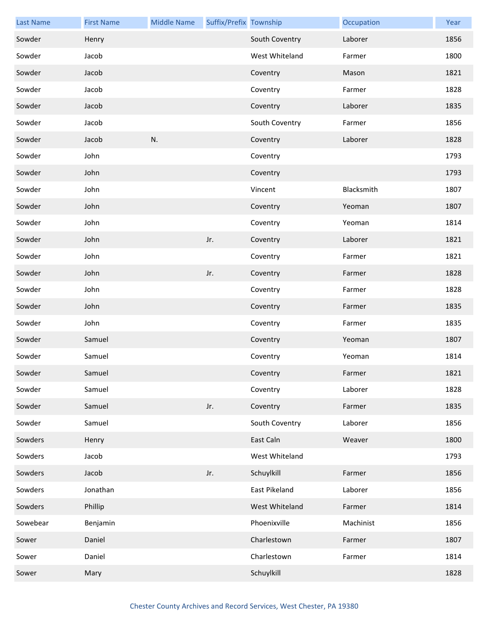| <b>Last Name</b> | <b>First Name</b> | <b>Middle Name</b> | Suffix/Prefix Township |                | Occupation | Year |
|------------------|-------------------|--------------------|------------------------|----------------|------------|------|
| Sowder           | Henry             |                    |                        | South Coventry | Laborer    | 1856 |
| Sowder           | Jacob             |                    |                        | West Whiteland | Farmer     | 1800 |
| Sowder           | Jacob             |                    |                        | Coventry       | Mason      | 1821 |
| Sowder           | Jacob             |                    |                        | Coventry       | Farmer     | 1828 |
| Sowder           | Jacob             |                    |                        | Coventry       | Laborer    | 1835 |
| Sowder           | Jacob             |                    |                        | South Coventry | Farmer     | 1856 |
| Sowder           | Jacob             | N.                 |                        | Coventry       | Laborer    | 1828 |
| Sowder           | John              |                    |                        | Coventry       |            | 1793 |
| Sowder           | John              |                    |                        | Coventry       |            | 1793 |
| Sowder           | John              |                    |                        | Vincent        | Blacksmith | 1807 |
| Sowder           | John              |                    |                        | Coventry       | Yeoman     | 1807 |
| Sowder           | John              |                    |                        | Coventry       | Yeoman     | 1814 |
| Sowder           | John              |                    | Jr.                    | Coventry       | Laborer    | 1821 |
| Sowder           | John              |                    |                        | Coventry       | Farmer     | 1821 |
| Sowder           | John              |                    | Jr.                    | Coventry       | Farmer     | 1828 |
| Sowder           | John              |                    |                        | Coventry       | Farmer     | 1828 |
| Sowder           | John              |                    |                        | Coventry       | Farmer     | 1835 |
| Sowder           | John              |                    |                        | Coventry       | Farmer     | 1835 |
| Sowder           | Samuel            |                    |                        | Coventry       | Yeoman     | 1807 |
| Sowder           | Samuel            |                    |                        | Coventry       | Yeoman     | 1814 |
| Sowder           | Samuel            |                    |                        | Coventry       | Farmer     | 1821 |
| Sowder           | Samuel            |                    |                        | Coventry       | Laborer    | 1828 |
| Sowder           | Samuel            |                    | Jr.                    | Coventry       | Farmer     | 1835 |
| Sowder           | Samuel            |                    |                        | South Coventry | Laborer    | 1856 |
| Sowders          | Henry             |                    |                        | East Caln      | Weaver     | 1800 |
| Sowders          | Jacob             |                    |                        | West Whiteland |            | 1793 |
| Sowders          | Jacob             |                    | Jr.                    | Schuylkill     | Farmer     | 1856 |
| Sowders          | Jonathan          |                    |                        | East Pikeland  | Laborer    | 1856 |
| Sowders          | Phillip           |                    |                        | West Whiteland | Farmer     | 1814 |
| Sowebear         | Benjamin          |                    |                        | Phoenixville   | Machinist  | 1856 |
| Sower            | Daniel            |                    |                        | Charlestown    | Farmer     | 1807 |
| Sower            | Daniel            |                    |                        | Charlestown    | Farmer     | 1814 |
| Sower            | Mary              |                    |                        | Schuylkill     |            | 1828 |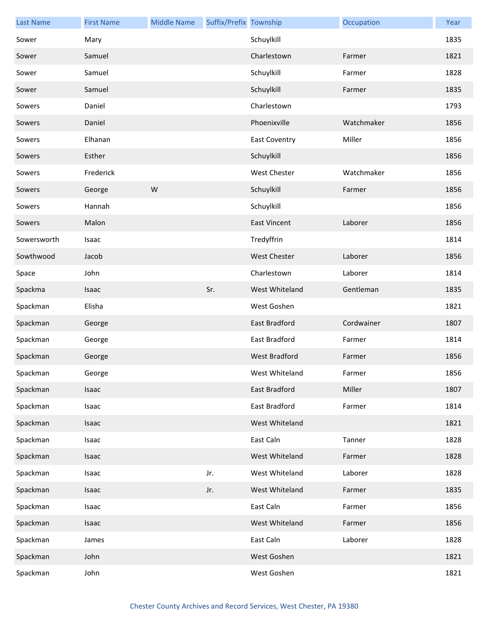| <b>Last Name</b> | <b>First Name</b> | <b>Middle Name</b> | Suffix/Prefix Township |                      | Occupation | Year |
|------------------|-------------------|--------------------|------------------------|----------------------|------------|------|
| Sower            | Mary              |                    |                        | Schuylkill           |            | 1835 |
| Sower            | Samuel            |                    |                        | Charlestown          | Farmer     | 1821 |
| Sower            | Samuel            |                    |                        | Schuylkill           | Farmer     | 1828 |
| Sower            | Samuel            |                    |                        | Schuylkill           | Farmer     | 1835 |
| Sowers           | Daniel            |                    |                        | Charlestown          |            | 1793 |
| Sowers           | Daniel            |                    |                        | Phoenixville         | Watchmaker | 1856 |
| Sowers           | Elhanan           |                    |                        | <b>East Coventry</b> | Miller     | 1856 |
| Sowers           | Esther            |                    |                        | Schuylkill           |            | 1856 |
| Sowers           | Frederick         |                    |                        | <b>West Chester</b>  | Watchmaker | 1856 |
| Sowers           | George            | ${\sf W}$          |                        | Schuylkill           | Farmer     | 1856 |
| Sowers           | Hannah            |                    |                        | Schuylkill           |            | 1856 |
| Sowers           | Malon             |                    |                        | <b>East Vincent</b>  | Laborer    | 1856 |
| Sowersworth      | Isaac             |                    |                        | Tredyffrin           |            | 1814 |
| Sowthwood        | Jacob             |                    |                        | <b>West Chester</b>  | Laborer    | 1856 |
| Space            | John              |                    |                        | Charlestown          | Laborer    | 1814 |
| Spackma          | Isaac             |                    | Sr.                    | West Whiteland       | Gentleman  | 1835 |
| Spackman         | Elisha            |                    |                        | West Goshen          |            | 1821 |
| Spackman         | George            |                    |                        | East Bradford        | Cordwainer | 1807 |
| Spackman         | George            |                    |                        | East Bradford        | Farmer     | 1814 |
| Spackman         | George            |                    |                        | <b>West Bradford</b> | Farmer     | 1856 |
| Spackman         | George            |                    |                        | West Whiteland       | Farmer     | 1856 |
| Spackman         | Isaac             |                    |                        | East Bradford        | Miller     | 1807 |
| Spackman         | Isaac             |                    |                        | East Bradford        | Farmer     | 1814 |
| Spackman         | Isaac             |                    |                        | West Whiteland       |            | 1821 |
| Spackman         | Isaac             |                    |                        | East Caln            | Tanner     | 1828 |
| Spackman         | Isaac             |                    |                        | West Whiteland       | Farmer     | 1828 |
| Spackman         | Isaac             |                    | Jr.                    | West Whiteland       | Laborer    | 1828 |
| Spackman         | Isaac             |                    | Jr.                    | West Whiteland       | Farmer     | 1835 |
| Spackman         | Isaac             |                    |                        | East Caln            | Farmer     | 1856 |
| Spackman         | Isaac             |                    |                        | West Whiteland       | Farmer     | 1856 |
| Spackman         | James             |                    |                        | East Caln            | Laborer    | 1828 |
| Spackman         | John              |                    |                        | West Goshen          |            | 1821 |
| Spackman         | John              |                    |                        | West Goshen          |            | 1821 |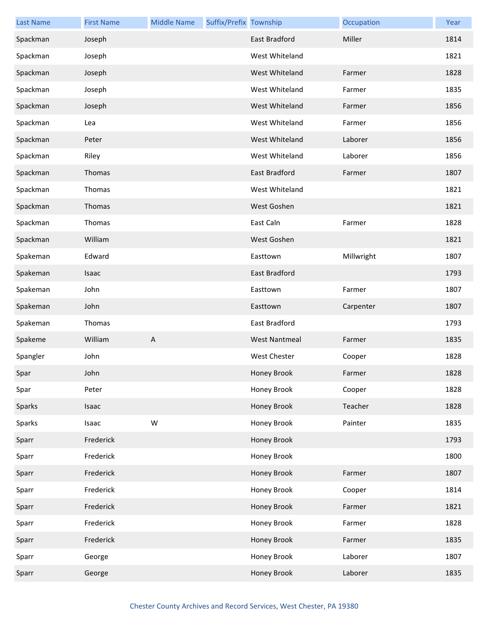| <b>Last Name</b> | <b>First Name</b> | <b>Middle Name</b> | Suffix/Prefix Township |                      | Occupation | Year |
|------------------|-------------------|--------------------|------------------------|----------------------|------------|------|
| Spackman         | Joseph            |                    |                        | <b>East Bradford</b> | Miller     | 1814 |
| Spackman         | Joseph            |                    |                        | West Whiteland       |            | 1821 |
| Spackman         | Joseph            |                    |                        | West Whiteland       | Farmer     | 1828 |
| Spackman         | Joseph            |                    |                        | West Whiteland       | Farmer     | 1835 |
| Spackman         | Joseph            |                    |                        | West Whiteland       | Farmer     | 1856 |
| Spackman         | Lea               |                    |                        | West Whiteland       | Farmer     | 1856 |
| Spackman         | Peter             |                    |                        | West Whiteland       | Laborer    | 1856 |
| Spackman         | Riley             |                    |                        | West Whiteland       | Laborer    | 1856 |
| Spackman         | Thomas            |                    |                        | East Bradford        | Farmer     | 1807 |
| Spackman         | Thomas            |                    |                        | West Whiteland       |            | 1821 |
| Spackman         | Thomas            |                    |                        | West Goshen          |            | 1821 |
| Spackman         | Thomas            |                    |                        | East Caln            | Farmer     | 1828 |
| Spackman         | William           |                    |                        | West Goshen          |            | 1821 |
| Spakeman         | Edward            |                    |                        | Easttown             | Millwright | 1807 |
| Spakeman         | Isaac             |                    |                        | <b>East Bradford</b> |            | 1793 |
| Spakeman         | John              |                    |                        | Easttown             | Farmer     | 1807 |
| Spakeman         | John              |                    |                        | Easttown             | Carpenter  | 1807 |
| Spakeman         | Thomas            |                    |                        | East Bradford        |            | 1793 |
| Spakeme          | William           | $\mathsf{A}$       |                        | <b>West Nantmeal</b> | Farmer     | 1835 |
| Spangler         | John              |                    |                        | <b>West Chester</b>  | Cooper     | 1828 |
| Spar             | John              |                    |                        | Honey Brook          | Farmer     | 1828 |
| Spar             | Peter             |                    |                        | Honey Brook          | Cooper     | 1828 |
| Sparks           | Isaac             |                    |                        | Honey Brook          | Teacher    | 1828 |
| Sparks           | Isaac             | ${\sf W}$          |                        | Honey Brook          | Painter    | 1835 |
| Sparr            | Frederick         |                    |                        | Honey Brook          |            | 1793 |
| Sparr            | Frederick         |                    |                        | Honey Brook          |            | 1800 |
| Sparr            | Frederick         |                    |                        | Honey Brook          | Farmer     | 1807 |
| Sparr            | Frederick         |                    |                        | Honey Brook          | Cooper     | 1814 |
| Sparr            | Frederick         |                    |                        | Honey Brook          | Farmer     | 1821 |
| Sparr            | Frederick         |                    |                        | Honey Brook          | Farmer     | 1828 |
| Sparr            | Frederick         |                    |                        | Honey Brook          | Farmer     | 1835 |
| Sparr            | George            |                    |                        | Honey Brook          | Laborer    | 1807 |
| Sparr            | George            |                    |                        | Honey Brook          | Laborer    | 1835 |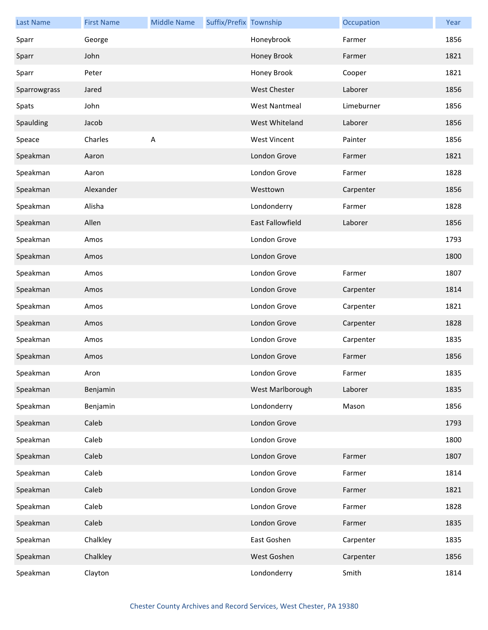| <b>Last Name</b> | <b>First Name</b> | <b>Middle Name</b> | Suffix/Prefix Township |                         | Occupation | Year |
|------------------|-------------------|--------------------|------------------------|-------------------------|------------|------|
| Sparr            | George            |                    |                        | Honeybrook              | Farmer     | 1856 |
| Sparr            | John              |                    |                        | Honey Brook             | Farmer     | 1821 |
| Sparr            | Peter             |                    |                        | Honey Brook             | Cooper     | 1821 |
| Sparrowgrass     | Jared             |                    |                        | <b>West Chester</b>     | Laborer    | 1856 |
| Spats            | John              |                    |                        | <b>West Nantmeal</b>    | Limeburner | 1856 |
| Spaulding        | Jacob             |                    |                        | West Whiteland          | Laborer    | 1856 |
| Speace           | Charles           | A                  |                        | <b>West Vincent</b>     | Painter    | 1856 |
| Speakman         | Aaron             |                    |                        | London Grove            | Farmer     | 1821 |
| Speakman         | Aaron             |                    |                        | London Grove            | Farmer     | 1828 |
| Speakman         | Alexander         |                    |                        | Westtown                | Carpenter  | 1856 |
| Speakman         | Alisha            |                    |                        | Londonderry             | Farmer     | 1828 |
| Speakman         | Allen             |                    |                        | <b>East Fallowfield</b> | Laborer    | 1856 |
| Speakman         | Amos              |                    |                        | London Grove            |            | 1793 |
| Speakman         | Amos              |                    |                        | London Grove            |            | 1800 |
| Speakman         | Amos              |                    |                        | London Grove            | Farmer     | 1807 |
| Speakman         | Amos              |                    |                        | London Grove            | Carpenter  | 1814 |
| Speakman         | Amos              |                    |                        | London Grove            | Carpenter  | 1821 |
| Speakman         | Amos              |                    |                        | London Grove            | Carpenter  | 1828 |
| Speakman         | Amos              |                    |                        | London Grove            | Carpenter  | 1835 |
| Speakman         | Amos              |                    |                        | London Grove            | Farmer     | 1856 |
| Speakman         | Aron              |                    |                        | London Grove            | Farmer     | 1835 |
| Speakman         | Benjamin          |                    |                        | West Marlborough        | Laborer    | 1835 |
| Speakman         | Benjamin          |                    |                        | Londonderry             | Mason      | 1856 |
| Speakman         | Caleb             |                    |                        | London Grove            |            | 1793 |
| Speakman         | Caleb             |                    |                        | London Grove            |            | 1800 |
| Speakman         | Caleb             |                    |                        | London Grove            | Farmer     | 1807 |
| Speakman         | Caleb             |                    |                        | London Grove            | Farmer     | 1814 |
| Speakman         | Caleb             |                    |                        | London Grove            | Farmer     | 1821 |
| Speakman         | Caleb             |                    |                        | London Grove            | Farmer     | 1828 |
| Speakman         | Caleb             |                    |                        | London Grove            | Farmer     | 1835 |
| Speakman         | Chalkley          |                    |                        | East Goshen             | Carpenter  | 1835 |
| Speakman         | Chalkley          |                    |                        | West Goshen             | Carpenter  | 1856 |
| Speakman         | Clayton           |                    |                        | Londonderry             | Smith      | 1814 |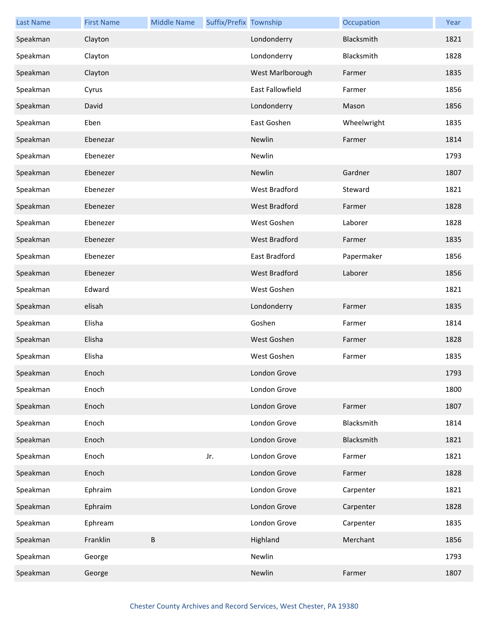| <b>Last Name</b> | <b>First Name</b> | <b>Middle Name</b> | Suffix/Prefix Township |                  | Occupation  | Year |
|------------------|-------------------|--------------------|------------------------|------------------|-------------|------|
| Speakman         | Clayton           |                    |                        | Londonderry      | Blacksmith  | 1821 |
| Speakman         | Clayton           |                    |                        | Londonderry      | Blacksmith  | 1828 |
| Speakman         | Clayton           |                    |                        | West Marlborough | Farmer      | 1835 |
| Speakman         | Cyrus             |                    |                        | East Fallowfield | Farmer      | 1856 |
| Speakman         | David             |                    |                        | Londonderry      | Mason       | 1856 |
| Speakman         | Eben              |                    |                        | East Goshen      | Wheelwright | 1835 |
| Speakman         | Ebenezar          |                    |                        | Newlin           | Farmer      | 1814 |
| Speakman         | Ebenezer          |                    |                        | Newlin           |             | 1793 |
| Speakman         | Ebenezer          |                    |                        | Newlin           | Gardner     | 1807 |
| Speakman         | Ebenezer          |                    |                        | West Bradford    | Steward     | 1821 |
| Speakman         | Ebenezer          |                    |                        | West Bradford    | Farmer      | 1828 |
| Speakman         | Ebenezer          |                    |                        | West Goshen      | Laborer     | 1828 |
| Speakman         | Ebenezer          |                    |                        | West Bradford    | Farmer      | 1835 |
| Speakman         | Ebenezer          |                    |                        | East Bradford    | Papermaker  | 1856 |
| Speakman         | Ebenezer          |                    |                        | West Bradford    | Laborer     | 1856 |
| Speakman         | Edward            |                    |                        | West Goshen      |             | 1821 |
| Speakman         | elisah            |                    |                        | Londonderry      | Farmer      | 1835 |
| Speakman         | Elisha            |                    |                        | Goshen           | Farmer      | 1814 |
| Speakman         | Elisha            |                    |                        | West Goshen      | Farmer      | 1828 |
| Speakman         | Elisha            |                    |                        | West Goshen      | Farmer      | 1835 |
| Speakman         | Enoch             |                    |                        | London Grove     |             | 1793 |
| Speakman         | Enoch             |                    |                        | London Grove     |             | 1800 |
| Speakman         | Enoch             |                    |                        | London Grove     | Farmer      | 1807 |
| Speakman         | Enoch             |                    |                        | London Grove     | Blacksmith  | 1814 |
| Speakman         | Enoch             |                    |                        | London Grove     | Blacksmith  | 1821 |
| Speakman         | Enoch             |                    | Jr.                    | London Grove     | Farmer      | 1821 |
| Speakman         | Enoch             |                    |                        | London Grove     | Farmer      | 1828 |
| Speakman         | Ephraim           |                    |                        | London Grove     | Carpenter   | 1821 |
| Speakman         | Ephraim           |                    |                        | London Grove     | Carpenter   | 1828 |
| Speakman         | Ephream           |                    |                        | London Grove     | Carpenter   | 1835 |
| Speakman         | Franklin          | $\sf B$            |                        | Highland         | Merchant    | 1856 |
| Speakman         | George            |                    |                        | Newlin           |             | 1793 |
| Speakman         | George            |                    |                        | Newlin           | Farmer      | 1807 |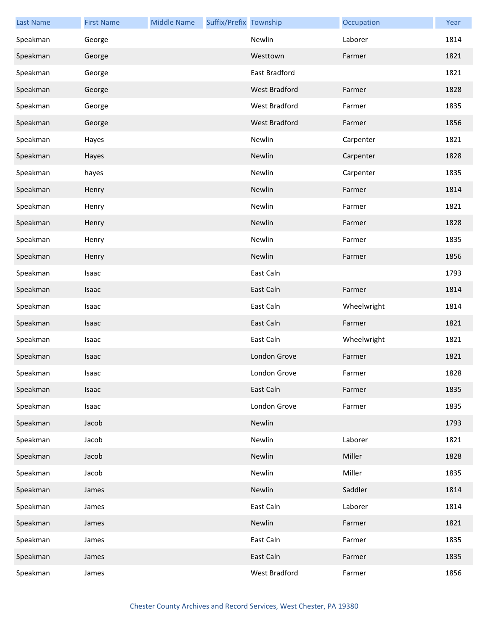| <b>Last Name</b> | <b>First Name</b> | <b>Middle Name</b> | Suffix/Prefix Township |               | Occupation  | Year |
|------------------|-------------------|--------------------|------------------------|---------------|-------------|------|
| Speakman         | George            |                    |                        | Newlin        | Laborer     | 1814 |
| Speakman         | George            |                    |                        | Westtown      | Farmer      | 1821 |
| Speakman         | George            |                    |                        | East Bradford |             | 1821 |
| Speakman         | George            |                    |                        | West Bradford | Farmer      | 1828 |
| Speakman         | George            |                    |                        | West Bradford | Farmer      | 1835 |
| Speakman         | George            |                    |                        | West Bradford | Farmer      | 1856 |
| Speakman         | Hayes             |                    |                        | Newlin        | Carpenter   | 1821 |
| Speakman         | Hayes             |                    |                        | Newlin        | Carpenter   | 1828 |
| Speakman         | hayes             |                    |                        | Newlin        | Carpenter   | 1835 |
| Speakman         | Henry             |                    |                        | Newlin        | Farmer      | 1814 |
| Speakman         | Henry             |                    |                        | Newlin        | Farmer      | 1821 |
| Speakman         | Henry             |                    |                        | Newlin        | Farmer      | 1828 |
| Speakman         | Henry             |                    |                        | Newlin        | Farmer      | 1835 |
| Speakman         | Henry             |                    |                        | Newlin        | Farmer      | 1856 |
| Speakman         | Isaac             |                    |                        | East Caln     |             | 1793 |
| Speakman         | Isaac             |                    |                        | East Caln     | Farmer      | 1814 |
| Speakman         | Isaac             |                    |                        | East Caln     | Wheelwright | 1814 |
| Speakman         | Isaac             |                    |                        | East Caln     | Farmer      | 1821 |
| Speakman         | Isaac             |                    |                        | East Caln     | Wheelwright | 1821 |
| Speakman         | Isaac             |                    |                        | London Grove  | Farmer      | 1821 |
| Speakman         | Isaac             |                    |                        | London Grove  | Farmer      | 1828 |
| Speakman         | Isaac             |                    |                        | East Caln     | Farmer      | 1835 |
| Speakman         | Isaac             |                    |                        | London Grove  | Farmer      | 1835 |
| Speakman         | Jacob             |                    |                        | Newlin        |             | 1793 |
| Speakman         | Jacob             |                    |                        | Newlin        | Laborer     | 1821 |
| Speakman         | Jacob             |                    |                        | Newlin        | Miller      | 1828 |
| Speakman         | Jacob             |                    |                        | Newlin        | Miller      | 1835 |
| Speakman         | James             |                    |                        | Newlin        | Saddler     | 1814 |
| Speakman         | James             |                    |                        | East Caln     | Laborer     | 1814 |
| Speakman         | James             |                    |                        | Newlin        | Farmer      | 1821 |
| Speakman         | James             |                    |                        | East Caln     | Farmer      | 1835 |
| Speakman         | James             |                    |                        | East Caln     | Farmer      | 1835 |
| Speakman         | James             |                    |                        | West Bradford | Farmer      | 1856 |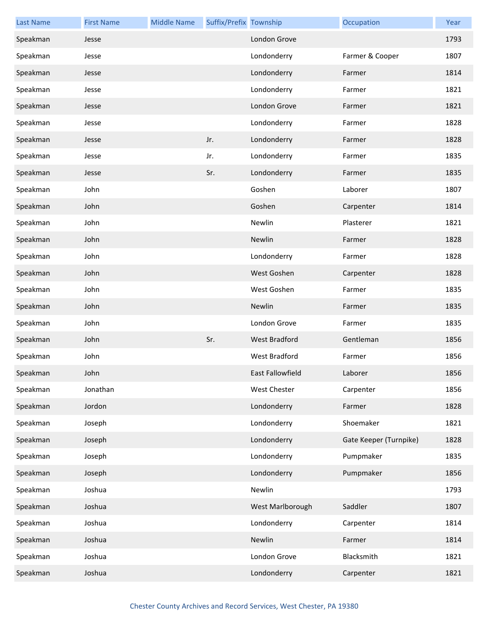| <b>Last Name</b> | <b>First Name</b> | <b>Middle Name</b> | Suffix/Prefix Township |                     | Occupation             | Year |
|------------------|-------------------|--------------------|------------------------|---------------------|------------------------|------|
| Speakman         | Jesse             |                    |                        | London Grove        |                        | 1793 |
| Speakman         | Jesse             |                    |                        | Londonderry         | Farmer & Cooper        | 1807 |
| Speakman         | Jesse             |                    |                        | Londonderry         | Farmer                 | 1814 |
| Speakman         | Jesse             |                    |                        | Londonderry         | Farmer                 | 1821 |
| Speakman         | Jesse             |                    |                        | London Grove        | Farmer                 | 1821 |
| Speakman         | Jesse             |                    |                        | Londonderry         | Farmer                 | 1828 |
| Speakman         | Jesse             |                    | Jr.                    | Londonderry         | Farmer                 | 1828 |
| Speakman         | Jesse             |                    | Jr.                    | Londonderry         | Farmer                 | 1835 |
| Speakman         | Jesse             |                    | Sr.                    | Londonderry         | Farmer                 | 1835 |
| Speakman         | John              |                    |                        | Goshen              | Laborer                | 1807 |
| Speakman         | John              |                    |                        | Goshen              | Carpenter              | 1814 |
| Speakman         | John              |                    |                        | Newlin              | Plasterer              | 1821 |
| Speakman         | John              |                    |                        | Newlin              | Farmer                 | 1828 |
| Speakman         | John              |                    |                        | Londonderry         | Farmer                 | 1828 |
| Speakman         | John              |                    |                        | West Goshen         | Carpenter              | 1828 |
| Speakman         | John              |                    |                        | West Goshen         | Farmer                 | 1835 |
| Speakman         | John              |                    |                        | Newlin              | Farmer                 | 1835 |
| Speakman         | John              |                    |                        | London Grove        | Farmer                 | 1835 |
| Speakman         | John              |                    | Sr.                    | West Bradford       | Gentleman              | 1856 |
| Speakman         | John              |                    |                        | West Bradford       | Farmer                 | 1856 |
| Speakman         | John              |                    |                        | East Fallowfield    | Laborer                | 1856 |
| Speakman         | Jonathan          |                    |                        | <b>West Chester</b> | Carpenter              | 1856 |
| Speakman         | Jordon            |                    |                        | Londonderry         | Farmer                 | 1828 |
| Speakman         | Joseph            |                    |                        | Londonderry         | Shoemaker              | 1821 |
| Speakman         | Joseph            |                    |                        | Londonderry         | Gate Keeper (Turnpike) | 1828 |
| Speakman         | Joseph            |                    |                        | Londonderry         | Pumpmaker              | 1835 |
| Speakman         | Joseph            |                    |                        | Londonderry         | Pumpmaker              | 1856 |
| Speakman         | Joshua            |                    |                        | Newlin              |                        | 1793 |
| Speakman         | Joshua            |                    |                        | West Marlborough    | Saddler                | 1807 |
| Speakman         | Joshua            |                    |                        | Londonderry         | Carpenter              | 1814 |
| Speakman         | Joshua            |                    |                        | Newlin              | Farmer                 | 1814 |
| Speakman         | Joshua            |                    |                        | London Grove        | Blacksmith             | 1821 |
| Speakman         | Joshua            |                    |                        | Londonderry         | Carpenter              | 1821 |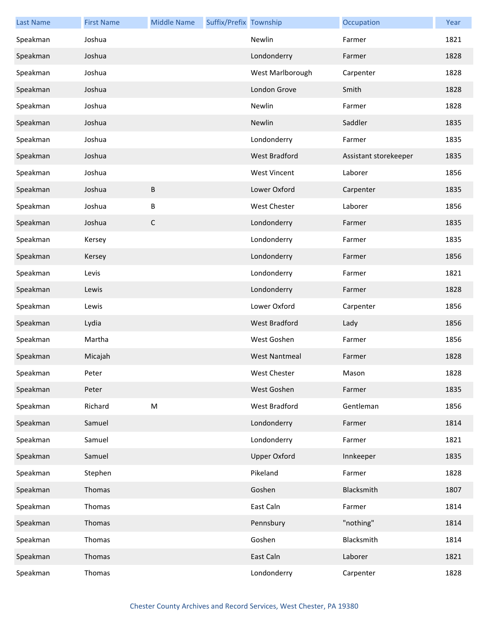| <b>Last Name</b> | <b>First Name</b> | <b>Middle Name</b> | Suffix/Prefix Township |                      | Occupation            | Year |
|------------------|-------------------|--------------------|------------------------|----------------------|-----------------------|------|
| Speakman         | Joshua            |                    |                        | Newlin               | Farmer                | 1821 |
| Speakman         | Joshua            |                    |                        | Londonderry          | Farmer                | 1828 |
| Speakman         | Joshua            |                    |                        | West Marlborough     | Carpenter             | 1828 |
| Speakman         | Joshua            |                    |                        | London Grove         | Smith                 | 1828 |
| Speakman         | Joshua            |                    |                        | Newlin               | Farmer                | 1828 |
| Speakman         | Joshua            |                    |                        | Newlin               | Saddler               | 1835 |
| Speakman         | Joshua            |                    |                        | Londonderry          | Farmer                | 1835 |
| Speakman         | Joshua            |                    |                        | West Bradford        | Assistant storekeeper | 1835 |
| Speakman         | Joshua            |                    |                        | <b>West Vincent</b>  | Laborer               | 1856 |
| Speakman         | Joshua            | Β                  |                        | Lower Oxford         | Carpenter             | 1835 |
| Speakman         | Joshua            | В                  |                        | West Chester         | Laborer               | 1856 |
| Speakman         | Joshua            | С                  |                        | Londonderry          | Farmer                | 1835 |
| Speakman         | Kersey            |                    |                        | Londonderry          | Farmer                | 1835 |
| Speakman         | Kersey            |                    |                        | Londonderry          | Farmer                | 1856 |
| Speakman         | Levis             |                    |                        | Londonderry          | Farmer                | 1821 |
| Speakman         | Lewis             |                    |                        | Londonderry          | Farmer                | 1828 |
| Speakman         | Lewis             |                    |                        | Lower Oxford         | Carpenter             | 1856 |
| Speakman         | Lydia             |                    |                        | <b>West Bradford</b> | Lady                  | 1856 |
| Speakman         | Martha            |                    |                        | West Goshen          | Farmer                | 1856 |
| Speakman         | Micajah           |                    |                        | <b>West Nantmeal</b> | Farmer                | 1828 |
| Speakman         | Peter             |                    |                        | West Chester         | Mason                 | 1828 |
| Speakman         | Peter             |                    |                        | West Goshen          | Farmer                | 1835 |
| Speakman         | Richard           | M                  |                        | West Bradford        | Gentleman             | 1856 |
| Speakman         | Samuel            |                    |                        | Londonderry          | Farmer                | 1814 |
| Speakman         | Samuel            |                    |                        | Londonderry          | Farmer                | 1821 |
| Speakman         | Samuel            |                    |                        | <b>Upper Oxford</b>  | Innkeeper             | 1835 |
| Speakman         | Stephen           |                    |                        | Pikeland             | Farmer                | 1828 |
| Speakman         | Thomas            |                    |                        | Goshen               | Blacksmith            | 1807 |
| Speakman         | Thomas            |                    |                        | East Caln            | Farmer                | 1814 |
| Speakman         | Thomas            |                    |                        | Pennsbury            | "nothing"             | 1814 |
| Speakman         | Thomas            |                    |                        | Goshen               | Blacksmith            | 1814 |
| Speakman         | Thomas            |                    |                        | East Caln            | Laborer               | 1821 |
| Speakman         | Thomas            |                    |                        | Londonderry          | Carpenter             | 1828 |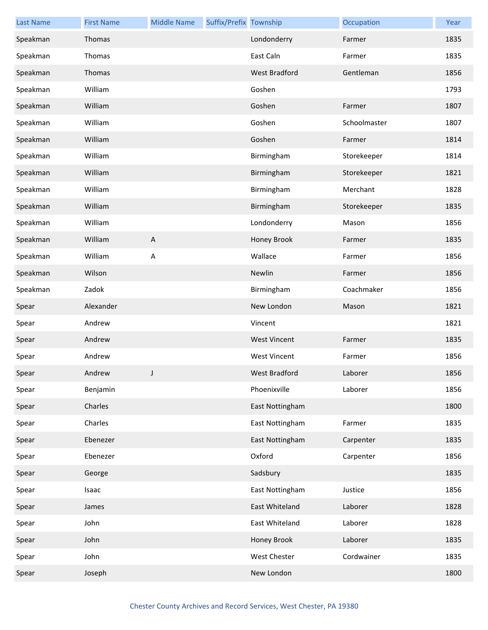| <b>Last Name</b> | <b>First Name</b> | <b>Middle Name</b>        | Suffix/Prefix Township |                     | Occupation   | Year |
|------------------|-------------------|---------------------------|------------------------|---------------------|--------------|------|
| Speakman         | Thomas            |                           |                        | Londonderry         | Farmer       | 1835 |
| Speakman         | Thomas            |                           |                        | East Caln           | Farmer       | 1835 |
| Speakman         | Thomas            |                           |                        | West Bradford       | Gentleman    | 1856 |
| Speakman         | William           |                           |                        | Goshen              |              | 1793 |
| Speakman         | William           |                           |                        | Goshen              | Farmer       | 1807 |
| Speakman         | William           |                           |                        | Goshen              | Schoolmaster | 1807 |
| Speakman         | William           |                           |                        | Goshen              | Farmer       | 1814 |
| Speakman         | William           |                           |                        | Birmingham          | Storekeeper  | 1814 |
| Speakman         | William           |                           |                        | Birmingham          | Storekeeper  | 1821 |
| Speakman         | William           |                           |                        | Birmingham          | Merchant     | 1828 |
| Speakman         | William           |                           |                        | Birmingham          | Storekeeper  | 1835 |
| Speakman         | William           |                           |                        | Londonderry         | Mason        | 1856 |
| Speakman         | William           | $\boldsymbol{\mathsf{A}}$ |                        | Honey Brook         | Farmer       | 1835 |
| Speakman         | William           | $\overline{\mathsf{A}}$   |                        | Wallace             | Farmer       | 1856 |
| Speakman         | Wilson            |                           |                        | Newlin              | Farmer       | 1856 |
| Speakman         | Zadok             |                           |                        | Birmingham          | Coachmaker   | 1856 |
| Spear            | Alexander         |                           |                        | New London          | Mason        | 1821 |
| Spear            | Andrew            |                           |                        | Vincent             |              | 1821 |
| Spear            | Andrew            |                           |                        | <b>West Vincent</b> | Farmer       | 1835 |
| Spear            | Andrew            |                           |                        | <b>West Vincent</b> | Farmer       | 1856 |
| Spear            | Andrew            | $\mathbf{J}$              |                        | West Bradford       | Laborer      | 1856 |
| Spear            | Benjamin          |                           |                        | Phoenixville        | Laborer      | 1856 |
| Spear            | Charles           |                           |                        | East Nottingham     |              | 1800 |
| Spear            | Charles           |                           |                        | East Nottingham     | Farmer       | 1835 |
| Spear            | Ebenezer          |                           |                        | East Nottingham     | Carpenter    | 1835 |
| Spear            | Ebenezer          |                           |                        | Oxford              | Carpenter    | 1856 |
| Spear            | George            |                           |                        | Sadsbury            |              | 1835 |
| Spear            | Isaac             |                           |                        | East Nottingham     | Justice      | 1856 |
| Spear            | James             |                           |                        | East Whiteland      | Laborer      | 1828 |
| Spear            | John              |                           |                        | East Whiteland      | Laborer      | 1828 |
| Spear            | John              |                           |                        | Honey Brook         | Laborer      | 1835 |
| Spear            | John              |                           |                        | West Chester        | Cordwainer   | 1835 |
| Spear            | Joseph            |                           |                        | New London          |              | 1800 |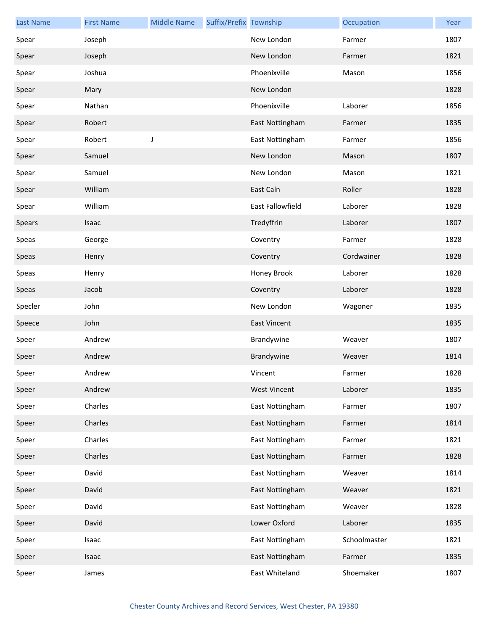| <b>Last Name</b> | <b>First Name</b> | <b>Middle Name</b> | Suffix/Prefix Township |                     | Occupation   | Year |
|------------------|-------------------|--------------------|------------------------|---------------------|--------------|------|
| Spear            | Joseph            |                    |                        | New London          | Farmer       | 1807 |
| Spear            | Joseph            |                    |                        | New London          | Farmer       | 1821 |
| Spear            | Joshua            |                    |                        | Phoenixville        | Mason        | 1856 |
| Spear            | Mary              |                    |                        | New London          |              | 1828 |
| Spear            | Nathan            |                    |                        | Phoenixville        | Laborer      | 1856 |
| Spear            | Robert            |                    |                        | East Nottingham     | Farmer       | 1835 |
| Spear            | Robert            | J                  |                        | East Nottingham     | Farmer       | 1856 |
| Spear            | Samuel            |                    |                        | New London          | Mason        | 1807 |
| Spear            | Samuel            |                    |                        | New London          | Mason        | 1821 |
| Spear            | William           |                    |                        | East Caln           | Roller       | 1828 |
| Spear            | William           |                    |                        | East Fallowfield    | Laborer      | 1828 |
| Spears           | Isaac             |                    |                        | Tredyffrin          | Laborer      | 1807 |
| Speas            | George            |                    |                        | Coventry            | Farmer       | 1828 |
| Speas            | Henry             |                    |                        | Coventry            | Cordwainer   | 1828 |
| Speas            | Henry             |                    |                        | Honey Brook         | Laborer      | 1828 |
| Speas            | Jacob             |                    |                        | Coventry            | Laborer      | 1828 |
| Specler          | John              |                    |                        | New London          | Wagoner      | 1835 |
| Speece           | John              |                    |                        | <b>East Vincent</b> |              | 1835 |
| Speer            | Andrew            |                    |                        | Brandywine          | Weaver       | 1807 |
| Speer            | Andrew            |                    |                        | Brandywine          | Weaver       | 1814 |
| Speer            | Andrew            |                    |                        | Vincent             | Farmer       | 1828 |
| Speer            | Andrew            |                    |                        | <b>West Vincent</b> | Laborer      | 1835 |
| Speer            | Charles           |                    |                        | East Nottingham     | Farmer       | 1807 |
| Speer            | Charles           |                    |                        | East Nottingham     | Farmer       | 1814 |
| Speer            | Charles           |                    |                        | East Nottingham     | Farmer       | 1821 |
| Speer            | Charles           |                    |                        | East Nottingham     | Farmer       | 1828 |
| Speer            | David             |                    |                        | East Nottingham     | Weaver       | 1814 |
| Speer            | David             |                    |                        | East Nottingham     | Weaver       | 1821 |
| Speer            | David             |                    |                        | East Nottingham     | Weaver       | 1828 |
| Speer            | David             |                    |                        | Lower Oxford        | Laborer      | 1835 |
| Speer            | Isaac             |                    |                        | East Nottingham     | Schoolmaster | 1821 |
| Speer            | Isaac             |                    |                        | East Nottingham     | Farmer       | 1835 |
| Speer            | James             |                    |                        | East Whiteland      | Shoemaker    | 1807 |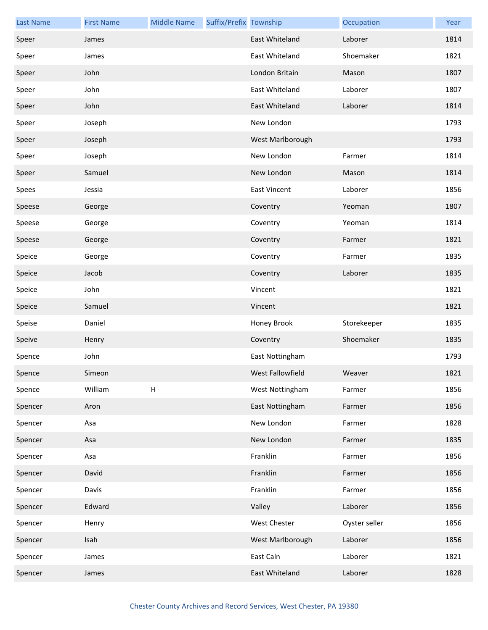| <b>Last Name</b> | <b>First Name</b> | <b>Middle Name</b> | Suffix/Prefix Township |                     | Occupation    | Year |
|------------------|-------------------|--------------------|------------------------|---------------------|---------------|------|
| Speer            | James             |                    |                        | East Whiteland      | Laborer       | 1814 |
| Speer            | James             |                    |                        | East Whiteland      | Shoemaker     | 1821 |
| Speer            | John              |                    |                        | London Britain      | Mason         | 1807 |
| Speer            | John              |                    |                        | East Whiteland      | Laborer       | 1807 |
| Speer            | John              |                    |                        | East Whiteland      | Laborer       | 1814 |
| Speer            | Joseph            |                    |                        | New London          |               | 1793 |
| Speer            | Joseph            |                    |                        | West Marlborough    |               | 1793 |
| Speer            | Joseph            |                    |                        | New London          | Farmer        | 1814 |
| Speer            | Samuel            |                    |                        | New London          | Mason         | 1814 |
| Spees            | Jessia            |                    |                        | <b>East Vincent</b> | Laborer       | 1856 |
| Speese           | George            |                    |                        | Coventry            | Yeoman        | 1807 |
| Speese           | George            |                    |                        | Coventry            | Yeoman        | 1814 |
| Speese           | George            |                    |                        | Coventry            | Farmer        | 1821 |
| Speice           | George            |                    |                        | Coventry            | Farmer        | 1835 |
| Speice           | Jacob             |                    |                        | Coventry            | Laborer       | 1835 |
| Speice           | John              |                    |                        | Vincent             |               | 1821 |
| Speice           | Samuel            |                    |                        | Vincent             |               | 1821 |
| Speise           | Daniel            |                    |                        | Honey Brook         | Storekeeper   | 1835 |
| Speive           | Henry             |                    |                        | Coventry            | Shoemaker     | 1835 |
| Spence           | John              |                    |                        | East Nottingham     |               | 1793 |
| Spence           | Simeon            |                    |                        | West Fallowfield    | Weaver        | 1821 |
| Spence           | William           | $\sf H$            |                        | West Nottingham     | Farmer        | 1856 |
| Spencer          | Aron              |                    |                        | East Nottingham     | Farmer        | 1856 |
| Spencer          | Asa               |                    |                        | New London          | Farmer        | 1828 |
| Spencer          | Asa               |                    |                        | New London          | Farmer        | 1835 |
| Spencer          | Asa               |                    |                        | Franklin            | Farmer        | 1856 |
| Spencer          | David             |                    |                        | Franklin            | Farmer        | 1856 |
| Spencer          | Davis             |                    |                        | Franklin            | Farmer        | 1856 |
| Spencer          | Edward            |                    |                        | Valley              | Laborer       | 1856 |
| Spencer          | Henry             |                    |                        | <b>West Chester</b> | Oyster seller | 1856 |
| Spencer          | Isah              |                    |                        | West Marlborough    | Laborer       | 1856 |
| Spencer          | James             |                    |                        | East Caln           | Laborer       | 1821 |
| Spencer          | James             |                    |                        | East Whiteland      | Laborer       | 1828 |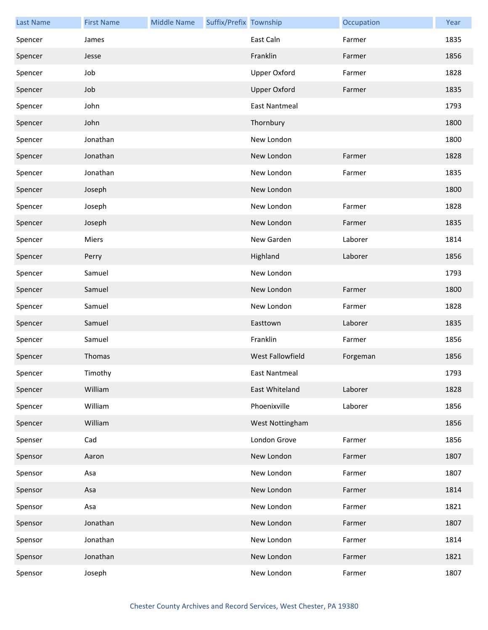| <b>Last Name</b> | <b>First Name</b> | <b>Middle Name</b> | Suffix/Prefix Township |                         | Occupation | Year |
|------------------|-------------------|--------------------|------------------------|-------------------------|------------|------|
| Spencer          | James             |                    |                        | East Caln               | Farmer     | 1835 |
| Spencer          | Jesse             |                    |                        | Franklin                | Farmer     | 1856 |
| Spencer          | Job               |                    |                        | <b>Upper Oxford</b>     | Farmer     | 1828 |
| Spencer          | Job               |                    |                        | <b>Upper Oxford</b>     | Farmer     | 1835 |
| Spencer          | John              |                    |                        | <b>East Nantmeal</b>    |            | 1793 |
| Spencer          | John              |                    |                        | Thornbury               |            | 1800 |
| Spencer          | Jonathan          |                    |                        | New London              |            | 1800 |
| Spencer          | Jonathan          |                    |                        | New London              | Farmer     | 1828 |
| Spencer          | Jonathan          |                    |                        | New London              | Farmer     | 1835 |
| Spencer          | Joseph            |                    |                        | New London              |            | 1800 |
| Spencer          | Joseph            |                    |                        | New London              | Farmer     | 1828 |
| Spencer          | Joseph            |                    |                        | New London              | Farmer     | 1835 |
| Spencer          | Miers             |                    |                        | New Garden              | Laborer    | 1814 |
| Spencer          | Perry             |                    |                        | Highland                | Laborer    | 1856 |
| Spencer          | Samuel            |                    |                        | New London              |            | 1793 |
| Spencer          | Samuel            |                    |                        | New London              | Farmer     | 1800 |
| Spencer          | Samuel            |                    |                        | New London              | Farmer     | 1828 |
| Spencer          | Samuel            |                    |                        | Easttown                | Laborer    | 1835 |
| Spencer          | Samuel            |                    |                        | Franklin                | Farmer     | 1856 |
| Spencer          | Thomas            |                    |                        | <b>West Fallowfield</b> | Forgeman   | 1856 |
| Spencer          | Timothy           |                    |                        | East Nantmeal           |            | 1793 |
| Spencer          | William           |                    |                        | East Whiteland          | Laborer    | 1828 |
| Spencer          | William           |                    |                        | Phoenixville            | Laborer    | 1856 |
| Spencer          | William           |                    |                        | West Nottingham         |            | 1856 |
| Spenser          | Cad               |                    |                        | London Grove            | Farmer     | 1856 |
| Spensor          | Aaron             |                    |                        | New London              | Farmer     | 1807 |
| Spensor          | Asa               |                    |                        | New London              | Farmer     | 1807 |
| Spensor          | Asa               |                    |                        | New London              | Farmer     | 1814 |
| Spensor          | Asa               |                    |                        | New London              | Farmer     | 1821 |
| Spensor          | Jonathan          |                    |                        | New London              | Farmer     | 1807 |
| Spensor          | Jonathan          |                    |                        | New London              | Farmer     | 1814 |
| Spensor          | Jonathan          |                    |                        | New London              | Farmer     | 1821 |
| Spensor          | Joseph            |                    |                        | New London              | Farmer     | 1807 |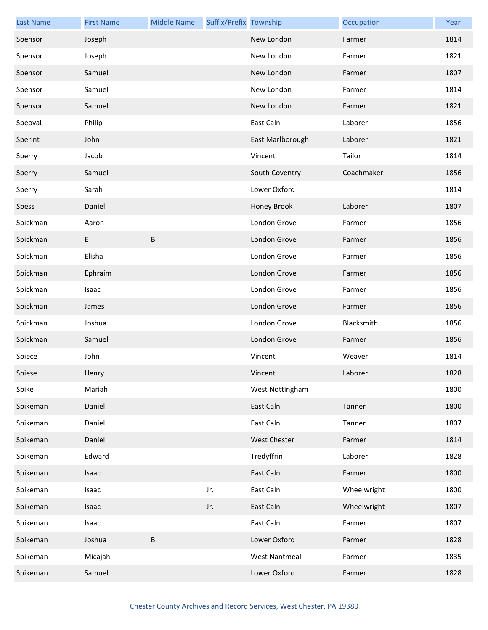| <b>Last Name</b> | <b>First Name</b> | <b>Middle Name</b> | Suffix/Prefix Township |                      | Occupation  | Year |
|------------------|-------------------|--------------------|------------------------|----------------------|-------------|------|
| Spensor          | Joseph            |                    |                        | New London           | Farmer      | 1814 |
| Spensor          | Joseph            |                    |                        | New London           | Farmer      | 1821 |
| Spensor          | Samuel            |                    |                        | New London           | Farmer      | 1807 |
| Spensor          | Samuel            |                    |                        | New London           | Farmer      | 1814 |
| Spensor          | Samuel            |                    |                        | New London           | Farmer      | 1821 |
| Speoval          | Philip            |                    |                        | East Caln            | Laborer     | 1856 |
| Sperint          | John              |                    |                        | East Marlborough     | Laborer     | 1821 |
| Sperry           | Jacob             |                    |                        | Vincent              | Tailor      | 1814 |
| Sperry           | Samuel            |                    |                        | South Coventry       | Coachmaker  | 1856 |
| Sperry           | Sarah             |                    |                        | Lower Oxford         |             | 1814 |
| Spess            | Daniel            |                    |                        | Honey Brook          | Laborer     | 1807 |
| Spickman         | Aaron             |                    |                        | London Grove         | Farmer      | 1856 |
| Spickman         | E                 | B                  |                        | London Grove         | Farmer      | 1856 |
| Spickman         | Elisha            |                    |                        | London Grove         | Farmer      | 1856 |
| Spickman         | Ephraim           |                    |                        | London Grove         | Farmer      | 1856 |
| Spickman         | Isaac             |                    |                        | London Grove         | Farmer      | 1856 |
| Spickman         | James             |                    |                        | London Grove         | Farmer      | 1856 |
| Spickman         | Joshua            |                    |                        | London Grove         | Blacksmith  | 1856 |
| Spickman         | Samuel            |                    |                        | London Grove         | Farmer      | 1856 |
| Spiece           | John              |                    |                        | Vincent              | Weaver      | 1814 |
| Spiese           | Henry             |                    |                        | Vincent              | Laborer     | 1828 |
| Spike            | Mariah            |                    |                        | West Nottingham      |             | 1800 |
| Spikeman         | Daniel            |                    |                        | East Caln            | Tanner      | 1800 |
| Spikeman         | Daniel            |                    |                        | East Caln            | Tanner      | 1807 |
| Spikeman         | Daniel            |                    |                        | <b>West Chester</b>  | Farmer      | 1814 |
| Spikeman         | Edward            |                    |                        | Tredyffrin           | Laborer     | 1828 |
| Spikeman         | Isaac             |                    |                        | East Caln            | Farmer      | 1800 |
| Spikeman         | Isaac             |                    | Jr.                    | East Caln            | Wheelwright | 1800 |
| Spikeman         | Isaac             |                    | Jr.                    | East Caln            | Wheelwright | 1807 |
| Spikeman         | Isaac             |                    |                        | East Caln            | Farmer      | 1807 |
| Spikeman         | Joshua            | В.                 |                        | Lower Oxford         | Farmer      | 1828 |
| Spikeman         | Micajah           |                    |                        | <b>West Nantmeal</b> | Farmer      | 1835 |
| Spikeman         | Samuel            |                    |                        | Lower Oxford         | Farmer      | 1828 |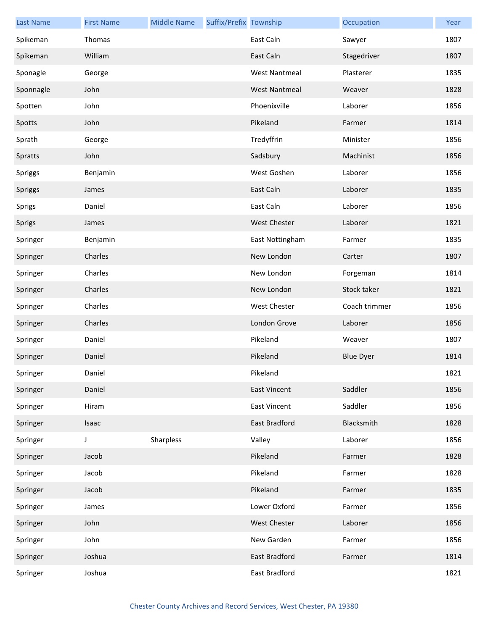| <b>Last Name</b> | <b>First Name</b> | <b>Middle Name</b> | Suffix/Prefix Township |                      | Occupation       | Year |
|------------------|-------------------|--------------------|------------------------|----------------------|------------------|------|
| Spikeman         | Thomas            |                    |                        | East Caln            | Sawyer           | 1807 |
| Spikeman         | William           |                    |                        | East Caln            | Stagedriver      | 1807 |
| Sponagle         | George            |                    |                        | <b>West Nantmeal</b> | Plasterer        | 1835 |
| Sponnagle        | John              |                    |                        | <b>West Nantmeal</b> | Weaver           | 1828 |
| Spotten          | John              |                    |                        | Phoenixville         | Laborer          | 1856 |
| Spotts           | John              |                    |                        | Pikeland             | Farmer           | 1814 |
| Sprath           | George            |                    |                        | Tredyffrin           | Minister         | 1856 |
| Spratts          | John              |                    |                        | Sadsbury             | Machinist        | 1856 |
| Spriggs          | Benjamin          |                    |                        | West Goshen          | Laborer          | 1856 |
| Spriggs          | James             |                    |                        | East Caln            | Laborer          | 1835 |
| Sprigs           | Daniel            |                    |                        | East Caln            | Laborer          | 1856 |
| Sprigs           | James             |                    |                        | <b>West Chester</b>  | Laborer          | 1821 |
| Springer         | Benjamin          |                    |                        | East Nottingham      | Farmer           | 1835 |
| Springer         | Charles           |                    |                        | New London           | Carter           | 1807 |
| Springer         | Charles           |                    |                        | New London           | Forgeman         | 1814 |
| Springer         | Charles           |                    |                        | New London           | Stock taker      | 1821 |
| Springer         | Charles           |                    |                        | <b>West Chester</b>  | Coach trimmer    | 1856 |
| Springer         | Charles           |                    |                        | London Grove         | Laborer          | 1856 |
| Springer         | Daniel            |                    |                        | Pikeland             | Weaver           | 1807 |
| Springer         | Daniel            |                    |                        | Pikeland             | <b>Blue Dyer</b> | 1814 |
| Springer         | Daniel            |                    |                        | Pikeland             |                  | 1821 |
| Springer         | Daniel            |                    |                        | <b>East Vincent</b>  | Saddler          | 1856 |
| Springer         | Hiram             |                    |                        | <b>East Vincent</b>  | Saddler          | 1856 |
| Springer         | Isaac             |                    |                        | East Bradford        | Blacksmith       | 1828 |
| Springer         | J                 | Sharpless          |                        | Valley               | Laborer          | 1856 |
| Springer         | Jacob             |                    |                        | Pikeland             | Farmer           | 1828 |
| Springer         | Jacob             |                    |                        | Pikeland             | Farmer           | 1828 |
| Springer         | Jacob             |                    |                        | Pikeland             | Farmer           | 1835 |
| Springer         | James             |                    |                        | Lower Oxford         | Farmer           | 1856 |
| Springer         | John              |                    |                        | <b>West Chester</b>  | Laborer          | 1856 |
| Springer         | John              |                    |                        | New Garden           | Farmer           | 1856 |
| Springer         | Joshua            |                    |                        | East Bradford        | Farmer           | 1814 |
| Springer         | Joshua            |                    |                        | East Bradford        |                  | 1821 |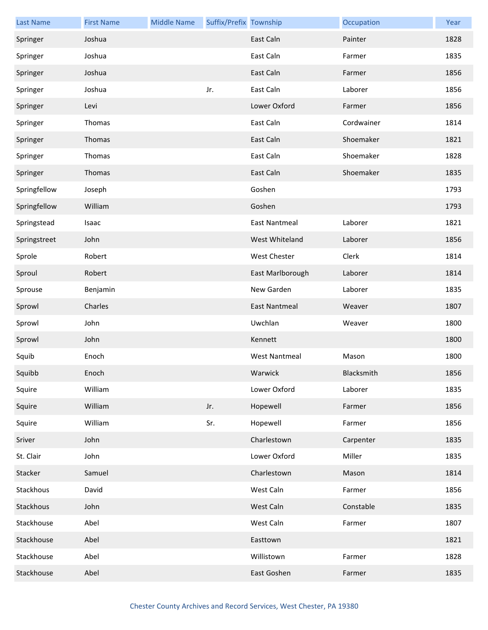| <b>Last Name</b> | <b>First Name</b> | <b>Middle Name</b> | Suffix/Prefix Township |                      | Occupation | Year |
|------------------|-------------------|--------------------|------------------------|----------------------|------------|------|
| Springer         | Joshua            |                    |                        | East Caln            | Painter    | 1828 |
| Springer         | Joshua            |                    |                        | East Caln            | Farmer     | 1835 |
| Springer         | Joshua            |                    |                        | East Caln            | Farmer     | 1856 |
| Springer         | Joshua            |                    | Jr.                    | East Caln            | Laborer    | 1856 |
| Springer         | Levi              |                    |                        | Lower Oxford         | Farmer     | 1856 |
| Springer         | Thomas            |                    |                        | East Caln            | Cordwainer | 1814 |
| Springer         | Thomas            |                    |                        | East Caln            | Shoemaker  | 1821 |
| Springer         | Thomas            |                    |                        | East Caln            | Shoemaker  | 1828 |
| Springer         | Thomas            |                    |                        | East Caln            | Shoemaker  | 1835 |
| Springfellow     | Joseph            |                    |                        | Goshen               |            | 1793 |
| Springfellow     | William           |                    |                        | Goshen               |            | 1793 |
| Springstead      | Isaac             |                    |                        | <b>East Nantmeal</b> | Laborer    | 1821 |
| Springstreet     | John              |                    |                        | West Whiteland       | Laborer    | 1856 |
| Sprole           | Robert            |                    |                        | West Chester         | Clerk      | 1814 |
| Sproul           | Robert            |                    |                        | East Marlborough     | Laborer    | 1814 |
| Sprouse          | Benjamin          |                    |                        | New Garden           | Laborer    | 1835 |
| Sprowl           | Charles           |                    |                        | East Nantmeal        | Weaver     | 1807 |
| Sprowl           | John              |                    |                        | Uwchlan              | Weaver     | 1800 |
| Sprowl           | John              |                    |                        | Kennett              |            | 1800 |
| Squib            | Enoch             |                    |                        | <b>West Nantmeal</b> | Mason      | 1800 |
| Squibb           | Enoch             |                    |                        | Warwick              | Blacksmith | 1856 |
| Squire           | William           |                    |                        | Lower Oxford         | Laborer    | 1835 |
| Squire           | William           |                    | Jr.                    | Hopewell             | Farmer     | 1856 |
| Squire           | William           |                    | Sr.                    | Hopewell             | Farmer     | 1856 |
| Sriver           | John              |                    |                        | Charlestown          | Carpenter  | 1835 |
| St. Clair        | John              |                    |                        | Lower Oxford         | Miller     | 1835 |
| Stacker          | Samuel            |                    |                        | Charlestown          | Mason      | 1814 |
| Stackhous        | David             |                    |                        | West Caln            | Farmer     | 1856 |
| Stackhous        | John              |                    |                        | West Caln            | Constable  | 1835 |
| Stackhouse       | Abel              |                    |                        | West Caln            | Farmer     | 1807 |
| Stackhouse       | Abel              |                    |                        | Easttown             |            | 1821 |
| Stackhouse       | Abel              |                    |                        | Willistown           | Farmer     | 1828 |
| Stackhouse       | Abel              |                    |                        | East Goshen          | Farmer     | 1835 |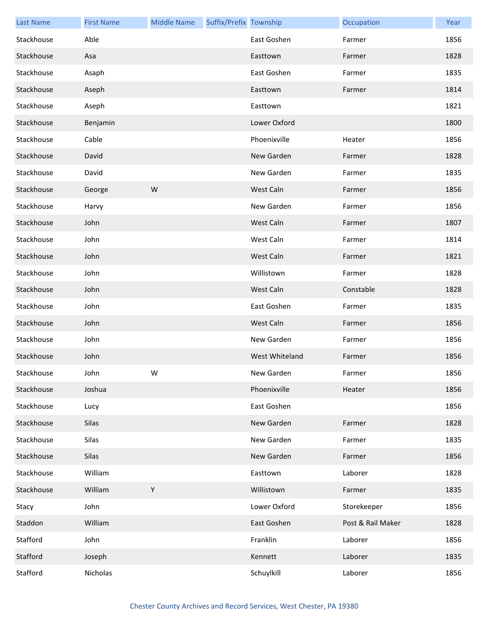| <b>Last Name</b> | <b>First Name</b> | <b>Middle Name</b> | Suffix/Prefix Township |                | Occupation        | Year |
|------------------|-------------------|--------------------|------------------------|----------------|-------------------|------|
| Stackhouse       | Able              |                    |                        | East Goshen    | Farmer            | 1856 |
| Stackhouse       | Asa               |                    |                        | Easttown       | Farmer            | 1828 |
| Stackhouse       | Asaph             |                    |                        | East Goshen    | Farmer            | 1835 |
| Stackhouse       | Aseph             |                    |                        | Easttown       | Farmer            | 1814 |
| Stackhouse       | Aseph             |                    |                        | Easttown       |                   | 1821 |
| Stackhouse       | Benjamin          |                    |                        | Lower Oxford   |                   | 1800 |
| Stackhouse       | Cable             |                    |                        | Phoenixville   | Heater            | 1856 |
| Stackhouse       | David             |                    |                        | New Garden     | Farmer            | 1828 |
| Stackhouse       | David             |                    |                        | New Garden     | Farmer            | 1835 |
| Stackhouse       | George            | W                  |                        | West Caln      | Farmer            | 1856 |
| Stackhouse       | Harvy             |                    |                        | New Garden     | Farmer            | 1856 |
| Stackhouse       | John              |                    |                        | West Caln      | Farmer            | 1807 |
| Stackhouse       | John              |                    |                        | West Caln      | Farmer            | 1814 |
| Stackhouse       | John              |                    |                        | West Caln      | Farmer            | 1821 |
| Stackhouse       | John              |                    |                        | Willistown     | Farmer            | 1828 |
| Stackhouse       | John              |                    |                        | West Caln      | Constable         | 1828 |
| Stackhouse       | John              |                    |                        | East Goshen    | Farmer            | 1835 |
| Stackhouse       | John              |                    |                        | West Caln      | Farmer            | 1856 |
| Stackhouse       | John              |                    |                        | New Garden     | Farmer            | 1856 |
| Stackhouse       | John              |                    |                        | West Whiteland | Farmer            | 1856 |
| Stackhouse       | John              | W                  |                        | New Garden     | Farmer            | 1856 |
| Stackhouse       | Joshua            |                    |                        | Phoenixville   | Heater            | 1856 |
| Stackhouse       | Lucy              |                    |                        | East Goshen    |                   | 1856 |
| Stackhouse       | Silas             |                    |                        | New Garden     | Farmer            | 1828 |
| Stackhouse       | Silas             |                    |                        | New Garden     | Farmer            | 1835 |
| Stackhouse       | Silas             |                    |                        | New Garden     | Farmer            | 1856 |
| Stackhouse       | William           |                    |                        | Easttown       | Laborer           | 1828 |
| Stackhouse       | William           | Y                  |                        | Willistown     | Farmer            | 1835 |
| Stacy            | John              |                    |                        | Lower Oxford   | Storekeeper       | 1856 |
| Staddon          | William           |                    |                        | East Goshen    | Post & Rail Maker | 1828 |
| Stafford         | John              |                    |                        | Franklin       | Laborer           | 1856 |
| Stafford         | Joseph            |                    |                        | Kennett        | Laborer           | 1835 |
| Stafford         | Nicholas          |                    |                        | Schuylkill     | Laborer           | 1856 |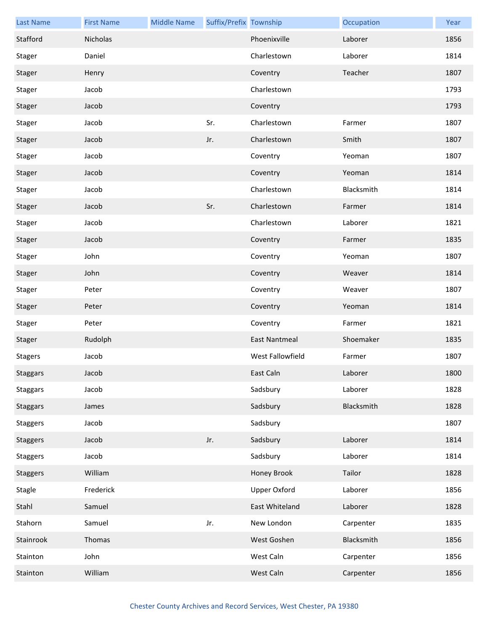| <b>Last Name</b> | <b>First Name</b> | <b>Middle Name</b> | Suffix/Prefix Township |                      | Occupation | Year |
|------------------|-------------------|--------------------|------------------------|----------------------|------------|------|
| Stafford         | Nicholas          |                    |                        | Phoenixville         | Laborer    | 1856 |
| Stager           | Daniel            |                    |                        | Charlestown          | Laborer    | 1814 |
| Stager           | Henry             |                    |                        | Coventry             | Teacher    | 1807 |
| Stager           | Jacob             |                    |                        | Charlestown          |            | 1793 |
| Stager           | Jacob             |                    |                        | Coventry             |            | 1793 |
| Stager           | Jacob             |                    | Sr.                    | Charlestown          | Farmer     | 1807 |
| Stager           | Jacob             |                    | Jr.                    | Charlestown          | Smith      | 1807 |
| Stager           | Jacob             |                    |                        | Coventry             | Yeoman     | 1807 |
| Stager           | Jacob             |                    |                        | Coventry             | Yeoman     | 1814 |
| Stager           | Jacob             |                    |                        | Charlestown          | Blacksmith | 1814 |
| Stager           | Jacob             |                    | Sr.                    | Charlestown          | Farmer     | 1814 |
| Stager           | Jacob             |                    |                        | Charlestown          | Laborer    | 1821 |
| Stager           | Jacob             |                    |                        | Coventry             | Farmer     | 1835 |
| Stager           | John              |                    |                        | Coventry             | Yeoman     | 1807 |
| Stager           | John              |                    |                        | Coventry             | Weaver     | 1814 |
| Stager           | Peter             |                    |                        | Coventry             | Weaver     | 1807 |
| Stager           | Peter             |                    |                        | Coventry             | Yeoman     | 1814 |
| Stager           | Peter             |                    |                        | Coventry             | Farmer     | 1821 |
| Stager           | Rudolph           |                    |                        | <b>East Nantmeal</b> | Shoemaker  | 1835 |
| <b>Stagers</b>   | Jacob             |                    |                        | West Fallowfield     | Farmer     | 1807 |
| Staggars         | Jacob             |                    |                        | East Caln            | Laborer    | 1800 |
| <b>Staggars</b>  | Jacob             |                    |                        | Sadsbury             | Laborer    | 1828 |
| <b>Staggars</b>  | James             |                    |                        | Sadsbury             | Blacksmith | 1828 |
| <b>Staggers</b>  | Jacob             |                    |                        | Sadsbury             |            | 1807 |
| <b>Staggers</b>  | Jacob             |                    | Jr.                    | Sadsbury             | Laborer    | 1814 |
| <b>Staggers</b>  | Jacob             |                    |                        | Sadsbury             | Laborer    | 1814 |
| <b>Staggers</b>  | William           |                    |                        | Honey Brook          | Tailor     | 1828 |
| Stagle           | Frederick         |                    |                        | <b>Upper Oxford</b>  | Laborer    | 1856 |
| Stahl            | Samuel            |                    |                        | East Whiteland       | Laborer    | 1828 |
| Stahorn          | Samuel            |                    | Jr.                    | New London           | Carpenter  | 1835 |
| Stainrook        | Thomas            |                    |                        | West Goshen          | Blacksmith | 1856 |
| Stainton         | John              |                    |                        | West Caln            | Carpenter  | 1856 |
| Stainton         | William           |                    |                        | West Caln            | Carpenter  | 1856 |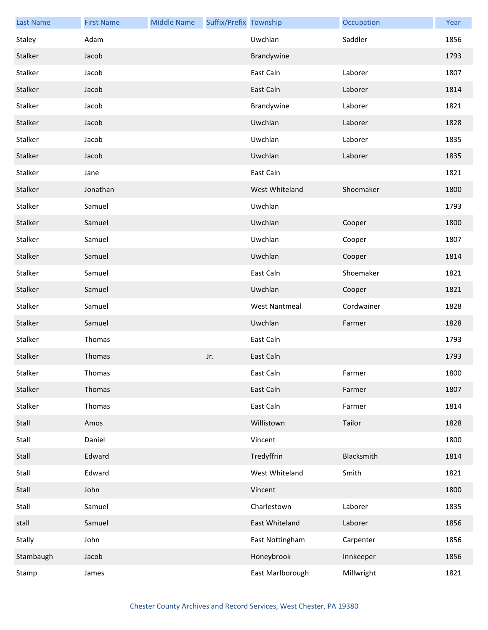| <b>Last Name</b> | <b>First Name</b> | <b>Middle Name</b> | Suffix/Prefix Township |                      | Occupation | Year |
|------------------|-------------------|--------------------|------------------------|----------------------|------------|------|
| Staley           | Adam              |                    |                        | Uwchlan              | Saddler    | 1856 |
| Stalker          | Jacob             |                    |                        | Brandywine           |            | 1793 |
| Stalker          | Jacob             |                    |                        | East Caln            | Laborer    | 1807 |
| Stalker          | Jacob             |                    |                        | East Caln            | Laborer    | 1814 |
| Stalker          | Jacob             |                    |                        | Brandywine           | Laborer    | 1821 |
| Stalker          | Jacob             |                    |                        | Uwchlan              | Laborer    | 1828 |
| Stalker          | Jacob             |                    |                        | Uwchlan              | Laborer    | 1835 |
| Stalker          | Jacob             |                    |                        | Uwchlan              | Laborer    | 1835 |
| Stalker          | Jane              |                    |                        | East Caln            |            | 1821 |
| Stalker          | Jonathan          |                    |                        | West Whiteland       | Shoemaker  | 1800 |
| Stalker          | Samuel            |                    |                        | Uwchlan              |            | 1793 |
| Stalker          | Samuel            |                    |                        | Uwchlan              | Cooper     | 1800 |
| Stalker          | Samuel            |                    |                        | Uwchlan              | Cooper     | 1807 |
| Stalker          | Samuel            |                    |                        | Uwchlan              | Cooper     | 1814 |
| Stalker          | Samuel            |                    |                        | East Caln            | Shoemaker  | 1821 |
| Stalker          | Samuel            |                    |                        | Uwchlan              | Cooper     | 1821 |
| Stalker          | Samuel            |                    |                        | <b>West Nantmeal</b> | Cordwainer | 1828 |
| Stalker          | Samuel            |                    |                        | Uwchlan              | Farmer     | 1828 |
| Stalker          | Thomas            |                    |                        | East Caln            |            | 1793 |
| Stalker          | Thomas            |                    | Jr.                    | East Caln            |            | 1793 |
| Stalker          | Thomas            |                    |                        | East Caln            | Farmer     | 1800 |
| Stalker          | Thomas            |                    |                        | East Caln            | Farmer     | 1807 |
| Stalker          | Thomas            |                    |                        | East Caln            | Farmer     | 1814 |
| Stall            | Amos              |                    |                        | Willistown           | Tailor     | 1828 |
| Stall            | Daniel            |                    |                        | Vincent              |            | 1800 |
| Stall            | Edward            |                    |                        | Tredyffrin           | Blacksmith | 1814 |
| Stall            | Edward            |                    |                        | West Whiteland       | Smith      | 1821 |
| Stall            | John              |                    |                        | Vincent              |            | 1800 |
| Stall            | Samuel            |                    |                        | Charlestown          | Laborer    | 1835 |
| stall            | Samuel            |                    |                        | East Whiteland       | Laborer    | 1856 |
| Stally           | John              |                    |                        | East Nottingham      | Carpenter  | 1856 |
| Stambaugh        | Jacob             |                    |                        | Honeybrook           | Innkeeper  | 1856 |
| Stamp            | James             |                    |                        | East Marlborough     | Millwright | 1821 |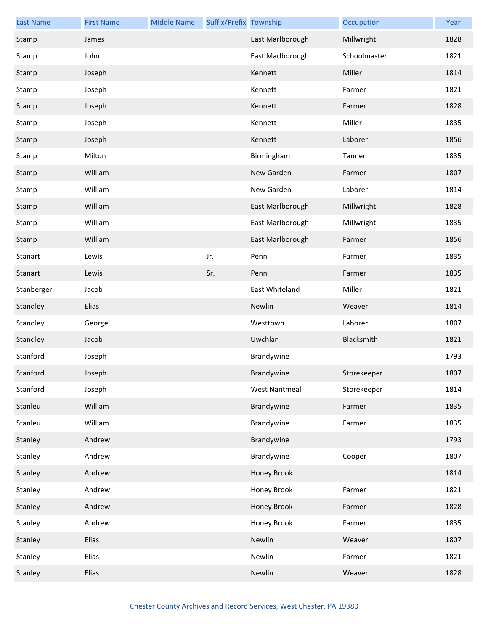| <b>Last Name</b> | <b>First Name</b> | <b>Middle Name</b> | Suffix/Prefix Township |                      | Occupation   | Year |
|------------------|-------------------|--------------------|------------------------|----------------------|--------------|------|
| Stamp            | James             |                    |                        | East Marlborough     | Millwright   | 1828 |
| Stamp            | John              |                    |                        | East Marlborough     | Schoolmaster | 1821 |
| Stamp            | Joseph            |                    |                        | Kennett              | Miller       | 1814 |
| Stamp            | Joseph            |                    |                        | Kennett              | Farmer       | 1821 |
| Stamp            | Joseph            |                    |                        | Kennett              | Farmer       | 1828 |
| Stamp            | Joseph            |                    |                        | Kennett              | Miller       | 1835 |
| Stamp            | Joseph            |                    |                        | Kennett              | Laborer      | 1856 |
| Stamp            | Milton            |                    |                        | Birmingham           | Tanner       | 1835 |
| Stamp            | William           |                    |                        | New Garden           | Farmer       | 1807 |
| Stamp            | William           |                    |                        | New Garden           | Laborer      | 1814 |
| Stamp            | William           |                    |                        | East Marlborough     | Millwright   | 1828 |
| Stamp            | William           |                    |                        | East Marlborough     | Millwright   | 1835 |
| Stamp            | William           |                    |                        | East Marlborough     | Farmer       | 1856 |
| Stanart          | Lewis             |                    | Jr.                    | Penn                 | Farmer       | 1835 |
| Stanart          | Lewis             |                    | Sr.                    | Penn                 | Farmer       | 1835 |
| Stanberger       | Jacob             |                    |                        | East Whiteland       | Miller       | 1821 |
| Standley         | Elias             |                    |                        | Newlin               | Weaver       | 1814 |
| Standley         | George            |                    |                        | Westtown             | Laborer      | 1807 |
| Standley         | Jacob             |                    |                        | Uwchlan              | Blacksmith   | 1821 |
| Stanford         | Joseph            |                    |                        | Brandywine           |              | 1793 |
| Stanford         | Joseph            |                    |                        | Brandywine           | Storekeeper  | 1807 |
| Stanford         | Joseph            |                    |                        | <b>West Nantmeal</b> | Storekeeper  | 1814 |
| Stanleu          | William           |                    |                        | Brandywine           | Farmer       | 1835 |
| Stanleu          | William           |                    |                        | Brandywine           | Farmer       | 1835 |
| Stanley          | Andrew            |                    |                        | Brandywine           |              | 1793 |
| Stanley          | Andrew            |                    |                        | Brandywine           | Cooper       | 1807 |
| Stanley          | Andrew            |                    |                        | Honey Brook          |              | 1814 |
| Stanley          | Andrew            |                    |                        | Honey Brook          | Farmer       | 1821 |
| Stanley          | Andrew            |                    |                        | Honey Brook          | Farmer       | 1828 |
| Stanley          | Andrew            |                    |                        | Honey Brook          | Farmer       | 1835 |
| Stanley          | Elias             |                    |                        | Newlin               | Weaver       | 1807 |
| Stanley          | Elias             |                    |                        | Newlin               | Farmer       | 1821 |
| Stanley          | Elias             |                    |                        | Newlin               | Weaver       | 1828 |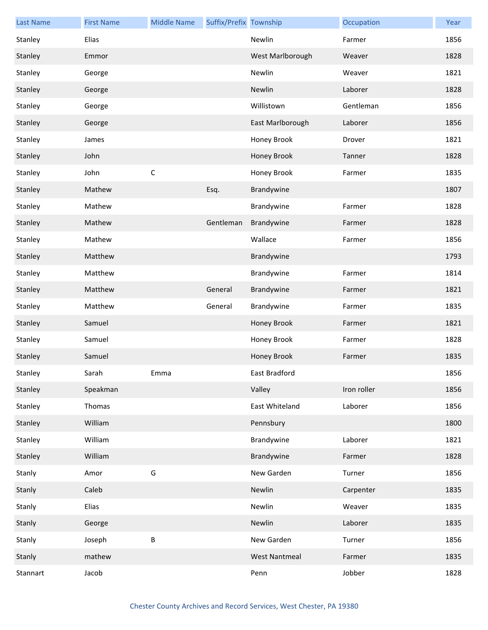| <b>Last Name</b> | <b>First Name</b> | <b>Middle Name</b> | Suffix/Prefix Township |                      | Occupation  | Year |
|------------------|-------------------|--------------------|------------------------|----------------------|-------------|------|
| Stanley          | Elias             |                    |                        | Newlin               | Farmer      | 1856 |
| Stanley          | Emmor             |                    |                        | West Marlborough     | Weaver      | 1828 |
| Stanley          | George            |                    |                        | Newlin               | Weaver      | 1821 |
| Stanley          | George            |                    |                        | Newlin               | Laborer     | 1828 |
| Stanley          | George            |                    |                        | Willistown           | Gentleman   | 1856 |
| Stanley          | George            |                    |                        | East Marlborough     | Laborer     | 1856 |
| Stanley          | James             |                    |                        | Honey Brook          | Drover      | 1821 |
| Stanley          | John              |                    |                        | Honey Brook          | Tanner      | 1828 |
| Stanley          | John              | $\mathsf C$        |                        | Honey Brook          | Farmer      | 1835 |
| Stanley          | Mathew            |                    | Esq.                   | Brandywine           |             | 1807 |
| Stanley          | Mathew            |                    |                        | Brandywine           | Farmer      | 1828 |
| Stanley          | Mathew            |                    | Gentleman              | Brandywine           | Farmer      | 1828 |
| Stanley          | Mathew            |                    |                        | Wallace              | Farmer      | 1856 |
| Stanley          | Matthew           |                    |                        | Brandywine           |             | 1793 |
| Stanley          | Matthew           |                    |                        | Brandywine           | Farmer      | 1814 |
| Stanley          | Matthew           |                    | General                | Brandywine           | Farmer      | 1821 |
| Stanley          | Matthew           |                    | General                | Brandywine           | Farmer      | 1835 |
| Stanley          | Samuel            |                    |                        | Honey Brook          | Farmer      | 1821 |
| Stanley          | Samuel            |                    |                        | Honey Brook          | Farmer      | 1828 |
| Stanley          | Samuel            |                    |                        | Honey Brook          | Farmer      | 1835 |
| Stanley          | Sarah             | Emma               |                        | East Bradford        |             | 1856 |
| Stanley          | Speakman          |                    |                        | Valley               | Iron roller | 1856 |
| Stanley          | Thomas            |                    |                        | East Whiteland       | Laborer     | 1856 |
| Stanley          | William           |                    |                        | Pennsbury            |             | 1800 |
| Stanley          | William           |                    |                        | Brandywine           | Laborer     | 1821 |
| Stanley          | William           |                    |                        | Brandywine           | Farmer      | 1828 |
| Stanly           | Amor              | G                  |                        | New Garden           | Turner      | 1856 |
| Stanly           | Caleb             |                    |                        | Newlin               | Carpenter   | 1835 |
| Stanly           | Elias             |                    |                        | Newlin               | Weaver      | 1835 |
| Stanly           | George            |                    |                        | Newlin               | Laborer     | 1835 |
| Stanly           | Joseph            | B                  |                        | New Garden           | Turner      | 1856 |
| Stanly           | mathew            |                    |                        | <b>West Nantmeal</b> | Farmer      | 1835 |
| Stannart         | Jacob             |                    |                        | Penn                 | Jobber      | 1828 |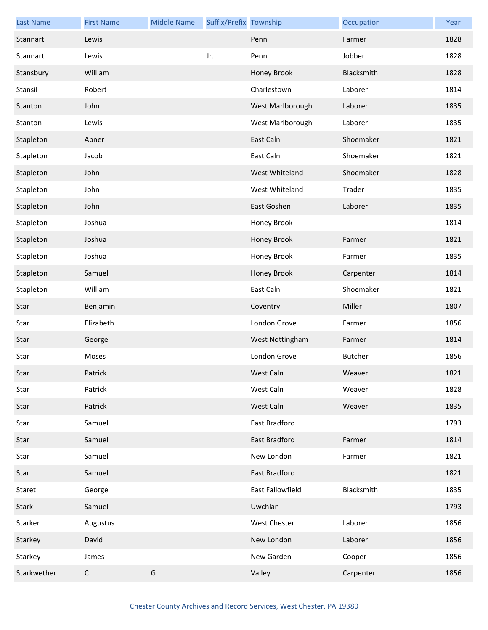| <b>Last Name</b> | <b>First Name</b> | <b>Middle Name</b> | Suffix/Prefix Township |                  | Occupation | Year |
|------------------|-------------------|--------------------|------------------------|------------------|------------|------|
| Stannart         | Lewis             |                    |                        | Penn             | Farmer     | 1828 |
| Stannart         | Lewis             |                    | Jr.                    | Penn             | Jobber     | 1828 |
| Stansbury        | William           |                    |                        | Honey Brook      | Blacksmith | 1828 |
| Stansil          | Robert            |                    |                        | Charlestown      | Laborer    | 1814 |
| Stanton          | John              |                    |                        | West Marlborough | Laborer    | 1835 |
| Stanton          | Lewis             |                    |                        | West Marlborough | Laborer    | 1835 |
| Stapleton        | Abner             |                    |                        | East Caln        | Shoemaker  | 1821 |
| Stapleton        | Jacob             |                    |                        | East Caln        | Shoemaker  | 1821 |
| Stapleton        | John              |                    |                        | West Whiteland   | Shoemaker  | 1828 |
| Stapleton        | John              |                    |                        | West Whiteland   | Trader     | 1835 |
| Stapleton        | John              |                    |                        | East Goshen      | Laborer    | 1835 |
| Stapleton        | Joshua            |                    |                        | Honey Brook      |            | 1814 |
| Stapleton        | Joshua            |                    |                        | Honey Brook      | Farmer     | 1821 |
| Stapleton        | Joshua            |                    |                        | Honey Brook      | Farmer     | 1835 |
| Stapleton        | Samuel            |                    |                        | Honey Brook      | Carpenter  | 1814 |
| Stapleton        | William           |                    |                        | East Caln        | Shoemaker  | 1821 |
| Star             | Benjamin          |                    |                        | Coventry         | Miller     | 1807 |
| Star             | Elizabeth         |                    |                        | London Grove     | Farmer     | 1856 |
| Star             | George            |                    |                        | West Nottingham  | Farmer     | 1814 |
| Star             | Moses             |                    |                        | London Grove     | Butcher    | 1856 |
| Star             | Patrick           |                    |                        | West Caln        | Weaver     | 1821 |
| Star             | Patrick           |                    |                        | West Caln        | Weaver     | 1828 |
| Star             | Patrick           |                    |                        | West Caln        | Weaver     | 1835 |
| Star             | Samuel            |                    |                        | East Bradford    |            | 1793 |
| Star             | Samuel            |                    |                        | East Bradford    | Farmer     | 1814 |
| Star             | Samuel            |                    |                        | New London       | Farmer     | 1821 |
| Star             | Samuel            |                    |                        | East Bradford    |            | 1821 |
| Staret           | George            |                    |                        | East Fallowfield | Blacksmith | 1835 |
| Stark            | Samuel            |                    |                        | Uwchlan          |            | 1793 |
| Starker          | Augustus          |                    |                        | West Chester     | Laborer    | 1856 |
| Starkey          | David             |                    |                        | New London       | Laborer    | 1856 |
| Starkey          | James             |                    |                        | New Garden       | Cooper     | 1856 |
| Starkwether      | $\mathsf{C}$      | G                  |                        | Valley           | Carpenter  | 1856 |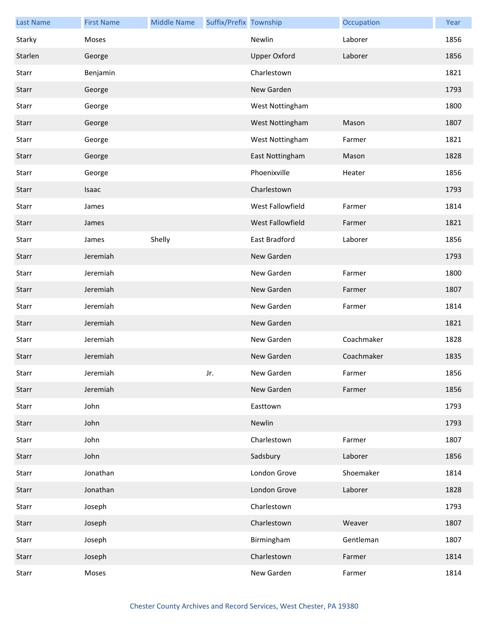| <b>Last Name</b> | <b>First Name</b> | <b>Middle Name</b> | Suffix/Prefix Township |                     | Occupation | Year |
|------------------|-------------------|--------------------|------------------------|---------------------|------------|------|
| Starky           | Moses             |                    |                        | Newlin              | Laborer    | 1856 |
| Starlen          | George            |                    |                        | <b>Upper Oxford</b> | Laborer    | 1856 |
| Starr            | Benjamin          |                    |                        | Charlestown         |            | 1821 |
| Starr            | George            |                    |                        | New Garden          |            | 1793 |
| Starr            | George            |                    |                        | West Nottingham     |            | 1800 |
| Starr            | George            |                    |                        | West Nottingham     | Mason      | 1807 |
| Starr            | George            |                    |                        | West Nottingham     | Farmer     | 1821 |
| Starr            | George            |                    |                        | East Nottingham     | Mason      | 1828 |
| Starr            | George            |                    |                        | Phoenixville        | Heater     | 1856 |
| Starr            | <b>Isaac</b>      |                    |                        | Charlestown         |            | 1793 |
| Starr            | James             |                    |                        | West Fallowfield    | Farmer     | 1814 |
| Starr            | James             |                    |                        | West Fallowfield    | Farmer     | 1821 |
| Starr            | James             | Shelly             |                        | East Bradford       | Laborer    | 1856 |
| Starr            | Jeremiah          |                    |                        | New Garden          |            | 1793 |
| Starr            | Jeremiah          |                    |                        | New Garden          | Farmer     | 1800 |
| Starr            | Jeremiah          |                    |                        | New Garden          | Farmer     | 1807 |
| Starr            | Jeremiah          |                    |                        | New Garden          | Farmer     | 1814 |
| Starr            | Jeremiah          |                    |                        | New Garden          |            | 1821 |
| Starr            | Jeremiah          |                    |                        | New Garden          | Coachmaker | 1828 |
| Starr            | Jeremiah          |                    |                        | New Garden          | Coachmaker | 1835 |
| Starr            | Jeremiah          |                    | Jr.                    | New Garden          | Farmer     | 1856 |
| Starr            | Jeremiah          |                    |                        | New Garden          | Farmer     | 1856 |
| Starr            | John              |                    |                        | Easttown            |            | 1793 |
| Starr            | John              |                    |                        | Newlin              |            | 1793 |
| Starr            | John              |                    |                        | Charlestown         | Farmer     | 1807 |
| Starr            | John              |                    |                        | Sadsbury            | Laborer    | 1856 |
| Starr            | Jonathan          |                    |                        | London Grove        | Shoemaker  | 1814 |
| Starr            | Jonathan          |                    |                        | London Grove        | Laborer    | 1828 |
| Starr            | Joseph            |                    |                        | Charlestown         |            | 1793 |
| Starr            | Joseph            |                    |                        | Charlestown         | Weaver     | 1807 |
| Starr            | Joseph            |                    |                        | Birmingham          | Gentleman  | 1807 |
| Starr            | Joseph            |                    |                        | Charlestown         | Farmer     | 1814 |
| Starr            | Moses             |                    |                        | New Garden          | Farmer     | 1814 |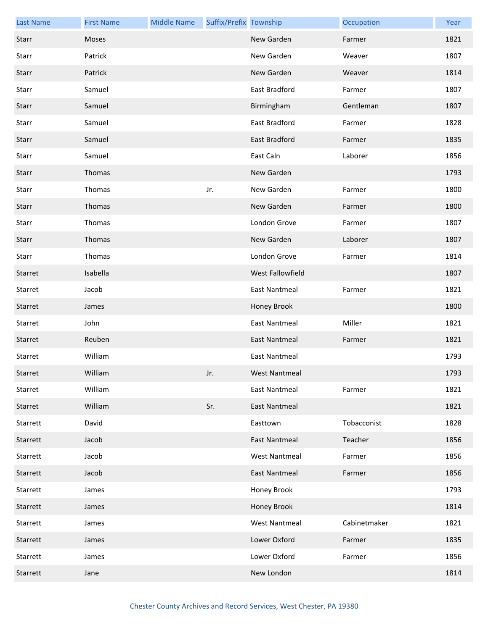| <b>Last Name</b> | <b>First Name</b> | <b>Middle Name</b> | Suffix/Prefix Township |                      | Occupation   | Year |
|------------------|-------------------|--------------------|------------------------|----------------------|--------------|------|
| Starr            | Moses             |                    |                        | New Garden           | Farmer       | 1821 |
| Starr            | Patrick           |                    |                        | New Garden           | Weaver       | 1807 |
| Starr            | Patrick           |                    |                        | New Garden           | Weaver       | 1814 |
| Starr            | Samuel            |                    |                        | East Bradford        | Farmer       | 1807 |
| Starr            | Samuel            |                    |                        | Birmingham           | Gentleman    | 1807 |
| Starr            | Samuel            |                    |                        | East Bradford        | Farmer       | 1828 |
| Starr            | Samuel            |                    |                        | East Bradford        | Farmer       | 1835 |
| Starr            | Samuel            |                    |                        | East Caln            | Laborer      | 1856 |
| Starr            | Thomas            |                    |                        | New Garden           |              | 1793 |
| Starr            | Thomas            |                    | Jr.                    | New Garden           | Farmer       | 1800 |
| Starr            | Thomas            |                    |                        | New Garden           | Farmer       | 1800 |
| Starr            | Thomas            |                    |                        | London Grove         | Farmer       | 1807 |
| Starr            | Thomas            |                    |                        | New Garden           | Laborer      | 1807 |
| Starr            | Thomas            |                    |                        | London Grove         | Farmer       | 1814 |
| Starret          | Isabella          |                    |                        | West Fallowfield     |              | 1807 |
| Starret          | Jacob             |                    |                        | <b>East Nantmeal</b> | Farmer       | 1821 |
| Starret          | James             |                    |                        | Honey Brook          |              | 1800 |
| Starret          | John              |                    |                        | <b>East Nantmeal</b> | Miller       | 1821 |
| Starret          | Reuben            |                    |                        | <b>East Nantmeal</b> | Farmer       | 1821 |
| Starret          | William           |                    |                        | <b>East Nantmeal</b> |              | 1793 |
| Starret          | William           |                    | Jr.                    | West Nantmeal        |              | 1793 |
| Starret          | William           |                    |                        | <b>East Nantmeal</b> | Farmer       | 1821 |
| Starret          | William           |                    | Sr.                    | <b>East Nantmeal</b> |              | 1821 |
| Starrett         | David             |                    |                        | Easttown             | Tobacconist  | 1828 |
| Starrett         | Jacob             |                    |                        | <b>East Nantmeal</b> | Teacher      | 1856 |
| Starrett         | Jacob             |                    |                        | <b>West Nantmeal</b> | Farmer       | 1856 |
| Starrett         | Jacob             |                    |                        | <b>East Nantmeal</b> | Farmer       | 1856 |
| Starrett         | James             |                    |                        | Honey Brook          |              | 1793 |
| Starrett         | James             |                    |                        | Honey Brook          |              | 1814 |
| Starrett         | James             |                    |                        | <b>West Nantmeal</b> | Cabinetmaker | 1821 |
| Starrett         | James             |                    |                        | Lower Oxford         | Farmer       | 1835 |
| Starrett         | James             |                    |                        | Lower Oxford         | Farmer       | 1856 |
| Starrett         | Jane              |                    |                        | New London           |              | 1814 |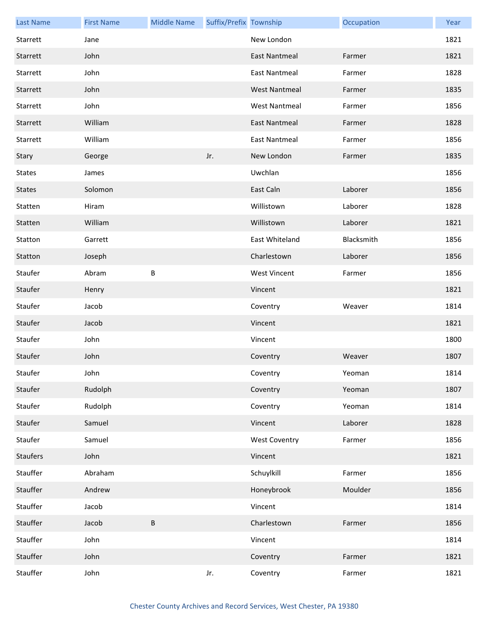| <b>Last Name</b> | <b>First Name</b> | <b>Middle Name</b> | Suffix/Prefix Township |                      | Occupation | Year |
|------------------|-------------------|--------------------|------------------------|----------------------|------------|------|
| Starrett         | Jane              |                    |                        | New London           |            | 1821 |
| Starrett         | John              |                    |                        | <b>East Nantmeal</b> | Farmer     | 1821 |
| Starrett         | John              |                    |                        | <b>East Nantmeal</b> | Farmer     | 1828 |
| Starrett         | John              |                    |                        | <b>West Nantmeal</b> | Farmer     | 1835 |
| Starrett         | John              |                    |                        | <b>West Nantmeal</b> | Farmer     | 1856 |
| Starrett         | William           |                    |                        | <b>East Nantmeal</b> | Farmer     | 1828 |
| Starrett         | William           |                    |                        | <b>East Nantmeal</b> | Farmer     | 1856 |
| Stary            | George            |                    | Jr.                    | New London           | Farmer     | 1835 |
| <b>States</b>    | James             |                    |                        | Uwchlan              |            | 1856 |
| <b>States</b>    | Solomon           |                    |                        | East Caln            | Laborer    | 1856 |
| Statten          | Hiram             |                    |                        | Willistown           | Laborer    | 1828 |
| Statten          | William           |                    |                        | Willistown           | Laborer    | 1821 |
| Statton          | Garrett           |                    |                        | East Whiteland       | Blacksmith | 1856 |
| Statton          | Joseph            |                    |                        | Charlestown          | Laborer    | 1856 |
| Staufer          | Abram             | B                  |                        | <b>West Vincent</b>  | Farmer     | 1856 |
| Staufer          | Henry             |                    |                        | Vincent              |            | 1821 |
| Staufer          | Jacob             |                    |                        | Coventry             | Weaver     | 1814 |
| Staufer          | Jacob             |                    |                        | Vincent              |            | 1821 |
| Staufer          | John              |                    |                        | Vincent              |            | 1800 |
| Staufer          | John              |                    |                        | Coventry             | Weaver     | 1807 |
| Staufer          | John              |                    |                        | Coventry             | Yeoman     | 1814 |
| Staufer          | Rudolph           |                    |                        | Coventry             | Yeoman     | 1807 |
| Staufer          | Rudolph           |                    |                        | Coventry             | Yeoman     | 1814 |
| Staufer          | Samuel            |                    |                        | Vincent              | Laborer    | 1828 |
| Staufer          | Samuel            |                    |                        | <b>West Coventry</b> | Farmer     | 1856 |
| Staufers         | John              |                    |                        | Vincent              |            | 1821 |
| Stauffer         | Abraham           |                    |                        | Schuylkill           | Farmer     | 1856 |
| Stauffer         | Andrew            |                    |                        | Honeybrook           | Moulder    | 1856 |
| Stauffer         | Jacob             |                    |                        | Vincent              |            | 1814 |
| Stauffer         | Jacob             | $\sf B$            |                        | Charlestown          | Farmer     | 1856 |
| Stauffer         | John              |                    |                        | Vincent              |            | 1814 |
| Stauffer         | John              |                    |                        | Coventry             | Farmer     | 1821 |
| Stauffer         | John              |                    | Jr.                    | Coventry             | Farmer     | 1821 |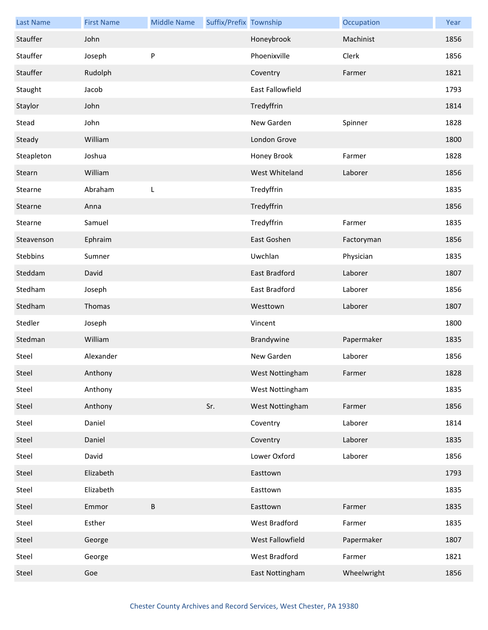| <b>Last Name</b> | <b>First Name</b> | <b>Middle Name</b> | Suffix/Prefix Township |                      | Occupation  | Year |
|------------------|-------------------|--------------------|------------------------|----------------------|-------------|------|
| Stauffer         | John              |                    |                        | Honeybrook           | Machinist   | 1856 |
| Stauffer         | Joseph            | P                  |                        | Phoenixville         | Clerk       | 1856 |
| Stauffer         | Rudolph           |                    |                        | Coventry             | Farmer      | 1821 |
| Staught          | Jacob             |                    |                        | East Fallowfield     |             | 1793 |
| Staylor          | John              |                    |                        | Tredyffrin           |             | 1814 |
| Stead            | John              |                    |                        | New Garden           | Spinner     | 1828 |
| Steady           | William           |                    |                        | London Grove         |             | 1800 |
| Steapleton       | Joshua            |                    |                        | Honey Brook          | Farmer      | 1828 |
| Stearn           | William           |                    |                        | West Whiteland       | Laborer     | 1856 |
| Stearne          | Abraham           | L                  |                        | Tredyffrin           |             | 1835 |
| Stearne          | Anna              |                    |                        | Tredyffrin           |             | 1856 |
| Stearne          | Samuel            |                    |                        | Tredyffrin           | Farmer      | 1835 |
| Steavenson       | Ephraim           |                    |                        | East Goshen          | Factoryman  | 1856 |
| Stebbins         | Sumner            |                    |                        | Uwchlan              | Physician   | 1835 |
| Steddam          | David             |                    |                        | <b>East Bradford</b> | Laborer     | 1807 |
| Stedham          | Joseph            |                    |                        | East Bradford        | Laborer     | 1856 |
| Stedham          | Thomas            |                    |                        | Westtown             | Laborer     | 1807 |
| Stedler          | Joseph            |                    |                        | Vincent              |             | 1800 |
| Stedman          | William           |                    |                        | Brandywine           | Papermaker  | 1835 |
| Steel            | Alexander         |                    |                        | New Garden           | Laborer     | 1856 |
| Steel            | Anthony           |                    |                        | West Nottingham      | Farmer      | 1828 |
| Steel            | Anthony           |                    |                        | West Nottingham      |             | 1835 |
| Steel            | Anthony           |                    | Sr.                    | West Nottingham      | Farmer      | 1856 |
| Steel            | Daniel            |                    |                        | Coventry             | Laborer     | 1814 |
| Steel            | Daniel            |                    |                        | Coventry             | Laborer     | 1835 |
| Steel            | David             |                    |                        | Lower Oxford         | Laborer     | 1856 |
| Steel            | Elizabeth         |                    |                        | Easttown             |             | 1793 |
| Steel            | Elizabeth         |                    |                        | Easttown             |             | 1835 |
| Steel            | Emmor             | $\sf B$            |                        | Easttown             | Farmer      | 1835 |
| Steel            | Esther            |                    |                        | West Bradford        | Farmer      | 1835 |
| Steel            | George            |                    |                        | West Fallowfield     | Papermaker  | 1807 |
| Steel            | George            |                    |                        | West Bradford        | Farmer      | 1821 |
| Steel            | Goe               |                    |                        | East Nottingham      | Wheelwright | 1856 |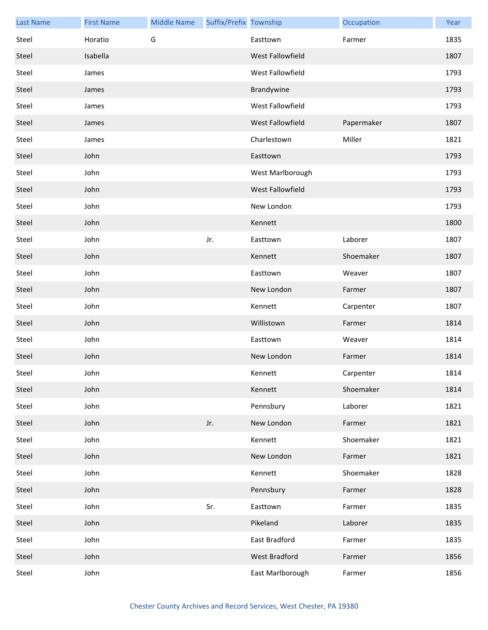| <b>Last Name</b> | <b>First Name</b> | <b>Middle Name</b> | Suffix/Prefix Township |                  | Occupation | Year |
|------------------|-------------------|--------------------|------------------------|------------------|------------|------|
| Steel            | Horatio           | G                  |                        | Easttown         | Farmer     | 1835 |
| Steel            | Isabella          |                    |                        | West Fallowfield |            | 1807 |
| Steel            | James             |                    |                        | West Fallowfield |            | 1793 |
| Steel            | James             |                    |                        | Brandywine       |            | 1793 |
| Steel            | James             |                    |                        | West Fallowfield |            | 1793 |
| Steel            | James             |                    |                        | West Fallowfield | Papermaker | 1807 |
| Steel            | James             |                    |                        | Charlestown      | Miller     | 1821 |
| Steel            | John              |                    |                        | Easttown         |            | 1793 |
| Steel            | John              |                    |                        | West Marlborough |            | 1793 |
| Steel            | John              |                    |                        | West Fallowfield |            | 1793 |
| Steel            | John              |                    |                        | New London       |            | 1793 |
| Steel            | John              |                    |                        | Kennett          |            | 1800 |
| Steel            | John              |                    | Jr.                    | Easttown         | Laborer    | 1807 |
| Steel            | John              |                    |                        | Kennett          | Shoemaker  | 1807 |
| Steel            | John              |                    |                        | Easttown         | Weaver     | 1807 |
| Steel            | John              |                    |                        | New London       | Farmer     | 1807 |
| Steel            | John              |                    |                        | Kennett          | Carpenter  | 1807 |
| Steel            | John              |                    |                        | Willistown       | Farmer     | 1814 |
| Steel            | John              |                    |                        | Easttown         | Weaver     | 1814 |
| Steel            | John              |                    |                        | New London       | Farmer     | 1814 |
| Steel            | John              |                    |                        | Kennett          | Carpenter  | 1814 |
| Steel            | John              |                    |                        | Kennett          | Shoemaker  | 1814 |
| Steel            | John              |                    |                        | Pennsbury        | Laborer    | 1821 |
| Steel            | John              |                    | Jr.                    | New London       | Farmer     | 1821 |
| Steel            | John              |                    |                        | Kennett          | Shoemaker  | 1821 |
| Steel            | John              |                    |                        | New London       | Farmer     | 1821 |
| Steel            | John              |                    |                        | Kennett          | Shoemaker  | 1828 |
| Steel            | John              |                    |                        | Pennsbury        | Farmer     | 1828 |
| Steel            | John              |                    | Sr.                    | Easttown         | Farmer     | 1835 |
| Steel            | John              |                    |                        | Pikeland         | Laborer    | 1835 |
| Steel            | John              |                    |                        | East Bradford    | Farmer     | 1835 |
| Steel            | John              |                    |                        | West Bradford    | Farmer     | 1856 |
| Steel            | John              |                    |                        | East Marlborough | Farmer     | 1856 |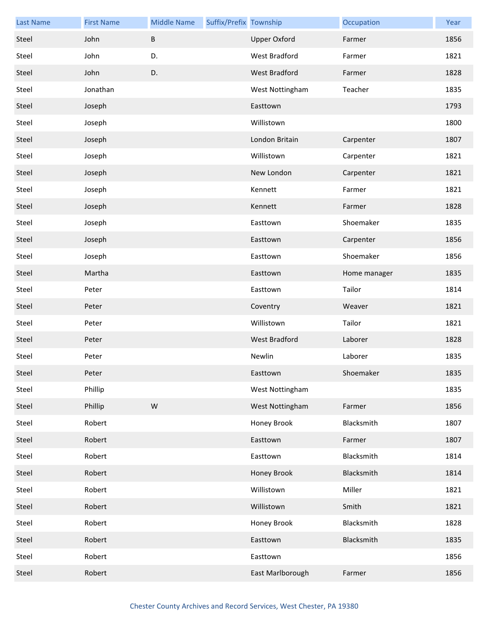| <b>Last Name</b> | <b>First Name</b> | <b>Middle Name</b> | Suffix/Prefix Township |                     | Occupation   | Year |
|------------------|-------------------|--------------------|------------------------|---------------------|--------------|------|
| Steel            | John              | $\sf B$            |                        | <b>Upper Oxford</b> | Farmer       | 1856 |
| Steel            | John              | D.                 |                        | West Bradford       | Farmer       | 1821 |
| Steel            | John              | D.                 |                        | West Bradford       | Farmer       | 1828 |
| Steel            | Jonathan          |                    |                        | West Nottingham     | Teacher      | 1835 |
| Steel            | Joseph            |                    |                        | Easttown            |              | 1793 |
| Steel            | Joseph            |                    |                        | Willistown          |              | 1800 |
| Steel            | Joseph            |                    |                        | London Britain      | Carpenter    | 1807 |
| Steel            | Joseph            |                    |                        | Willistown          | Carpenter    | 1821 |
| Steel            | Joseph            |                    |                        | New London          | Carpenter    | 1821 |
| Steel            | Joseph            |                    |                        | Kennett             | Farmer       | 1821 |
| Steel            | Joseph            |                    |                        | Kennett             | Farmer       | 1828 |
| Steel            | Joseph            |                    |                        | Easttown            | Shoemaker    | 1835 |
| Steel            | Joseph            |                    |                        | Easttown            | Carpenter    | 1856 |
| Steel            | Joseph            |                    |                        | Easttown            | Shoemaker    | 1856 |
| Steel            | Martha            |                    |                        | Easttown            | Home manager | 1835 |
| Steel            | Peter             |                    |                        | Easttown            | Tailor       | 1814 |
| Steel            | Peter             |                    |                        | Coventry            | Weaver       | 1821 |
| Steel            | Peter             |                    |                        | Willistown          | Tailor       | 1821 |
| Steel            | Peter             |                    |                        | West Bradford       | Laborer      | 1828 |
| Steel            | Peter             |                    |                        | Newlin              | Laborer      | 1835 |
| Steel            | Peter             |                    |                        | Easttown            | Shoemaker    | 1835 |
| Steel            | Phillip           |                    |                        | West Nottingham     |              | 1835 |
| Steel            | Phillip           | ${\sf W}$          |                        | West Nottingham     | Farmer       | 1856 |
| Steel            | Robert            |                    |                        | Honey Brook         | Blacksmith   | 1807 |
| Steel            | Robert            |                    |                        | Easttown            | Farmer       | 1807 |
| Steel            | Robert            |                    |                        | Easttown            | Blacksmith   | 1814 |
| Steel            | Robert            |                    |                        | Honey Brook         | Blacksmith   | 1814 |
| Steel            | Robert            |                    |                        | Willistown          | Miller       | 1821 |
| Steel            | Robert            |                    |                        | Willistown          | Smith        | 1821 |
| Steel            | Robert            |                    |                        | Honey Brook         | Blacksmith   | 1828 |
| Steel            | Robert            |                    |                        | Easttown            | Blacksmith   | 1835 |
| Steel            | Robert            |                    |                        | Easttown            |              | 1856 |
| Steel            | Robert            |                    |                        | East Marlborough    | Farmer       | 1856 |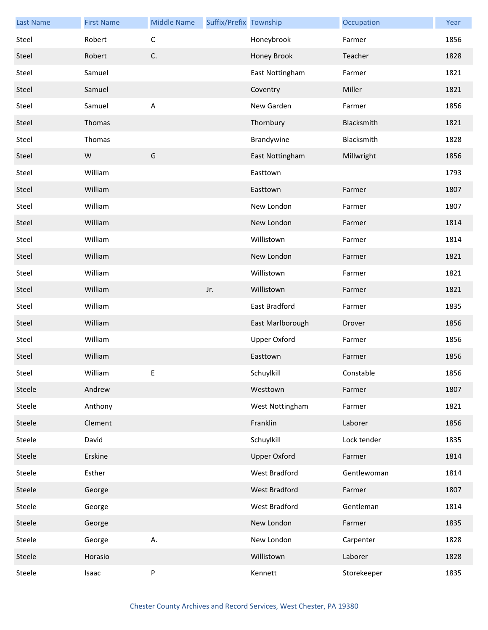| <b>Last Name</b> | <b>First Name</b> | <b>Middle Name</b>        | Suffix/Prefix Township |                     | Occupation  | Year |
|------------------|-------------------|---------------------------|------------------------|---------------------|-------------|------|
| Steel            | Robert            | $\mathsf C$               |                        | Honeybrook          | Farmer      | 1856 |
| Steel            | Robert            | C.                        |                        | Honey Brook         | Teacher     | 1828 |
| Steel            | Samuel            |                           |                        | East Nottingham     | Farmer      | 1821 |
| Steel            | Samuel            |                           |                        | Coventry            | Miller      | 1821 |
| Steel            | Samuel            | $\boldsymbol{\mathsf{A}}$ |                        | New Garden          | Farmer      | 1856 |
| Steel            | Thomas            |                           |                        | Thornbury           | Blacksmith  | 1821 |
| Steel            | Thomas            |                           |                        | Brandywine          | Blacksmith  | 1828 |
| Steel            | W                 | G                         |                        | East Nottingham     | Millwright  | 1856 |
| Steel            | William           |                           |                        | Easttown            |             | 1793 |
| Steel            | William           |                           |                        | Easttown            | Farmer      | 1807 |
| Steel            | William           |                           |                        | New London          | Farmer      | 1807 |
| Steel            | William           |                           |                        | New London          | Farmer      | 1814 |
| Steel            | William           |                           |                        | Willistown          | Farmer      | 1814 |
| Steel            | William           |                           |                        | New London          | Farmer      | 1821 |
| Steel            | William           |                           |                        | Willistown          | Farmer      | 1821 |
| Steel            | William           |                           | Jr.                    | Willistown          | Farmer      | 1821 |
| Steel            | William           |                           |                        | East Bradford       | Farmer      | 1835 |
| Steel            | William           |                           |                        | East Marlborough    | Drover      | 1856 |
| Steel            | William           |                           |                        | Upper Oxford        | Farmer      | 1856 |
| Steel            | William           |                           |                        | Easttown            | Farmer      | 1856 |
| Steel            | William           | E                         |                        | Schuylkill          | Constable   | 1856 |
| Steele           | Andrew            |                           |                        | Westtown            | Farmer      | 1807 |
| Steele           | Anthony           |                           |                        | West Nottingham     | Farmer      | 1821 |
| Steele           | Clement           |                           |                        | Franklin            | Laborer     | 1856 |
| Steele           | David             |                           |                        | Schuylkill          | Lock tender | 1835 |
| Steele           | Erskine           |                           |                        | <b>Upper Oxford</b> | Farmer      | 1814 |
| Steele           | Esther            |                           |                        | West Bradford       | Gentlewoman | 1814 |
| Steele           | George            |                           |                        | West Bradford       | Farmer      | 1807 |
| Steele           | George            |                           |                        | West Bradford       | Gentleman   | 1814 |
| Steele           | George            |                           |                        | New London          | Farmer      | 1835 |
| Steele           | George            | А.                        |                        | New London          | Carpenter   | 1828 |
| Steele           | Horasio           |                           |                        | Willistown          | Laborer     | 1828 |
| Steele           | Isaac             | ${\sf P}$                 |                        | Kennett             | Storekeeper | 1835 |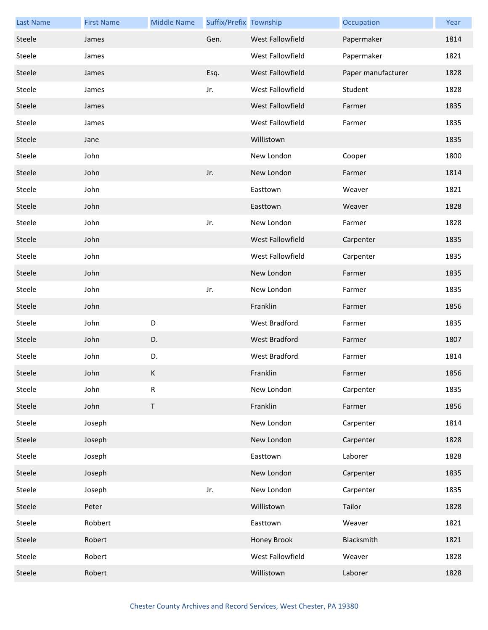| <b>Last Name</b> | <b>First Name</b> | <b>Middle Name</b> | Suffix/Prefix Township |                      | Occupation         | Year |
|------------------|-------------------|--------------------|------------------------|----------------------|--------------------|------|
| Steele           | James             |                    | Gen.                   | West Fallowfield     | Papermaker         | 1814 |
| Steele           | James             |                    |                        | West Fallowfield     | Papermaker         | 1821 |
| Steele           | James             |                    | Esq.                   | West Fallowfield     | Paper manufacturer | 1828 |
| Steele           | James             |                    | Jr.                    | West Fallowfield     | Student            | 1828 |
| Steele           | James             |                    |                        | West Fallowfield     | Farmer             | 1835 |
| Steele           | James             |                    |                        | West Fallowfield     | Farmer             | 1835 |
| Steele           | Jane              |                    |                        | Willistown           |                    | 1835 |
| Steele           | John              |                    |                        | New London           | Cooper             | 1800 |
| Steele           | John              |                    | Jr.                    | New London           | Farmer             | 1814 |
| Steele           | John              |                    |                        | Easttown             | Weaver             | 1821 |
| Steele           | John              |                    |                        | Easttown             | Weaver             | 1828 |
| Steele           | John              |                    | Jr.                    | New London           | Farmer             | 1828 |
| Steele           | John              |                    |                        | West Fallowfield     | Carpenter          | 1835 |
| Steele           | John              |                    |                        | West Fallowfield     | Carpenter          | 1835 |
| Steele           | John              |                    |                        | New London           | Farmer             | 1835 |
| Steele           | John              |                    | Jr.                    | New London           | Farmer             | 1835 |
| Steele           | John              |                    |                        | Franklin             | Farmer             | 1856 |
| Steele           | John              | D                  |                        | West Bradford        | Farmer             | 1835 |
| Steele           | John              | D.                 |                        | <b>West Bradford</b> | Farmer             | 1807 |
| Steele           | John              | D.                 |                        | <b>West Bradford</b> | Farmer             | 1814 |
| Steele           | John              | K                  |                        | Franklin             | Farmer             | 1856 |
| Steele           | John              | ${\sf R}$          |                        | New London           | Carpenter          | 1835 |
| Steele           | John              | $\mathsf T$        |                        | Franklin             | Farmer             | 1856 |
| Steele           | Joseph            |                    |                        | New London           | Carpenter          | 1814 |
| Steele           | Joseph            |                    |                        | New London           | Carpenter          | 1828 |
| Steele           | Joseph            |                    |                        | Easttown             | Laborer            | 1828 |
| Steele           | Joseph            |                    |                        | New London           | Carpenter          | 1835 |
| Steele           | Joseph            |                    | Jr.                    | New London           | Carpenter          | 1835 |
| Steele           | Peter             |                    |                        | Willistown           | Tailor             | 1828 |
| Steele           | Robbert           |                    |                        | Easttown             | Weaver             | 1821 |
| Steele           | Robert            |                    |                        | Honey Brook          | Blacksmith         | 1821 |
| Steele           | Robert            |                    |                        | West Fallowfield     | Weaver             | 1828 |
| Steele           | Robert            |                    |                        | Willistown           | Laborer            | 1828 |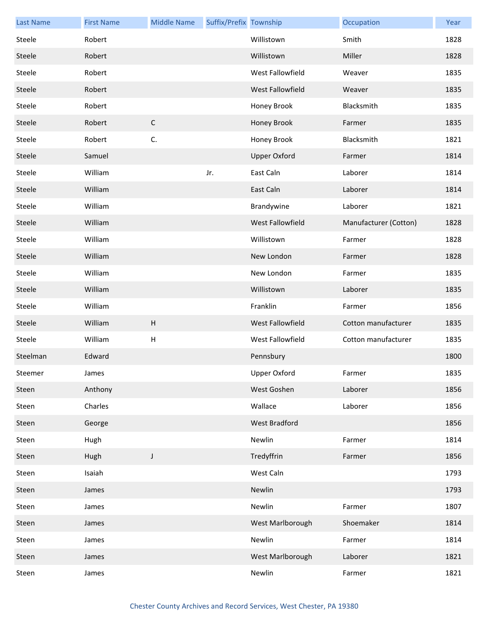| <b>Last Name</b> | <b>First Name</b> | <b>Middle Name</b> | Suffix/Prefix Township |                         | Occupation            | Year |
|------------------|-------------------|--------------------|------------------------|-------------------------|-----------------------|------|
| Steele           | Robert            |                    |                        | Willistown              | Smith                 | 1828 |
| Steele           | Robert            |                    |                        | Willistown              | Miller                | 1828 |
| Steele           | Robert            |                    |                        | West Fallowfield        | Weaver                | 1835 |
| Steele           | Robert            |                    |                        | West Fallowfield        | Weaver                | 1835 |
| Steele           | Robert            |                    |                        | Honey Brook             | Blacksmith            | 1835 |
| Steele           | Robert            | $\mathsf C$        |                        | Honey Brook             | Farmer                | 1835 |
| Steele           | Robert            | C.                 |                        | Honey Brook             | Blacksmith            | 1821 |
| Steele           | Samuel            |                    |                        | <b>Upper Oxford</b>     | Farmer                | 1814 |
| Steele           | William           |                    | Jr.                    | East Caln               | Laborer               | 1814 |
| Steele           | William           |                    |                        | East Caln               | Laborer               | 1814 |
| Steele           | William           |                    |                        | Brandywine              | Laborer               | 1821 |
| Steele           | William           |                    |                        | <b>West Fallowfield</b> | Manufacturer (Cotton) | 1828 |
| Steele           | William           |                    |                        | Willistown              | Farmer                | 1828 |
| Steele           | William           |                    |                        | New London              | Farmer                | 1828 |
| Steele           | William           |                    |                        | New London              | Farmer                | 1835 |
| Steele           | William           |                    |                        | Willistown              | Laborer               | 1835 |
| Steele           | William           |                    |                        | Franklin                | Farmer                | 1856 |
| Steele           | William           | $\sf H$            |                        | West Fallowfield        | Cotton manufacturer   | 1835 |
| Steele           | William           | H                  |                        | West Fallowfield        | Cotton manufacturer   | 1835 |
| Steelman         | Edward            |                    |                        | Pennsbury               |                       | 1800 |
| Steemer          | James             |                    |                        | Upper Oxford            | Farmer                | 1835 |
| Steen            | Anthony           |                    |                        | West Goshen             | Laborer               | 1856 |
| Steen            | Charles           |                    |                        | Wallace                 | Laborer               | 1856 |
| Steen            | George            |                    |                        | West Bradford           |                       | 1856 |
| Steen            | Hugh              |                    |                        | Newlin                  | Farmer                | 1814 |
| Steen            | Hugh              | $\mathsf J$        |                        | Tredyffrin              | Farmer                | 1856 |
| Steen            | Isaiah            |                    |                        | West Caln               |                       | 1793 |
| Steen            | James             |                    |                        | Newlin                  |                       | 1793 |
| Steen            | James             |                    |                        | Newlin                  | Farmer                | 1807 |
| Steen            | James             |                    |                        | West Marlborough        | Shoemaker             | 1814 |
| Steen            | James             |                    |                        | Newlin                  | Farmer                | 1814 |
| Steen            | James             |                    |                        | West Marlborough        | Laborer               | 1821 |
| Steen            | James             |                    |                        | Newlin                  | Farmer                | 1821 |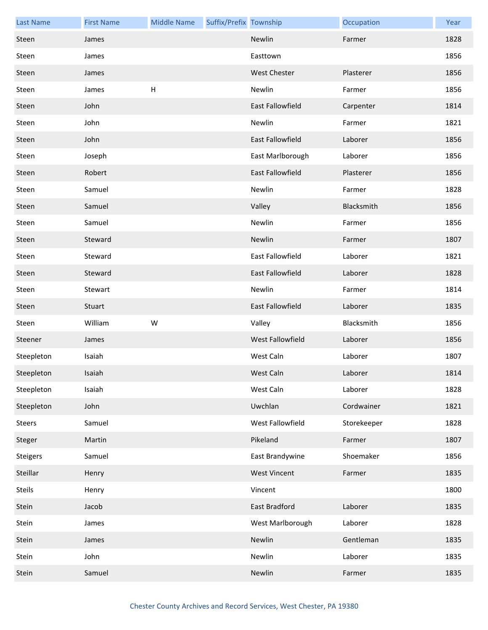| <b>Last Name</b> | <b>First Name</b> | <b>Middle Name</b> | Suffix/Prefix Township |                         | Occupation  | Year |
|------------------|-------------------|--------------------|------------------------|-------------------------|-------------|------|
| Steen            | James             |                    |                        | Newlin                  | Farmer      | 1828 |
| Steen            | James             |                    |                        | Easttown                |             | 1856 |
| Steen            | James             |                    |                        | <b>West Chester</b>     | Plasterer   | 1856 |
| Steen            | James             | H                  |                        | Newlin                  | Farmer      | 1856 |
| Steen            | John              |                    |                        | East Fallowfield        | Carpenter   | 1814 |
| Steen            | John              |                    |                        | Newlin                  | Farmer      | 1821 |
| Steen            | John              |                    |                        | East Fallowfield        | Laborer     | 1856 |
| Steen            | Joseph            |                    |                        | East Marlborough        | Laborer     | 1856 |
| Steen            | Robert            |                    |                        | East Fallowfield        | Plasterer   | 1856 |
| Steen            | Samuel            |                    |                        | Newlin                  | Farmer      | 1828 |
| Steen            | Samuel            |                    |                        | Valley                  | Blacksmith  | 1856 |
| Steen            | Samuel            |                    |                        | Newlin                  | Farmer      | 1856 |
| Steen            | Steward           |                    |                        | Newlin                  | Farmer      | 1807 |
| Steen            | Steward           |                    |                        | East Fallowfield        | Laborer     | 1821 |
| Steen            | Steward           |                    |                        | <b>East Fallowfield</b> | Laborer     | 1828 |
| Steen            | Stewart           |                    |                        | Newlin                  | Farmer      | 1814 |
| Steen            | Stuart            |                    |                        | East Fallowfield        | Laborer     | 1835 |
| Steen            | William           | W                  |                        | Valley                  | Blacksmith  | 1856 |
| Steener          | James             |                    |                        | West Fallowfield        | Laborer     | 1856 |
| Steepleton       | Isaiah            |                    |                        | West Caln               | Laborer     | 1807 |
| Steepleton       | Isaiah            |                    |                        | West Caln               | Laborer     | 1814 |
| Steepleton       | Isaiah            |                    |                        | West Caln               | Laborer     | 1828 |
| Steepleton       | John              |                    |                        | Uwchlan                 | Cordwainer  | 1821 |
| Steers           | Samuel            |                    |                        | West Fallowfield        | Storekeeper | 1828 |
| Steger           | Martin            |                    |                        | Pikeland                | Farmer      | 1807 |
| Steigers         | Samuel            |                    |                        | East Brandywine         | Shoemaker   | 1856 |
| Steillar         | Henry             |                    |                        | <b>West Vincent</b>     | Farmer      | 1835 |
| Steils           | Henry             |                    |                        | Vincent                 |             | 1800 |
| Stein            | Jacob             |                    |                        | East Bradford           | Laborer     | 1835 |
| Stein            | James             |                    |                        | West Marlborough        | Laborer     | 1828 |
| Stein            | James             |                    |                        | Newlin                  | Gentleman   | 1835 |
| Stein            | John              |                    |                        | Newlin                  | Laborer     | 1835 |
| Stein            | Samuel            |                    |                        | Newlin                  | Farmer      | 1835 |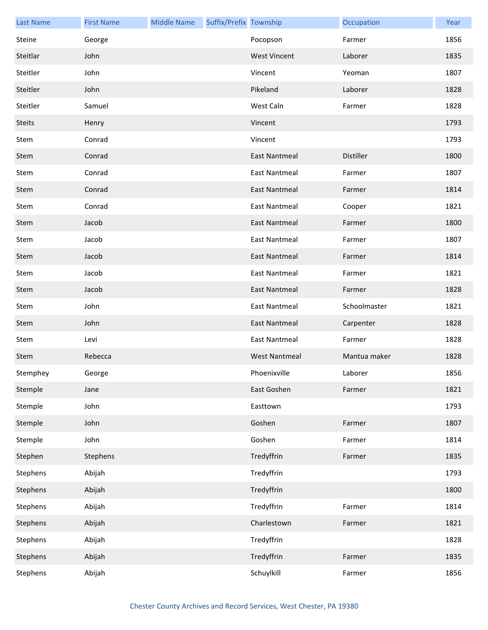| <b>Last Name</b> | <b>First Name</b> | <b>Middle Name</b> | Suffix/Prefix Township |                      | Occupation   | Year |
|------------------|-------------------|--------------------|------------------------|----------------------|--------------|------|
| Steine           | George            |                    |                        | Pocopson             | Farmer       | 1856 |
| Steitlar         | John              |                    |                        | <b>West Vincent</b>  | Laborer      | 1835 |
| Steitler         | John              |                    |                        | Vincent              | Yeoman       | 1807 |
| Steitler         | John              |                    |                        | Pikeland             | Laborer      | 1828 |
| Steitler         | Samuel            |                    |                        | West Caln            | Farmer       | 1828 |
| <b>Steits</b>    | Henry             |                    |                        | Vincent              |              | 1793 |
| Stem             | Conrad            |                    |                        | Vincent              |              | 1793 |
| Stem             | Conrad            |                    |                        | <b>East Nantmeal</b> | Distiller    | 1800 |
| Stem             | Conrad            |                    |                        | <b>East Nantmeal</b> | Farmer       | 1807 |
| Stem             | Conrad            |                    |                        | <b>East Nantmeal</b> | Farmer       | 1814 |
| Stem             | Conrad            |                    |                        | <b>East Nantmeal</b> | Cooper       | 1821 |
| Stem             | Jacob             |                    |                        | East Nantmeal        | Farmer       | 1800 |
| Stem             | Jacob             |                    |                        | <b>East Nantmeal</b> | Farmer       | 1807 |
| Stem             | Jacob             |                    |                        | <b>East Nantmeal</b> | Farmer       | 1814 |
| Stem             | Jacob             |                    |                        | <b>East Nantmeal</b> | Farmer       | 1821 |
| Stem             | Jacob             |                    |                        | <b>East Nantmeal</b> | Farmer       | 1828 |
| Stem             | John              |                    |                        | <b>East Nantmeal</b> | Schoolmaster | 1821 |
| Stem             | John              |                    |                        | <b>East Nantmeal</b> | Carpenter    | 1828 |
| Stem             | Levi              |                    |                        | <b>East Nantmeal</b> | Farmer       | 1828 |
| Stem             | Rebecca           |                    |                        | <b>West Nantmeal</b> | Mantua maker | 1828 |
| Stemphey         | George            |                    |                        | Phoenixville         | Laborer      | 1856 |
| Stemple          | Jane              |                    |                        | East Goshen          | Farmer       | 1821 |
| Stemple          | John              |                    |                        | Easttown             |              | 1793 |
| Stemple          | John              |                    |                        | Goshen               | Farmer       | 1807 |
| Stemple          | John              |                    |                        | Goshen               | Farmer       | 1814 |
| Stephen          | Stephens          |                    |                        | Tredyffrin           | Farmer       | 1835 |
| Stephens         | Abijah            |                    |                        | Tredyffrin           |              | 1793 |
| Stephens         | Abijah            |                    |                        | Tredyffrin           |              | 1800 |
| Stephens         | Abijah            |                    |                        | Tredyffrin           | Farmer       | 1814 |
| Stephens         | Abijah            |                    |                        | Charlestown          | Farmer       | 1821 |
| Stephens         | Abijah            |                    |                        | Tredyffrin           |              | 1828 |
| Stephens         | Abijah            |                    |                        | Tredyffrin           | Farmer       | 1835 |
| Stephens         | Abijah            |                    |                        | Schuylkill           | Farmer       | 1856 |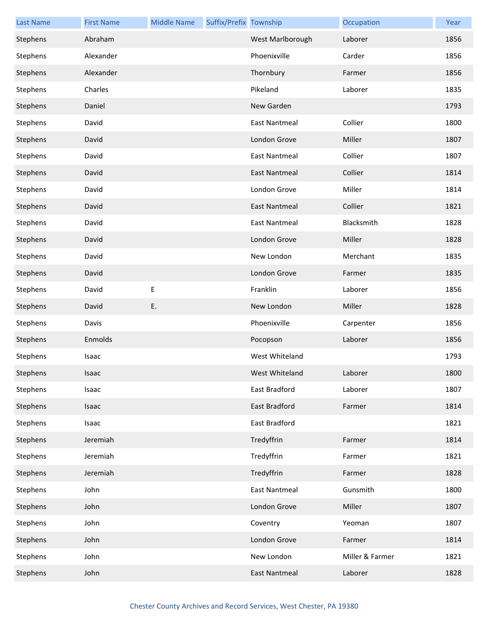| <b>Last Name</b> | <b>First Name</b> | <b>Middle Name</b> | Suffix/Prefix Township |                      | Occupation      | Year |
|------------------|-------------------|--------------------|------------------------|----------------------|-----------------|------|
| Stephens         | Abraham           |                    |                        | West Marlborough     | Laborer         | 1856 |
| Stephens         | Alexander         |                    |                        | Phoenixville         | Carder          | 1856 |
| Stephens         | Alexander         |                    |                        | Thornbury            | Farmer          | 1856 |
| Stephens         | Charles           |                    |                        | Pikeland             | Laborer         | 1835 |
| Stephens         | Daniel            |                    |                        | New Garden           |                 | 1793 |
| Stephens         | David             |                    |                        | <b>East Nantmeal</b> | Collier         | 1800 |
| Stephens         | David             |                    |                        | London Grove         | Miller          | 1807 |
| Stephens         | David             |                    |                        | <b>East Nantmeal</b> | Collier         | 1807 |
| Stephens         | David             |                    |                        | <b>East Nantmeal</b> | Collier         | 1814 |
| Stephens         | David             |                    |                        | London Grove         | Miller          | 1814 |
| Stephens         | David             |                    |                        | <b>East Nantmeal</b> | Collier         | 1821 |
| Stephens         | David             |                    |                        | <b>East Nantmeal</b> | Blacksmith      | 1828 |
| Stephens         | David             |                    |                        | London Grove         | Miller          | 1828 |
| Stephens         | David             |                    |                        | New London           | Merchant        | 1835 |
| Stephens         | David             |                    |                        | London Grove         | Farmer          | 1835 |
| Stephens         | David             | Ε                  |                        | Franklin             | Laborer         | 1856 |
| Stephens         | David             | E.                 |                        | New London           | Miller          | 1828 |
| Stephens         | Davis             |                    |                        | Phoenixville         | Carpenter       | 1856 |
| Stephens         | Enmolds           |                    |                        | Pocopson             | Laborer         | 1856 |
| Stephens         | Isaac             |                    |                        | West Whiteland       |                 | 1793 |
| Stephens         | Isaac             |                    |                        | West Whiteland       | Laborer         | 1800 |
| Stephens         | Isaac             |                    |                        | East Bradford        | Laborer         | 1807 |
| Stephens         | Isaac             |                    |                        | East Bradford        | Farmer          | 1814 |
| Stephens         | Isaac             |                    |                        | East Bradford        |                 | 1821 |
| Stephens         | Jeremiah          |                    |                        | Tredyffrin           | Farmer          | 1814 |
| Stephens         | Jeremiah          |                    |                        | Tredyffrin           | Farmer          | 1821 |
| Stephens         | Jeremiah          |                    |                        | Tredyffrin           | Farmer          | 1828 |
| Stephens         | John              |                    |                        | <b>East Nantmeal</b> | Gunsmith        | 1800 |
| Stephens         | John              |                    |                        | London Grove         | Miller          | 1807 |
| Stephens         | John              |                    |                        | Coventry             | Yeoman          | 1807 |
| Stephens         | John              |                    |                        | London Grove         | Farmer          | 1814 |
| Stephens         | John              |                    |                        | New London           | Miller & Farmer | 1821 |
| Stephens         | John              |                    |                        | <b>East Nantmeal</b> | Laborer         | 1828 |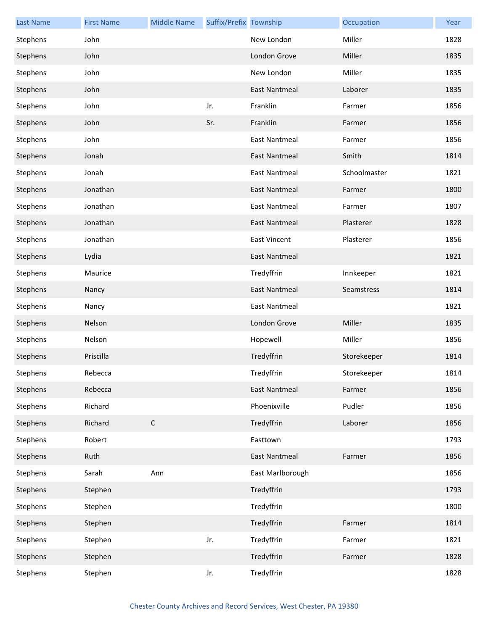| <b>Last Name</b> | <b>First Name</b> | <b>Middle Name</b> | Suffix/Prefix Township |                      | Occupation   | Year |
|------------------|-------------------|--------------------|------------------------|----------------------|--------------|------|
| Stephens         | John              |                    |                        | New London           | Miller       | 1828 |
| Stephens         | John              |                    |                        | London Grove         | Miller       | 1835 |
| Stephens         | John              |                    |                        | New London           | Miller       | 1835 |
| Stephens         | John              |                    |                        | <b>East Nantmeal</b> | Laborer      | 1835 |
| Stephens         | John              |                    | Jr.                    | Franklin             | Farmer       | 1856 |
| Stephens         | John              |                    | Sr.                    | Franklin             | Farmer       | 1856 |
| Stephens         | John              |                    |                        | <b>East Nantmeal</b> | Farmer       | 1856 |
| Stephens         | Jonah             |                    |                        | <b>East Nantmeal</b> | Smith        | 1814 |
| Stephens         | Jonah             |                    |                        | <b>East Nantmeal</b> | Schoolmaster | 1821 |
| Stephens         | Jonathan          |                    |                        | <b>East Nantmeal</b> | Farmer       | 1800 |
| Stephens         | Jonathan          |                    |                        | <b>East Nantmeal</b> | Farmer       | 1807 |
| Stephens         | Jonathan          |                    |                        | <b>East Nantmeal</b> | Plasterer    | 1828 |
| Stephens         | Jonathan          |                    |                        | <b>East Vincent</b>  | Plasterer    | 1856 |
| Stephens         | Lydia             |                    |                        | <b>East Nantmeal</b> |              | 1821 |
| Stephens         | Maurice           |                    |                        | Tredyffrin           | Innkeeper    | 1821 |
| Stephens         | Nancy             |                    |                        | <b>East Nantmeal</b> | Seamstress   | 1814 |
| Stephens         | Nancy             |                    |                        | <b>East Nantmeal</b> |              | 1821 |
| Stephens         | Nelson            |                    |                        | London Grove         | Miller       | 1835 |
| Stephens         | Nelson            |                    |                        | Hopewell             | Miller       | 1856 |
| Stephens         | Priscilla         |                    |                        | Tredyffrin           | Storekeeper  | 1814 |
| Stephens         | Rebecca           |                    |                        | Tredyffrin           | Storekeeper  | 1814 |
| Stephens         | Rebecca           |                    |                        | <b>East Nantmeal</b> | Farmer       | 1856 |
| Stephens         | Richard           |                    |                        | Phoenixville         | Pudler       | 1856 |
| Stephens         | Richard           | $\mathsf C$        |                        | Tredyffrin           | Laborer      | 1856 |
| Stephens         | Robert            |                    |                        | Easttown             |              | 1793 |
| Stephens         | Ruth              |                    |                        | <b>East Nantmeal</b> | Farmer       | 1856 |
| Stephens         | Sarah             | Ann                |                        | East Marlborough     |              | 1856 |
| Stephens         | Stephen           |                    |                        | Tredyffrin           |              | 1793 |
| Stephens         | Stephen           |                    |                        | Tredyffrin           |              | 1800 |
| Stephens         | Stephen           |                    |                        | Tredyffrin           | Farmer       | 1814 |
| Stephens         | Stephen           |                    | Jr.                    | Tredyffrin           | Farmer       | 1821 |
| Stephens         | Stephen           |                    |                        | Tredyffrin           | Farmer       | 1828 |
| Stephens         | Stephen           |                    | Jr.                    | Tredyffrin           |              | 1828 |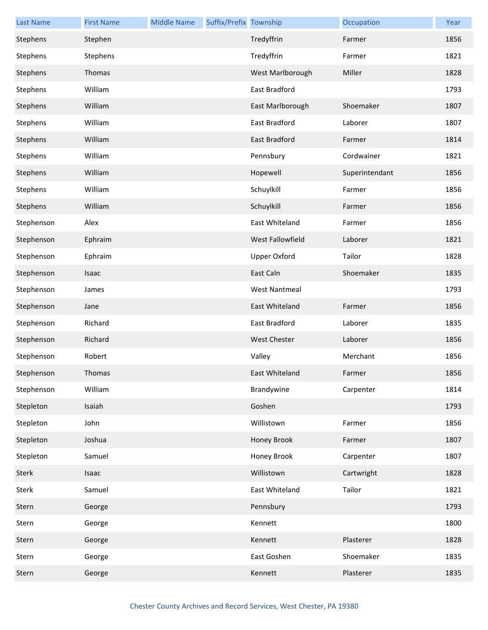| <b>Last Name</b> | <b>First Name</b> | <b>Middle Name</b> | Suffix/Prefix Township |                      | Occupation     | Year |
|------------------|-------------------|--------------------|------------------------|----------------------|----------------|------|
| Stephens         | Stephen           |                    |                        | Tredyffrin           | Farmer         | 1856 |
| Stephens         | Stephens          |                    |                        | Tredyffrin           | Farmer         | 1821 |
| Stephens         | Thomas            |                    |                        | West Marlborough     | Miller         | 1828 |
| Stephens         | William           |                    |                        | East Bradford        |                | 1793 |
| Stephens         | William           |                    |                        | East Marlborough     | Shoemaker      | 1807 |
| Stephens         | William           |                    |                        | East Bradford        | Laborer        | 1807 |
| Stephens         | William           |                    |                        | East Bradford        | Farmer         | 1814 |
| Stephens         | William           |                    |                        | Pennsbury            | Cordwainer     | 1821 |
| Stephens         | William           |                    |                        | Hopewell             | Superintendant | 1856 |
| Stephens         | William           |                    |                        | Schuylkill           | Farmer         | 1856 |
| Stephens         | William           |                    |                        | Schuylkill           | Farmer         | 1856 |
| Stephenson       | Alex              |                    |                        | East Whiteland       | Farmer         | 1856 |
| Stephenson       | Ephraim           |                    |                        | West Fallowfield     | Laborer        | 1821 |
| Stephenson       | Ephraim           |                    |                        | Upper Oxford         | Tailor         | 1828 |
| Stephenson       | Isaac             |                    |                        | East Caln            | Shoemaker      | 1835 |
| Stephenson       | James             |                    |                        | <b>West Nantmeal</b> |                | 1793 |
| Stephenson       | Jane              |                    |                        | East Whiteland       | Farmer         | 1856 |
| Stephenson       | Richard           |                    |                        | East Bradford        | Laborer        | 1835 |
| Stephenson       | Richard           |                    |                        | West Chester         | Laborer        | 1856 |
| Stephenson       | Robert            |                    |                        | Valley               | Merchant       | 1856 |
| Stephenson       | Thomas            |                    |                        | East Whiteland       | Farmer         | 1856 |
| Stephenson       | William           |                    |                        | Brandywine           | Carpenter      | 1814 |
| Stepleton        | Isaiah            |                    |                        | Goshen               |                | 1793 |
| Stepleton        | John              |                    |                        | Willistown           | Farmer         | 1856 |
| Stepleton        | Joshua            |                    |                        | Honey Brook          | Farmer         | 1807 |
| Stepleton        | Samuel            |                    |                        | Honey Brook          | Carpenter      | 1807 |
| <b>Sterk</b>     | Isaac             |                    |                        | Willistown           | Cartwright     | 1828 |
| <b>Sterk</b>     | Samuel            |                    |                        | East Whiteland       | Tailor         | 1821 |
| Stern            | George            |                    |                        | Pennsbury            |                | 1793 |
| Stern            | George            |                    |                        | Kennett              |                | 1800 |
| Stern            | George            |                    |                        | Kennett              | Plasterer      | 1828 |
| Stern            | George            |                    |                        | East Goshen          | Shoemaker      | 1835 |
| Stern            | George            |                    |                        | Kennett              | Plasterer      | 1835 |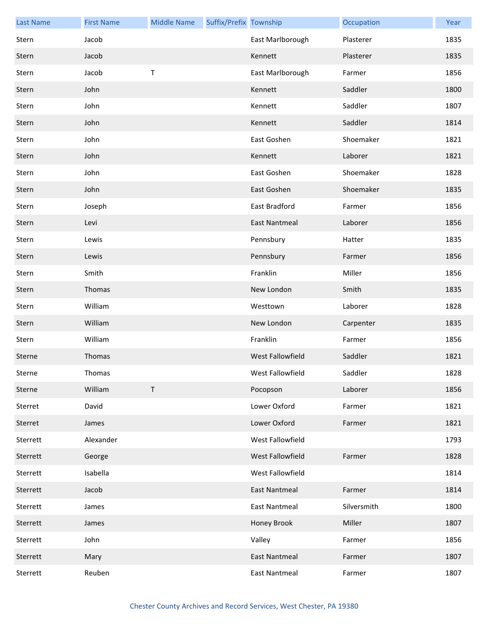| <b>Last Name</b> | <b>First Name</b> | <b>Middle Name</b> | Suffix/Prefix Township |                      | Occupation  | Year |
|------------------|-------------------|--------------------|------------------------|----------------------|-------------|------|
| Stern            | Jacob             |                    |                        | East Marlborough     | Plasterer   | 1835 |
| Stern            | Jacob             |                    |                        | Kennett              | Plasterer   | 1835 |
| Stern            | Jacob             | Τ                  |                        | East Marlborough     | Farmer      | 1856 |
| Stern            | John              |                    |                        | Kennett              | Saddler     | 1800 |
| Stern            | John              |                    |                        | Kennett              | Saddler     | 1807 |
| Stern            | John              |                    |                        | Kennett              | Saddler     | 1814 |
| Stern            | John              |                    |                        | East Goshen          | Shoemaker   | 1821 |
| Stern            | John              |                    |                        | Kennett              | Laborer     | 1821 |
| Stern            | John              |                    |                        | East Goshen          | Shoemaker   | 1828 |
| Stern            | John              |                    |                        | East Goshen          | Shoemaker   | 1835 |
| Stern            | Joseph            |                    |                        | East Bradford        | Farmer      | 1856 |
| Stern            | Levi              |                    |                        | <b>East Nantmeal</b> | Laborer     | 1856 |
| Stern            | Lewis             |                    |                        | Pennsbury            | Hatter      | 1835 |
| Stern            | Lewis             |                    |                        | Pennsbury            | Farmer      | 1856 |
| Stern            | Smith             |                    |                        | Franklin             | Miller      | 1856 |
| Stern            | Thomas            |                    |                        | New London           | Smith       | 1835 |
| Stern            | William           |                    |                        | Westtown             | Laborer     | 1828 |
| Stern            | William           |                    |                        | New London           | Carpenter   | 1835 |
| Stern            | William           |                    |                        | Franklin             | Farmer      | 1856 |
| Sterne           | Thomas            |                    |                        | West Fallowfield     | Saddler     | 1821 |
| Sterne           | Thomas            |                    |                        | West Fallowfield     | Saddler     | 1828 |
| Sterne           | William           | $\sf T$            |                        | Pocopson             | Laborer     | 1856 |
| Sterret          | David             |                    |                        | Lower Oxford         | Farmer      | 1821 |
| Sterret          | James             |                    |                        | Lower Oxford         | Farmer      | 1821 |
| Sterrett         | Alexander         |                    |                        | West Fallowfield     |             | 1793 |
| Sterrett         | George            |                    |                        | West Fallowfield     | Farmer      | 1828 |
| Sterrett         | Isabella          |                    |                        | West Fallowfield     |             | 1814 |
| Sterrett         | Jacob             |                    |                        | <b>East Nantmeal</b> | Farmer      | 1814 |
| Sterrett         | James             |                    |                        | <b>East Nantmeal</b> | Silversmith | 1800 |
| Sterrett         | James             |                    |                        | Honey Brook          | Miller      | 1807 |
| Sterrett         | John              |                    |                        | Valley               | Farmer      | 1856 |
| Sterrett         | Mary              |                    |                        | <b>East Nantmeal</b> | Farmer      | 1807 |
| Sterrett         | Reuben            |                    |                        | <b>East Nantmeal</b> | Farmer      | 1807 |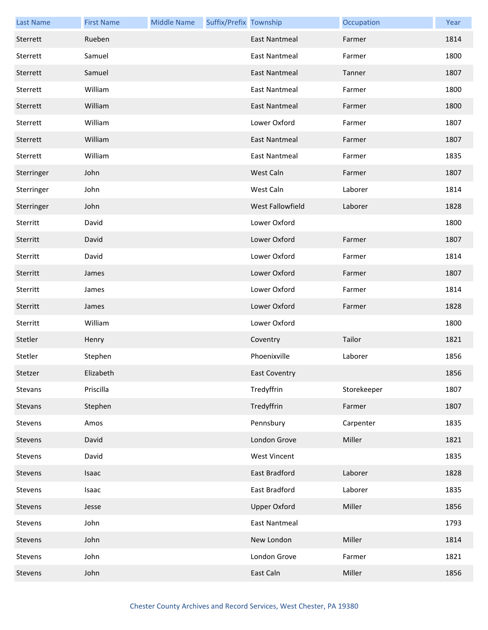| <b>Last Name</b> | <b>First Name</b> | <b>Middle Name</b> | Suffix/Prefix Township |                         | Occupation  | Year |
|------------------|-------------------|--------------------|------------------------|-------------------------|-------------|------|
| Sterrett         | Rueben            |                    |                        | <b>East Nantmeal</b>    | Farmer      | 1814 |
| Sterrett         | Samuel            |                    |                        | East Nantmeal           | Farmer      | 1800 |
| Sterrett         | Samuel            |                    |                        | <b>East Nantmeal</b>    | Tanner      | 1807 |
| Sterrett         | William           |                    |                        | <b>East Nantmeal</b>    | Farmer      | 1800 |
| Sterrett         | William           |                    |                        | East Nantmeal           | Farmer      | 1800 |
| Sterrett         | William           |                    |                        | Lower Oxford            | Farmer      | 1807 |
| Sterrett         | William           |                    |                        | East Nantmeal           | Farmer      | 1807 |
| Sterrett         | William           |                    |                        | <b>East Nantmeal</b>    | Farmer      | 1835 |
| Sterringer       | John              |                    |                        | West Caln               | Farmer      | 1807 |
| Sterringer       | John              |                    |                        | West Caln               | Laborer     | 1814 |
| Sterringer       | John              |                    |                        | <b>West Fallowfield</b> | Laborer     | 1828 |
| Sterritt         | David             |                    |                        | Lower Oxford            |             | 1800 |
| Sterritt         | David             |                    |                        | Lower Oxford            | Farmer      | 1807 |
| Sterritt         | David             |                    |                        | Lower Oxford            | Farmer      | 1814 |
| Sterritt         | James             |                    |                        | Lower Oxford            | Farmer      | 1807 |
| Sterritt         | James             |                    |                        | Lower Oxford            | Farmer      | 1814 |
| Sterritt         | James             |                    |                        | Lower Oxford            | Farmer      | 1828 |
| Sterritt         | William           |                    |                        | Lower Oxford            |             | 1800 |
| Stetler          | Henry             |                    |                        | Coventry                | Tailor      | 1821 |
| Stetler          | Stephen           |                    |                        | Phoenixville            | Laborer     | 1856 |
| Stetzer          | Elizabeth         |                    |                        | <b>East Coventry</b>    |             | 1856 |
| Stevans          | Priscilla         |                    |                        | Tredyffrin              | Storekeeper | 1807 |
| Stevans          | Stephen           |                    |                        | Tredyffrin              | Farmer      | 1807 |
| Stevens          | Amos              |                    |                        | Pennsbury               | Carpenter   | 1835 |
| Stevens          | David             |                    |                        | London Grove            | Miller      | 1821 |
| Stevens          | David             |                    |                        | <b>West Vincent</b>     |             | 1835 |
| Stevens          | Isaac             |                    |                        | East Bradford           | Laborer     | 1828 |
| Stevens          | Isaac             |                    |                        | East Bradford           | Laborer     | 1835 |
| Stevens          | Jesse             |                    |                        | <b>Upper Oxford</b>     | Miller      | 1856 |
| Stevens          | John              |                    |                        | <b>East Nantmeal</b>    |             | 1793 |
| Stevens          | John              |                    |                        | New London              | Miller      | 1814 |
| Stevens          | John              |                    |                        | London Grove            | Farmer      | 1821 |
| Stevens          | John              |                    |                        | East Caln               | Miller      | 1856 |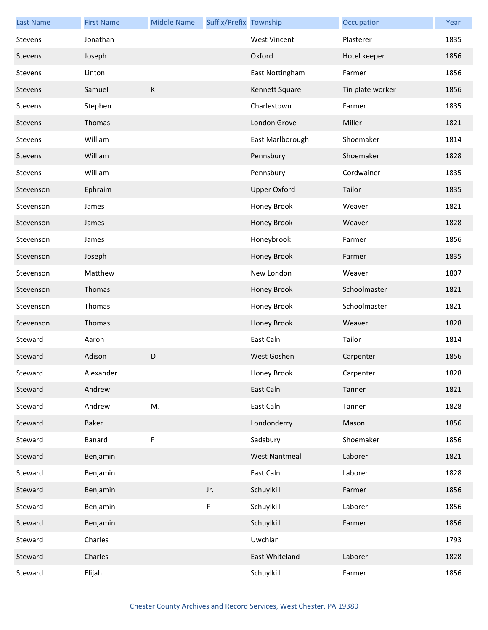| <b>Last Name</b> | <b>First Name</b> | <b>Middle Name</b> | Suffix/Prefix Township |                      | Occupation       | Year |
|------------------|-------------------|--------------------|------------------------|----------------------|------------------|------|
| Stevens          | Jonathan          |                    |                        | <b>West Vincent</b>  | Plasterer        | 1835 |
| Stevens          | Joseph            |                    |                        | Oxford               | Hotel keeper     | 1856 |
| Stevens          | Linton            |                    |                        | East Nottingham      | Farmer           | 1856 |
| Stevens          | Samuel            | К                  |                        | Kennett Square       | Tin plate worker | 1856 |
| Stevens          | Stephen           |                    |                        | Charlestown          | Farmer           | 1835 |
| Stevens          | Thomas            |                    |                        | London Grove         | Miller           | 1821 |
| Stevens          | William           |                    |                        | East Marlborough     | Shoemaker        | 1814 |
| Stevens          | William           |                    |                        | Pennsbury            | Shoemaker        | 1828 |
| Stevens          | William           |                    |                        | Pennsbury            | Cordwainer       | 1835 |
| Stevenson        | Ephraim           |                    |                        | <b>Upper Oxford</b>  | Tailor           | 1835 |
| Stevenson        | James             |                    |                        | Honey Brook          | Weaver           | 1821 |
| Stevenson        | James             |                    |                        | Honey Brook          | Weaver           | 1828 |
| Stevenson        | James             |                    |                        | Honeybrook           | Farmer           | 1856 |
| Stevenson        | Joseph            |                    |                        | Honey Brook          | Farmer           | 1835 |
| Stevenson        | Matthew           |                    |                        | New London           | Weaver           | 1807 |
| Stevenson        | Thomas            |                    |                        | Honey Brook          | Schoolmaster     | 1821 |
| Stevenson        | Thomas            |                    |                        | Honey Brook          | Schoolmaster     | 1821 |
| Stevenson        | Thomas            |                    |                        | Honey Brook          | Weaver           | 1828 |
| Steward          | Aaron             |                    |                        | East Caln            | Tailor           | 1814 |
| Steward          | Adison            | D                  |                        | West Goshen          | Carpenter        | 1856 |
| Steward          | Alexander         |                    |                        | Honey Brook          | Carpenter        | 1828 |
| Steward          | Andrew            |                    |                        | East Caln            | Tanner           | 1821 |
| Steward          | Andrew            | M.                 |                        | East Caln            | Tanner           | 1828 |
| Steward          | Baker             |                    |                        | Londonderry          | Mason            | 1856 |
| Steward          | Banard            | F                  |                        | Sadsbury             | Shoemaker        | 1856 |
| Steward          | Benjamin          |                    |                        | <b>West Nantmeal</b> | Laborer          | 1821 |
| Steward          | Benjamin          |                    |                        | East Caln            | Laborer          | 1828 |
| Steward          | Benjamin          |                    | Jr.                    | Schuylkill           | Farmer           | 1856 |
| Steward          | Benjamin          |                    | F                      | Schuylkill           | Laborer          | 1856 |
| Steward          | Benjamin          |                    |                        | Schuylkill           | Farmer           | 1856 |
| Steward          | Charles           |                    |                        | Uwchlan              |                  | 1793 |
| Steward          | Charles           |                    |                        | East Whiteland       | Laborer          | 1828 |
| Steward          | Elijah            |                    |                        | Schuylkill           | Farmer           | 1856 |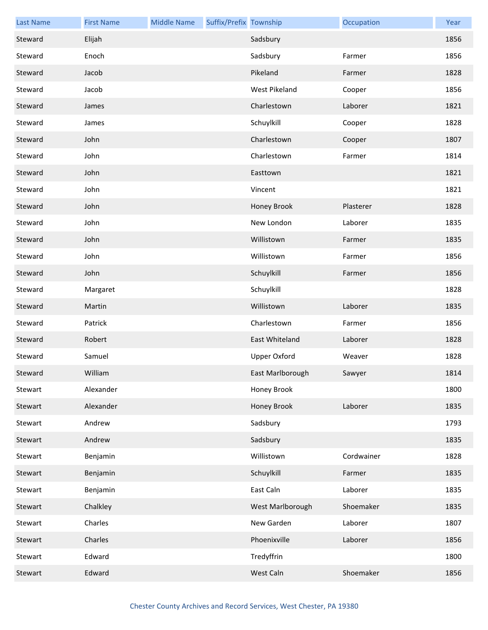| <b>Last Name</b> | <b>First Name</b> | <b>Middle Name</b> | Suffix/Prefix Township |                     | Occupation | Year |
|------------------|-------------------|--------------------|------------------------|---------------------|------------|------|
| Steward          | Elijah            |                    |                        | Sadsbury            |            | 1856 |
| Steward          | Enoch             |                    |                        | Sadsbury            | Farmer     | 1856 |
| Steward          | Jacob             |                    |                        | Pikeland            | Farmer     | 1828 |
| Steward          | Jacob             |                    |                        | West Pikeland       | Cooper     | 1856 |
| Steward          | James             |                    |                        | Charlestown         | Laborer    | 1821 |
| Steward          | James             |                    |                        | Schuylkill          | Cooper     | 1828 |
| Steward          | John              |                    |                        | Charlestown         | Cooper     | 1807 |
| Steward          | John              |                    |                        | Charlestown         | Farmer     | 1814 |
| Steward          | John              |                    |                        | Easttown            |            | 1821 |
| Steward          | John              |                    |                        | Vincent             |            | 1821 |
| Steward          | John              |                    |                        | Honey Brook         | Plasterer  | 1828 |
| Steward          | John              |                    |                        | New London          | Laborer    | 1835 |
| Steward          | John              |                    |                        | Willistown          | Farmer     | 1835 |
| Steward          | John              |                    |                        | Willistown          | Farmer     | 1856 |
| Steward          | John              |                    |                        | Schuylkill          | Farmer     | 1856 |
| Steward          | Margaret          |                    |                        | Schuylkill          |            | 1828 |
| Steward          | Martin            |                    |                        | Willistown          | Laborer    | 1835 |
| Steward          | Patrick           |                    |                        | Charlestown         | Farmer     | 1856 |
| Steward          | Robert            |                    |                        | East Whiteland      | Laborer    | 1828 |
| Steward          | Samuel            |                    |                        | <b>Upper Oxford</b> | Weaver     | 1828 |
| Steward          | William           |                    |                        | East Marlborough    | Sawyer     | 1814 |
| Stewart          | Alexander         |                    |                        | Honey Brook         |            | 1800 |
| Stewart          | Alexander         |                    |                        | <b>Honey Brook</b>  | Laborer    | 1835 |
| Stewart          | Andrew            |                    |                        | Sadsbury            |            | 1793 |
| Stewart          | Andrew            |                    |                        | Sadsbury            |            | 1835 |
| Stewart          | Benjamin          |                    |                        | Willistown          | Cordwainer | 1828 |
| Stewart          | Benjamin          |                    |                        | Schuylkill          | Farmer     | 1835 |
| Stewart          | Benjamin          |                    |                        | East Caln           | Laborer    | 1835 |
| Stewart          | Chalkley          |                    |                        | West Marlborough    | Shoemaker  | 1835 |
| Stewart          | Charles           |                    |                        | New Garden          | Laborer    | 1807 |
| Stewart          | Charles           |                    |                        | Phoenixville        | Laborer    | 1856 |
| Stewart          | Edward            |                    |                        | Tredyffrin          |            | 1800 |
| Stewart          | Edward            |                    |                        | West Caln           | Shoemaker  | 1856 |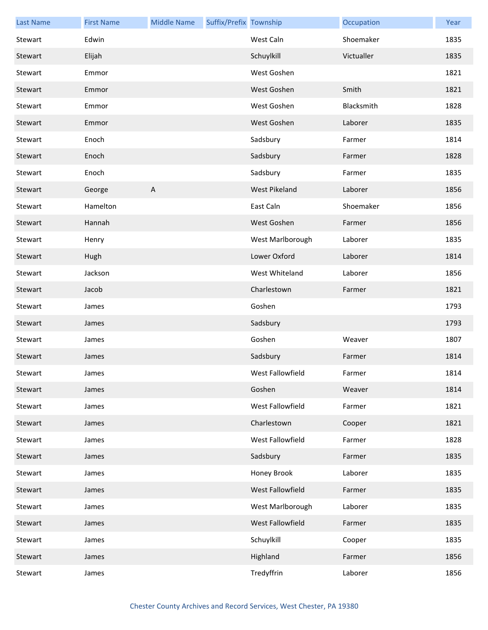| <b>Last Name</b> | <b>First Name</b> | <b>Middle Name</b> | Suffix/Prefix Township |                      | Occupation | Year |
|------------------|-------------------|--------------------|------------------------|----------------------|------------|------|
| Stewart          | Edwin             |                    |                        | West Caln            | Shoemaker  | 1835 |
| Stewart          | Elijah            |                    |                        | Schuylkill           | Victualler | 1835 |
| Stewart          | Emmor             |                    |                        | West Goshen          |            | 1821 |
| Stewart          | Emmor             |                    |                        | West Goshen          | Smith      | 1821 |
| Stewart          | Emmor             |                    |                        | West Goshen          | Blacksmith | 1828 |
| Stewart          | Emmor             |                    |                        | West Goshen          | Laborer    | 1835 |
| Stewart          | Enoch             |                    |                        | Sadsbury             | Farmer     | 1814 |
| Stewart          | Enoch             |                    |                        | Sadsbury             | Farmer     | 1828 |
| Stewart          | Enoch             |                    |                        | Sadsbury             | Farmer     | 1835 |
| Stewart          | George            | A                  |                        | <b>West Pikeland</b> | Laborer    | 1856 |
| Stewart          | Hamelton          |                    |                        | East Caln            | Shoemaker  | 1856 |
| Stewart          | Hannah            |                    |                        | West Goshen          | Farmer     | 1856 |
| Stewart          | Henry             |                    |                        | West Marlborough     | Laborer    | 1835 |
| Stewart          | Hugh              |                    |                        | Lower Oxford         | Laborer    | 1814 |
| Stewart          | Jackson           |                    |                        | West Whiteland       | Laborer    | 1856 |
| Stewart          | Jacob             |                    |                        | Charlestown          | Farmer     | 1821 |
| Stewart          | James             |                    |                        | Goshen               |            | 1793 |
| Stewart          | James             |                    |                        | Sadsbury             |            | 1793 |
| Stewart          | James             |                    |                        | Goshen               | Weaver     | 1807 |
| Stewart          | James             |                    |                        | Sadsbury             | Farmer     | 1814 |
| Stewart          | James             |                    |                        | West Fallowfield     | Farmer     | 1814 |
| Stewart          | James             |                    |                        | Goshen               | Weaver     | 1814 |
| Stewart          | James             |                    |                        | West Fallowfield     | Farmer     | 1821 |
| Stewart          | James             |                    |                        | Charlestown          | Cooper     | 1821 |
| Stewart          | James             |                    |                        | West Fallowfield     | Farmer     | 1828 |
| Stewart          | James             |                    |                        | Sadsbury             | Farmer     | 1835 |
| Stewart          | James             |                    |                        | Honey Brook          | Laborer    | 1835 |
| Stewart          | James             |                    |                        | West Fallowfield     | Farmer     | 1835 |
| Stewart          | James             |                    |                        | West Marlborough     | Laborer    | 1835 |
| Stewart          | James             |                    |                        | West Fallowfield     | Farmer     | 1835 |
| Stewart          | James             |                    |                        | Schuylkill           | Cooper     | 1835 |
| Stewart          | James             |                    |                        | Highland             | Farmer     | 1856 |
| Stewart          | James             |                    |                        | Tredyffrin           | Laborer    | 1856 |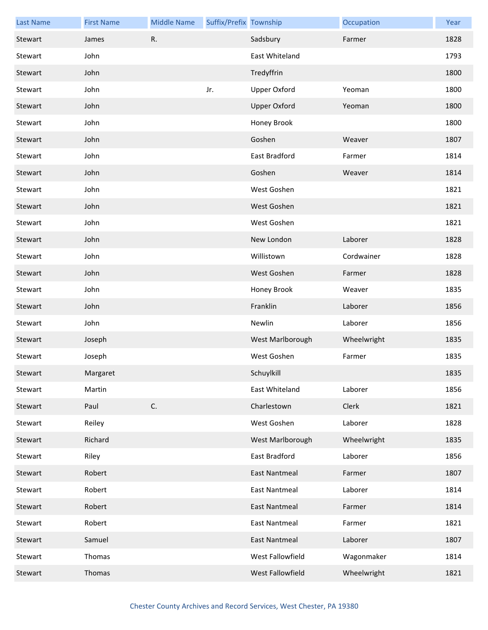| <b>Last Name</b> | <b>First Name</b> | <b>Middle Name</b> | Suffix/Prefix Township |                      | Occupation  | Year |
|------------------|-------------------|--------------------|------------------------|----------------------|-------------|------|
| Stewart          | James             | R.                 |                        | Sadsbury             | Farmer      | 1828 |
| Stewart          | John              |                    |                        | East Whiteland       |             | 1793 |
| Stewart          | John              |                    |                        | Tredyffrin           |             | 1800 |
| Stewart          | John              |                    | Jr.                    | <b>Upper Oxford</b>  | Yeoman      | 1800 |
| Stewart          | John              |                    |                        | <b>Upper Oxford</b>  | Yeoman      | 1800 |
| Stewart          | John              |                    |                        | Honey Brook          |             | 1800 |
| Stewart          | John              |                    |                        | Goshen               | Weaver      | 1807 |
| Stewart          | John              |                    |                        | East Bradford        | Farmer      | 1814 |
| Stewart          | John              |                    |                        | Goshen               | Weaver      | 1814 |
| Stewart          | John              |                    |                        | West Goshen          |             | 1821 |
| Stewart          | John              |                    |                        | West Goshen          |             | 1821 |
| Stewart          | John              |                    |                        | West Goshen          |             | 1821 |
| Stewart          | John              |                    |                        | New London           | Laborer     | 1828 |
| Stewart          | John              |                    |                        | Willistown           | Cordwainer  | 1828 |
| Stewart          | John              |                    |                        | West Goshen          | Farmer      | 1828 |
| Stewart          | John              |                    |                        | Honey Brook          | Weaver      | 1835 |
| Stewart          | John              |                    |                        | Franklin             | Laborer     | 1856 |
| Stewart          | John              |                    |                        | Newlin               | Laborer     | 1856 |
| Stewart          | Joseph            |                    |                        | West Marlborough     | Wheelwright | 1835 |
| Stewart          | Joseph            |                    |                        | West Goshen          | Farmer      | 1835 |
| Stewart          | Margaret          |                    |                        | Schuylkill           |             | 1835 |
| Stewart          | Martin            |                    |                        | East Whiteland       | Laborer     | 1856 |
| Stewart          | Paul              | C.                 |                        | Charlestown          | Clerk       | 1821 |
| Stewart          | Reiley            |                    |                        | West Goshen          | Laborer     | 1828 |
| Stewart          | Richard           |                    |                        | West Marlborough     | Wheelwright | 1835 |
| Stewart          | Riley             |                    |                        | East Bradford        | Laborer     | 1856 |
| Stewart          | Robert            |                    |                        | <b>East Nantmeal</b> | Farmer      | 1807 |
| Stewart          | Robert            |                    |                        | <b>East Nantmeal</b> | Laborer     | 1814 |
| Stewart          | Robert            |                    |                        | <b>East Nantmeal</b> | Farmer      | 1814 |
| Stewart          | Robert            |                    |                        | East Nantmeal        | Farmer      | 1821 |
| Stewart          | Samuel            |                    |                        | <b>East Nantmeal</b> | Laborer     | 1807 |
| Stewart          | Thomas            |                    |                        | West Fallowfield     | Wagonmaker  | 1814 |
| Stewart          | Thomas            |                    |                        | West Fallowfield     | Wheelwright | 1821 |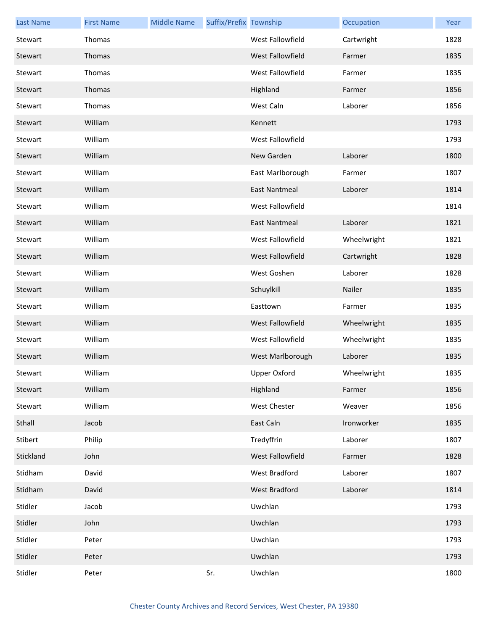| <b>Last Name</b> | <b>First Name</b> | <b>Middle Name</b> | Suffix/Prefix Township |                      | Occupation  | Year |
|------------------|-------------------|--------------------|------------------------|----------------------|-------------|------|
| Stewart          | Thomas            |                    |                        | West Fallowfield     | Cartwright  | 1828 |
| Stewart          | Thomas            |                    |                        | West Fallowfield     | Farmer      | 1835 |
| Stewart          | Thomas            |                    |                        | West Fallowfield     | Farmer      | 1835 |
| Stewart          | Thomas            |                    |                        | Highland             | Farmer      | 1856 |
| Stewart          | Thomas            |                    |                        | West Caln            | Laborer     | 1856 |
| Stewart          | William           |                    |                        | Kennett              |             | 1793 |
| Stewart          | William           |                    |                        | West Fallowfield     |             | 1793 |
| Stewart          | William           |                    |                        | New Garden           | Laborer     | 1800 |
| Stewart          | William           |                    |                        | East Marlborough     | Farmer      | 1807 |
| Stewart          | William           |                    |                        | <b>East Nantmeal</b> | Laborer     | 1814 |
| Stewart          | William           |                    |                        | West Fallowfield     |             | 1814 |
| Stewart          | William           |                    |                        | <b>East Nantmeal</b> | Laborer     | 1821 |
| Stewart          | William           |                    |                        | West Fallowfield     | Wheelwright | 1821 |
| Stewart          | William           |                    |                        | West Fallowfield     | Cartwright  | 1828 |
| Stewart          | William           |                    |                        | West Goshen          | Laborer     | 1828 |
| Stewart          | William           |                    |                        | Schuylkill           | Nailer      | 1835 |
| Stewart          | William           |                    |                        | Easttown             | Farmer      | 1835 |
| Stewart          | William           |                    |                        | West Fallowfield     | Wheelwright | 1835 |
| Stewart          | William           |                    |                        | West Fallowfield     | Wheelwright | 1835 |
| Stewart          | William           |                    |                        | West Marlborough     | Laborer     | 1835 |
| Stewart          | William           |                    |                        | Upper Oxford         | Wheelwright | 1835 |
| Stewart          | William           |                    |                        | Highland             | Farmer      | 1856 |
| Stewart          | William           |                    |                        | <b>West Chester</b>  | Weaver      | 1856 |
| Sthall           | Jacob             |                    |                        | East Caln            | Ironworker  | 1835 |
| Stibert          | Philip            |                    |                        | Tredyffrin           | Laborer     | 1807 |
| Stickland        | John              |                    |                        | West Fallowfield     | Farmer      | 1828 |
| Stidham          | David             |                    |                        | West Bradford        | Laborer     | 1807 |
| Stidham          | David             |                    |                        | West Bradford        | Laborer     | 1814 |
| Stidler          | Jacob             |                    |                        | Uwchlan              |             | 1793 |
| Stidler          | John              |                    |                        | Uwchlan              |             | 1793 |
| Stidler          | Peter             |                    |                        | Uwchlan              |             | 1793 |
| Stidler          | Peter             |                    |                        | Uwchlan              |             | 1793 |
| Stidler          | Peter             |                    | Sr.                    | Uwchlan              |             | 1800 |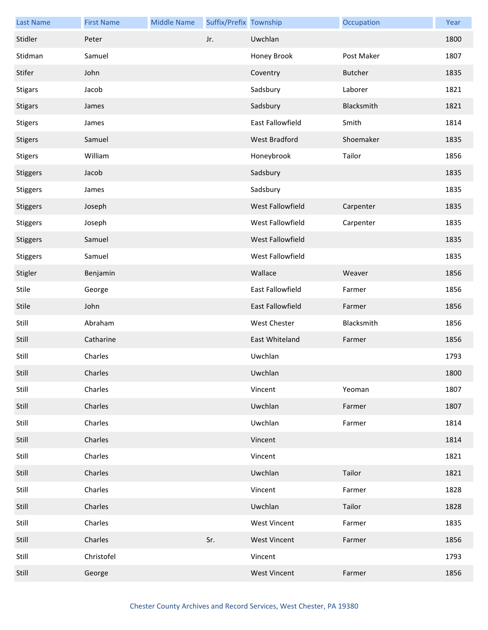| <b>Last Name</b> | <b>First Name</b> | <b>Middle Name</b> | Suffix/Prefix Township |                         | Occupation     | Year |
|------------------|-------------------|--------------------|------------------------|-------------------------|----------------|------|
| Stidler          | Peter             |                    | Jr.                    | Uwchlan                 |                | 1800 |
| Stidman          | Samuel            |                    |                        | Honey Brook             | Post Maker     | 1807 |
| Stifer           | John              |                    |                        | Coventry                | <b>Butcher</b> | 1835 |
| <b>Stigars</b>   | Jacob             |                    |                        | Sadsbury                | Laborer        | 1821 |
| <b>Stigars</b>   | James             |                    |                        | Sadsbury                | Blacksmith     | 1821 |
| <b>Stigers</b>   | James             |                    |                        | <b>East Fallowfield</b> | Smith          | 1814 |
| <b>Stigers</b>   | Samuel            |                    |                        | West Bradford           | Shoemaker      | 1835 |
| <b>Stigers</b>   | William           |                    |                        | Honeybrook              | Tailor         | 1856 |
| Stiggers         | Jacob             |                    |                        | Sadsbury                |                | 1835 |
| <b>Stiggers</b>  | James             |                    |                        | Sadsbury                |                | 1835 |
| Stiggers         | Joseph            |                    |                        | West Fallowfield        | Carpenter      | 1835 |
| <b>Stiggers</b>  | Joseph            |                    |                        | West Fallowfield        | Carpenter      | 1835 |
| Stiggers         | Samuel            |                    |                        | West Fallowfield        |                | 1835 |
| <b>Stiggers</b>  | Samuel            |                    |                        | West Fallowfield        |                | 1835 |
| Stigler          | Benjamin          |                    |                        | Wallace                 | Weaver         | 1856 |
| Stile            | George            |                    |                        | East Fallowfield        | Farmer         | 1856 |
| Stile            | John              |                    |                        | East Fallowfield        | Farmer         | 1856 |
| Still            | Abraham           |                    |                        | West Chester            | Blacksmith     | 1856 |
| Still            | Catharine         |                    |                        | East Whiteland          | Farmer         | 1856 |
| Still            | Charles           |                    |                        | Uwchlan                 |                | 1793 |
| Still            | Charles           |                    |                        | Uwchlan                 |                | 1800 |
| Still            | Charles           |                    |                        | Vincent                 | Yeoman         | 1807 |
| Still            | Charles           |                    |                        | Uwchlan                 | Farmer         | 1807 |
| Still            | Charles           |                    |                        | Uwchlan                 | Farmer         | 1814 |
| Still            | Charles           |                    |                        | Vincent                 |                | 1814 |
| Still            | Charles           |                    |                        | Vincent                 |                | 1821 |
| Still            | Charles           |                    |                        | Uwchlan                 | Tailor         | 1821 |
| Still            | Charles           |                    |                        | Vincent                 | Farmer         | 1828 |
| Still            | Charles           |                    |                        | Uwchlan                 | Tailor         | 1828 |
| Still            | Charles           |                    |                        | <b>West Vincent</b>     | Farmer         | 1835 |
| Still            | Charles           |                    | Sr.                    | <b>West Vincent</b>     | Farmer         | 1856 |
| Still            | Christofel        |                    |                        | Vincent                 |                | 1793 |
| Still            | George            |                    |                        | <b>West Vincent</b>     | Farmer         | 1856 |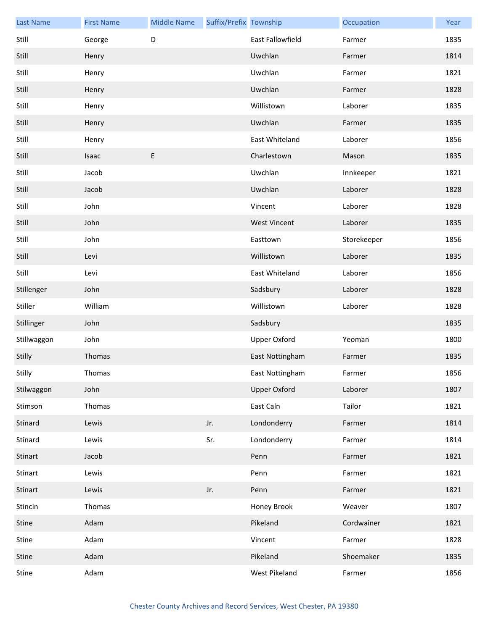| <b>Last Name</b> | <b>First Name</b> | <b>Middle Name</b> | Suffix/Prefix Township |                         | Occupation  | Year |
|------------------|-------------------|--------------------|------------------------|-------------------------|-------------|------|
| Still            | George            | D                  |                        | <b>East Fallowfield</b> | Farmer      | 1835 |
| Still            | Henry             |                    |                        | Uwchlan                 | Farmer      | 1814 |
| Still            | Henry             |                    |                        | Uwchlan                 | Farmer      | 1821 |
| Still            | Henry             |                    |                        | Uwchlan                 | Farmer      | 1828 |
| Still            | Henry             |                    |                        | Willistown              | Laborer     | 1835 |
| Still            | Henry             |                    |                        | Uwchlan                 | Farmer      | 1835 |
| Still            | Henry             |                    |                        | East Whiteland          | Laborer     | 1856 |
| Still            | Isaac             | E                  |                        | Charlestown             | Mason       | 1835 |
| Still            | Jacob             |                    |                        | Uwchlan                 | Innkeeper   | 1821 |
| Still            | Jacob             |                    |                        | Uwchlan                 | Laborer     | 1828 |
| Still            | John              |                    |                        | Vincent                 | Laborer     | 1828 |
| Still            | John              |                    |                        | <b>West Vincent</b>     | Laborer     | 1835 |
| Still            | John              |                    |                        | Easttown                | Storekeeper | 1856 |
| Still            | Levi              |                    |                        | Willistown              | Laborer     | 1835 |
| Still            | Levi              |                    |                        | East Whiteland          | Laborer     | 1856 |
| Stillenger       | John              |                    |                        | Sadsbury                | Laborer     | 1828 |
| Stiller          | William           |                    |                        | Willistown              | Laborer     | 1828 |
| Stillinger       | John              |                    |                        | Sadsbury                |             | 1835 |
| Stillwaggon      | John              |                    |                        | <b>Upper Oxford</b>     | Yeoman      | 1800 |
| Stilly           | Thomas            |                    |                        | East Nottingham         | Farmer      | 1835 |
| Stilly           | Thomas            |                    |                        | East Nottingham         | Farmer      | 1856 |
| Stilwaggon       | John              |                    |                        | <b>Upper Oxford</b>     | Laborer     | 1807 |
| Stimson          | Thomas            |                    |                        | East Caln               | Tailor      | 1821 |
| Stinard          | Lewis             |                    | Jr.                    | Londonderry             | Farmer      | 1814 |
| Stinard          | Lewis             |                    | Sr.                    | Londonderry             | Farmer      | 1814 |
| Stinart          | Jacob             |                    |                        | Penn                    | Farmer      | 1821 |
| Stinart          | Lewis             |                    |                        | Penn                    | Farmer      | 1821 |
| Stinart          | Lewis             |                    | Jr.                    | Penn                    | Farmer      | 1821 |
| Stincin          | Thomas            |                    |                        | Honey Brook             | Weaver      | 1807 |
| Stine            | Adam              |                    |                        | Pikeland                | Cordwainer  | 1821 |
| Stine            | Adam              |                    |                        | Vincent                 | Farmer      | 1828 |
| Stine            | Adam              |                    |                        | Pikeland                | Shoemaker   | 1835 |
| Stine            | Adam              |                    |                        | West Pikeland           | Farmer      | 1856 |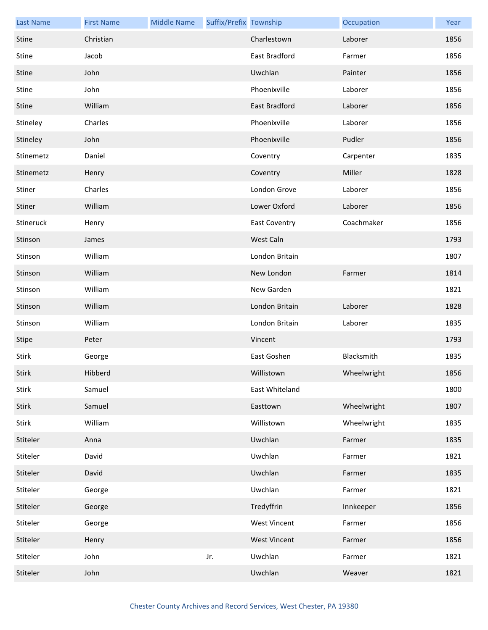| <b>Last Name</b> | <b>First Name</b> | <b>Middle Name</b> | Suffix/Prefix Township |                      | Occupation  | Year |
|------------------|-------------------|--------------------|------------------------|----------------------|-------------|------|
| Stine            | Christian         |                    |                        | Charlestown          | Laborer     | 1856 |
| Stine            | Jacob             |                    |                        | East Bradford        | Farmer      | 1856 |
| Stine            | John              |                    |                        | Uwchlan              | Painter     | 1856 |
| Stine            | John              |                    |                        | Phoenixville         | Laborer     | 1856 |
| Stine            | William           |                    |                        | <b>East Bradford</b> | Laborer     | 1856 |
| Stineley         | Charles           |                    |                        | Phoenixville         | Laborer     | 1856 |
| Stineley         | John              |                    |                        | Phoenixville         | Pudler      | 1856 |
| Stinemetz        | Daniel            |                    |                        | Coventry             | Carpenter   | 1835 |
| Stinemetz        | Henry             |                    |                        | Coventry             | Miller      | 1828 |
| Stiner           | Charles           |                    |                        | London Grove         | Laborer     | 1856 |
| Stiner           | William           |                    |                        | Lower Oxford         | Laborer     | 1856 |
| Stineruck        | Henry             |                    |                        | <b>East Coventry</b> | Coachmaker  | 1856 |
| Stinson          | James             |                    |                        | West Caln            |             | 1793 |
| Stinson          | William           |                    |                        | London Britain       |             | 1807 |
| Stinson          | William           |                    |                        | New London           | Farmer      | 1814 |
| Stinson          | William           |                    |                        | New Garden           |             | 1821 |
| Stinson          | William           |                    |                        | London Britain       | Laborer     | 1828 |
| Stinson          | William           |                    |                        | London Britain       | Laborer     | 1835 |
| Stipe            | Peter             |                    |                        | Vincent              |             | 1793 |
| Stirk            | George            |                    |                        | East Goshen          | Blacksmith  | 1835 |
| Stirk            | Hibberd           |                    |                        | Willistown           | Wheelwright | 1856 |
| Stirk            | Samuel            |                    |                        | East Whiteland       |             | 1800 |
| Stirk            | Samuel            |                    |                        | Easttown             | Wheelwright | 1807 |
| Stirk            | William           |                    |                        | Willistown           | Wheelwright | 1835 |
| Stiteler         | Anna              |                    |                        | Uwchlan              | Farmer      | 1835 |
| Stiteler         | David             |                    |                        | Uwchlan              | Farmer      | 1821 |
| Stiteler         | David             |                    |                        | Uwchlan              | Farmer      | 1835 |
| Stiteler         | George            |                    |                        | Uwchlan              | Farmer      | 1821 |
| Stiteler         | George            |                    |                        | Tredyffrin           | Innkeeper   | 1856 |
| Stiteler         | George            |                    |                        | <b>West Vincent</b>  | Farmer      | 1856 |
| Stiteler         | Henry             |                    |                        | <b>West Vincent</b>  | Farmer      | 1856 |
| Stiteler         | John              |                    | Jr.                    | Uwchlan              | Farmer      | 1821 |
| Stiteler         | John              |                    |                        | Uwchlan              | Weaver      | 1821 |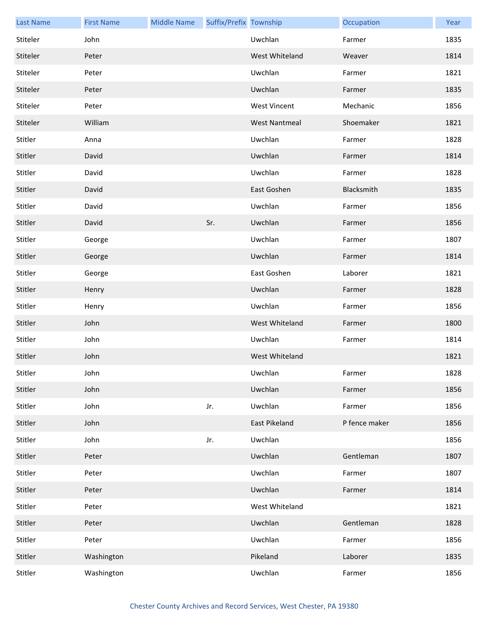| <b>Last Name</b> | <b>First Name</b> | <b>Middle Name</b> | Suffix/Prefix Township |                      | Occupation    | Year |
|------------------|-------------------|--------------------|------------------------|----------------------|---------------|------|
| Stiteler         | John              |                    |                        | Uwchlan              | Farmer        | 1835 |
| Stiteler         | Peter             |                    |                        | West Whiteland       | Weaver        | 1814 |
| Stiteler         | Peter             |                    |                        | Uwchlan              | Farmer        | 1821 |
| Stiteler         | Peter             |                    |                        | Uwchlan              | Farmer        | 1835 |
| Stiteler         | Peter             |                    |                        | <b>West Vincent</b>  | Mechanic      | 1856 |
| Stiteler         | William           |                    |                        | <b>West Nantmeal</b> | Shoemaker     | 1821 |
| Stitler          | Anna              |                    |                        | Uwchlan              | Farmer        | 1828 |
| Stitler          | David             |                    |                        | Uwchlan              | Farmer        | 1814 |
| Stitler          | David             |                    |                        | Uwchlan              | Farmer        | 1828 |
| Stitler          | David             |                    |                        | East Goshen          | Blacksmith    | 1835 |
| Stitler          | David             |                    |                        | Uwchlan              | Farmer        | 1856 |
| Stitler          | David             |                    | Sr.                    | Uwchlan              | Farmer        | 1856 |
| Stitler          | George            |                    |                        | Uwchlan              | Farmer        | 1807 |
| Stitler          | George            |                    |                        | Uwchlan              | Farmer        | 1814 |
| Stitler          | George            |                    |                        | East Goshen          | Laborer       | 1821 |
| Stitler          | Henry             |                    |                        | Uwchlan              | Farmer        | 1828 |
| Stitler          | Henry             |                    |                        | Uwchlan              | Farmer        | 1856 |
| Stitler          | John              |                    |                        | West Whiteland       | Farmer        | 1800 |
| Stitler          | John              |                    |                        | Uwchlan              | Farmer        | 1814 |
| Stitler          | John              |                    |                        | West Whiteland       |               | 1821 |
| Stitler          | John              |                    |                        | Uwchlan              | Farmer        | 1828 |
| Stitler          | John              |                    |                        | Uwchlan              | Farmer        | 1856 |
| Stitler          | John              |                    | Jr.                    | Uwchlan              | Farmer        | 1856 |
| Stitler          | John              |                    |                        | <b>East Pikeland</b> | P fence maker | 1856 |
| Stitler          | John              |                    | Jr.                    | Uwchlan              |               | 1856 |
| Stitler          | Peter             |                    |                        | Uwchlan              | Gentleman     | 1807 |
| Stitler          | Peter             |                    |                        | Uwchlan              | Farmer        | 1807 |
| Stitler          | Peter             |                    |                        | Uwchlan              | Farmer        | 1814 |
| Stitler          | Peter             |                    |                        | West Whiteland       |               | 1821 |
| Stitler          | Peter             |                    |                        | Uwchlan              | Gentleman     | 1828 |
| Stitler          | Peter             |                    |                        | Uwchlan              | Farmer        | 1856 |
| Stitler          | Washington        |                    |                        | Pikeland             | Laborer       | 1835 |
| Stitler          | Washington        |                    |                        | Uwchlan              | Farmer        | 1856 |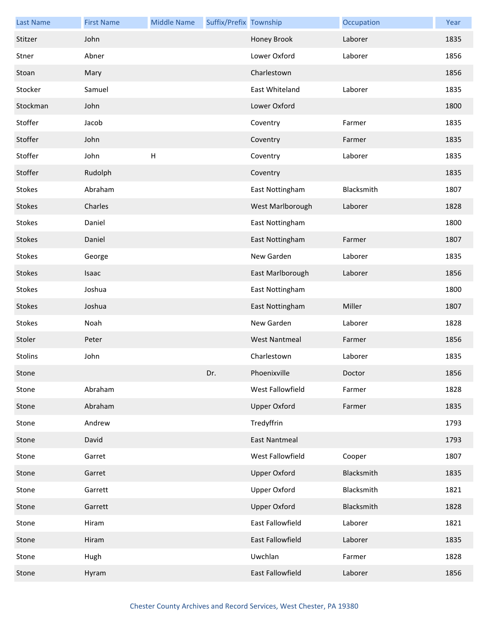| <b>Last Name</b> | <b>First Name</b> | <b>Middle Name</b>        | Suffix/Prefix Township |                      | Occupation | Year |
|------------------|-------------------|---------------------------|------------------------|----------------------|------------|------|
| Stitzer          | John              |                           |                        | Honey Brook          | Laborer    | 1835 |
| Stner            | Abner             |                           |                        | Lower Oxford         | Laborer    | 1856 |
| Stoan            | Mary              |                           |                        | Charlestown          |            | 1856 |
| Stocker          | Samuel            |                           |                        | East Whiteland       | Laborer    | 1835 |
| Stockman         | John              |                           |                        | Lower Oxford         |            | 1800 |
| Stoffer          | Jacob             |                           |                        | Coventry             | Farmer     | 1835 |
| Stoffer          | John              |                           |                        | Coventry             | Farmer     | 1835 |
| Stoffer          | John              | $\boldsymbol{\mathsf{H}}$ |                        | Coventry             | Laborer    | 1835 |
| Stoffer          | Rudolph           |                           |                        | Coventry             |            | 1835 |
| Stokes           | Abraham           |                           |                        | East Nottingham      | Blacksmith | 1807 |
| Stokes           | Charles           |                           |                        | West Marlborough     | Laborer    | 1828 |
| Stokes           | Daniel            |                           |                        | East Nottingham      |            | 1800 |
| Stokes           | Daniel            |                           |                        | East Nottingham      | Farmer     | 1807 |
| Stokes           | George            |                           |                        | New Garden           | Laborer    | 1835 |
| Stokes           | Isaac             |                           |                        | East Marlborough     | Laborer    | 1856 |
| Stokes           | Joshua            |                           |                        | East Nottingham      |            | 1800 |
| Stokes           | Joshua            |                           |                        | East Nottingham      | Miller     | 1807 |
| Stokes           | Noah              |                           |                        | New Garden           | Laborer    | 1828 |
| Stoler           | Peter             |                           |                        | <b>West Nantmeal</b> | Farmer     | 1856 |
| Stolins          | John              |                           |                        | Charlestown          | Laborer    | 1835 |
| Stone            |                   |                           | Dr.                    | Phoenixville         | Doctor     | 1856 |
| Stone            | Abraham           |                           |                        | West Fallowfield     | Farmer     | 1828 |
| Stone            | Abraham           |                           |                        | <b>Upper Oxford</b>  | Farmer     | 1835 |
| Stone            | Andrew            |                           |                        | Tredyffrin           |            | 1793 |
| Stone            | David             |                           |                        | <b>East Nantmeal</b> |            | 1793 |
| Stone            | Garret            |                           |                        | West Fallowfield     | Cooper     | 1807 |
| Stone            | Garret            |                           |                        | <b>Upper Oxford</b>  | Blacksmith | 1835 |
| Stone            | Garrett           |                           |                        | Upper Oxford         | Blacksmith | 1821 |
| Stone            | Garrett           |                           |                        | <b>Upper Oxford</b>  | Blacksmith | 1828 |
| Stone            | Hiram             |                           |                        | East Fallowfield     | Laborer    | 1821 |
| Stone            | Hiram             |                           |                        | East Fallowfield     | Laborer    | 1835 |
| Stone            | Hugh              |                           |                        | Uwchlan              | Farmer     | 1828 |
| Stone            | Hyram             |                           |                        | East Fallowfield     | Laborer    | 1856 |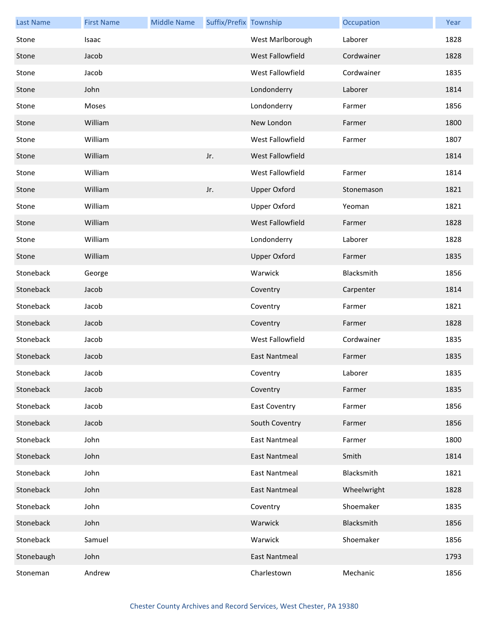| <b>Last Name</b> | <b>First Name</b> | <b>Middle Name</b> | Suffix/Prefix Township |                      | Occupation  | Year |
|------------------|-------------------|--------------------|------------------------|----------------------|-------------|------|
| Stone            | Isaac             |                    |                        | West Marlborough     | Laborer     | 1828 |
| Stone            | Jacob             |                    |                        | West Fallowfield     | Cordwainer  | 1828 |
| Stone            | Jacob             |                    |                        | West Fallowfield     | Cordwainer  | 1835 |
| Stone            | John              |                    |                        | Londonderry          | Laborer     | 1814 |
| Stone            | Moses             |                    |                        | Londonderry          | Farmer      | 1856 |
| Stone            | William           |                    |                        | New London           | Farmer      | 1800 |
| Stone            | William           |                    |                        | West Fallowfield     | Farmer      | 1807 |
| Stone            | William           |                    | Jr.                    | West Fallowfield     |             | 1814 |
| Stone            | William           |                    |                        | West Fallowfield     | Farmer      | 1814 |
| Stone            | William           |                    | Jr.                    | <b>Upper Oxford</b>  | Stonemason  | 1821 |
| Stone            | William           |                    |                        | <b>Upper Oxford</b>  | Yeoman      | 1821 |
| Stone            | William           |                    |                        | West Fallowfield     | Farmer      | 1828 |
| Stone            | William           |                    |                        | Londonderry          | Laborer     | 1828 |
| Stone            | William           |                    |                        | <b>Upper Oxford</b>  | Farmer      | 1835 |
| Stoneback        | George            |                    |                        | Warwick              | Blacksmith  | 1856 |
| Stoneback        | Jacob             |                    |                        | Coventry             | Carpenter   | 1814 |
| Stoneback        | Jacob             |                    |                        | Coventry             | Farmer      | 1821 |
| Stoneback        | Jacob             |                    |                        | Coventry             | Farmer      | 1828 |
| Stoneback        | Jacob             |                    |                        | West Fallowfield     | Cordwainer  | 1835 |
| Stoneback        | Jacob             |                    |                        | <b>East Nantmeal</b> | Farmer      | 1835 |
| Stoneback        | Jacob             |                    |                        | Coventry             | Laborer     | 1835 |
| Stoneback        | Jacob             |                    |                        | Coventry             | Farmer      | 1835 |
| Stoneback        | Jacob             |                    |                        | <b>East Coventry</b> | Farmer      | 1856 |
| Stoneback        | Jacob             |                    |                        | South Coventry       | Farmer      | 1856 |
| Stoneback        | John              |                    |                        | <b>East Nantmeal</b> | Farmer      | 1800 |
| Stoneback        | John              |                    |                        | <b>East Nantmeal</b> | Smith       | 1814 |
| Stoneback        | John              |                    |                        | <b>East Nantmeal</b> | Blacksmith  | 1821 |
| Stoneback        | John              |                    |                        | <b>East Nantmeal</b> | Wheelwright | 1828 |
| Stoneback        | John              |                    |                        | Coventry             | Shoemaker   | 1835 |
| Stoneback        | John              |                    |                        | Warwick              | Blacksmith  | 1856 |
| Stoneback        | Samuel            |                    |                        | Warwick              | Shoemaker   | 1856 |
| Stonebaugh       | John              |                    |                        | <b>East Nantmeal</b> |             | 1793 |
| Stoneman         | Andrew            |                    |                        | Charlestown          | Mechanic    | 1856 |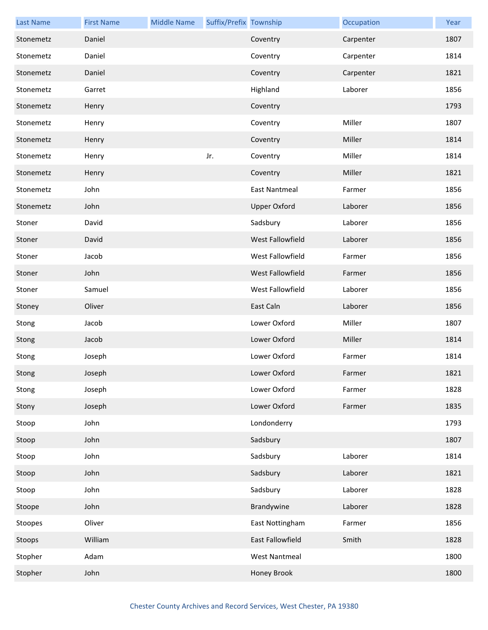| <b>Last Name</b> | <b>First Name</b> | <b>Middle Name</b> | Suffix/Prefix Township |                      | Occupation | Year |
|------------------|-------------------|--------------------|------------------------|----------------------|------------|------|
| Stonemetz        | Daniel            |                    |                        | Coventry             | Carpenter  | 1807 |
| Stonemetz        | Daniel            |                    |                        | Coventry             | Carpenter  | 1814 |
| Stonemetz        | Daniel            |                    |                        | Coventry             | Carpenter  | 1821 |
| Stonemetz        | Garret            |                    |                        | Highland             | Laborer    | 1856 |
| Stonemetz        | Henry             |                    |                        | Coventry             |            | 1793 |
| Stonemetz        | Henry             |                    |                        | Coventry             | Miller     | 1807 |
| Stonemetz        | Henry             |                    |                        | Coventry             | Miller     | 1814 |
| Stonemetz        | Henry             |                    | Jr.                    | Coventry             | Miller     | 1814 |
| Stonemetz        | Henry             |                    |                        | Coventry             | Miller     | 1821 |
| Stonemetz        | John              |                    |                        | <b>East Nantmeal</b> | Farmer     | 1856 |
| Stonemetz        | John              |                    |                        | <b>Upper Oxford</b>  | Laborer    | 1856 |
| Stoner           | David             |                    |                        | Sadsbury             | Laborer    | 1856 |
| Stoner           | David             |                    |                        | West Fallowfield     | Laborer    | 1856 |
| Stoner           | Jacob             |                    |                        | West Fallowfield     | Farmer     | 1856 |
| Stoner           | John              |                    |                        | West Fallowfield     | Farmer     | 1856 |
| Stoner           | Samuel            |                    |                        | West Fallowfield     | Laborer    | 1856 |
| Stoney           | Oliver            |                    |                        | East Caln            | Laborer    | 1856 |
| Stong            | Jacob             |                    |                        | Lower Oxford         | Miller     | 1807 |
| Stong            | Jacob             |                    |                        | Lower Oxford         | Miller     | 1814 |
| Stong            | Joseph            |                    |                        | Lower Oxford         | Farmer     | 1814 |
| Stong            | Joseph            |                    |                        | Lower Oxford         | Farmer     | 1821 |
| Stong            | Joseph            |                    |                        | Lower Oxford         | Farmer     | 1828 |
| Stony            | Joseph            |                    |                        | Lower Oxford         | Farmer     | 1835 |
| Stoop            | John              |                    |                        | Londonderry          |            | 1793 |
| Stoop            | John              |                    |                        | Sadsbury             |            | 1807 |
| Stoop            | John              |                    |                        | Sadsbury             | Laborer    | 1814 |
| Stoop            | John              |                    |                        | Sadsbury             | Laborer    | 1821 |
| Stoop            | John              |                    |                        | Sadsbury             | Laborer    | 1828 |
| Stoope           | John              |                    |                        | Brandywine           | Laborer    | 1828 |
| Stoopes          | Oliver            |                    |                        | East Nottingham      | Farmer     | 1856 |
| Stoops           | William           |                    |                        | East Fallowfield     | Smith      | 1828 |
| Stopher          | Adam              |                    |                        | <b>West Nantmeal</b> |            | 1800 |
| Stopher          | John              |                    |                        | Honey Brook          |            | 1800 |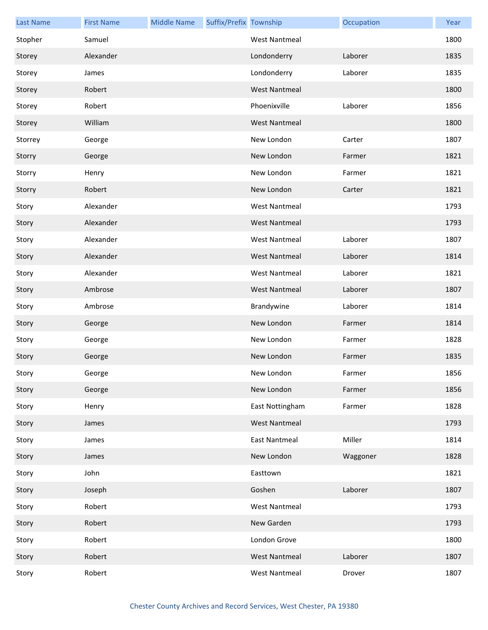| <b>Last Name</b> | <b>First Name</b> | <b>Middle Name</b> | Suffix/Prefix Township |                      | Occupation | Year |
|------------------|-------------------|--------------------|------------------------|----------------------|------------|------|
| Stopher          | Samuel            |                    |                        | <b>West Nantmeal</b> |            | 1800 |
| Storey           | Alexander         |                    |                        | Londonderry          | Laborer    | 1835 |
| Storey           | James             |                    |                        | Londonderry          | Laborer    | 1835 |
| Storey           | Robert            |                    |                        | <b>West Nantmeal</b> |            | 1800 |
| Storey           | Robert            |                    |                        | Phoenixville         | Laborer    | 1856 |
| Storey           | William           |                    |                        | <b>West Nantmeal</b> |            | 1800 |
| Storrey          | George            |                    |                        | New London           | Carter     | 1807 |
| Storry           | George            |                    |                        | New London           | Farmer     | 1821 |
| Storry           | Henry             |                    |                        | New London           | Farmer     | 1821 |
| Storry           | Robert            |                    |                        | New London           | Carter     | 1821 |
| Story            | Alexander         |                    |                        | <b>West Nantmeal</b> |            | 1793 |
| Story            | Alexander         |                    |                        | <b>West Nantmeal</b> |            | 1793 |
| Story            | Alexander         |                    |                        | <b>West Nantmeal</b> | Laborer    | 1807 |
| Story            | Alexander         |                    |                        | <b>West Nantmeal</b> | Laborer    | 1814 |
| Story            | Alexander         |                    |                        | <b>West Nantmeal</b> | Laborer    | 1821 |
| Story            | Ambrose           |                    |                        | <b>West Nantmeal</b> | Laborer    | 1807 |
| Story            | Ambrose           |                    |                        | Brandywine           | Laborer    | 1814 |
| Story            | George            |                    |                        | New London           | Farmer     | 1814 |
| Story            | George            |                    |                        | New London           | Farmer     | 1828 |
| Story            | George            |                    |                        | New London           | Farmer     | 1835 |
| Story            | George            |                    |                        | New London           | Farmer     | 1856 |
| Story            | George            |                    |                        | New London           | Farmer     | 1856 |
| Story            | Henry             |                    |                        | East Nottingham      | Farmer     | 1828 |
| Story            | James             |                    |                        | <b>West Nantmeal</b> |            | 1793 |
| Story            | James             |                    |                        | <b>East Nantmeal</b> | Miller     | 1814 |
| Story            | James             |                    |                        | New London           | Waggoner   | 1828 |
| Story            | John              |                    |                        | Easttown             |            | 1821 |
| Story            | Joseph            |                    |                        | Goshen               | Laborer    | 1807 |
| Story            | Robert            |                    |                        | <b>West Nantmeal</b> |            | 1793 |
| Story            | Robert            |                    |                        | New Garden           |            | 1793 |
| Story            | Robert            |                    |                        | London Grove         |            | 1800 |
| Story            | Robert            |                    |                        | <b>West Nantmeal</b> | Laborer    | 1807 |
| Story            | Robert            |                    |                        | <b>West Nantmeal</b> | Drover     | 1807 |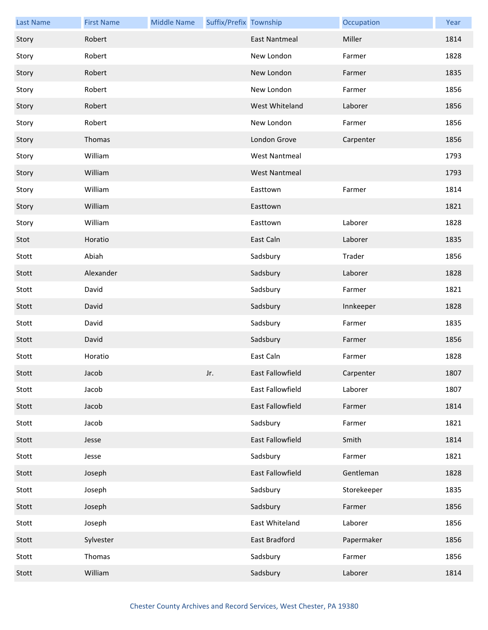| <b>Last Name</b> | <b>First Name</b> | <b>Middle Name</b> | Suffix/Prefix Township |                      | Occupation  | Year |
|------------------|-------------------|--------------------|------------------------|----------------------|-------------|------|
| Story            | Robert            |                    |                        | <b>East Nantmeal</b> | Miller      | 1814 |
| Story            | Robert            |                    |                        | New London           | Farmer      | 1828 |
| Story            | Robert            |                    |                        | New London           | Farmer      | 1835 |
| Story            | Robert            |                    |                        | New London           | Farmer      | 1856 |
| Story            | Robert            |                    |                        | West Whiteland       | Laborer     | 1856 |
| Story            | Robert            |                    |                        | New London           | Farmer      | 1856 |
| Story            | Thomas            |                    |                        | London Grove         | Carpenter   | 1856 |
| Story            | William           |                    |                        | <b>West Nantmeal</b> |             | 1793 |
| Story            | William           |                    |                        | <b>West Nantmeal</b> |             | 1793 |
| Story            | William           |                    |                        | Easttown             | Farmer      | 1814 |
| Story            | William           |                    |                        | Easttown             |             | 1821 |
| Story            | William           |                    |                        | Easttown             | Laborer     | 1828 |
| Stot             | Horatio           |                    |                        | East Caln            | Laborer     | 1835 |
| Stott            | Abiah             |                    |                        | Sadsbury             | Trader      | 1856 |
| Stott            | Alexander         |                    |                        | Sadsbury             | Laborer     | 1828 |
| Stott            | David             |                    |                        | Sadsbury             | Farmer      | 1821 |
| Stott            | David             |                    |                        | Sadsbury             | Innkeeper   | 1828 |
| Stott            | David             |                    |                        | Sadsbury             | Farmer      | 1835 |
| Stott            | David             |                    |                        | Sadsbury             | Farmer      | 1856 |
| Stott            | Horatio           |                    |                        | East Caln            | Farmer      | 1828 |
| Stott            | Jacob             |                    | Jr.                    | East Fallowfield     | Carpenter   | 1807 |
| Stott            | Jacob             |                    |                        | East Fallowfield     | Laborer     | 1807 |
| Stott            | Jacob             |                    |                        | East Fallowfield     | Farmer      | 1814 |
| Stott            | Jacob             |                    |                        | Sadsbury             | Farmer      | 1821 |
| Stott            | Jesse             |                    |                        | East Fallowfield     | Smith       | 1814 |
| Stott            | Jesse             |                    |                        | Sadsbury             | Farmer      | 1821 |
| Stott            | Joseph            |                    |                        | East Fallowfield     | Gentleman   | 1828 |
| Stott            | Joseph            |                    |                        | Sadsbury             | Storekeeper | 1835 |
| Stott            | Joseph            |                    |                        | Sadsbury             | Farmer      | 1856 |
| Stott            | Joseph            |                    |                        | East Whiteland       | Laborer     | 1856 |
| Stott            | Sylvester         |                    |                        | East Bradford        | Papermaker  | 1856 |
| Stott            | Thomas            |                    |                        | Sadsbury             | Farmer      | 1856 |
| Stott            | William           |                    |                        | Sadsbury             | Laborer     | 1814 |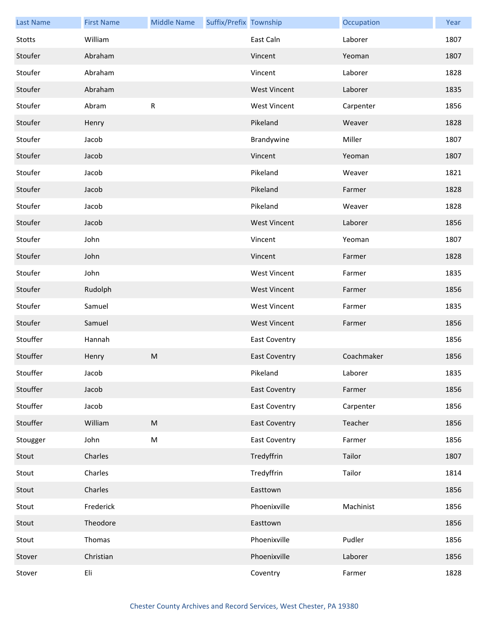| <b>Last Name</b> | <b>First Name</b> | <b>Middle Name</b> | Suffix/Prefix Township |                      | Occupation | Year |
|------------------|-------------------|--------------------|------------------------|----------------------|------------|------|
| Stotts           | William           |                    |                        | East Caln            | Laborer    | 1807 |
| Stoufer          | Abraham           |                    |                        | Vincent              | Yeoman     | 1807 |
| Stoufer          | Abraham           |                    |                        | Vincent              | Laborer    | 1828 |
| Stoufer          | Abraham           |                    |                        | <b>West Vincent</b>  | Laborer    | 1835 |
| Stoufer          | Abram             | R                  |                        | <b>West Vincent</b>  | Carpenter  | 1856 |
| Stoufer          | Henry             |                    |                        | Pikeland             | Weaver     | 1828 |
| Stoufer          | Jacob             |                    |                        | Brandywine           | Miller     | 1807 |
| Stoufer          | Jacob             |                    |                        | Vincent              | Yeoman     | 1807 |
| Stoufer          | Jacob             |                    |                        | Pikeland             | Weaver     | 1821 |
| Stoufer          | Jacob             |                    |                        | Pikeland             | Farmer     | 1828 |
| Stoufer          | Jacob             |                    |                        | Pikeland             | Weaver     | 1828 |
| Stoufer          | Jacob             |                    |                        | <b>West Vincent</b>  | Laborer    | 1856 |
| Stoufer          | John              |                    |                        | Vincent              | Yeoman     | 1807 |
| Stoufer          | John              |                    |                        | Vincent              | Farmer     | 1828 |
| Stoufer          | John              |                    |                        | <b>West Vincent</b>  | Farmer     | 1835 |
| Stoufer          | Rudolph           |                    |                        | <b>West Vincent</b>  | Farmer     | 1856 |
| Stoufer          | Samuel            |                    |                        | <b>West Vincent</b>  | Farmer     | 1835 |
| Stoufer          | Samuel            |                    |                        | <b>West Vincent</b>  | Farmer     | 1856 |
| Stouffer         | Hannah            |                    |                        | <b>East Coventry</b> |            | 1856 |
| Stouffer         | Henry             | ${\sf M}$          |                        | <b>East Coventry</b> | Coachmaker | 1856 |
| Stouffer         | Jacob             |                    |                        | Pikeland             | Laborer    | 1835 |
| Stouffer         | Jacob             |                    |                        | <b>East Coventry</b> | Farmer     | 1856 |
| Stouffer         | Jacob             |                    |                        | <b>East Coventry</b> | Carpenter  | 1856 |
| Stouffer         | William           | ${\sf M}$          |                        | <b>East Coventry</b> | Teacher    | 1856 |
| Stougger         | John              | M                  |                        | <b>East Coventry</b> | Farmer     | 1856 |
| Stout            | Charles           |                    |                        | Tredyffrin           | Tailor     | 1807 |
| Stout            | Charles           |                    |                        | Tredyffrin           | Tailor     | 1814 |
| Stout            | Charles           |                    |                        | Easttown             |            | 1856 |
| Stout            | Frederick         |                    |                        | Phoenixville         | Machinist  | 1856 |
| Stout            | Theodore          |                    |                        | Easttown             |            | 1856 |
| Stout            | Thomas            |                    |                        | Phoenixville         | Pudler     | 1856 |
| Stover           | Christian         |                    |                        | Phoenixville         | Laborer    | 1856 |
| Stover           | Eli               |                    |                        | Coventry             | Farmer     | 1828 |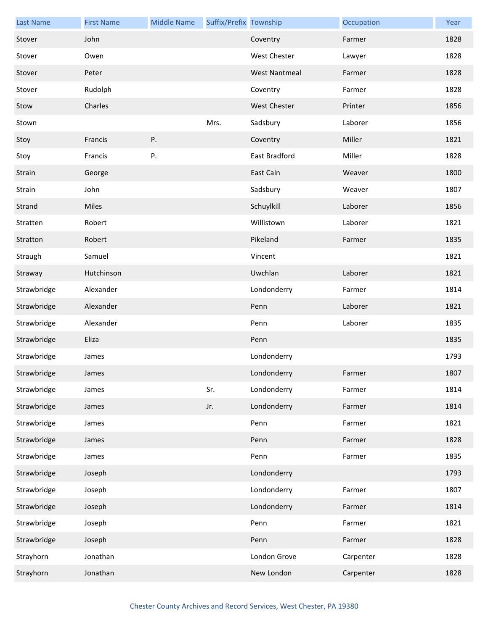| <b>Last Name</b> | <b>First Name</b> | <b>Middle Name</b> | Suffix/Prefix Township |                      | Occupation | Year |
|------------------|-------------------|--------------------|------------------------|----------------------|------------|------|
| Stover           | John              |                    |                        | Coventry             | Farmer     | 1828 |
| Stover           | Owen              |                    |                        | <b>West Chester</b>  | Lawyer     | 1828 |
| Stover           | Peter             |                    |                        | <b>West Nantmeal</b> | Farmer     | 1828 |
| Stover           | Rudolph           |                    |                        | Coventry             | Farmer     | 1828 |
| Stow             | Charles           |                    |                        | <b>West Chester</b>  | Printer    | 1856 |
| Stown            |                   |                    | Mrs.                   | Sadsbury             | Laborer    | 1856 |
| Stoy             | Francis           | Ρ.                 |                        | Coventry             | Miller     | 1821 |
| Stoy             | Francis           | Ρ.                 |                        | East Bradford        | Miller     | 1828 |
| Strain           | George            |                    |                        | East Caln            | Weaver     | 1800 |
| Strain           | John              |                    |                        | Sadsbury             | Weaver     | 1807 |
| Strand           | Miles             |                    |                        | Schuylkill           | Laborer    | 1856 |
| Stratten         | Robert            |                    |                        | Willistown           | Laborer    | 1821 |
| Stratton         | Robert            |                    |                        | Pikeland             | Farmer     | 1835 |
| Straugh          | Samuel            |                    |                        | Vincent              |            | 1821 |
| Straway          | Hutchinson        |                    |                        | Uwchlan              | Laborer    | 1821 |
| Strawbridge      | Alexander         |                    |                        | Londonderry          | Farmer     | 1814 |
| Strawbridge      | Alexander         |                    |                        | Penn                 | Laborer    | 1821 |
| Strawbridge      | Alexander         |                    |                        | Penn                 | Laborer    | 1835 |
| Strawbridge      | Eliza             |                    |                        | Penn                 |            | 1835 |
| Strawbridge      | James             |                    |                        | Londonderry          |            | 1793 |
| Strawbridge      | James             |                    |                        | Londonderry          | Farmer     | 1807 |
| Strawbridge      | James             |                    | Sr.                    | Londonderry          | Farmer     | 1814 |
| Strawbridge      | James             |                    | Jr.                    | Londonderry          | Farmer     | 1814 |
| Strawbridge      | James             |                    |                        | Penn                 | Farmer     | 1821 |
| Strawbridge      | James             |                    |                        | Penn                 | Farmer     | 1828 |
| Strawbridge      | James             |                    |                        | Penn                 | Farmer     | 1835 |
| Strawbridge      | Joseph            |                    |                        | Londonderry          |            | 1793 |
| Strawbridge      | Joseph            |                    |                        | Londonderry          | Farmer     | 1807 |
| Strawbridge      | Joseph            |                    |                        | Londonderry          | Farmer     | 1814 |
| Strawbridge      | Joseph            |                    |                        | Penn                 | Farmer     | 1821 |
| Strawbridge      | Joseph            |                    |                        | Penn                 | Farmer     | 1828 |
| Strayhorn        | Jonathan          |                    |                        | London Grove         | Carpenter  | 1828 |
| Strayhorn        | Jonathan          |                    |                        | New London           | Carpenter  | 1828 |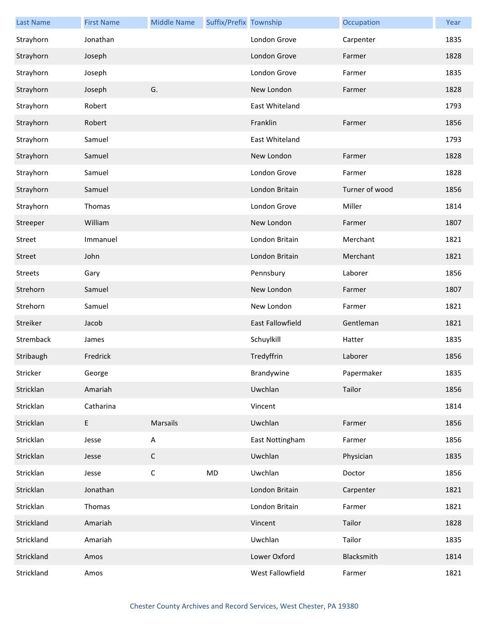| <b>Last Name</b> | <b>First Name</b>                          | <b>Middle Name</b> | Suffix/Prefix Township |                         | Occupation     | Year |
|------------------|--------------------------------------------|--------------------|------------------------|-------------------------|----------------|------|
| Strayhorn        | Jonathan                                   |                    |                        | London Grove            | Carpenter      | 1835 |
| Strayhorn        | Joseph                                     |                    |                        | London Grove            | Farmer         | 1828 |
| Strayhorn        | Joseph                                     |                    |                        | London Grove            | Farmer         | 1835 |
| Strayhorn        | Joseph                                     | G.                 |                        | New London              | Farmer         | 1828 |
| Strayhorn        | Robert                                     |                    |                        | East Whiteland          |                | 1793 |
| Strayhorn        | Robert                                     |                    |                        | Franklin                | Farmer         | 1856 |
| Strayhorn        | Samuel                                     |                    |                        | East Whiteland          |                | 1793 |
| Strayhorn        | Samuel                                     |                    |                        | New London              | Farmer         | 1828 |
| Strayhorn        | Samuel                                     |                    |                        | London Grove            | Farmer         | 1828 |
| Strayhorn        | Samuel                                     |                    |                        | London Britain          | Turner of wood | 1856 |
| Strayhorn        | Thomas                                     |                    |                        | London Grove            | Miller         | 1814 |
| Streeper         | William                                    |                    |                        | New London              | Farmer         | 1807 |
| Street           | Immanuel                                   |                    |                        | London Britain          | Merchant       | 1821 |
| Street           | John                                       |                    |                        | London Britain          | Merchant       | 1821 |
| <b>Streets</b>   | Gary                                       |                    |                        | Pennsbury               | Laborer        | 1856 |
| Strehorn         | Samuel                                     |                    |                        | New London              | Farmer         | 1807 |
| Strehorn         | Samuel                                     |                    |                        | New London              | Farmer         | 1821 |
| Streiker         | Jacob                                      |                    |                        | <b>East Fallowfield</b> | Gentleman      | 1821 |
| Stremback        | James                                      |                    |                        | Schuylkill              | Hatter         | 1835 |
| Stribaugh        | Fredrick                                   |                    |                        | Tredyffrin              | Laborer        | 1856 |
| Stricker         | George                                     |                    |                        | Brandywine              | Papermaker     | 1835 |
| Stricklan        | Amariah                                    |                    |                        | Uwchlan                 | Tailor         | 1856 |
| Stricklan        | Catharina                                  |                    |                        | Vincent                 |                | 1814 |
| Stricklan        | $\mathsf{E}% _{0}\left( \mathsf{E}\right)$ | Marsails           |                        | Uwchlan                 | Farmer         | 1856 |
| Stricklan        | Jesse                                      | A                  |                        | East Nottingham         | Farmer         | 1856 |
| Stricklan        | Jesse                                      | $\mathsf C$        |                        | Uwchlan                 | Physician      | 1835 |
| Stricklan        | Jesse                                      | $\mathsf C$        | <b>MD</b>              | Uwchlan                 | Doctor         | 1856 |
| Stricklan        | Jonathan                                   |                    |                        | London Britain          | Carpenter      | 1821 |
| Stricklan        | Thomas                                     |                    |                        | London Britain          | Farmer         | 1821 |
| Strickland       | Amariah                                    |                    |                        | Vincent                 | Tailor         | 1828 |
| Strickland       | Amariah                                    |                    |                        | Uwchlan                 | Tailor         | 1835 |
| Strickland       | Amos                                       |                    |                        | Lower Oxford            | Blacksmith     | 1814 |
| Strickland       | Amos                                       |                    |                        | West Fallowfield        | Farmer         | 1821 |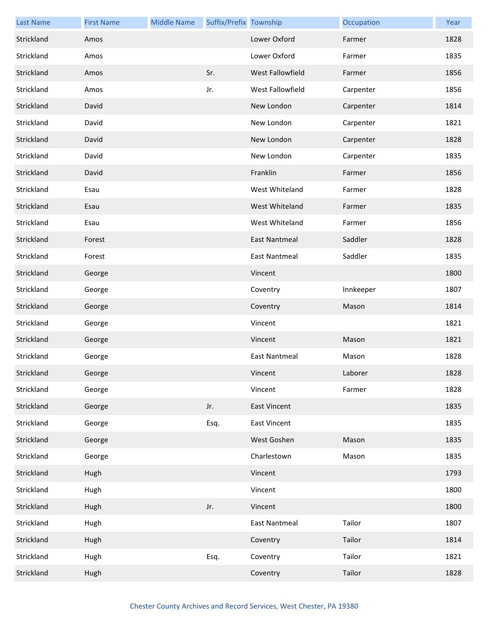| <b>Last Name</b> | <b>First Name</b> | <b>Middle Name</b> | Suffix/Prefix Township |                      | Occupation | Year |
|------------------|-------------------|--------------------|------------------------|----------------------|------------|------|
| Strickland       | Amos              |                    |                        | Lower Oxford         | Farmer     | 1828 |
| Strickland       | Amos              |                    |                        | Lower Oxford         | Farmer     | 1835 |
| Strickland       | Amos              |                    | Sr.                    | West Fallowfield     | Farmer     | 1856 |
| Strickland       | Amos              |                    | Jr.                    | West Fallowfield     | Carpenter  | 1856 |
| Strickland       | David             |                    |                        | New London           | Carpenter  | 1814 |
| Strickland       | David             |                    |                        | New London           | Carpenter  | 1821 |
| Strickland       | David             |                    |                        | New London           | Carpenter  | 1828 |
| Strickland       | David             |                    |                        | New London           | Carpenter  | 1835 |
| Strickland       | David             |                    |                        | Franklin             | Farmer     | 1856 |
| Strickland       | Esau              |                    |                        | West Whiteland       | Farmer     | 1828 |
| Strickland       | Esau              |                    |                        | West Whiteland       | Farmer     | 1835 |
| Strickland       | Esau              |                    |                        | West Whiteland       | Farmer     | 1856 |
| Strickland       | Forest            |                    |                        | East Nantmeal        | Saddler    | 1828 |
| Strickland       | Forest            |                    |                        | <b>East Nantmeal</b> | Saddler    | 1835 |
| Strickland       | George            |                    |                        | Vincent              |            | 1800 |
| Strickland       | George            |                    |                        | Coventry             | Innkeeper  | 1807 |
| Strickland       | George            |                    |                        | Coventry             | Mason      | 1814 |
| Strickland       | George            |                    |                        | Vincent              |            | 1821 |
| Strickland       | George            |                    |                        | Vincent              | Mason      | 1821 |
| Strickland       | George            |                    |                        | <b>East Nantmeal</b> | Mason      | 1828 |
| Strickland       | George            |                    |                        | Vincent              | Laborer    | 1828 |
| Strickland       | George            |                    |                        | Vincent              | Farmer     | 1828 |
| Strickland       | George            |                    | Jr.                    | <b>East Vincent</b>  |            | 1835 |
| Strickland       | George            |                    | Esq.                   | <b>East Vincent</b>  |            | 1835 |
| Strickland       | George            |                    |                        | West Goshen          | Mason      | 1835 |
| Strickland       | George            |                    |                        | Charlestown          | Mason      | 1835 |
| Strickland       | Hugh              |                    |                        | Vincent              |            | 1793 |
| Strickland       | Hugh              |                    |                        | Vincent              |            | 1800 |
| Strickland       | Hugh              |                    | Jr.                    | Vincent              |            | 1800 |
| Strickland       | Hugh              |                    |                        | <b>East Nantmeal</b> | Tailor     | 1807 |
| Strickland       | Hugh              |                    |                        | Coventry             | Tailor     | 1814 |
| Strickland       | Hugh              |                    | Esq.                   | Coventry             | Tailor     | 1821 |
| Strickland       | Hugh              |                    |                        | Coventry             | Tailor     | 1828 |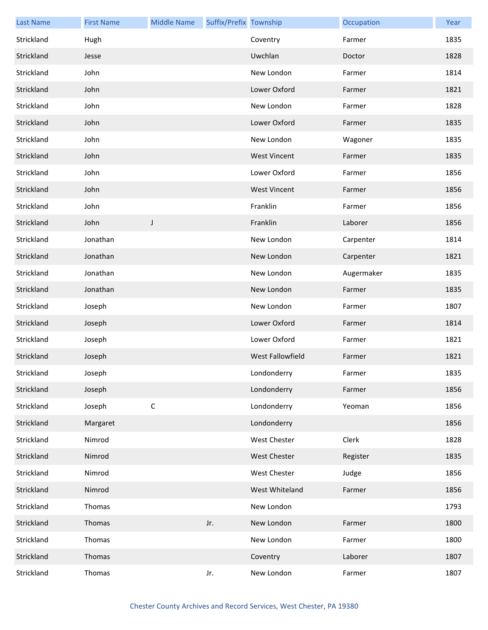| <b>Last Name</b> | <b>First Name</b> | <b>Middle Name</b> | Suffix/Prefix Township |                         | Occupation | Year |
|------------------|-------------------|--------------------|------------------------|-------------------------|------------|------|
| Strickland       | Hugh              |                    |                        | Coventry                | Farmer     | 1835 |
| Strickland       | Jesse             |                    |                        | Uwchlan                 | Doctor     | 1828 |
| Strickland       | John              |                    |                        | New London              | Farmer     | 1814 |
| Strickland       | John              |                    |                        | Lower Oxford            | Farmer     | 1821 |
| Strickland       | John              |                    |                        | New London              | Farmer     | 1828 |
| Strickland       | John              |                    |                        | Lower Oxford            | Farmer     | 1835 |
| Strickland       | John              |                    |                        | New London              | Wagoner    | 1835 |
| Strickland       | John              |                    |                        | <b>West Vincent</b>     | Farmer     | 1835 |
| Strickland       | John              |                    |                        | Lower Oxford            | Farmer     | 1856 |
| Strickland       | John              |                    |                        | <b>West Vincent</b>     | Farmer     | 1856 |
| Strickland       | John              |                    |                        | Franklin                | Farmer     | 1856 |
| Strickland       | John              | J                  |                        | Franklin                | Laborer    | 1856 |
| Strickland       | Jonathan          |                    |                        | New London              | Carpenter  | 1814 |
| Strickland       | Jonathan          |                    |                        | New London              | Carpenter  | 1821 |
| Strickland       | Jonathan          |                    |                        | New London              | Augermaker | 1835 |
| Strickland       | Jonathan          |                    |                        | New London              | Farmer     | 1835 |
| Strickland       | Joseph            |                    |                        | New London              | Farmer     | 1807 |
| Strickland       | Joseph            |                    |                        | Lower Oxford            | Farmer     | 1814 |
| Strickland       | Joseph            |                    |                        | Lower Oxford            | Farmer     | 1821 |
| Strickland       | Joseph            |                    |                        | <b>West Fallowfield</b> | Farmer     | 1821 |
| Strickland       | Joseph            |                    |                        | Londonderry             | Farmer     | 1835 |
| Strickland       | Joseph            |                    |                        | Londonderry             | Farmer     | 1856 |
| Strickland       | Joseph            | $\mathsf C$        |                        | Londonderry             | Yeoman     | 1856 |
| Strickland       | Margaret          |                    |                        | Londonderry             |            | 1856 |
| Strickland       | Nimrod            |                    |                        | West Chester            | Clerk      | 1828 |
| Strickland       | Nimrod            |                    |                        | <b>West Chester</b>     | Register   | 1835 |
| Strickland       | Nimrod            |                    |                        | West Chester            | Judge      | 1856 |
| Strickland       | Nimrod            |                    |                        | West Whiteland          | Farmer     | 1856 |
| Strickland       | Thomas            |                    |                        | New London              |            | 1793 |
| Strickland       | Thomas            |                    | Jr.                    | New London              | Farmer     | 1800 |
| Strickland       | Thomas            |                    |                        | New London              | Farmer     | 1800 |
| Strickland       | Thomas            |                    |                        | Coventry                | Laborer    | 1807 |
| Strickland       | Thomas            |                    | Jr.                    | New London              | Farmer     | 1807 |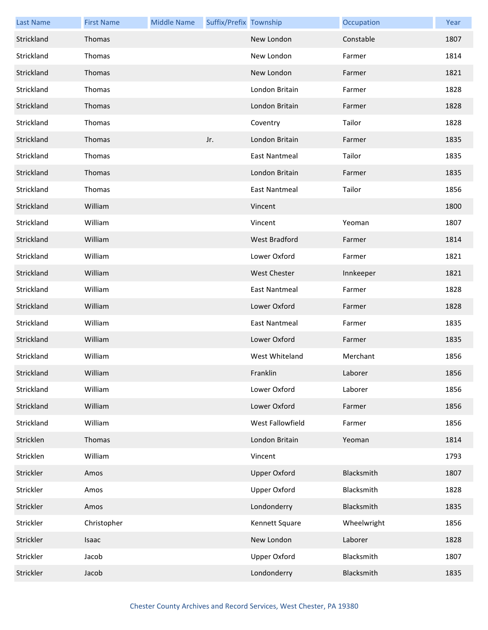| <b>Last Name</b> | <b>First Name</b> | <b>Middle Name</b> | Suffix/Prefix Township |                      | Occupation  | Year |
|------------------|-------------------|--------------------|------------------------|----------------------|-------------|------|
| Strickland       | Thomas            |                    |                        | New London           | Constable   | 1807 |
| Strickland       | Thomas            |                    |                        | New London           | Farmer      | 1814 |
| Strickland       | Thomas            |                    |                        | New London           | Farmer      | 1821 |
| Strickland       | Thomas            |                    |                        | London Britain       | Farmer      | 1828 |
| Strickland       | Thomas            |                    |                        | London Britain       | Farmer      | 1828 |
| Strickland       | Thomas            |                    |                        | Coventry             | Tailor      | 1828 |
| Strickland       | Thomas            |                    | Jr.                    | London Britain       | Farmer      | 1835 |
| Strickland       | Thomas            |                    |                        | <b>East Nantmeal</b> | Tailor      | 1835 |
| Strickland       | Thomas            |                    |                        | London Britain       | Farmer      | 1835 |
| Strickland       | Thomas            |                    |                        | <b>East Nantmeal</b> | Tailor      | 1856 |
| Strickland       | William           |                    |                        | Vincent              |             | 1800 |
| Strickland       | William           |                    |                        | Vincent              | Yeoman      | 1807 |
| Strickland       | William           |                    |                        | West Bradford        | Farmer      | 1814 |
| Strickland       | William           |                    |                        | Lower Oxford         | Farmer      | 1821 |
| Strickland       | William           |                    |                        | <b>West Chester</b>  | Innkeeper   | 1821 |
| Strickland       | William           |                    |                        | <b>East Nantmeal</b> | Farmer      | 1828 |
| Strickland       | William           |                    |                        | Lower Oxford         | Farmer      | 1828 |
| Strickland       | William           |                    |                        | <b>East Nantmeal</b> | Farmer      | 1835 |
| Strickland       | William           |                    |                        | Lower Oxford         | Farmer      | 1835 |
| Strickland       | William           |                    |                        | West Whiteland       | Merchant    | 1856 |
| Strickland       | William           |                    |                        | Franklin             | Laborer     | 1856 |
| Strickland       | William           |                    |                        | Lower Oxford         | Laborer     | 1856 |
| Strickland       | William           |                    |                        | Lower Oxford         | Farmer      | 1856 |
| Strickland       | William           |                    |                        | West Fallowfield     | Farmer      | 1856 |
| Stricklen        | Thomas            |                    |                        | London Britain       | Yeoman      | 1814 |
| Stricklen        | William           |                    |                        | Vincent              |             | 1793 |
| Strickler        | Amos              |                    |                        | <b>Upper Oxford</b>  | Blacksmith  | 1807 |
| Strickler        | Amos              |                    |                        | <b>Upper Oxford</b>  | Blacksmith  | 1828 |
| Strickler        | Amos              |                    |                        | Londonderry          | Blacksmith  | 1835 |
| Strickler        | Christopher       |                    |                        | Kennett Square       | Wheelwright | 1856 |
| Strickler        | Isaac             |                    |                        | New London           | Laborer     | 1828 |
| Strickler        | Jacob             |                    |                        | Upper Oxford         | Blacksmith  | 1807 |
| Strickler        | Jacob             |                    |                        | Londonderry          | Blacksmith  | 1835 |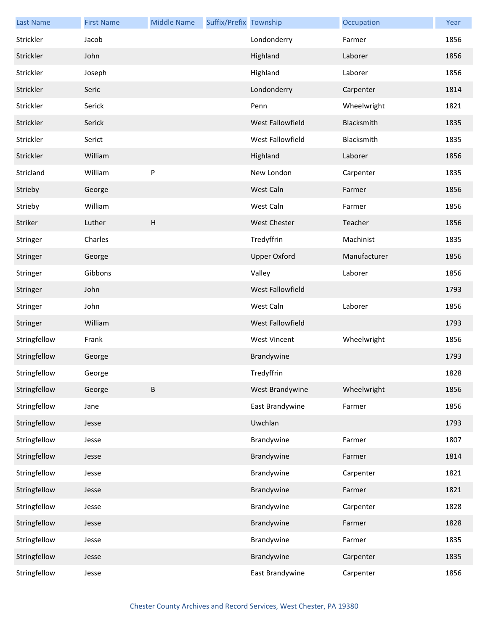| <b>Last Name</b> | <b>First Name</b> | <b>Middle Name</b>        | Suffix/Prefix Township |                     | Occupation   | Year |
|------------------|-------------------|---------------------------|------------------------|---------------------|--------------|------|
| Strickler        | Jacob             |                           |                        | Londonderry         | Farmer       | 1856 |
| Strickler        | John              |                           |                        | Highland            | Laborer      | 1856 |
| Strickler        | Joseph            |                           |                        | Highland            | Laborer      | 1856 |
| Strickler        | Seric             |                           |                        | Londonderry         | Carpenter    | 1814 |
| Strickler        | Serick            |                           |                        | Penn                | Wheelwright  | 1821 |
| Strickler        | Serick            |                           |                        | West Fallowfield    | Blacksmith   | 1835 |
| Strickler        | Serict            |                           |                        | West Fallowfield    | Blacksmith   | 1835 |
| Strickler        | William           |                           |                        | Highland            | Laborer      | 1856 |
| Stricland        | William           | P                         |                        | New London          | Carpenter    | 1835 |
| Strieby          | George            |                           |                        | West Caln           | Farmer       | 1856 |
| Strieby          | William           |                           |                        | West Caln           | Farmer       | 1856 |
| Striker          | Luther            | $\boldsymbol{\mathsf{H}}$ |                        | West Chester        | Teacher      | 1856 |
| Stringer         | Charles           |                           |                        | Tredyffrin          | Machinist    | 1835 |
| Stringer         | George            |                           |                        | <b>Upper Oxford</b> | Manufacturer | 1856 |
| Stringer         | Gibbons           |                           |                        | Valley              | Laborer      | 1856 |
| Stringer         | John              |                           |                        | West Fallowfield    |              | 1793 |
| Stringer         | John              |                           |                        | West Caln           | Laborer      | 1856 |
| Stringer         | William           |                           |                        | West Fallowfield    |              | 1793 |
| Stringfellow     | Frank             |                           |                        | <b>West Vincent</b> | Wheelwright  | 1856 |
| Stringfellow     | George            |                           |                        | Brandywine          |              | 1793 |
| Stringfellow     | George            |                           |                        | Tredyffrin          |              | 1828 |
| Stringfellow     | George            | B                         |                        | West Brandywine     | Wheelwright  | 1856 |
| Stringfellow     | Jane              |                           |                        | East Brandywine     | Farmer       | 1856 |
| Stringfellow     | Jesse             |                           |                        | Uwchlan             |              | 1793 |
| Stringfellow     | Jesse             |                           |                        | Brandywine          | Farmer       | 1807 |
| Stringfellow     | Jesse             |                           |                        | Brandywine          | Farmer       | 1814 |
| Stringfellow     | Jesse             |                           |                        | Brandywine          | Carpenter    | 1821 |
| Stringfellow     | Jesse             |                           |                        | Brandywine          | Farmer       | 1821 |
| Stringfellow     | Jesse             |                           |                        | Brandywine          | Carpenter    | 1828 |
| Stringfellow     | Jesse             |                           |                        | Brandywine          | Farmer       | 1828 |
| Stringfellow     | Jesse             |                           |                        | Brandywine          | Farmer       | 1835 |
| Stringfellow     | Jesse             |                           |                        | Brandywine          | Carpenter    | 1835 |
| Stringfellow     | Jesse             |                           |                        | East Brandywine     | Carpenter    | 1856 |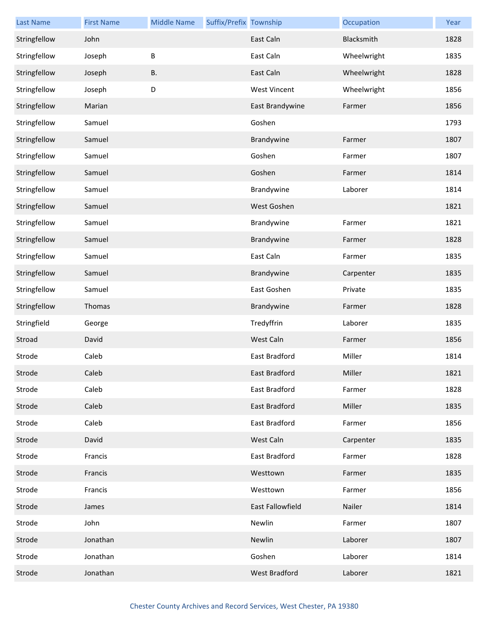| <b>Last Name</b> | <b>First Name</b> | <b>Middle Name</b> | Suffix/Prefix Township |                      | Occupation  | Year |
|------------------|-------------------|--------------------|------------------------|----------------------|-------------|------|
| Stringfellow     | John              |                    |                        | East Caln            | Blacksmith  | 1828 |
| Stringfellow     | Joseph            | B                  |                        | East Caln            | Wheelwright | 1835 |
| Stringfellow     | Joseph            | В.                 |                        | East Caln            | Wheelwright | 1828 |
| Stringfellow     | Joseph            | D                  |                        | <b>West Vincent</b>  | Wheelwright | 1856 |
| Stringfellow     | Marian            |                    |                        | East Brandywine      | Farmer      | 1856 |
| Stringfellow     | Samuel            |                    |                        | Goshen               |             | 1793 |
| Stringfellow     | Samuel            |                    |                        | Brandywine           | Farmer      | 1807 |
| Stringfellow     | Samuel            |                    |                        | Goshen               | Farmer      | 1807 |
| Stringfellow     | Samuel            |                    |                        | Goshen               | Farmer      | 1814 |
| Stringfellow     | Samuel            |                    |                        | Brandywine           | Laborer     | 1814 |
| Stringfellow     | Samuel            |                    |                        | West Goshen          |             | 1821 |
| Stringfellow     | Samuel            |                    |                        | Brandywine           | Farmer      | 1821 |
| Stringfellow     | Samuel            |                    |                        | Brandywine           | Farmer      | 1828 |
| Stringfellow     | Samuel            |                    |                        | East Caln            | Farmer      | 1835 |
| Stringfellow     | Samuel            |                    |                        | Brandywine           | Carpenter   | 1835 |
| Stringfellow     | Samuel            |                    |                        | East Goshen          | Private     | 1835 |
| Stringfellow     | Thomas            |                    |                        | Brandywine           | Farmer      | 1828 |
| Stringfield      | George            |                    |                        | Tredyffrin           | Laborer     | 1835 |
| Stroad           | David             |                    |                        | West Caln            | Farmer      | 1856 |
| Strode           | Caleb             |                    |                        | East Bradford        | Miller      | 1814 |
| Strode           | Caleb             |                    |                        | East Bradford        | Miller      | 1821 |
| Strode           | Caleb             |                    |                        | East Bradford        | Farmer      | 1828 |
| Strode           | Caleb             |                    |                        | East Bradford        | Miller      | 1835 |
| Strode           | Caleb             |                    |                        | East Bradford        | Farmer      | 1856 |
| Strode           | David             |                    |                        | West Caln            | Carpenter   | 1835 |
| Strode           | Francis           |                    |                        | East Bradford        | Farmer      | 1828 |
| Strode           | Francis           |                    |                        | Westtown             | Farmer      | 1835 |
| Strode           | Francis           |                    |                        | Westtown             | Farmer      | 1856 |
| Strode           | James             |                    |                        | East Fallowfield     | Nailer      | 1814 |
| Strode           | John              |                    |                        | Newlin               | Farmer      | 1807 |
| Strode           | Jonathan          |                    |                        | Newlin               | Laborer     | 1807 |
| Strode           | Jonathan          |                    |                        | Goshen               | Laborer     | 1814 |
| Strode           | Jonathan          |                    |                        | <b>West Bradford</b> | Laborer     | 1821 |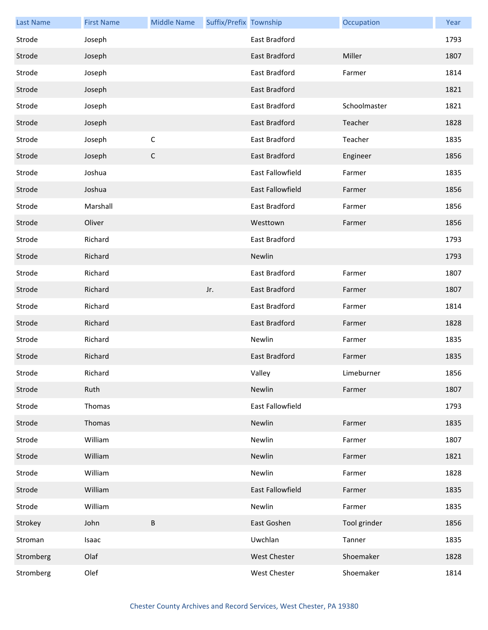| <b>Last Name</b> | <b>First Name</b> | <b>Middle Name</b> | Suffix/Prefix Township |                      | Occupation   | Year |
|------------------|-------------------|--------------------|------------------------|----------------------|--------------|------|
| Strode           | Joseph            |                    |                        | East Bradford        |              | 1793 |
| Strode           | Joseph            |                    |                        | East Bradford        | Miller       | 1807 |
| Strode           | Joseph            |                    |                        | East Bradford        | Farmer       | 1814 |
| Strode           | Joseph            |                    |                        | East Bradford        |              | 1821 |
| Strode           | Joseph            |                    |                        | East Bradford        | Schoolmaster | 1821 |
| Strode           | Joseph            |                    |                        | <b>East Bradford</b> | Teacher      | 1828 |
| Strode           | Joseph            | $\mathsf C$        |                        | East Bradford        | Teacher      | 1835 |
| Strode           | Joseph            | $\mathsf C$        |                        | East Bradford        | Engineer     | 1856 |
| Strode           | Joshua            |                    |                        | East Fallowfield     | Farmer       | 1835 |
| Strode           | Joshua            |                    |                        | East Fallowfield     | Farmer       | 1856 |
| Strode           | Marshall          |                    |                        | East Bradford        | Farmer       | 1856 |
| Strode           | Oliver            |                    |                        | Westtown             | Farmer       | 1856 |
| Strode           | Richard           |                    |                        | East Bradford        |              | 1793 |
| Strode           | Richard           |                    |                        | Newlin               |              | 1793 |
| Strode           | Richard           |                    |                        | East Bradford        | Farmer       | 1807 |
| Strode           | Richard           |                    | Jr.                    | East Bradford        | Farmer       | 1807 |
| Strode           | Richard           |                    |                        | East Bradford        | Farmer       | 1814 |
| Strode           | Richard           |                    |                        | <b>East Bradford</b> | Farmer       | 1828 |
| Strode           | Richard           |                    |                        | Newlin               | Farmer       | 1835 |
| Strode           | Richard           |                    |                        | <b>East Bradford</b> | Farmer       | 1835 |
| Strode           | Richard           |                    |                        | Valley               | Limeburner   | 1856 |
| Strode           | Ruth              |                    |                        | Newlin               | Farmer       | 1807 |
| Strode           | Thomas            |                    |                        | East Fallowfield     |              | 1793 |
| Strode           | Thomas            |                    |                        | Newlin               | Farmer       | 1835 |
| Strode           | William           |                    |                        | Newlin               | Farmer       | 1807 |
| Strode           | William           |                    |                        | Newlin               | Farmer       | 1821 |
| Strode           | William           |                    |                        | Newlin               | Farmer       | 1828 |
| Strode           | William           |                    |                        | East Fallowfield     | Farmer       | 1835 |
| Strode           | William           |                    |                        | Newlin               | Farmer       | 1835 |
| Strokey          | John              | B                  |                        | East Goshen          | Tool grinder | 1856 |
| Stroman          | Isaac             |                    |                        | Uwchlan              | Tanner       | 1835 |
| Stromberg        | Olaf              |                    |                        | West Chester         | Shoemaker    | 1828 |
| Stromberg        | Olef              |                    |                        | West Chester         | Shoemaker    | 1814 |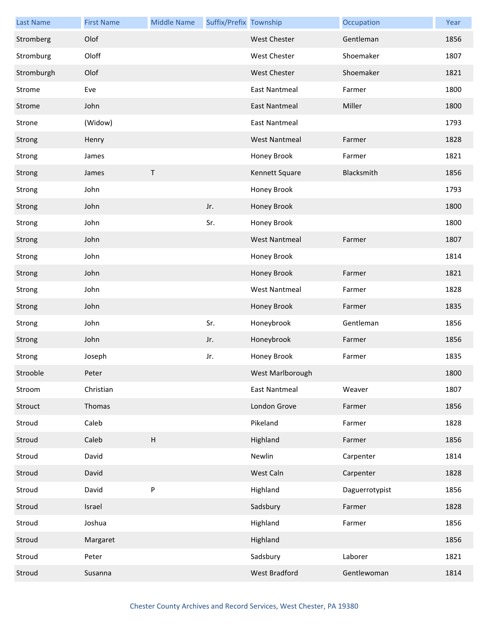| <b>Last Name</b> | <b>First Name</b> | <b>Middle Name</b>        | Suffix/Prefix Township |                      | Occupation     | Year |
|------------------|-------------------|---------------------------|------------------------|----------------------|----------------|------|
| Stromberg        | Olof              |                           |                        | <b>West Chester</b>  | Gentleman      | 1856 |
| Stromburg        | Oloff             |                           |                        | West Chester         | Shoemaker      | 1807 |
| Stromburgh       | Olof              |                           |                        | West Chester         | Shoemaker      | 1821 |
| Strome           | Eve               |                           |                        | <b>East Nantmeal</b> | Farmer         | 1800 |
| Strome           | John              |                           |                        | <b>East Nantmeal</b> | Miller         | 1800 |
| Strone           | (Widow)           |                           |                        | <b>East Nantmeal</b> |                | 1793 |
| Strong           | Henry             |                           |                        | <b>West Nantmeal</b> | Farmer         | 1828 |
| Strong           | James             |                           |                        | Honey Brook          | Farmer         | 1821 |
| Strong           | James             | $\mathsf T$               |                        | Kennett Square       | Blacksmith     | 1856 |
| Strong           | John              |                           |                        | Honey Brook          |                | 1793 |
| Strong           | John              |                           | Jr.                    | Honey Brook          |                | 1800 |
| Strong           | John              |                           | Sr.                    | Honey Brook          |                | 1800 |
| Strong           | John              |                           |                        | <b>West Nantmeal</b> | Farmer         | 1807 |
| Strong           | John              |                           |                        | Honey Brook          |                | 1814 |
| Strong           | John              |                           |                        | Honey Brook          | Farmer         | 1821 |
| Strong           | John              |                           |                        | <b>West Nantmeal</b> | Farmer         | 1828 |
| Strong           | John              |                           |                        | Honey Brook          | Farmer         | 1835 |
| Strong           | John              |                           | Sr.                    | Honeybrook           | Gentleman      | 1856 |
| Strong           | John              |                           | Jr.                    | Honeybrook           | Farmer         | 1856 |
| Strong           | Joseph            |                           | Jr.                    | Honey Brook          | Farmer         | 1835 |
| Strooble         | Peter             |                           |                        | West Marlborough     |                | 1800 |
| Stroom           | Christian         |                           |                        | <b>East Nantmeal</b> | Weaver         | 1807 |
| Strouct          | Thomas            |                           |                        | London Grove         | Farmer         | 1856 |
| Stroud           | Caleb             |                           |                        | Pikeland             | Farmer         | 1828 |
| Stroud           | Caleb             | $\boldsymbol{\mathsf{H}}$ |                        | Highland             | Farmer         | 1856 |
| Stroud           | David             |                           |                        | Newlin               | Carpenter      | 1814 |
| Stroud           | David             |                           |                        | West Caln            | Carpenter      | 1828 |
| Stroud           | David             | ${\sf P}$                 |                        | Highland             | Daguerrotypist | 1856 |
| Stroud           | Israel            |                           |                        | Sadsbury             | Farmer         | 1828 |
| Stroud           | Joshua            |                           |                        | Highland             | Farmer         | 1856 |
| Stroud           | Margaret          |                           |                        | Highland             |                | 1856 |
| Stroud           | Peter             |                           |                        | Sadsbury             | Laborer        | 1821 |
| Stroud           | Susanna           |                           |                        | <b>West Bradford</b> | Gentlewoman    | 1814 |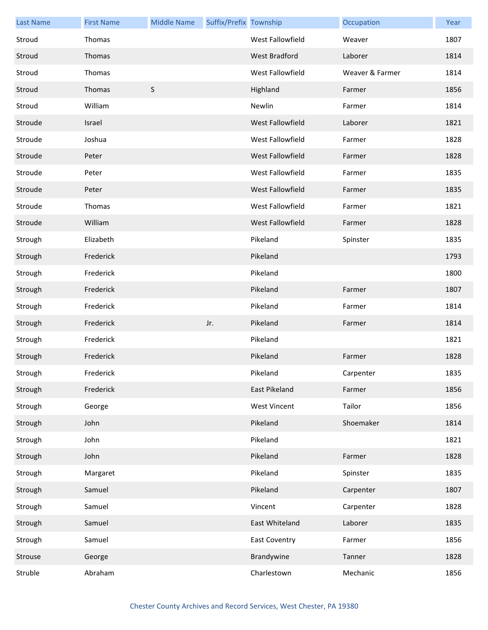| <b>Last Name</b> | <b>First Name</b> | <b>Middle Name</b> | Suffix/Prefix Township |                      | Occupation      | Year |
|------------------|-------------------|--------------------|------------------------|----------------------|-----------------|------|
| Stroud           | Thomas            |                    |                        | West Fallowfield     | Weaver          | 1807 |
| Stroud           | Thomas            |                    |                        | <b>West Bradford</b> | Laborer         | 1814 |
| Stroud           | Thomas            |                    |                        | West Fallowfield     | Weaver & Farmer | 1814 |
| Stroud           | Thomas            | $\mathsf S$        |                        | Highland             | Farmer          | 1856 |
| Stroud           | William           |                    |                        | Newlin               | Farmer          | 1814 |
| Stroude          | Israel            |                    |                        | West Fallowfield     | Laborer         | 1821 |
| Stroude          | Joshua            |                    |                        | West Fallowfield     | Farmer          | 1828 |
| Stroude          | Peter             |                    |                        | West Fallowfield     | Farmer          | 1828 |
| Stroude          | Peter             |                    |                        | West Fallowfield     | Farmer          | 1835 |
| Stroude          | Peter             |                    |                        | West Fallowfield     | Farmer          | 1835 |
| Stroude          | Thomas            |                    |                        | West Fallowfield     | Farmer          | 1821 |
| Stroude          | William           |                    |                        | West Fallowfield     | Farmer          | 1828 |
| Strough          | Elizabeth         |                    |                        | Pikeland             | Spinster        | 1835 |
| Strough          | Frederick         |                    |                        | Pikeland             |                 | 1793 |
| Strough          | Frederick         |                    |                        | Pikeland             |                 | 1800 |
| Strough          | Frederick         |                    |                        | Pikeland             | Farmer          | 1807 |
| Strough          | Frederick         |                    |                        | Pikeland             | Farmer          | 1814 |
| Strough          | Frederick         |                    | Jr.                    | Pikeland             | Farmer          | 1814 |
| Strough          | Frederick         |                    |                        | Pikeland             |                 | 1821 |
| Strough          | Frederick         |                    |                        | Pikeland             | Farmer          | 1828 |
| Strough          | Frederick         |                    |                        | Pikeland             | Carpenter       | 1835 |
| Strough          | Frederick         |                    |                        | East Pikeland        | Farmer          | 1856 |
| Strough          | George            |                    |                        | <b>West Vincent</b>  | Tailor          | 1856 |
| Strough          | John              |                    |                        | Pikeland             | Shoemaker       | 1814 |
| Strough          | John              |                    |                        | Pikeland             |                 | 1821 |
| Strough          | John              |                    |                        | Pikeland             | Farmer          | 1828 |
| Strough          | Margaret          |                    |                        | Pikeland             | Spinster        | 1835 |
| Strough          | Samuel            |                    |                        | Pikeland             | Carpenter       | 1807 |
| Strough          | Samuel            |                    |                        | Vincent              | Carpenter       | 1828 |
| Strough          | Samuel            |                    |                        | East Whiteland       | Laborer         | 1835 |
| Strough          | Samuel            |                    |                        | <b>East Coventry</b> | Farmer          | 1856 |
| Strouse          | George            |                    |                        | Brandywine           | Tanner          | 1828 |
| Struble          | Abraham           |                    |                        | Charlestown          | Mechanic        | 1856 |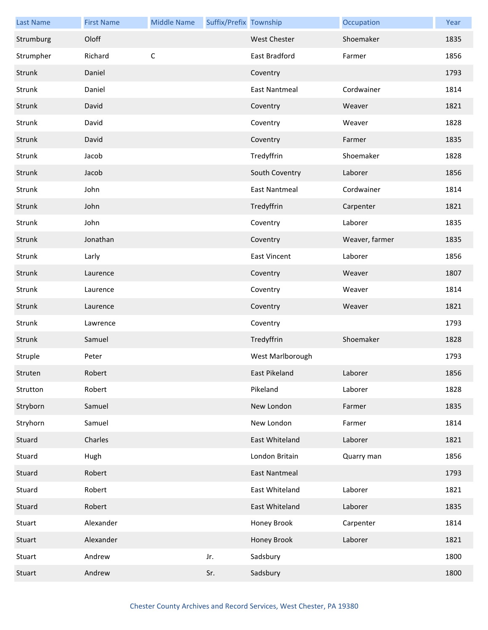| <b>Last Name</b> | <b>First Name</b> | <b>Middle Name</b> | Suffix/Prefix Township |                      | Occupation     | Year |
|------------------|-------------------|--------------------|------------------------|----------------------|----------------|------|
| Strumburg        | Oloff             |                    |                        | <b>West Chester</b>  | Shoemaker      | 1835 |
| Strumpher        | Richard           | $\mathsf C$        |                        | East Bradford        | Farmer         | 1856 |
| Strunk           | Daniel            |                    |                        | Coventry             |                | 1793 |
| Strunk           | Daniel            |                    |                        | <b>East Nantmeal</b> | Cordwainer     | 1814 |
| Strunk           | David             |                    |                        | Coventry             | Weaver         | 1821 |
| Strunk           | David             |                    |                        | Coventry             | Weaver         | 1828 |
| Strunk           | David             |                    |                        | Coventry             | Farmer         | 1835 |
| Strunk           | Jacob             |                    |                        | Tredyffrin           | Shoemaker      | 1828 |
| Strunk           | Jacob             |                    |                        | South Coventry       | Laborer        | 1856 |
| Strunk           | John              |                    |                        | <b>East Nantmeal</b> | Cordwainer     | 1814 |
| Strunk           | John              |                    |                        | Tredyffrin           | Carpenter      | 1821 |
| Strunk           | John              |                    |                        | Coventry             | Laborer        | 1835 |
| Strunk           | Jonathan          |                    |                        | Coventry             | Weaver, farmer | 1835 |
| Strunk           | Larly             |                    |                        | <b>East Vincent</b>  | Laborer        | 1856 |
| Strunk           | Laurence          |                    |                        | Coventry             | Weaver         | 1807 |
| Strunk           | Laurence          |                    |                        | Coventry             | Weaver         | 1814 |
| Strunk           | Laurence          |                    |                        | Coventry             | Weaver         | 1821 |
| Strunk           | Lawrence          |                    |                        | Coventry             |                | 1793 |
| Strunk           | Samuel            |                    |                        | Tredyffrin           | Shoemaker      | 1828 |
| Struple          | Peter             |                    |                        | West Marlborough     |                | 1793 |
| Struten          | Robert            |                    |                        | East Pikeland        | Laborer        | 1856 |
| Strutton         | Robert            |                    |                        | Pikeland             | Laborer        | 1828 |
| Stryborn         | Samuel            |                    |                        | New London           | Farmer         | 1835 |
| Stryhorn         | Samuel            |                    |                        | New London           | Farmer         | 1814 |
| Stuard           | Charles           |                    |                        | East Whiteland       | Laborer        | 1821 |
| Stuard           | Hugh              |                    |                        | London Britain       | Quarry man     | 1856 |
| Stuard           | Robert            |                    |                        | <b>East Nantmeal</b> |                | 1793 |
| Stuard           | Robert            |                    |                        | East Whiteland       | Laborer        | 1821 |
| Stuard           | Robert            |                    |                        | East Whiteland       | Laborer        | 1835 |
| Stuart           | Alexander         |                    |                        | Honey Brook          | Carpenter      | 1814 |
| Stuart           | Alexander         |                    |                        | Honey Brook          | Laborer        | 1821 |
| Stuart           | Andrew            |                    | Jr.                    | Sadsbury             |                | 1800 |
| Stuart           | Andrew            |                    | Sr.                    | Sadsbury             |                | 1800 |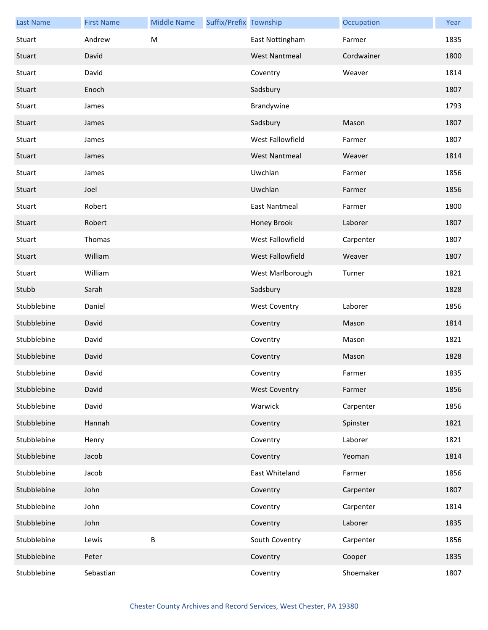| <b>Last Name</b> | <b>First Name</b> | <b>Middle Name</b> | Suffix/Prefix Township |                      | Occupation | Year |
|------------------|-------------------|--------------------|------------------------|----------------------|------------|------|
| Stuart           | Andrew            | M                  |                        | East Nottingham      | Farmer     | 1835 |
| Stuart           | David             |                    |                        | <b>West Nantmeal</b> | Cordwainer | 1800 |
| Stuart           | David             |                    |                        | Coventry             | Weaver     | 1814 |
| Stuart           | Enoch             |                    |                        | Sadsbury             |            | 1807 |
| Stuart           | James             |                    |                        | Brandywine           |            | 1793 |
| Stuart           | James             |                    |                        | Sadsbury             | Mason      | 1807 |
| Stuart           | James             |                    |                        | West Fallowfield     | Farmer     | 1807 |
| Stuart           | James             |                    |                        | <b>West Nantmeal</b> | Weaver     | 1814 |
| Stuart           | James             |                    |                        | Uwchlan              | Farmer     | 1856 |
| Stuart           | Joel              |                    |                        | Uwchlan              | Farmer     | 1856 |
| Stuart           | Robert            |                    |                        | <b>East Nantmeal</b> | Farmer     | 1800 |
| Stuart           | Robert            |                    |                        | Honey Brook          | Laborer    | 1807 |
| Stuart           | Thomas            |                    |                        | West Fallowfield     | Carpenter  | 1807 |
| Stuart           | William           |                    |                        | West Fallowfield     | Weaver     | 1807 |
| Stuart           | William           |                    |                        | West Marlborough     | Turner     | 1821 |
| Stubb            | Sarah             |                    |                        | Sadsbury             |            | 1828 |
| Stubblebine      | Daniel            |                    |                        | <b>West Coventry</b> | Laborer    | 1856 |
| Stubblebine      | David             |                    |                        | Coventry             | Mason      | 1814 |
| Stubblebine      | David             |                    |                        | Coventry             | Mason      | 1821 |
| Stubblebine      | David             |                    |                        | Coventry             | Mason      | 1828 |
| Stubblebine      | David             |                    |                        | Coventry             | Farmer     | 1835 |
| Stubblebine      | David             |                    |                        | <b>West Coventry</b> | Farmer     | 1856 |
| Stubblebine      | David             |                    |                        | Warwick              | Carpenter  | 1856 |
| Stubblebine      | Hannah            |                    |                        | Coventry             | Spinster   | 1821 |
| Stubblebine      | Henry             |                    |                        | Coventry             | Laborer    | 1821 |
| Stubblebine      | Jacob             |                    |                        | Coventry             | Yeoman     | 1814 |
| Stubblebine      | Jacob             |                    |                        | East Whiteland       | Farmer     | 1856 |
| Stubblebine      | John              |                    |                        | Coventry             | Carpenter  | 1807 |
| Stubblebine      | John              |                    |                        | Coventry             | Carpenter  | 1814 |
| Stubblebine      | John              |                    |                        | Coventry             | Laborer    | 1835 |
| Stubblebine      | Lewis             | В                  |                        | South Coventry       | Carpenter  | 1856 |
| Stubblebine      | Peter             |                    |                        | Coventry             | Cooper     | 1835 |
| Stubblebine      | Sebastian         |                    |                        | Coventry             | Shoemaker  | 1807 |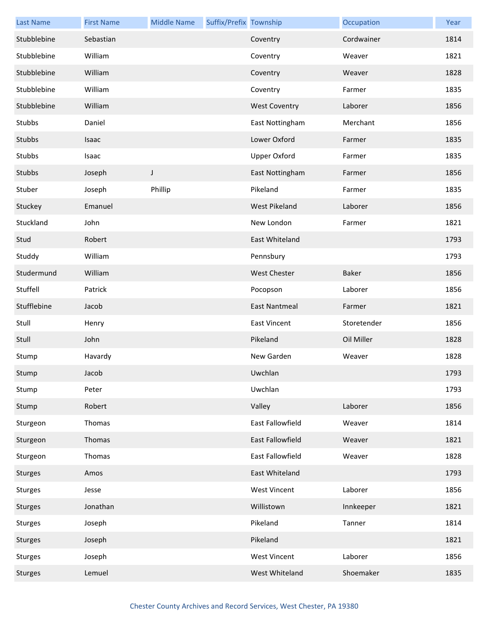| <b>Last Name</b> | <b>First Name</b> | <b>Middle Name</b> | Suffix/Prefix Township |                         | Occupation  | Year |
|------------------|-------------------|--------------------|------------------------|-------------------------|-------------|------|
| Stubblebine      | Sebastian         |                    |                        | Coventry                | Cordwainer  | 1814 |
| Stubblebine      | William           |                    |                        | Coventry                | Weaver      | 1821 |
| Stubblebine      | William           |                    |                        | Coventry                | Weaver      | 1828 |
| Stubblebine      | William           |                    |                        | Coventry                | Farmer      | 1835 |
| Stubblebine      | William           |                    |                        | <b>West Coventry</b>    | Laborer     | 1856 |
| Stubbs           | Daniel            |                    |                        | East Nottingham         | Merchant    | 1856 |
| Stubbs           | Isaac             |                    |                        | Lower Oxford            | Farmer      | 1835 |
| Stubbs           | Isaac             |                    |                        | <b>Upper Oxford</b>     | Farmer      | 1835 |
| Stubbs           | Joseph            | J                  |                        | East Nottingham         | Farmer      | 1856 |
| Stuber           | Joseph            | Phillip            |                        | Pikeland                | Farmer      | 1835 |
| Stuckey          | Emanuel           |                    |                        | <b>West Pikeland</b>    | Laborer     | 1856 |
| Stuckland        | John              |                    |                        | New London              | Farmer      | 1821 |
| Stud             | Robert            |                    |                        | East Whiteland          |             | 1793 |
| Studdy           | William           |                    |                        | Pennsbury               |             | 1793 |
| Studermund       | William           |                    |                        | <b>West Chester</b>     | Baker       | 1856 |
| Stuffell         | Patrick           |                    |                        | Pocopson                | Laborer     | 1856 |
| Stufflebine      | Jacob             |                    |                        | East Nantmeal           | Farmer      | 1821 |
| Stull            | Henry             |                    |                        | <b>East Vincent</b>     | Storetender | 1856 |
| Stull            | John              |                    |                        | Pikeland                | Oil Miller  | 1828 |
| Stump            | Havardy           |                    |                        | New Garden              | Weaver      | 1828 |
| Stump            | Jacob             |                    |                        | Uwchlan                 |             | 1793 |
| Stump            | Peter             |                    |                        | Uwchlan                 |             | 1793 |
| Stump            | Robert            |                    |                        | Valley                  | Laborer     | 1856 |
| Sturgeon         | Thomas            |                    |                        | East Fallowfield        | Weaver      | 1814 |
| Sturgeon         | Thomas            |                    |                        | <b>East Fallowfield</b> | Weaver      | 1821 |
| Sturgeon         | Thomas            |                    |                        | East Fallowfield        | Weaver      | 1828 |
| <b>Sturges</b>   | Amos              |                    |                        | East Whiteland          |             | 1793 |
| <b>Sturges</b>   | Jesse             |                    |                        | <b>West Vincent</b>     | Laborer     | 1856 |
| <b>Sturges</b>   | Jonathan          |                    |                        | Willistown              | Innkeeper   | 1821 |
| <b>Sturges</b>   | Joseph            |                    |                        | Pikeland                | Tanner      | 1814 |
| Sturges          | Joseph            |                    |                        | Pikeland                |             | 1821 |
| Sturges          | Joseph            |                    |                        | <b>West Vincent</b>     | Laborer     | 1856 |
| <b>Sturges</b>   | Lemuel            |                    |                        | West Whiteland          | Shoemaker   | 1835 |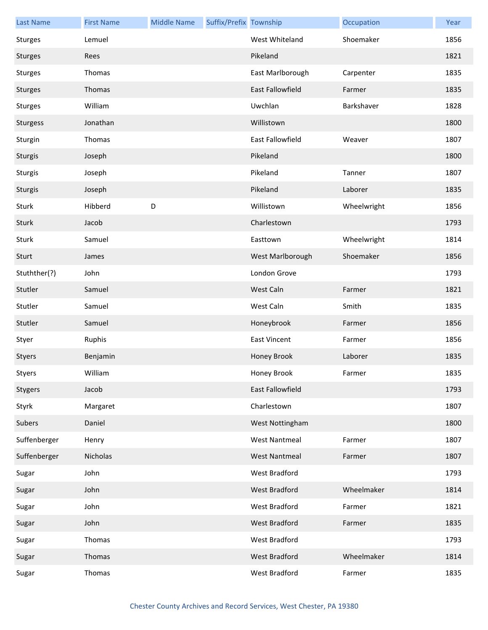| <b>Last Name</b> | <b>First Name</b> | <b>Middle Name</b> | Suffix/Prefix Township |                      | Occupation  | Year |
|------------------|-------------------|--------------------|------------------------|----------------------|-------------|------|
| <b>Sturges</b>   | Lemuel            |                    |                        | West Whiteland       | Shoemaker   | 1856 |
| Sturges          | Rees              |                    |                        | Pikeland             |             | 1821 |
| <b>Sturges</b>   | Thomas            |                    |                        | East Marlborough     | Carpenter   | 1835 |
| Sturges          | Thomas            |                    |                        | East Fallowfield     | Farmer      | 1835 |
| <b>Sturges</b>   | William           |                    |                        | Uwchlan              | Barkshaver  | 1828 |
| Sturgess         | Jonathan          |                    |                        | Willistown           |             | 1800 |
| Sturgin          | Thomas            |                    |                        | East Fallowfield     | Weaver      | 1807 |
| Sturgis          | Joseph            |                    |                        | Pikeland             |             | 1800 |
| Sturgis          | Joseph            |                    |                        | Pikeland             | Tanner      | 1807 |
| Sturgis          | Joseph            |                    |                        | Pikeland             | Laborer     | 1835 |
| Sturk            | Hibberd           | D                  |                        | Willistown           | Wheelwright | 1856 |
| Sturk            | Jacob             |                    |                        | Charlestown          |             | 1793 |
| Sturk            | Samuel            |                    |                        | Easttown             | Wheelwright | 1814 |
| Sturt            | James             |                    |                        | West Marlborough     | Shoemaker   | 1856 |
| Stuthther(?)     | John              |                    |                        | London Grove         |             | 1793 |
| Stutler          | Samuel            |                    |                        | West Caln            | Farmer      | 1821 |
| Stutler          | Samuel            |                    |                        | West Caln            | Smith       | 1835 |
| Stutler          | Samuel            |                    |                        | Honeybrook           | Farmer      | 1856 |
| Styer            | Ruphis            |                    |                        | <b>East Vincent</b>  | Farmer      | 1856 |
| Styers           | Benjamin          |                    |                        | Honey Brook          | Laborer     | 1835 |
| Styers           | William           |                    |                        | Honey Brook          | Farmer      | 1835 |
| Stygers          | Jacob             |                    |                        | East Fallowfield     |             | 1793 |
| Styrk            | Margaret          |                    |                        | Charlestown          |             | 1807 |
| Subers           | Daniel            |                    |                        | West Nottingham      |             | 1800 |
| Suffenberger     | Henry             |                    |                        | <b>West Nantmeal</b> | Farmer      | 1807 |
| Suffenberger     | Nicholas          |                    |                        | <b>West Nantmeal</b> | Farmer      | 1807 |
| Sugar            | John              |                    |                        | West Bradford        |             | 1793 |
| Sugar            | John              |                    |                        | West Bradford        | Wheelmaker  | 1814 |
| Sugar            | John              |                    |                        | West Bradford        | Farmer      | 1821 |
| Sugar            | John              |                    |                        | West Bradford        | Farmer      | 1835 |
| Sugar            | Thomas            |                    |                        | West Bradford        |             | 1793 |
| Sugar            | Thomas            |                    |                        | West Bradford        | Wheelmaker  | 1814 |
| Sugar            | Thomas            |                    |                        | West Bradford        | Farmer      | 1835 |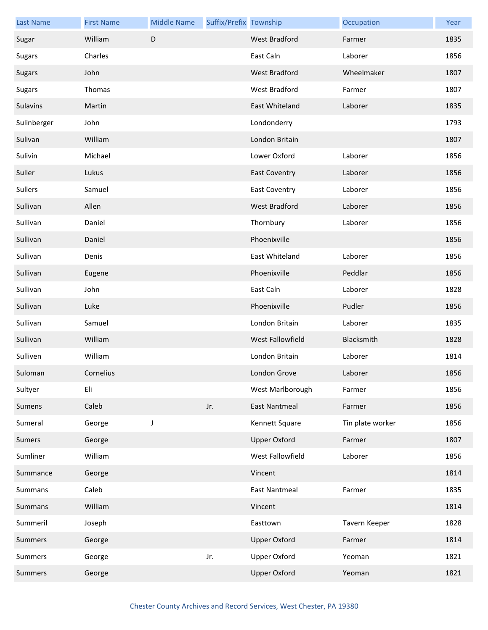| <b>Last Name</b> | <b>First Name</b> | <b>Middle Name</b> | Suffix/Prefix Township |                      | Occupation       | Year |
|------------------|-------------------|--------------------|------------------------|----------------------|------------------|------|
| Sugar            | William           | $\mathsf D$        |                        | <b>West Bradford</b> | Farmer           | 1835 |
| <b>Sugars</b>    | Charles           |                    |                        | East Caln            | Laborer          | 1856 |
| <b>Sugars</b>    | John              |                    |                        | <b>West Bradford</b> | Wheelmaker       | 1807 |
| <b>Sugars</b>    | Thomas            |                    |                        | West Bradford        | Farmer           | 1807 |
| Sulavins         | Martin            |                    |                        | East Whiteland       | Laborer          | 1835 |
| Sulinberger      | John              |                    |                        | Londonderry          |                  | 1793 |
| Sulivan          | William           |                    |                        | London Britain       |                  | 1807 |
| Sulivin          | Michael           |                    |                        | Lower Oxford         | Laborer          | 1856 |
| Suller           | Lukus             |                    |                        | <b>East Coventry</b> | Laborer          | 1856 |
| Sullers          | Samuel            |                    |                        | <b>East Coventry</b> | Laborer          | 1856 |
| Sullivan         | Allen             |                    |                        | <b>West Bradford</b> | Laborer          | 1856 |
| Sullivan         | Daniel            |                    |                        | Thornbury            | Laborer          | 1856 |
| Sullivan         | Daniel            |                    |                        | Phoenixville         |                  | 1856 |
| Sullivan         | Denis             |                    |                        | East Whiteland       | Laborer          | 1856 |
| Sullivan         | Eugene            |                    |                        | Phoenixville         | Peddlar          | 1856 |
| Sullivan         | John              |                    |                        | East Caln            | Laborer          | 1828 |
| Sullivan         | Luke              |                    |                        | Phoenixville         | Pudler           | 1856 |
| Sullivan         | Samuel            |                    |                        | London Britain       | Laborer          | 1835 |
| Sullivan         | William           |                    |                        | West Fallowfield     | Blacksmith       | 1828 |
| Sulliven         | William           |                    |                        | London Britain       | Laborer          | 1814 |
| Suloman          | Cornelius         |                    |                        | London Grove         | Laborer          | 1856 |
| Sultyer          | Eli               |                    |                        | West Marlborough     | Farmer           | 1856 |
| Sumens           | Caleb             |                    | Jr.                    | <b>East Nantmeal</b> | Farmer           | 1856 |
| Sumeral          | George            | J                  |                        | Kennett Square       | Tin plate worker | 1856 |
| Sumers           | George            |                    |                        | <b>Upper Oxford</b>  | Farmer           | 1807 |
| Sumliner         | William           |                    |                        | West Fallowfield     | Laborer          | 1856 |
| Summance         | George            |                    |                        | Vincent              |                  | 1814 |
| Summans          | Caleb             |                    |                        | <b>East Nantmeal</b> | Farmer           | 1835 |
| Summans          | William           |                    |                        | Vincent              |                  | 1814 |
| Summeril         | Joseph            |                    |                        | Easttown             | Tavern Keeper    | 1828 |
| Summers          | George            |                    |                        | <b>Upper Oxford</b>  | Farmer           | 1814 |
| Summers          | George            |                    | Jr.                    | <b>Upper Oxford</b>  | Yeoman           | 1821 |
| <b>Summers</b>   | George            |                    |                        | <b>Upper Oxford</b>  | Yeoman           | 1821 |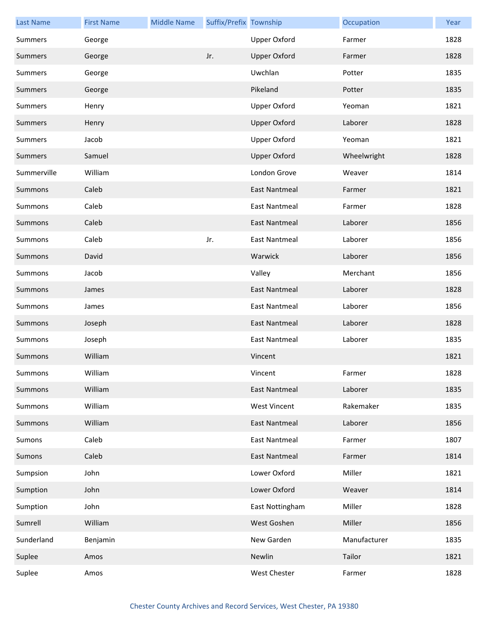| <b>Last Name</b> | <b>First Name</b> | <b>Middle Name</b> | Suffix/Prefix Township |                      | Occupation   | Year |
|------------------|-------------------|--------------------|------------------------|----------------------|--------------|------|
| Summers          | George            |                    |                        | <b>Upper Oxford</b>  | Farmer       | 1828 |
| Summers          | George            |                    | Jr.                    | <b>Upper Oxford</b>  | Farmer       | 1828 |
| Summers          | George            |                    |                        | Uwchlan              | Potter       | 1835 |
| Summers          | George            |                    |                        | Pikeland             | Potter       | 1835 |
| Summers          | Henry             |                    |                        | <b>Upper Oxford</b>  | Yeoman       | 1821 |
| <b>Summers</b>   | Henry             |                    |                        | <b>Upper Oxford</b>  | Laborer      | 1828 |
| Summers          | Jacob             |                    |                        | <b>Upper Oxford</b>  | Yeoman       | 1821 |
| Summers          | Samuel            |                    |                        | <b>Upper Oxford</b>  | Wheelwright  | 1828 |
| Summerville      | William           |                    |                        | London Grove         | Weaver       | 1814 |
| Summons          | Caleb             |                    |                        | <b>East Nantmeal</b> | Farmer       | 1821 |
| Summons          | Caleb             |                    |                        | <b>East Nantmeal</b> | Farmer       | 1828 |
| Summons          | Caleb             |                    |                        | East Nantmeal        | Laborer      | 1856 |
| Summons          | Caleb             |                    | Jr.                    | East Nantmeal        | Laborer      | 1856 |
| Summons          | David             |                    |                        | Warwick              | Laborer      | 1856 |
| Summons          | Jacob             |                    |                        | Valley               | Merchant     | 1856 |
| Summons          | James             |                    |                        | <b>East Nantmeal</b> | Laborer      | 1828 |
| Summons          | James             |                    |                        | <b>East Nantmeal</b> | Laborer      | 1856 |
| Summons          | Joseph            |                    |                        | <b>East Nantmeal</b> | Laborer      | 1828 |
| Summons          | Joseph            |                    |                        | <b>East Nantmeal</b> | Laborer      | 1835 |
| Summons          | William           |                    |                        | Vincent              |              | 1821 |
| Summons          | William           |                    |                        | Vincent              | Farmer       | 1828 |
| Summons          | William           |                    |                        | <b>East Nantmeal</b> | Laborer      | 1835 |
| Summons          | William           |                    |                        | <b>West Vincent</b>  | Rakemaker    | 1835 |
| Summons          | William           |                    |                        | <b>East Nantmeal</b> | Laborer      | 1856 |
| Sumons           | Caleb             |                    |                        | <b>East Nantmeal</b> | Farmer       | 1807 |
| Sumons           | Caleb             |                    |                        | <b>East Nantmeal</b> | Farmer       | 1814 |
| Sumpsion         | John              |                    |                        | Lower Oxford         | Miller       | 1821 |
| Sumption         | John              |                    |                        | Lower Oxford         | Weaver       | 1814 |
| Sumption         | John              |                    |                        | East Nottingham      | Miller       | 1828 |
| Sumrell          | William           |                    |                        | West Goshen          | Miller       | 1856 |
| Sunderland       | Benjamin          |                    |                        | New Garden           | Manufacturer | 1835 |
| Suplee           | Amos              |                    |                        | Newlin               | Tailor       | 1821 |
| Suplee           | Amos              |                    |                        | West Chester         | Farmer       | 1828 |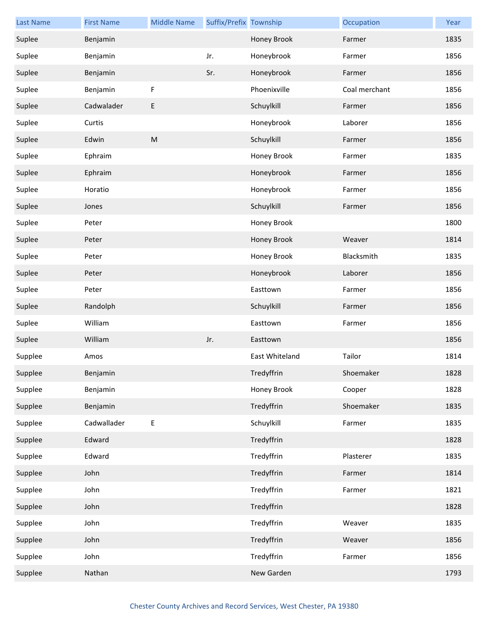| <b>Last Name</b> | <b>First Name</b> | <b>Middle Name</b> | Suffix/Prefix Township |                | Occupation    | Year |
|------------------|-------------------|--------------------|------------------------|----------------|---------------|------|
| Suplee           | Benjamin          |                    |                        | Honey Brook    | Farmer        | 1835 |
| Suplee           | Benjamin          |                    | Jr.                    | Honeybrook     | Farmer        | 1856 |
| Suplee           | Benjamin          |                    | Sr.                    | Honeybrook     | Farmer        | 1856 |
| Suplee           | Benjamin          | $\mathsf F$        |                        | Phoenixville   | Coal merchant | 1856 |
| Suplee           | Cadwalader        | E                  |                        | Schuylkill     | Farmer        | 1856 |
| Suplee           | Curtis            |                    |                        | Honeybrook     | Laborer       | 1856 |
| Suplee           | Edwin             | ${\sf M}$          |                        | Schuylkill     | Farmer        | 1856 |
| Suplee           | Ephraim           |                    |                        | Honey Brook    | Farmer        | 1835 |
| Suplee           | Ephraim           |                    |                        | Honeybrook     | Farmer        | 1856 |
| Suplee           | Horatio           |                    |                        | Honeybrook     | Farmer        | 1856 |
| Suplee           | Jones             |                    |                        | Schuylkill     | Farmer        | 1856 |
| Suplee           | Peter             |                    |                        | Honey Brook    |               | 1800 |
| Suplee           | Peter             |                    |                        | Honey Brook    | Weaver        | 1814 |
| Suplee           | Peter             |                    |                        | Honey Brook    | Blacksmith    | 1835 |
| Suplee           | Peter             |                    |                        | Honeybrook     | Laborer       | 1856 |
| Suplee           | Peter             |                    |                        | Easttown       | Farmer        | 1856 |
| Suplee           | Randolph          |                    |                        | Schuylkill     | Farmer        | 1856 |
| Suplee           | William           |                    |                        | Easttown       | Farmer        | 1856 |
| Suplee           | William           |                    | Jr.                    | Easttown       |               | 1856 |
| Supplee          | Amos              |                    |                        | East Whiteland | Tailor        | 1814 |
| Supplee          | Benjamin          |                    |                        | Tredyffrin     | Shoemaker     | 1828 |
| Supplee          | Benjamin          |                    |                        | Honey Brook    | Cooper        | 1828 |
| Supplee          | Benjamin          |                    |                        | Tredyffrin     | Shoemaker     | 1835 |
| Supplee          | Cadwallader       | E                  |                        | Schuylkill     | Farmer        | 1835 |
| Supplee          | Edward            |                    |                        | Tredyffrin     |               | 1828 |
| Supplee          | Edward            |                    |                        | Tredyffrin     | Plasterer     | 1835 |
| Supplee          | John              |                    |                        | Tredyffrin     | Farmer        | 1814 |
| Supplee          | John              |                    |                        | Tredyffrin     | Farmer        | 1821 |
| Supplee          | John              |                    |                        | Tredyffrin     |               | 1828 |
| Supplee          | John              |                    |                        | Tredyffrin     | Weaver        | 1835 |
| Supplee          | John              |                    |                        | Tredyffrin     | Weaver        | 1856 |
| Supplee          | John              |                    |                        | Tredyffrin     | Farmer        | 1856 |
| Supplee          | Nathan            |                    |                        | New Garden     |               | 1793 |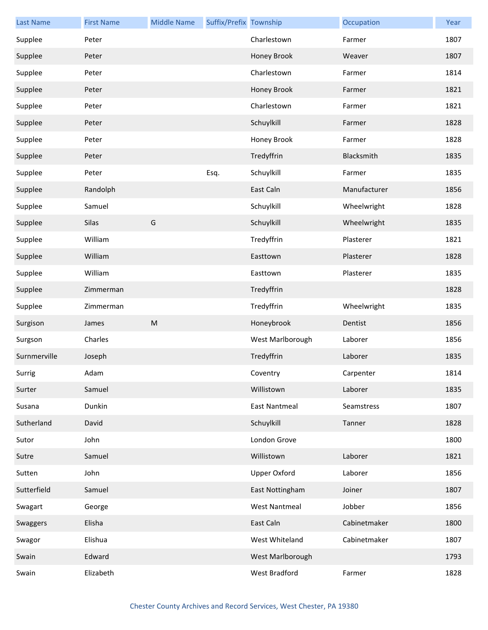| <b>Last Name</b> | <b>First Name</b> | <b>Middle Name</b> | Suffix/Prefix Township |                      | Occupation   | Year |
|------------------|-------------------|--------------------|------------------------|----------------------|--------------|------|
| Supplee          | Peter             |                    |                        | Charlestown          | Farmer       | 1807 |
| Supplee          | Peter             |                    |                        | Honey Brook          | Weaver       | 1807 |
| Supplee          | Peter             |                    |                        | Charlestown          | Farmer       | 1814 |
| Supplee          | Peter             |                    |                        | Honey Brook          | Farmer       | 1821 |
| Supplee          | Peter             |                    |                        | Charlestown          | Farmer       | 1821 |
| Supplee          | Peter             |                    |                        | Schuylkill           | Farmer       | 1828 |
| Supplee          | Peter             |                    |                        | Honey Brook          | Farmer       | 1828 |
| Supplee          | Peter             |                    |                        | Tredyffrin           | Blacksmith   | 1835 |
| Supplee          | Peter             |                    | Esq.                   | Schuylkill           | Farmer       | 1835 |
| Supplee          | Randolph          |                    |                        | East Caln            | Manufacturer | 1856 |
| Supplee          | Samuel            |                    |                        | Schuylkill           | Wheelwright  | 1828 |
| Supplee          | Silas             | G                  |                        | Schuylkill           | Wheelwright  | 1835 |
| Supplee          | William           |                    |                        | Tredyffrin           | Plasterer    | 1821 |
| Supplee          | William           |                    |                        | Easttown             | Plasterer    | 1828 |
| Supplee          | William           |                    |                        | Easttown             | Plasterer    | 1835 |
| Supplee          | Zimmerman         |                    |                        | Tredyffrin           |              | 1828 |
| Supplee          | Zimmerman         |                    |                        | Tredyffrin           | Wheelwright  | 1835 |
| Surgison         | James             | ${\sf M}$          |                        | Honeybrook           | Dentist      | 1856 |
| Surgson          | Charles           |                    |                        | West Marlborough     | Laborer      | 1856 |
| Surnmerville     | Joseph            |                    |                        | Tredyffrin           | Laborer      | 1835 |
| Surrig           | Adam              |                    |                        | Coventry             | Carpenter    | 1814 |
| Surter           | Samuel            |                    |                        | Willistown           | Laborer      | 1835 |
| Susana           | Dunkin            |                    |                        | <b>East Nantmeal</b> | Seamstress   | 1807 |
| Sutherland       | David             |                    |                        | Schuylkill           | Tanner       | 1828 |
| Sutor            | John              |                    |                        | London Grove         |              | 1800 |
| Sutre            | Samuel            |                    |                        | Willistown           | Laborer      | 1821 |
| Sutten           | John              |                    |                        | <b>Upper Oxford</b>  | Laborer      | 1856 |
| Sutterfield      | Samuel            |                    |                        | East Nottingham      | Joiner       | 1807 |
| Swagart          | George            |                    |                        | <b>West Nantmeal</b> | Jobber       | 1856 |
| Swaggers         | Elisha            |                    |                        | East Caln            | Cabinetmaker | 1800 |
| Swagor           | Elishua           |                    |                        | West Whiteland       | Cabinetmaker | 1807 |
| Swain            | Edward            |                    |                        | West Marlborough     |              | 1793 |
| Swain            | Elizabeth         |                    |                        | West Bradford        | Farmer       | 1828 |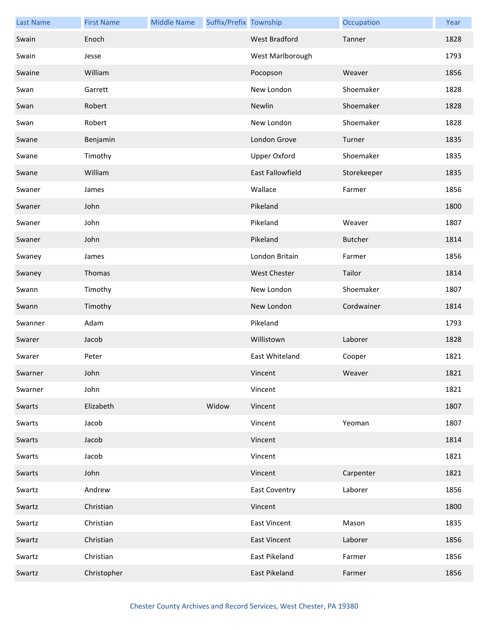| <b>Last Name</b> | <b>First Name</b> | <b>Middle Name</b> | Suffix/Prefix Township |                         | Occupation     | Year |
|------------------|-------------------|--------------------|------------------------|-------------------------|----------------|------|
| Swain            | Enoch             |                    |                        | West Bradford           | Tanner         | 1828 |
| Swain            | Jesse             |                    |                        | West Marlborough        |                | 1793 |
| Swaine           | William           |                    |                        | Pocopson                | Weaver         | 1856 |
| Swan             | Garrett           |                    |                        | New London              | Shoemaker      | 1828 |
| Swan             | Robert            |                    |                        | Newlin                  | Shoemaker      | 1828 |
| Swan             | Robert            |                    |                        | New London              | Shoemaker      | 1828 |
| Swane            | Benjamin          |                    |                        | London Grove            | Turner         | 1835 |
| Swane            | Timothy           |                    |                        | <b>Upper Oxford</b>     | Shoemaker      | 1835 |
| Swane            | William           |                    |                        | <b>East Fallowfield</b> | Storekeeper    | 1835 |
| Swaner           | James             |                    |                        | Wallace                 | Farmer         | 1856 |
| Swaner           | John              |                    |                        | Pikeland                |                | 1800 |
| Swaner           | John              |                    |                        | Pikeland                | Weaver         | 1807 |
| Swaner           | John              |                    |                        | Pikeland                | <b>Butcher</b> | 1814 |
| Swaney           | James             |                    |                        | London Britain          | Farmer         | 1856 |
| Swaney           | Thomas            |                    |                        | <b>West Chester</b>     | Tailor         | 1814 |
| Swann            | Timothy           |                    |                        | New London              | Shoemaker      | 1807 |
| Swann            | Timothy           |                    |                        | New London              | Cordwainer     | 1814 |
| Swanner          | Adam              |                    |                        | Pikeland                |                | 1793 |
| Swarer           | Jacob             |                    |                        | Willistown              | Laborer        | 1828 |
| Swarer           | Peter             |                    |                        | East Whiteland          | Cooper         | 1821 |
| Swarner          | John              |                    |                        | Vincent                 | Weaver         | 1821 |
| Swarner          | John              |                    |                        | Vincent                 |                | 1821 |
| Swarts           | Elizabeth         |                    | Widow                  | Vincent                 |                | 1807 |
| Swarts           | Jacob             |                    |                        | Vincent                 | Yeoman         | 1807 |
| Swarts           | Jacob             |                    |                        | Vincent                 |                | 1814 |
| Swarts           | Jacob             |                    |                        | Vincent                 |                | 1821 |
| Swarts           | John              |                    |                        | Vincent                 | Carpenter      | 1821 |
| Swartz           | Andrew            |                    |                        | <b>East Coventry</b>    | Laborer        | 1856 |
| Swartz           | Christian         |                    |                        | Vincent                 |                | 1800 |
| Swartz           | Christian         |                    |                        | <b>East Vincent</b>     | Mason          | 1835 |
| Swartz           | Christian         |                    |                        | <b>East Vincent</b>     | Laborer        | 1856 |
| Swartz           | Christian         |                    |                        | East Pikeland           | Farmer         | 1856 |
| Swartz           | Christopher       |                    |                        | East Pikeland           | Farmer         | 1856 |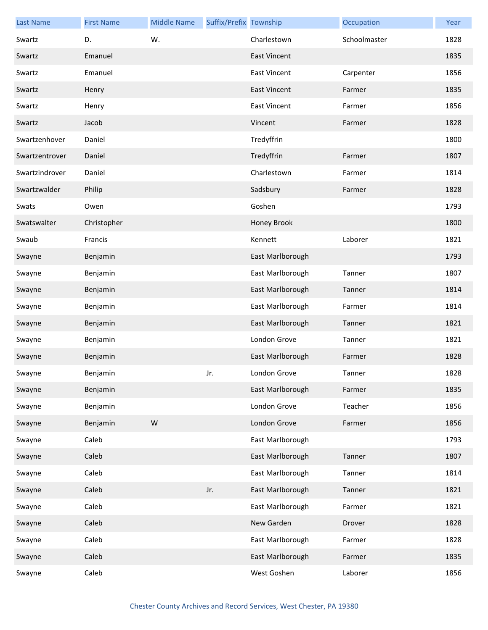| <b>Last Name</b> | <b>First Name</b> | <b>Middle Name</b> | Suffix/Prefix Township |                     | Occupation   | Year |
|------------------|-------------------|--------------------|------------------------|---------------------|--------------|------|
| Swartz           | D.                | W.                 |                        | Charlestown         | Schoolmaster | 1828 |
| Swartz           | Emanuel           |                    |                        | <b>East Vincent</b> |              | 1835 |
| Swartz           | Emanuel           |                    |                        | <b>East Vincent</b> | Carpenter    | 1856 |
| Swartz           | Henry             |                    |                        | <b>East Vincent</b> | Farmer       | 1835 |
| Swartz           | Henry             |                    |                        | <b>East Vincent</b> | Farmer       | 1856 |
| Swartz           | Jacob             |                    |                        | Vincent             | Farmer       | 1828 |
| Swartzenhover    | Daniel            |                    |                        | Tredyffrin          |              | 1800 |
| Swartzentrover   | Daniel            |                    |                        | Tredyffrin          | Farmer       | 1807 |
| Swartzindrover   | Daniel            |                    |                        | Charlestown         | Farmer       | 1814 |
| Swartzwalder     | Philip            |                    |                        | Sadsbury            | Farmer       | 1828 |
| Swats            | Owen              |                    |                        | Goshen              |              | 1793 |
| Swatswalter      | Christopher       |                    |                        | Honey Brook         |              | 1800 |
| Swaub            | Francis           |                    |                        | Kennett             | Laborer      | 1821 |
| Swayne           | Benjamin          |                    |                        | East Marlborough    |              | 1793 |
| Swayne           | Benjamin          |                    |                        | East Marlborough    | Tanner       | 1807 |
| Swayne           | Benjamin          |                    |                        | East Marlborough    | Tanner       | 1814 |
| Swayne           | Benjamin          |                    |                        | East Marlborough    | Farmer       | 1814 |
| Swayne           | Benjamin          |                    |                        | East Marlborough    | Tanner       | 1821 |
| Swayne           | Benjamin          |                    |                        | London Grove        | Tanner       | 1821 |
| Swayne           | Benjamin          |                    |                        | East Marlborough    | Farmer       | 1828 |
| Swayne           | Benjamin          |                    | Jr.                    | London Grove        | Tanner       | 1828 |
| Swayne           | Benjamin          |                    |                        | East Marlborough    | Farmer       | 1835 |
| Swayne           | Benjamin          |                    |                        | London Grove        | Teacher      | 1856 |
| Swayne           | Benjamin          | ${\sf W}$          |                        | London Grove        | Farmer       | 1856 |
| Swayne           | Caleb             |                    |                        | East Marlborough    |              | 1793 |
| Swayne           | Caleb             |                    |                        | East Marlborough    | Tanner       | 1807 |
| Swayne           | Caleb             |                    |                        | East Marlborough    | Tanner       | 1814 |
| Swayne           | Caleb             |                    | Jr.                    | East Marlborough    | Tanner       | 1821 |
| Swayne           | Caleb             |                    |                        | East Marlborough    | Farmer       | 1821 |
| Swayne           | Caleb             |                    |                        | New Garden          | Drover       | 1828 |
| Swayne           | Caleb             |                    |                        | East Marlborough    | Farmer       | 1828 |
| Swayne           | Caleb             |                    |                        | East Marlborough    | Farmer       | 1835 |
| Swayne           | Caleb             |                    |                        | West Goshen         | Laborer      | 1856 |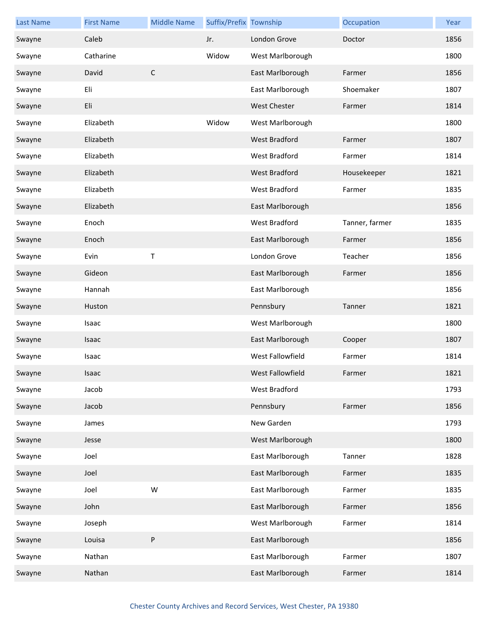| <b>Last Name</b> | <b>First Name</b> | <b>Middle Name</b> | Suffix/Prefix Township |                      | Occupation     | Year |
|------------------|-------------------|--------------------|------------------------|----------------------|----------------|------|
| Swayne           | Caleb             |                    | Jr.                    | London Grove         | Doctor         | 1856 |
| Swayne           | Catharine         |                    | Widow                  | West Marlborough     |                | 1800 |
| Swayne           | David             | $\mathsf{C}$       |                        | East Marlborough     | Farmer         | 1856 |
| Swayne           | Eli               |                    |                        | East Marlborough     | Shoemaker      | 1807 |
| Swayne           | Eli               |                    |                        | <b>West Chester</b>  | Farmer         | 1814 |
| Swayne           | Elizabeth         |                    | Widow                  | West Marlborough     |                | 1800 |
| Swayne           | Elizabeth         |                    |                        | West Bradford        | Farmer         | 1807 |
| Swayne           | Elizabeth         |                    |                        | West Bradford        | Farmer         | 1814 |
| Swayne           | Elizabeth         |                    |                        | West Bradford        | Housekeeper    | 1821 |
| Swayne           | Elizabeth         |                    |                        | West Bradford        | Farmer         | 1835 |
| Swayne           | Elizabeth         |                    |                        | East Marlborough     |                | 1856 |
| Swayne           | Enoch             |                    |                        | West Bradford        | Tanner, farmer | 1835 |
| Swayne           | Enoch             |                    |                        | East Marlborough     | Farmer         | 1856 |
| Swayne           | Evin              | $\sf T$            |                        | London Grove         | Teacher        | 1856 |
| Swayne           | Gideon            |                    |                        | East Marlborough     | Farmer         | 1856 |
| Swayne           | Hannah            |                    |                        | East Marlborough     |                | 1856 |
| Swayne           | Huston            |                    |                        | Pennsbury            | Tanner         | 1821 |
| Swayne           | Isaac             |                    |                        | West Marlborough     |                | 1800 |
| Swayne           | Isaac             |                    |                        | East Marlborough     | Cooper         | 1807 |
| Swayne           | Isaac             |                    |                        | West Fallowfield     | Farmer         | 1814 |
| Swayne           | Isaac             |                    |                        | West Fallowfield     | Farmer         | 1821 |
| Swayne           | Jacob             |                    |                        | <b>West Bradford</b> |                | 1793 |
| Swayne           | Jacob             |                    |                        | Pennsbury            | Farmer         | 1856 |
| Swayne           | James             |                    |                        | New Garden           |                | 1793 |
| Swayne           | Jesse             |                    |                        | West Marlborough     |                | 1800 |
| Swayne           | Joel              |                    |                        | East Marlborough     | Tanner         | 1828 |
| Swayne           | Joel              |                    |                        | East Marlborough     | Farmer         | 1835 |
| Swayne           | Joel              | W                  |                        | East Marlborough     | Farmer         | 1835 |
| Swayne           | John              |                    |                        | East Marlborough     | Farmer         | 1856 |
| Swayne           | Joseph            |                    |                        | West Marlborough     | Farmer         | 1814 |
| Swayne           | Louisa            | P                  |                        | East Marlborough     |                | 1856 |
| Swayne           | Nathan            |                    |                        | East Marlborough     | Farmer         | 1807 |
| Swayne           | Nathan            |                    |                        | East Marlborough     | Farmer         | 1814 |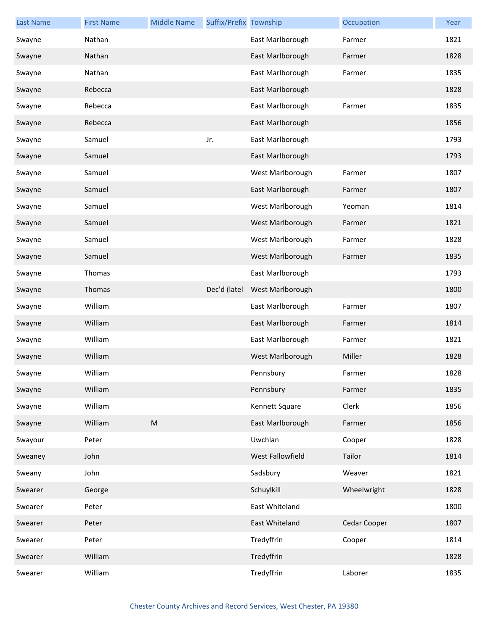| <b>Last Name</b> | <b>First Name</b> | <b>Middle Name</b> | Suffix/Prefix Township |                  | Occupation   | Year |
|------------------|-------------------|--------------------|------------------------|------------------|--------------|------|
| Swayne           | Nathan            |                    |                        | East Marlborough | Farmer       | 1821 |
| Swayne           | Nathan            |                    |                        | East Marlborough | Farmer       | 1828 |
| Swayne           | Nathan            |                    |                        | East Marlborough | Farmer       | 1835 |
| Swayne           | Rebecca           |                    |                        | East Marlborough |              | 1828 |
| Swayne           | Rebecca           |                    |                        | East Marlborough | Farmer       | 1835 |
| Swayne           | Rebecca           |                    |                        | East Marlborough |              | 1856 |
| Swayne           | Samuel            |                    | Jr.                    | East Marlborough |              | 1793 |
| Swayne           | Samuel            |                    |                        | East Marlborough |              | 1793 |
| Swayne           | Samuel            |                    |                        | West Marlborough | Farmer       | 1807 |
| Swayne           | Samuel            |                    |                        | East Marlborough | Farmer       | 1807 |
| Swayne           | Samuel            |                    |                        | West Marlborough | Yeoman       | 1814 |
| Swayne           | Samuel            |                    |                        | West Marlborough | Farmer       | 1821 |
| Swayne           | Samuel            |                    |                        | West Marlborough | Farmer       | 1828 |
| Swayne           | Samuel            |                    |                        | West Marlborough | Farmer       | 1835 |
| Swayne           | Thomas            |                    |                        | East Marlborough |              | 1793 |
| Swayne           | Thomas            |                    | Dec'd (latel           | West Marlborough |              | 1800 |
| Swayne           | William           |                    |                        | East Marlborough | Farmer       | 1807 |
| Swayne           | William           |                    |                        | East Marlborough | Farmer       | 1814 |
| Swayne           | William           |                    |                        | East Marlborough | Farmer       | 1821 |
| Swayne           | William           |                    |                        | West Marlborough | Miller       | 1828 |
| Swayne           | William           |                    |                        | Pennsbury        | Farmer       | 1828 |
| Swayne           | William           |                    |                        | Pennsbury        | Farmer       | 1835 |
| Swayne           | William           |                    |                        | Kennett Square   | Clerk        | 1856 |
| Swayne           | William           | ${\sf M}$          |                        | East Marlborough | Farmer       | 1856 |
| Swayour          | Peter             |                    |                        | Uwchlan          | Cooper       | 1828 |
| Sweaney          | John              |                    |                        | West Fallowfield | Tailor       | 1814 |
| Sweany           | John              |                    |                        | Sadsbury         | Weaver       | 1821 |
| Swearer          | George            |                    |                        | Schuylkill       | Wheelwright  | 1828 |
| Swearer          | Peter             |                    |                        | East Whiteland   |              | 1800 |
| Swearer          | Peter             |                    |                        | East Whiteland   | Cedar Cooper | 1807 |
| Swearer          | Peter             |                    |                        | Tredyffrin       | Cooper       | 1814 |
| Swearer          | William           |                    |                        | Tredyffrin       |              | 1828 |
| Swearer          | William           |                    |                        | Tredyffrin       | Laborer      | 1835 |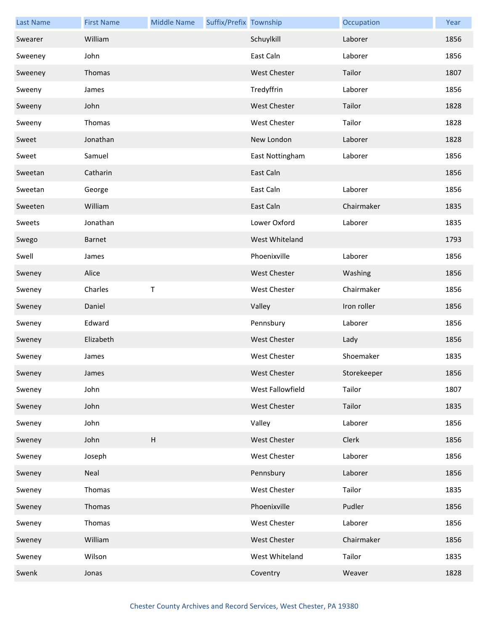| <b>Last Name</b> | <b>First Name</b> | <b>Middle Name</b> | Suffix/Prefix Township |                     | Occupation  | Year |
|------------------|-------------------|--------------------|------------------------|---------------------|-------------|------|
| Swearer          | William           |                    |                        | Schuylkill          | Laborer     | 1856 |
| Sweeney          | John              |                    |                        | East Caln           | Laborer     | 1856 |
| Sweeney          | Thomas            |                    |                        | <b>West Chester</b> | Tailor      | 1807 |
| Sweeny           | James             |                    |                        | Tredyffrin          | Laborer     | 1856 |
| Sweeny           | John              |                    |                        | <b>West Chester</b> | Tailor      | 1828 |
| Sweeny           | Thomas            |                    |                        | <b>West Chester</b> | Tailor      | 1828 |
| Sweet            | Jonathan          |                    |                        | New London          | Laborer     | 1828 |
| Sweet            | Samuel            |                    |                        | East Nottingham     | Laborer     | 1856 |
| Sweetan          | Catharin          |                    |                        | East Caln           |             | 1856 |
| Sweetan          | George            |                    |                        | East Caln           | Laborer     | 1856 |
| Sweeten          | William           |                    |                        | East Caln           | Chairmaker  | 1835 |
| Sweets           | Jonathan          |                    |                        | Lower Oxford        | Laborer     | 1835 |
| Swego            | <b>Barnet</b>     |                    |                        | West Whiteland      |             | 1793 |
| Swell            | James             |                    |                        | Phoenixville        | Laborer     | 1856 |
| Sweney           | Alice             |                    |                        | <b>West Chester</b> | Washing     | 1856 |
| Sweney           | Charles           | Τ                  |                        | <b>West Chester</b> | Chairmaker  | 1856 |
| Sweney           | Daniel            |                    |                        | Valley              | Iron roller | 1856 |
| Sweney           | Edward            |                    |                        | Pennsbury           | Laborer     | 1856 |
| Sweney           | Elizabeth         |                    |                        | <b>West Chester</b> | Lady        | 1856 |
| Sweney           | James             |                    |                        | <b>West Chester</b> | Shoemaker   | 1835 |
| Sweney           | James             |                    |                        | West Chester        | Storekeeper | 1856 |
| Sweney           | John              |                    |                        | West Fallowfield    | Tailor      | 1807 |
| Sweney           | John              |                    |                        | <b>West Chester</b> | Tailor      | 1835 |
| Sweney           | John              |                    |                        | Valley              | Laborer     | 1856 |
| Sweney           | John              | H                  |                        | <b>West Chester</b> | Clerk       | 1856 |
| Sweney           | Joseph            |                    |                        | West Chester        | Laborer     | 1856 |
| Sweney           | Neal              |                    |                        | Pennsbury           | Laborer     | 1856 |
| Sweney           | Thomas            |                    |                        | West Chester        | Tailor      | 1835 |
| Sweney           | Thomas            |                    |                        | Phoenixville        | Pudler      | 1856 |
| Sweney           | Thomas            |                    |                        | West Chester        | Laborer     | 1856 |
| Sweney           | William           |                    |                        | West Chester        | Chairmaker  | 1856 |
| Sweney           | Wilson            |                    |                        | West Whiteland      | Tailor      | 1835 |
| Swenk            | Jonas             |                    |                        | Coventry            | Weaver      | 1828 |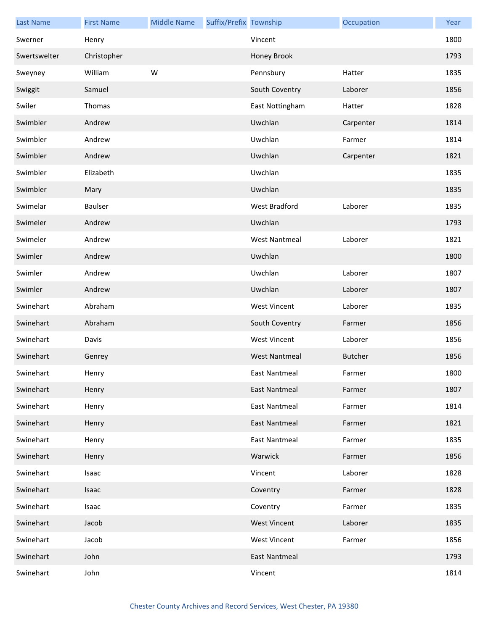| <b>Last Name</b> | <b>First Name</b> | <b>Middle Name</b> | Suffix/Prefix Township |                      | Occupation     | Year |
|------------------|-------------------|--------------------|------------------------|----------------------|----------------|------|
| Swerner          | Henry             |                    |                        | Vincent              |                | 1800 |
| Swertswelter     | Christopher       |                    |                        | Honey Brook          |                | 1793 |
| Sweyney          | William           | W                  |                        | Pennsbury            | Hatter         | 1835 |
| Swiggit          | Samuel            |                    |                        | South Coventry       | Laborer        | 1856 |
| Swiler           | Thomas            |                    |                        | East Nottingham      | Hatter         | 1828 |
| Swimbler         | Andrew            |                    |                        | Uwchlan              | Carpenter      | 1814 |
| Swimbler         | Andrew            |                    |                        | Uwchlan              | Farmer         | 1814 |
| Swimbler         | Andrew            |                    |                        | Uwchlan              | Carpenter      | 1821 |
| Swimbler         | Elizabeth         |                    |                        | Uwchlan              |                | 1835 |
| Swimbler         | Mary              |                    |                        | Uwchlan              |                | 1835 |
| Swimelar         | <b>Baulser</b>    |                    |                        | West Bradford        | Laborer        | 1835 |
| Swimeler         | Andrew            |                    |                        | Uwchlan              |                | 1793 |
| Swimeler         | Andrew            |                    |                        | <b>West Nantmeal</b> | Laborer        | 1821 |
| Swimler          | Andrew            |                    |                        | Uwchlan              |                | 1800 |
| Swimler          | Andrew            |                    |                        | Uwchlan              | Laborer        | 1807 |
| Swimler          | Andrew            |                    |                        | Uwchlan              | Laborer        | 1807 |
| Swinehart        | Abraham           |                    |                        | <b>West Vincent</b>  | Laborer        | 1835 |
| Swinehart        | Abraham           |                    |                        | South Coventry       | Farmer         | 1856 |
| Swinehart        | Davis             |                    |                        | <b>West Vincent</b>  | Laborer        | 1856 |
| Swinehart        | Genrey            |                    |                        | <b>West Nantmeal</b> | <b>Butcher</b> | 1856 |
| Swinehart        | Henry             |                    |                        | East Nantmeal        | Farmer         | 1800 |
| Swinehart        | Henry             |                    |                        | <b>East Nantmeal</b> | Farmer         | 1807 |
| Swinehart        | Henry             |                    |                        | <b>East Nantmeal</b> | Farmer         | 1814 |
| Swinehart        | Henry             |                    |                        | <b>East Nantmeal</b> | Farmer         | 1821 |
| Swinehart        | Henry             |                    |                        | <b>East Nantmeal</b> | Farmer         | 1835 |
| Swinehart        | Henry             |                    |                        | Warwick              | Farmer         | 1856 |
| Swinehart        | Isaac             |                    |                        | Vincent              | Laborer        | 1828 |
| Swinehart        | Isaac             |                    |                        | Coventry             | Farmer         | 1828 |
| Swinehart        | Isaac             |                    |                        | Coventry             | Farmer         | 1835 |
| Swinehart        | Jacob             |                    |                        | <b>West Vincent</b>  | Laborer        | 1835 |
| Swinehart        | Jacob             |                    |                        | <b>West Vincent</b>  | Farmer         | 1856 |
| Swinehart        | John              |                    |                        | <b>East Nantmeal</b> |                | 1793 |
| Swinehart        | John              |                    |                        | Vincent              |                | 1814 |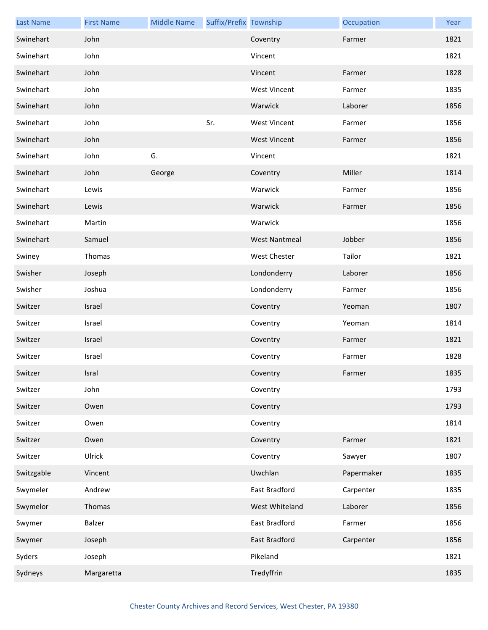| <b>Last Name</b> | <b>First Name</b> | <b>Middle Name</b> | Suffix/Prefix Township |                      | Occupation | Year |
|------------------|-------------------|--------------------|------------------------|----------------------|------------|------|
| Swinehart        | John              |                    |                        | Coventry             | Farmer     | 1821 |
| Swinehart        | John              |                    |                        | Vincent              |            | 1821 |
| Swinehart        | John              |                    |                        | Vincent              | Farmer     | 1828 |
| Swinehart        | John              |                    |                        | <b>West Vincent</b>  | Farmer     | 1835 |
| Swinehart        | John              |                    |                        | Warwick              | Laborer    | 1856 |
| Swinehart        | John              |                    | Sr.                    | <b>West Vincent</b>  | Farmer     | 1856 |
| Swinehart        | John              |                    |                        | <b>West Vincent</b>  | Farmer     | 1856 |
| Swinehart        | John              | G.                 |                        | Vincent              |            | 1821 |
| Swinehart        | John              | George             |                        | Coventry             | Miller     | 1814 |
| Swinehart        | Lewis             |                    |                        | Warwick              | Farmer     | 1856 |
| Swinehart        | Lewis             |                    |                        | Warwick              | Farmer     | 1856 |
| Swinehart        | Martin            |                    |                        | Warwick              |            | 1856 |
| Swinehart        | Samuel            |                    |                        | <b>West Nantmeal</b> | Jobber     | 1856 |
| Swiney           | Thomas            |                    |                        | <b>West Chester</b>  | Tailor     | 1821 |
| Swisher          | Joseph            |                    |                        | Londonderry          | Laborer    | 1856 |
| Swisher          | Joshua            |                    |                        | Londonderry          | Farmer     | 1856 |
| Switzer          | Israel            |                    |                        | Coventry             | Yeoman     | 1807 |
| Switzer          | Israel            |                    |                        | Coventry             | Yeoman     | 1814 |
| Switzer          | Israel            |                    |                        | Coventry             | Farmer     | 1821 |
| Switzer          | Israel            |                    |                        | Coventry             | Farmer     | 1828 |
| Switzer          | Isral             |                    |                        | Coventry             | Farmer     | 1835 |
| Switzer          | John              |                    |                        | Coventry             |            | 1793 |
| Switzer          | Owen              |                    |                        | Coventry             |            | 1793 |
| Switzer          | Owen              |                    |                        | Coventry             |            | 1814 |
| Switzer          | Owen              |                    |                        | Coventry             | Farmer     | 1821 |
| Switzer          | Ulrick            |                    |                        | Coventry             | Sawyer     | 1807 |
| Switzgable       | Vincent           |                    |                        | Uwchlan              | Papermaker | 1835 |
| Swymeler         | Andrew            |                    |                        | East Bradford        | Carpenter  | 1835 |
| Swymelor         | Thomas            |                    |                        | West Whiteland       | Laborer    | 1856 |
| Swymer           | Balzer            |                    |                        | East Bradford        | Farmer     | 1856 |
| Swymer           | Joseph            |                    |                        | East Bradford        | Carpenter  | 1856 |
| Syders           | Joseph            |                    |                        | Pikeland             |            | 1821 |
| Sydneys          | Margaretta        |                    |                        | Tredyffrin           |            | 1835 |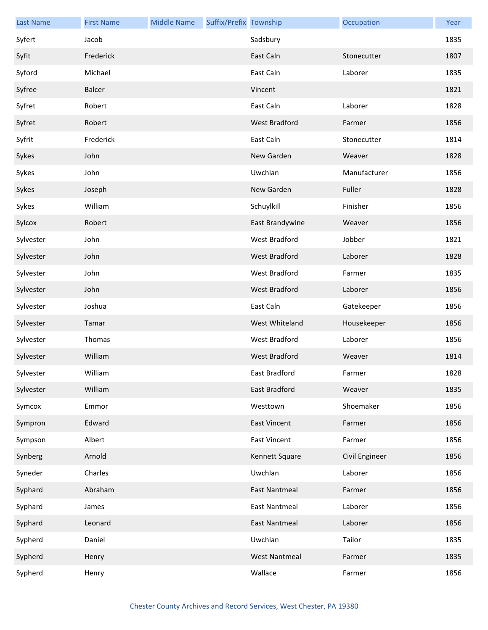| <b>Last Name</b> | <b>First Name</b> | <b>Middle Name</b> | Suffix/Prefix Township |                      | Occupation     | Year |
|------------------|-------------------|--------------------|------------------------|----------------------|----------------|------|
| Syfert           | Jacob             |                    |                        | Sadsbury             |                | 1835 |
| Syfit            | Frederick         |                    |                        | East Caln            | Stonecutter    | 1807 |
| Syford           | Michael           |                    |                        | East Caln            | Laborer        | 1835 |
| Syfree           | Balcer            |                    |                        | Vincent              |                | 1821 |
| Syfret           | Robert            |                    |                        | East Caln            | Laborer        | 1828 |
| Syfret           | Robert            |                    |                        | <b>West Bradford</b> | Farmer         | 1856 |
| Syfrit           | Frederick         |                    |                        | East Caln            | Stonecutter    | 1814 |
| Sykes            | John              |                    |                        | New Garden           | Weaver         | 1828 |
| Sykes            | John              |                    |                        | Uwchlan              | Manufacturer   | 1856 |
| Sykes            | Joseph            |                    |                        | New Garden           | Fuller         | 1828 |
| Sykes            | William           |                    |                        | Schuylkill           | Finisher       | 1856 |
| Sylcox           | Robert            |                    |                        | East Brandywine      | Weaver         | 1856 |
| Sylvester        | John              |                    |                        | West Bradford        | Jobber         | 1821 |
| Sylvester        | John              |                    |                        | <b>West Bradford</b> | Laborer        | 1828 |
| Sylvester        | John              |                    |                        | West Bradford        | Farmer         | 1835 |
| Sylvester        | John              |                    |                        | West Bradford        | Laborer        | 1856 |
| Sylvester        | Joshua            |                    |                        | East Caln            | Gatekeeper     | 1856 |
| Sylvester        | Tamar             |                    |                        | West Whiteland       | Housekeeper    | 1856 |
| Sylvester        | Thomas            |                    |                        | West Bradford        | Laborer        | 1856 |
| Sylvester        | William           |                    |                        | <b>West Bradford</b> | Weaver         | 1814 |
| Sylvester        | William           |                    |                        | East Bradford        | Farmer         | 1828 |
| Sylvester        | William           |                    |                        | East Bradford        | Weaver         | 1835 |
| Symcox           | Emmor             |                    |                        | Westtown             | Shoemaker      | 1856 |
| Sympron          | Edward            |                    |                        | <b>East Vincent</b>  | Farmer         | 1856 |
| Sympson          | Albert            |                    |                        | East Vincent         | Farmer         | 1856 |
| Synberg          | Arnold            |                    |                        | Kennett Square       | Civil Engineer | 1856 |
| Syneder          | Charles           |                    |                        | Uwchlan              | Laborer        | 1856 |
| Syphard          | Abraham           |                    |                        | <b>East Nantmeal</b> | Farmer         | 1856 |
| Syphard          | James             |                    |                        | <b>East Nantmeal</b> | Laborer        | 1856 |
| Syphard          | Leonard           |                    |                        | <b>East Nantmeal</b> | Laborer        | 1856 |
| Sypherd          | Daniel            |                    |                        | Uwchlan              | Tailor         | 1835 |
| Sypherd          | Henry             |                    |                        | <b>West Nantmeal</b> | Farmer         | 1835 |
| Sypherd          | Henry             |                    |                        | Wallace              | Farmer         | 1856 |